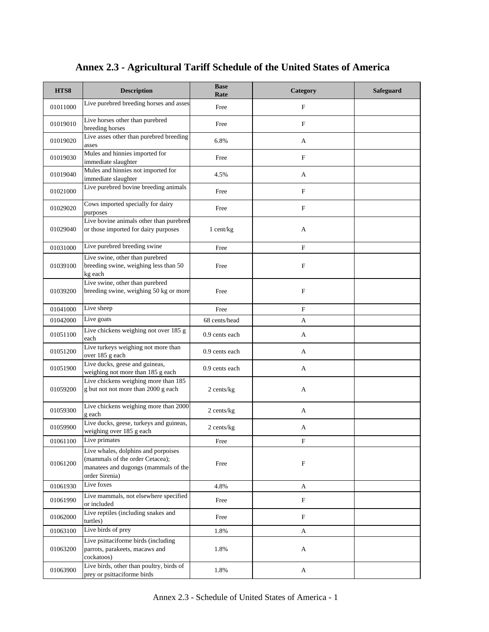| HTS8     | <b>Description</b>                                                                                                               | <b>Base</b><br>Rate | Category                  | Safeguard |
|----------|----------------------------------------------------------------------------------------------------------------------------------|---------------------|---------------------------|-----------|
| 01011000 | Live purebred breeding horses and asses                                                                                          | Free                | F                         |           |
| 01019010 | Live horses other than purebred<br>breeding horses                                                                               | Free                | F                         |           |
| 01019020 | Live asses other than purebred breeding<br>asses                                                                                 | 6.8%                | A                         |           |
| 01019030 | Mules and hinnies imported for<br>immediate slaughter                                                                            | Free                | $\mathbf F$               |           |
| 01019040 | Mules and hinnies not imported for<br>immediate slaughter                                                                        | 4.5%                | A                         |           |
| 01021000 | Live purebred bovine breeding animals                                                                                            | Free                | $\mathbf F$               |           |
| 01029020 | Cows imported specially for dairy<br>purposes                                                                                    | Free                | $\boldsymbol{\mathrm{F}}$ |           |
| 01029040 | Live bovine animals other than purebred<br>or those imported for dairy purposes                                                  | $1$ cent/kg         | A                         |           |
| 01031000 | Live purebred breeding swine                                                                                                     | Free                | $\mathbf F$               |           |
| 01039100 | Live swine, other than purebred<br>breeding swine, weighing less than 50<br>kg each                                              | Free                | $\boldsymbol{\mathrm{F}}$ |           |
| 01039200 | Live swine, other than purebred<br>breeding swine, weighing 50 kg or more                                                        | Free                | $\boldsymbol{\mathrm{F}}$ |           |
| 01041000 | Live sheep                                                                                                                       | Free                | $\boldsymbol{\mathrm{F}}$ |           |
| 01042000 | Live goats                                                                                                                       | 68 cents/head       | A                         |           |
| 01051100 | Live chickens weighing not over 185 g<br>each                                                                                    | 0.9 cents each      | А                         |           |
| 01051200 | Live turkeys weighing not more than<br>over 185 g each                                                                           | 0.9 cents each      | A                         |           |
| 01051900 | Live ducks, geese and guineas,<br>weighing not more than 185 g each                                                              | 0.9 cents each      | A                         |           |
| 01059200 | Live chickens weighing more than 185<br>g but not not more than 2000 g each                                                      | $2$ cents/ $kg$     | A                         |           |
| 01059300 | Live chickens weighing more than 2000<br>g each                                                                                  | $2$ cents/ $kg$     | А                         |           |
| 01059900 | Live ducks, geese, turkeys and guineas,<br>weighing over 185 g each                                                              | $2$ cents/ $kg$     | A                         |           |
| 01061100 | Live primates                                                                                                                    | Free                | F                         |           |
| 01061200 | Live whales, dolphins and porpoises<br>(mammals of the order Cetacea);<br>manatees and dugongs (mammals of the<br>order Sirenia) | Free                | $\boldsymbol{\mathrm{F}}$ |           |
| 01061930 | Live foxes                                                                                                                       | 4.8%                | A                         |           |
| 01061990 | Live mammals, not elsewhere specified<br>or included                                                                             | Free                | F                         |           |
| 01062000 | Live reptiles (including snakes and<br>turtles)                                                                                  | Free                | $\boldsymbol{\mathrm{F}}$ |           |
| 01063100 | Live birds of prey                                                                                                               | 1.8%                | A                         |           |
| 01063200 | Live psittaciforme birds (including<br>parrots, parakeets, macaws and<br>cockatoos)                                              | 1.8%                | A                         |           |
| 01063900 | Live birds, other than poultry, birds of<br>prey or psittaciforme birds                                                          | 1.8%                | A                         |           |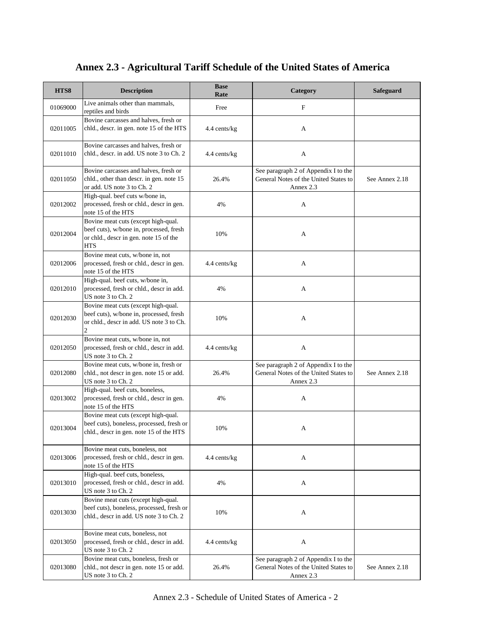| HTS8     | <b>Description</b>                                                                                                                     | <b>Base</b><br>Rate | Category                                                                                   | Safeguard      |
|----------|----------------------------------------------------------------------------------------------------------------------------------------|---------------------|--------------------------------------------------------------------------------------------|----------------|
| 01069000 | Live animals other than mammals,<br>reptiles and birds                                                                                 | Free                | F                                                                                          |                |
| 02011005 | Bovine carcasses and halves, fresh or<br>chld., descr. in gen. note 15 of the HTS                                                      | 4.4 cents/kg        | A                                                                                          |                |
| 02011010 | Bovine carcasses and halves, fresh or<br>chld., descr. in add. US note 3 to Ch. 2                                                      | 4.4 cents/kg        | A                                                                                          |                |
| 02011050 | Bovine carcasses and halves, fresh or<br>chld., other than descr. in gen. note 15<br>or add. US note 3 to Ch. 2                        | 26.4%               | See paragraph 2 of Appendix I to the<br>General Notes of the United States to<br>Annex 2.3 | See Annex 2.18 |
| 02012002 | High-qual. beef cuts w/bone in,<br>processed, fresh or chld., descr in gen.<br>note 15 of the HTS                                      | 4%                  | A                                                                                          |                |
| 02012004 | Bovine meat cuts (except high-qual.<br>beef cuts), w/bone in, processed, fresh<br>or chld., descr in gen. note 15 of the<br><b>HTS</b> | 10%                 | A                                                                                          |                |
| 02012006 | Bovine meat cuts, w/bone in, not<br>processed, fresh or chld., descr in gen.<br>note 15 of the HTS                                     | 4.4 cents/kg        | A                                                                                          |                |
| 02012010 | High-qual. beef cuts, w/bone in,<br>processed, fresh or chld., descr in add.<br>US note 3 to Ch. 2                                     | 4%                  | A                                                                                          |                |
| 02012030 | Bovine meat cuts (except high-qual.<br>beef cuts), w/bone in, processed, fresh<br>or chld., descr in add. US note 3 to Ch.<br>2        | 10%                 | A                                                                                          |                |
| 02012050 | Bovine meat cuts, w/bone in, not<br>processed, fresh or chld., descr in add.<br>US note 3 to Ch. 2                                     | 4.4 cents/kg        | A                                                                                          |                |
| 02012080 | Bovine meat cuts, w/bone in, fresh or<br>chld., not descr in gen. note 15 or add.<br>US note 3 to Ch. 2                                | 26.4%               | See paragraph 2 of Appendix I to the<br>General Notes of the United States to<br>Annex 2.3 | See Annex 2.18 |
| 02013002 | High-qual. beef cuts, boneless,<br>processed, fresh or chld., descr in gen.<br>note 15 of the HTS                                      | 4%                  | A                                                                                          |                |
| 02013004 | Bovine meat cuts (except high-qual.<br>beef cuts), boneless, processed, fresh or<br>chld., descr in gen. note 15 of the HTS            | 10%                 | А                                                                                          |                |
| 02013006 | Bovine meat cuts, boneless, not<br>processed, fresh or chld., descr in gen.<br>note 15 of the HTS                                      | 4.4 cents/kg        | A                                                                                          |                |
| 02013010 | High-qual. beef cuts, boneless,<br>processed, fresh or chld., descr in add.<br>US note 3 to Ch. 2                                      | 4%                  | A                                                                                          |                |
| 02013030 | Bovine meat cuts (except high-qual.<br>beef cuts), boneless, processed, fresh or<br>chld., descr in add. US note 3 to Ch. 2            | 10%                 | A                                                                                          |                |
| 02013050 | Bovine meat cuts, boneless, not<br>processed, fresh or chld., descr in add.<br>US note 3 to Ch. 2                                      | 4.4 cents/kg        | A                                                                                          |                |
| 02013080 | Bovine meat cuts, boneless, fresh or<br>chld., not descr in gen. note 15 or add.<br>US note 3 to Ch. 2                                 | 26.4%               | See paragraph 2 of Appendix I to the<br>General Notes of the United States to<br>Annex 2.3 | See Annex 2.18 |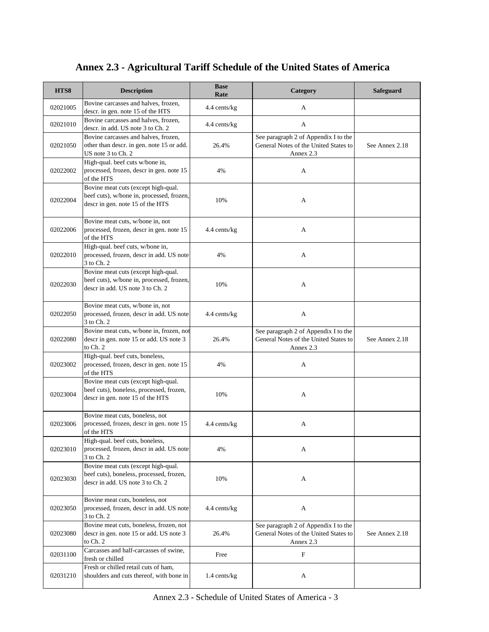| HTS8     | <b>Description</b>                                                                                                   | <b>Base</b><br>Rate | Category                                                                                   | Safeguard      |
|----------|----------------------------------------------------------------------------------------------------------------------|---------------------|--------------------------------------------------------------------------------------------|----------------|
| 02021005 | Bovine carcasses and halves, frozen,<br>descr. in gen. note 15 of the HTS                                            | 4.4 cents/kg        | А                                                                                          |                |
| 02021010 | Bovine carcasses and halves, frozen,<br>descr. in add. US note 3 to Ch. 2                                            | 4.4 cents/kg        | A                                                                                          |                |
| 02021050 | Bovine carcasses and halves, frozen,<br>other than descr. in gen. note 15 or add.<br>US note 3 to Ch. 2              | 26.4%               | See paragraph 2 of Appendix I to the<br>General Notes of the United States to<br>Annex 2.3 | See Annex 2.18 |
| 02022002 | High-qual. beef cuts w/bone in,<br>processed, frozen, descr in gen. note 15<br>of the HTS                            | 4%                  | A                                                                                          |                |
| 02022004 | Bovine meat cuts (except high-qual.<br>beef cuts), w/bone in, processed, frozen,<br>descr in gen. note 15 of the HTS | 10%                 | A                                                                                          |                |
| 02022006 | Bovine meat cuts, w/bone in, not<br>processed, frozen, descr in gen. note 15<br>of the HTS                           | 4.4 cents/kg        | A                                                                                          |                |
| 02022010 | High-qual. beef cuts, w/bone in,<br>processed, frozen, descr in add. US note<br>3 to Ch. 2                           | 4%                  | A                                                                                          |                |
| 02022030 | Bovine meat cuts (except high-qual.<br>beef cuts), w/bone in, processed, frozen,<br>descr in add. US note 3 to Ch. 2 | 10%                 | A                                                                                          |                |
| 02022050 | Bovine meat cuts, w/bone in, not<br>processed, frozen, descr in add. US note<br>3 to Ch. 2                           | 4.4 cents/kg        | A                                                                                          |                |
| 02022080 | Bovine meat cuts, w/bone in, frozen, not<br>descr in gen. note 15 or add. US note 3<br>to Ch. 2                      | 26.4%               | See paragraph 2 of Appendix I to the<br>General Notes of the United States to<br>Annex 2.3 | See Annex 2.18 |
| 02023002 | High-qual. beef cuts, boneless,<br>processed, frozen, descr in gen. note 15<br>of the HTS                            | 4%                  | A                                                                                          |                |
| 02023004 | Bovine meat cuts (except high-qual.<br>beef cuts), boneless, processed, frozen,<br>descr in gen. note 15 of the HTS  | 10%                 | A                                                                                          |                |
| 02023006 | Bovine meat cuts, boneless, not<br>processed, frozen, descr in gen. note 15<br>of the HTS                            | 4.4 cents/kg        | A                                                                                          |                |
| 02023010 | High-qual. beef cuts, boneless,<br>processed, frozen, descr in add. US note<br>3 to Ch. 2                            | 4%                  | A                                                                                          |                |
| 02023030 | Bovine meat cuts (except high-qual.<br>beef cuts), boneless, processed, frozen,<br>descr in add. US note 3 to Ch. 2  | 10%                 | A                                                                                          |                |
| 02023050 | Bovine meat cuts, boneless, not<br>processed, frozen, descr in add. US note<br>3 to Ch. 2                            | 4.4 cents/kg        | A                                                                                          |                |
| 02023080 | Bovine meat cuts, boneless, frozen, not<br>descr in gen. note 15 or add. US note 3<br>to Ch. 2                       | 26.4%               | See paragraph 2 of Appendix I to the<br>General Notes of the United States to<br>Annex 2.3 | See Annex 2.18 |
| 02031100 | Carcasses and half-carcasses of swine,<br>fresh or chilled                                                           | Free                | F                                                                                          |                |
| 02031210 | Fresh or chilled retail cuts of ham,<br>shoulders and cuts thereof, with bone in                                     | $1.4$ cents/kg      | A                                                                                          |                |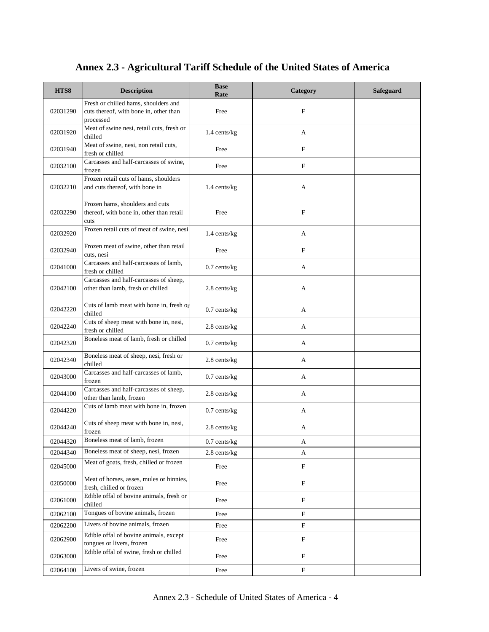| HTS8     | <b>Description</b>                                                                          | <b>Base</b><br>Rate | Category                  | Safeguard |
|----------|---------------------------------------------------------------------------------------------|---------------------|---------------------------|-----------|
| 02031290 | Fresh or chilled hams, shoulders and<br>cuts thereof, with bone in, other than<br>processed | Free                | F                         |           |
| 02031920 | Meat of swine nesi, retail cuts, fresh or<br>chilled                                        | 1.4 cents/kg        | А                         |           |
| 02031940 | Meat of swine, nesi, non retail cuts,<br>fresh or chilled                                   | Free                | $\boldsymbol{\mathrm{F}}$ |           |
| 02032100 | Carcasses and half-carcasses of swine,<br>frozen                                            | Free                | $\mathbf F$               |           |
| 02032210 | Frozen retail cuts of hams, shoulders<br>and cuts thereof, with bone in                     | 1.4 cents/kg        | A                         |           |
| 02032290 | Frozen hams, shoulders and cuts<br>thereof, with bone in, other than retail<br>cuts         | Free                | $\mathbf{F}$              |           |
| 02032920 | Frozen retail cuts of meat of swine, nesi                                                   | 1.4 cents/kg        | A                         |           |
| 02032940 | Frozen meat of swine, other than retail<br>cuts, nesi                                       | Free                | $\mathbf{F}$              |           |
| 02041000 | Carcasses and half-carcasses of lamb,<br>fresh or chilled                                   | $0.7$ cents/kg      | A                         |           |
| 02042100 | Carcasses and half-carcasses of sheep,<br>other than lamb, fresh or chilled                 | 2.8 cents/kg        | A                         |           |
| 02042220 | Cuts of lamb meat with bone in, fresh or<br>chilled                                         | $0.7$ cents/kg      | A                         |           |
| 02042240 | Cuts of sheep meat with bone in, nesi,<br>fresh or chilled                                  | 2.8 cents/kg        | A                         |           |
| 02042320 | Boneless meat of lamb, fresh or chilled                                                     | $0.7$ cents/ $kg$   | A                         |           |
| 02042340 | Boneless meat of sheep, nesi, fresh or<br>chilled                                           | 2.8 cents/kg        | A                         |           |
| 02043000 | Carcasses and half-carcasses of lamb,<br>frozen                                             | $0.7$ cents/kg      | A                         |           |
| 02044100 | Carcasses and half-carcasses of sheep,<br>other than lamb, frozen                           | 2.8 cents/kg        | A                         |           |
| 02044220 | Cuts of lamb meat with bone in, frozen                                                      | $0.7$ cents/ $kg$   | A                         |           |
| 02044240 | Cuts of sheep meat with bone in, nesi,<br>frozen                                            | 2.8 cents/kg        | A                         |           |
| 02044320 | Boneless meat of lamb, frozen                                                               | $0.7$ cents/kg      | A                         |           |
| 02044340 | Boneless meat of sheep, nesi, frozen                                                        | 2.8 cents/kg        | A                         |           |
| 02045000 | Meat of goats, fresh, chilled or frozen                                                     | Free                | $\boldsymbol{\mathrm{F}}$ |           |
| 02050000 | Meat of horses, asses, mules or hinnies,<br>fresh, chilled or frozen                        | Free                | F                         |           |
| 02061000 | Edible offal of bovine animals, fresh or<br>chilled                                         | Free                | $\boldsymbol{\mathrm{F}}$ |           |
| 02062100 | Tongues of bovine animals, frozen                                                           | Free                | $\mathbf F$               |           |
| 02062200 | Livers of bovine animals, frozen                                                            | Free                | F                         |           |
| 02062900 | Edible offal of bovine animals, except<br>tongues or livers, frozen                         | Free                | $\boldsymbol{\mathrm{F}}$ |           |
| 02063000 | Edible offal of swine, fresh or chilled                                                     | Free                | $\mathbf F$               |           |
| 02064100 | Livers of swine, frozen                                                                     | Free                | $\mathbf F$               |           |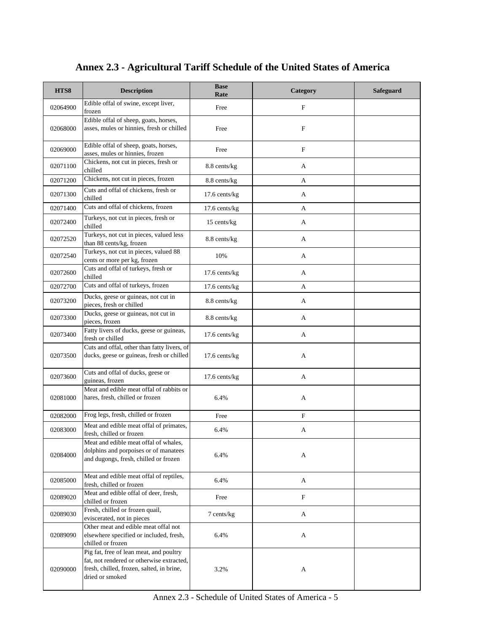| HTS8     | <b>Description</b>                                                                                                                                   | <b>Base</b><br>Rate | Category                  | Safeguard |
|----------|------------------------------------------------------------------------------------------------------------------------------------------------------|---------------------|---------------------------|-----------|
| 02064900 | Edible offal of swine, except liver,<br>frozen                                                                                                       | Free                | F                         |           |
| 02068000 | Edible offal of sheep, goats, horses,<br>asses, mules or hinnies, fresh or chilled                                                                   | Free                | $\mathbf F$               |           |
| 02069000 | Edible offal of sheep, goats, horses,<br>asses, mules or hinnies, frozen                                                                             | Free                | $\mathbf F$               |           |
| 02071100 | Chickens, not cut in pieces, fresh or<br>chilled                                                                                                     | 8.8 cents/kg        | A                         |           |
| 02071200 | Chickens, not cut in pieces, frozen                                                                                                                  | 8.8 cents/kg        | A                         |           |
| 02071300 | Cuts and offal of chickens, fresh or<br>chilled                                                                                                      | $17.6$ cents/kg     | A                         |           |
| 02071400 | Cuts and offal of chickens, frozen                                                                                                                   | 17.6 cents/kg       | A                         |           |
| 02072400 | Turkeys, not cut in pieces, fresh or<br>chilled                                                                                                      | 15 cents/kg         | A                         |           |
| 02072520 | Turkeys, not cut in pieces, valued less<br>than 88 cents/kg, frozen                                                                                  | 8.8 cents/kg        | A                         |           |
| 02072540 | Turkeys, not cut in pieces, valued 88<br>cents or more per kg, frozen                                                                                | 10%                 | A                         |           |
| 02072600 | Cuts and offal of turkeys, fresh or<br>chilled                                                                                                       | $17.6$ cents/kg     | A                         |           |
| 02072700 | Cuts and offal of turkeys, frozen                                                                                                                    | 17.6 cents/kg       | A                         |           |
| 02073200 | Ducks, geese or guineas, not cut in<br>pieces, fresh or chilled                                                                                      | 8.8 cents/kg        | A                         |           |
| 02073300 | Ducks, geese or guineas, not cut in<br>pieces, frozen                                                                                                | 8.8 cents/kg        | A                         |           |
| 02073400 | Fatty livers of ducks, geese or guineas,<br>fresh or chilled                                                                                         | 17.6 cents/kg       | A                         |           |
| 02073500 | Cuts and offal, other than fatty livers, of<br>ducks, geese or guineas, fresh or chilled                                                             | $17.6$ cents/kg     | A                         |           |
| 02073600 | Cuts and offal of ducks, geese or<br>guineas, frozen                                                                                                 | 17.6 cents/kg       | A                         |           |
| 02081000 | Meat and edible meat offal of rabbits or<br>hares, fresh, chilled or frozen                                                                          | 6.4%                | A                         |           |
| 02082000 | Frog legs, fresh, chilled or frozen                                                                                                                  | Free                | $\boldsymbol{\mathrm{F}}$ |           |
| 02083000 | Meat and edible meat offal of primates,<br>fresh, chilled or frozen                                                                                  | 6.4%                | A                         |           |
| 02084000 | Meat and edible meat offal of whales,<br>dolphins and porpoises or of manatees<br>and dugongs, fresh, chilled or frozen                              | 6.4%                | A                         |           |
| 02085000 | Meat and edible meat offal of reptiles,<br>fresh, chilled or frozen                                                                                  | 6.4%                | A                         |           |
| 02089020 | Meat and edible offal of deer, fresh,<br>chilled or frozen                                                                                           | Free                | $\boldsymbol{\mathrm{F}}$ |           |
| 02089030 | Fresh, chilled or frozen quail,<br>eviscerated, not in pieces                                                                                        | 7 cents/kg          | A                         |           |
| 02089090 | Other meat and edible meat offal not<br>elsewhere specified or included, fresh,<br>chilled or frozen                                                 | 6.4%                | A                         |           |
| 02090000 | Pig fat, free of lean meat, and poultry<br>fat, not rendered or otherwise extracted,<br>fresh, chilled, frozen, salted, in brine,<br>dried or smoked | 3.2%                | A                         |           |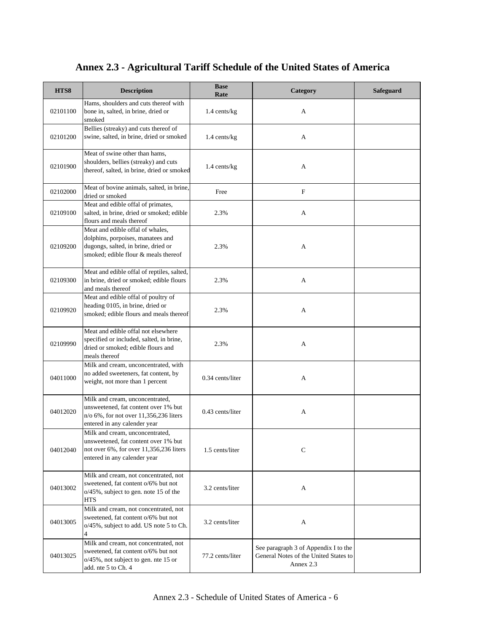| HTS8     | <b>Description</b>                                                                                                                                   | <b>Base</b><br>Rate | Category                                                                                   | Safeguard |
|----------|------------------------------------------------------------------------------------------------------------------------------------------------------|---------------------|--------------------------------------------------------------------------------------------|-----------|
| 02101100 | Hams, shoulders and cuts thereof with<br>bone in, salted, in brine, dried or<br>smoked                                                               | 1.4 cents/kg        | A                                                                                          |           |
| 02101200 | Bellies (streaky) and cuts thereof of<br>swine, salted, in brine, dried or smoked                                                                    | 1.4 cents/kg        | A                                                                                          |           |
| 02101900 | Meat of swine other than hams,<br>shoulders, bellies (streaky) and cuts<br>thereof, salted, in brine, dried or smoked                                | 1.4 cents/kg        | А                                                                                          |           |
| 02102000 | Meat of bovine animals, salted, in brine,<br>dried or smoked                                                                                         | Free                | $\mathbf F$                                                                                |           |
| 02109100 | Meat and edible offal of primates,<br>salted, in brine, dried or smoked; edible<br>flours and meals thereof                                          | 2.3%                | А                                                                                          |           |
| 02109200 | Meat and edible offal of whales,<br>dolphins, porpoises, manatees and<br>dugongs, salted, in brine, dried or<br>smoked; edible flour & meals thereof | 2.3%                | А                                                                                          |           |
| 02109300 | Meat and edible offal of reptiles, salted,<br>in brine, dried or smoked; edible flours<br>and meals thereof                                          | 2.3%                | А                                                                                          |           |
| 02109920 | Meat and edible offal of poultry of<br>heading 0105, in brine, dried or<br>smoked; edible flours and meals thereof                                   | 2.3%                | A                                                                                          |           |
| 02109990 | Meat and edible offal not elsewhere<br>specified or included, salted, in brine,<br>dried or smoked; edible flours and<br>meals thereof               | 2.3%                | А                                                                                          |           |
| 04011000 | Milk and cream, unconcentrated, with<br>no added sweeteners, fat content, by<br>weight, not more than 1 percent                                      | 0.34 cents/liter    | A                                                                                          |           |
| 04012020 | Milk and cream, unconcentrated,<br>unsweetened, fat content over 1% but<br>n/o 6%, for not over 11,356,236 liters<br>entered in any calender year    | 0.43 cents/liter    | А                                                                                          |           |
| 04012040 | Milk and cream, unconcentrated,<br>unsweetened, fat content over 1% but<br>not over 6%, for over 11,356,236 liters<br>entered in any calender year   | 1.5 cents/liter     | C                                                                                          |           |
| 04013002 | Milk and cream, not concentrated, not<br>sweetened, fat content o/6% but not<br>o/45%, subject to gen. note 15 of the<br><b>HTS</b>                  | 3.2 cents/liter     | A                                                                                          |           |
| 04013005 | Milk and cream, not concentrated, not<br>sweetened, fat content o/6% but not<br>o/45%, subject to add. US note 5 to Ch.<br>4                         | 3.2 cents/liter     | A                                                                                          |           |
| 04013025 | Milk and cream, not concentrated, not<br>sweetened, fat content o/6% but not<br>o/45%, not subject to gen. nte 15 or<br>add. nte 5 to Ch. 4          | 77.2 cents/liter    | See paragraph 3 of Appendix I to the<br>General Notes of the United States to<br>Annex 2.3 |           |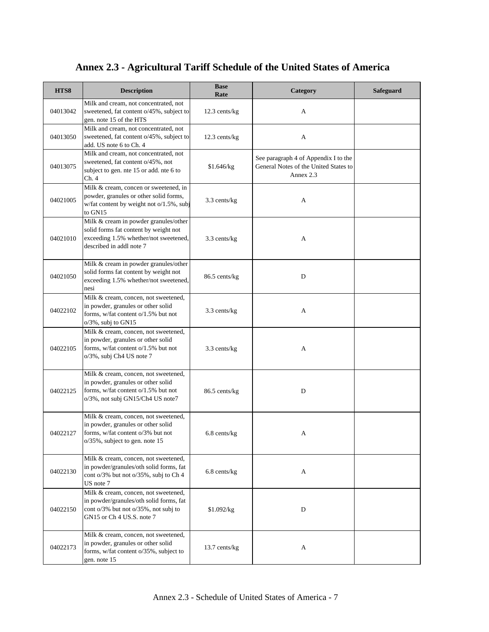| HTS8     | <b>Description</b>                                                                                                                                    | <b>Base</b><br>Rate | Category                                                                                   | Safeguard |
|----------|-------------------------------------------------------------------------------------------------------------------------------------------------------|---------------------|--------------------------------------------------------------------------------------------|-----------|
| 04013042 | Milk and cream, not concentrated, not<br>sweetened, fat content o/45%, subject to<br>gen. note 15 of the HTS                                          | 12.3 cents/kg       | A                                                                                          |           |
| 04013050 | Milk and cream, not concentrated, not<br>sweetened, fat content o/45%, subject to<br>add. US note 6 to Ch. 4                                          | 12.3 cents/kg       | A                                                                                          |           |
| 04013075 | Milk and cream, not concentrated, not<br>sweetened, fat content o/45%, not<br>subject to gen. nte 15 or add. nte 6 to<br>Ch.4                         | \$1.646/kg          | See paragraph 4 of Appendix I to the<br>General Notes of the United States to<br>Annex 2.3 |           |
| 04021005 | Milk & cream, concen or sweetened, in<br>powder, granules or other solid forms,<br>w/fat content by weight not o/1.5%, subj<br>to GN15                | 3.3 cents/kg        | A                                                                                          |           |
| 04021010 | Milk & cream in powder granules/other<br>solid forms fat content by weight not<br>exceeding 1.5% whether/not sweetened,<br>described in addl note 7   | 3.3 cents/kg        | A                                                                                          |           |
| 04021050 | Milk & cream in powder granules/other<br>solid forms fat content by weight not<br>exceeding 1.5% whether/not sweetened,<br>nesi                       | 86.5 cents/kg       | $\mathbf D$                                                                                |           |
| 04022102 | Milk & cream, concen, not sweetened,<br>in powder, granules or other solid<br>forms, w/fat content o/1.5% but not<br>$o/3\%$ , subj to GN15           | 3.3 cents/kg        | A                                                                                          |           |
| 04022105 | Milk & cream, concen, not sweetened,<br>in powder, granules or other solid<br>forms, w/fat content o/1.5% but not<br>o/3%, subj Ch4 US note 7         | 3.3 cents/kg        | A                                                                                          |           |
| 04022125 | Milk & cream, concen, not sweetened,<br>in powder, granules or other solid<br>forms, w/fat content o/1.5% but not<br>o/3%, not subj GN15/Ch4 US note7 | 86.5 cents/kg       | D                                                                                          |           |
| 04022127 | Milk & cream, concen, not sweetened,<br>in powder, granules or other solid<br>forms, w/fat content o/3% but not<br>o/35%, subject to gen. note 15     | 6.8 cents/kg        | A                                                                                          |           |
| 04022130 | Milk & cream, concen, not sweetened,<br>in powder/granules/oth solid forms, fat<br>cont o/3% but not o/35%, subj to Ch 4<br>US note 7                 | 6.8 cents/kg        | A                                                                                          |           |
| 04022150 | Milk & cream, concen, not sweetened,<br>in powder/granules/oth solid forms, fat<br>cont o/3% but not o/35%, not subj to<br>GN15 or Ch 4 US.S. note 7  | \$1.092/kg          | D                                                                                          |           |
| 04022173 | Milk & cream, concen, not sweetened,<br>in powder, granules or other solid<br>forms, w/fat content o/35%, subject to<br>gen. note 15                  | 13.7 cents/kg       | A                                                                                          |           |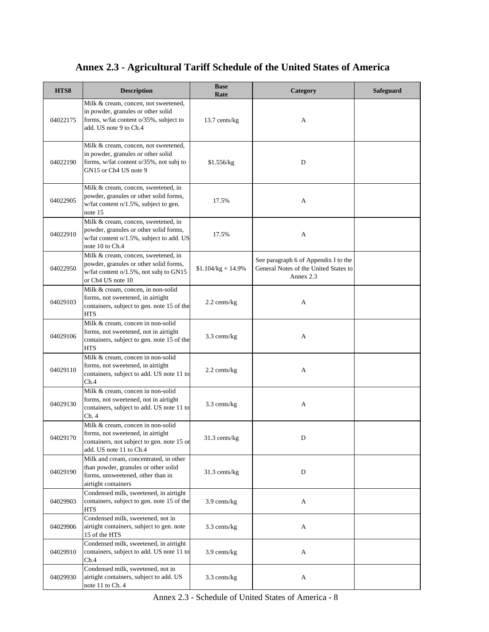| HTS8     | <b>Description</b>                                                                                                                              | <b>Base</b><br>Rate | Category                                                                                   | <b>Safeguard</b> |
|----------|-------------------------------------------------------------------------------------------------------------------------------------------------|---------------------|--------------------------------------------------------------------------------------------|------------------|
| 04022175 | Milk & cream, concen, not sweetened,<br>in powder, granules or other solid<br>forms, w/fat content o/35%, subject to<br>add. US note 9 to Ch.4  | 13.7 cents/kg       | A                                                                                          |                  |
| 04022190 | Milk & cream, concen, not sweetened,<br>in powder, granules or other solid<br>forms, w/fat content o/35%, not subj to<br>GN15 or Ch4 US note 9  | \$1.556/kg          | D                                                                                          |                  |
| 04022905 | Milk & cream, concen, sweetened, in<br>powder, granules or other solid forms,<br>w/fat content o/1.5%, subject to gen.<br>note $15$             | 17.5%               | A                                                                                          |                  |
| 04022910 | Milk & cream, concen, sweetened, in<br>powder, granules or other solid forms,<br>w/fat content o/1.5%, subject to add. US<br>note 10 to Ch.4    | 17.5%               | A                                                                                          |                  |
| 04022950 | Milk & cream, concen, sweetened, in<br>powder, granules or other solid forms,<br>w/fat content o/1.5%, not subj to GN15<br>or Ch4 US note 10    | $$1.104/kg + 14.9%$ | See paragraph 6 of Appendix I to the<br>General Notes of the United States to<br>Annex 2.3 |                  |
| 04029103 | Milk & cream, concen, in non-solid<br>forms, not sweetened, in airtight<br>containers, subject to gen. note 15 of the<br><b>HTS</b>             | 2.2 cents/kg        | A                                                                                          |                  |
| 04029106 | Milk & cream, concen in non-solid<br>forms, not sweetened, not in airtight<br>containers, subject to gen. note 15 of the<br><b>HTS</b>          | 3.3 cents/kg        | A                                                                                          |                  |
| 04029110 | Milk & cream, concen in non-solid<br>forms, not sweetened, in airtight<br>containers, subject to add. US note 11 to<br>Ch.4                     | 2.2 cents/kg        | A                                                                                          |                  |
| 04029130 | Milk & cream, concen in non-solid<br>forms, not sweetened, not in airtight<br>containers, subject to add. US note 11 to<br>Ch. 4                | 3.3 cents/kg        | A                                                                                          |                  |
| 04029170 | Milk & cream, concen in non-solid<br>forms, not sweetened, in airtight<br>containers, not subject to gen. note 15 or<br>add. US note 11 to Ch.4 | $31.3$ cents/kg     | D                                                                                          |                  |
| 04029190 | Milk and cream, concentrated, in other<br>than powder, granules or other solid<br>forms, unsweetened, other than in<br>airtight containers      | 31.3 cents/kg       | D                                                                                          |                  |
| 04029903 | Condensed milk, sweetened, in airtight<br>containers, subject to gen. note 15 of the<br><b>HTS</b>                                              | 3.9 cents/kg        | A                                                                                          |                  |
| 04029906 | Condensed milk, sweetened, not in<br>airtight containers, subject to gen. note<br>15 of the HTS                                                 | 3.3 cents/kg        | A                                                                                          |                  |
| 04029910 | Condensed milk, sweetened, in airtight<br>containers, subject to add. US note 11 to<br>Ch.4                                                     | 3.9 cents/kg        | A                                                                                          |                  |
| 04029930 | Condensed milk, sweetened, not in<br>airtight containers, subject to add. US<br>note 11 to Ch. 4                                                | 3.3 cents/kg        | A                                                                                          |                  |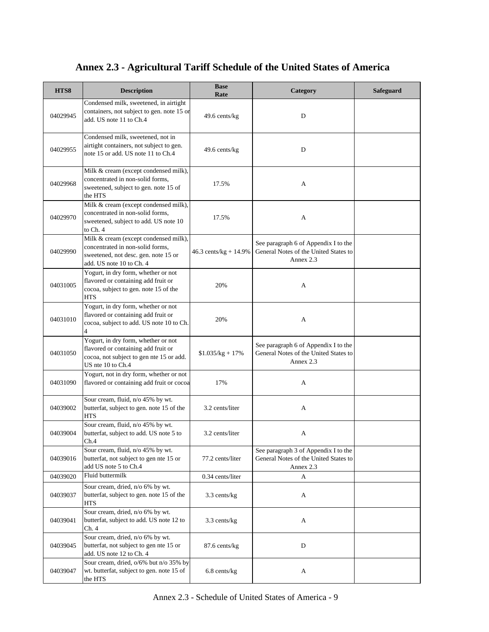| HTS8     | <b>Description</b>                                                                                                                            | <b>Base</b><br>Rate     | Category                                                                                   | <b>Safeguard</b> |
|----------|-----------------------------------------------------------------------------------------------------------------------------------------------|-------------------------|--------------------------------------------------------------------------------------------|------------------|
| 04029945 | Condensed milk, sweetened, in airtight<br>containers, not subject to gen. note 15 or<br>add. US note 11 to Ch.4                               | 49.6 cents/kg           | D                                                                                          |                  |
| 04029955 | Condensed milk, sweetened, not in<br>airtight containers, not subject to gen.<br>note 15 or add. US note 11 to Ch.4                           | 49.6 cents/kg           | D                                                                                          |                  |
| 04029968 | Milk & cream (except condensed milk),<br>concentrated in non-solid forms,<br>sweetened, subject to gen. note 15 of<br>the HTS                 | 17.5%                   | A                                                                                          |                  |
| 04029970 | Milk & cream (except condensed milk),<br>concentrated in non-solid forms,<br>sweetened, subject to add. US note 10<br>to Ch. 4                | 17.5%                   | A                                                                                          |                  |
| 04029990 | Milk & cream (except condensed milk),<br>concentrated in non-solid forms,<br>sweetened, not desc. gen. note 15 or<br>add. US note 10 to Ch. 4 | $46.3$ cents/kg + 14.9% | See paragraph 6 of Appendix I to the<br>General Notes of the United States to<br>Annex 2.3 |                  |
| 04031005 | Yogurt, in dry form, whether or not<br>flavored or containing add fruit or<br>cocoa, subject to gen. note 15 of the<br><b>HTS</b>             | 20%                     | A                                                                                          |                  |
| 04031010 | Yogurt, in dry form, whether or not<br>flavored or containing add fruit or<br>cocoa, subject to add. US note 10 to Ch.<br>$\overline{4}$      | 20%                     | A                                                                                          |                  |
| 04031050 | Yogurt, in dry form, whether or not<br>flavored or containing add fruit or<br>cocoa, not subject to gen nte 15 or add.<br>US nte 10 to Ch.4   | $$1.035/kg + 17\%$      | See paragraph 6 of Appendix I to the<br>General Notes of the United States to<br>Annex 2.3 |                  |
| 04031090 | Yogurt, not in dry form, whether or not<br>flavored or containing add fruit or cocoa                                                          | 17%                     | A                                                                                          |                  |
| 04039002 | Sour cream, fluid, n/o 45% by wt.<br>butterfat, subject to gen. note 15 of the<br><b>HTS</b>                                                  | 3.2 cents/liter         | A                                                                                          |                  |
| 04039004 | Sour cream, fluid, n/o 45% by wt.<br>butterfat, subject to add. US note 5 to<br>Ch.4                                                          | 3.2 cents/liter         | A                                                                                          |                  |
| 04039016 | Sour cream, fluid, n/o 45% by wt.<br>butterfat, not subject to gen nte 15 or<br>add US note 5 to Ch.4                                         | 77.2 cents/liter        | See paragraph 3 of Appendix I to the<br>General Notes of the United States to<br>Annex 2.3 |                  |
| 04039020 | Fluid buttermilk                                                                                                                              | 0.34 cents/liter        | A                                                                                          |                  |
| 04039037 | Sour cream, dried, n/o 6% by wt.<br>butterfat, subject to gen. note 15 of the<br><b>HTS</b>                                                   | 3.3 cents/kg            | A                                                                                          |                  |
| 04039041 | Sour cream, dried, n/o 6% by wt.<br>butterfat, subject to add. US note 12 to<br>Ch. 4                                                         | 3.3 cents/kg            | A                                                                                          |                  |
| 04039045 | Sour cream, dried, n/o 6% by wt.<br>butterfat, not subject to gen nte 15 or<br>add. US note 12 to Ch. 4                                       | 87.6 cents/kg           | $\mathbf D$                                                                                |                  |

6.8 cents/kg A

04039047

the HTS

Sour cream, dried, o/6% but n/o 35% by wt. butterfat, subject to gen. note 15 of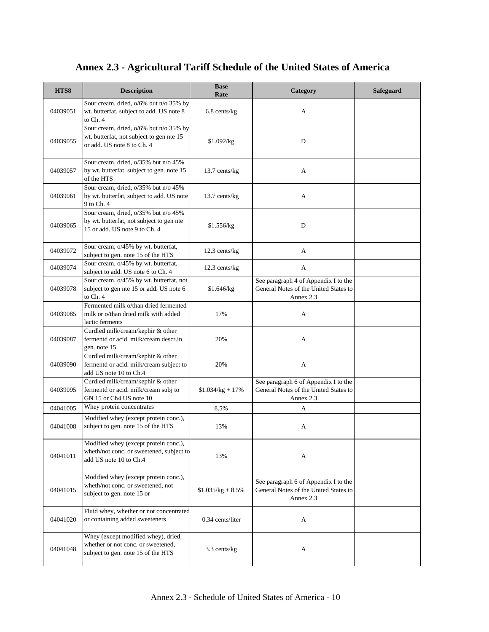| HTS8     | <b>Description</b>                                                                                                | <b>Base</b><br>Rate | Category                                                                                   | Safeguard |
|----------|-------------------------------------------------------------------------------------------------------------------|---------------------|--------------------------------------------------------------------------------------------|-----------|
| 04039051 | Sour cream, dried, o/6% but n/o 35% by<br>wt. butterfat, subject to add. US note 8<br>to Ch. 4                    | $6.8$ cents/kg      | A                                                                                          |           |
| 04039055 | Sour cream, dried, o/6% but n/o 35% by<br>wt. butterfat, not subject to gen nte 15<br>or add. US note 8 to Ch. 4  | \$1.092/kg          | D                                                                                          |           |
| 04039057 | Sour cream, dried, o/35% but n/o 45%<br>by wt. butterfat, subject to gen. note 15<br>of the HTS                   | 13.7 cents/kg       | A                                                                                          |           |
| 04039061 | Sour cream, dried, o/35% but n/o 45%<br>by wt. butterfat, subject to add. US note<br>9 to Ch. 4                   | 13.7 cents/kg       | A                                                                                          |           |
| 04039065 | Sour cream, dried, o/35% but n/o 45%<br>by wt. butterfat, not subject to gen nte<br>15 or add. US note 9 to Ch. 4 | \$1.556/kg          | D                                                                                          |           |
| 04039072 | Sour cream, o/45% by wt. butterfat,<br>subject to gen. note 15 of the HTS                                         | 12.3 cents/kg       | A                                                                                          |           |
| 04039074 | Sour cream, o/45% by wt. butterfat,<br>subject to add. US note 6 to Ch. 4                                         | 12.3 cents/kg       | A                                                                                          |           |
| 04039078 | Sour cream, o/45% by wt. butterfat, not<br>subject to gen nte 15 or add. US note 6<br>to Ch. 4                    | \$1.646/kg          | See paragraph 4 of Appendix I to the<br>General Notes of the United States to<br>Annex 2.3 |           |
| 04039085 | Fermented milk o/than dried fermented<br>milk or o/than dried milk with added<br>lactic ferments                  | 17%                 | A                                                                                          |           |
| 04039087 | Curdled milk/cream/kephir & other<br>fermentd or acid. milk/cream descr.in<br>gen. note 15                        | 20%                 | A                                                                                          |           |
| 04039090 | Curdled milk/cream/kephir & other<br>fermentd or acid. milk/cream subject to<br>add US note 10 to Ch.4            | 20%                 | A                                                                                          |           |
| 04039095 | Curdled milk/cream/kephir & other<br>fermentd or acid. milk/cream subj to<br>GN 15 or Ch4 US note 10              | $$1.034/kg + 17\%$  | See paragraph 6 of Appendix I to the<br>General Notes of the United States to<br>Annex 2.3 |           |
| 04041005 | Whey protein concentrates                                                                                         | 8.5%                | A                                                                                          |           |
| 04041008 | Modified whey (except protein conc.),<br>subject to gen. note 15 of the HTS                                       | 13%                 | A                                                                                          |           |
| 04041011 | Modified whey (except protein conc.),<br>wheth/not conc. or sweetened, subject to<br>add US note 10 to Ch.4       | 13%                 | A                                                                                          |           |
| 04041015 | Modified whey (except protein conc.),<br>wheth/not conc. or sweetened, not<br>subject to gen. note 15 or          | $$1.035/kg + 8.5\%$ | See paragraph 6 of Appendix I to the<br>General Notes of the United States to<br>Annex 2.3 |           |
| 04041020 | Fluid whey, whether or not concentrated<br>or containing added sweeteners                                         | 0.34 cents/liter    | A                                                                                          |           |
| 04041048 | Whey (except modified whey), dried,<br>whether or not conc. or sweetened,<br>subject to gen. note 15 of the HTS   | 3.3 cents/kg        | A                                                                                          |           |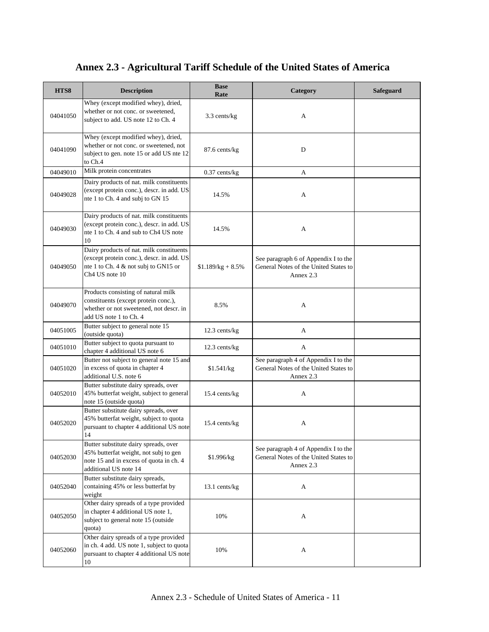| HTS8     | <b>Description</b>                                                                                                                                          | <b>Base</b><br>Rate | Category                                                                                   | Safeguard |
|----------|-------------------------------------------------------------------------------------------------------------------------------------------------------------|---------------------|--------------------------------------------------------------------------------------------|-----------|
| 04041050 | Whey (except modified whey), dried,<br>whether or not conc. or sweetened,<br>subject to add. US note 12 to Ch. 4                                            | 3.3 cents/kg        | A                                                                                          |           |
| 04041090 | Whey (except modified whey), dried,<br>whether or not conc. or sweetened, not<br>subject to gen. note 15 or add US nte 12<br>to Ch.4                        | 87.6 cents/kg       | D                                                                                          |           |
| 04049010 | Milk protein concentrates                                                                                                                                   | $0.37$ cents/kg     | A                                                                                          |           |
| 04049028 | Dairy products of nat. milk constituents<br>(except protein conc.), descr. in add. US<br>nte 1 to Ch. 4 and subj to GN 15                                   | 14.5%               | A                                                                                          |           |
| 04049030 | Dairy products of nat. milk constituents<br>(except protein conc.), descr. in add. US<br>nte 1 to Ch. 4 and sub to Ch4 US note<br>10                        | 14.5%               | A                                                                                          |           |
| 04049050 | Dairy products of nat. milk constituents<br>(except protein conc.), descr. in add. US<br>nte 1 to Ch. 4 & not subj to GN15 or<br>Ch <sub>4</sub> US note 10 | $$1.189/kg + 8.5\%$ | See paragraph 6 of Appendix I to the<br>General Notes of the United States to<br>Annex 2.3 |           |
| 04049070 | Products consisting of natural milk<br>constituents (except protein conc.),<br>whether or not sweetened, not descr. in<br>add US note 1 to Ch. 4            | 8.5%                | A                                                                                          |           |
| 04051005 | Butter subject to general note 15<br>(outside quota)                                                                                                        | 12.3 cents/kg       | A                                                                                          |           |
| 04051010 | Butter subject to quota pursuant to<br>chapter 4 additional US note 6                                                                                       | 12.3 cents/kg       | A                                                                                          |           |
| 04051020 | Butter not subject to general note 15 and<br>in excess of quota in chapter 4<br>additional U.S. note 6                                                      | \$1.541/kg          | See paragraph 4 of Appendix I to the<br>General Notes of the United States to<br>Annex 2.3 |           |
| 04052010 | Butter substitute dairy spreads, over<br>45% butterfat weight, subject to general<br>note 15 (outside quota)                                                | 15.4 cents/kg       | A                                                                                          |           |
| 04052020 | Butter substitute dairy spreads, over<br>45% butterfat weight, subject to quota<br>pursuant to chapter 4 additional US note<br>14                           | 15.4 cents/kg       | A                                                                                          |           |
| 04052030 | Butter substitute dairy spreads, over<br>45% butterfat weight, not subj to gen<br>note 15 and in excess of quota in ch. 4<br>additional US note 14          | \$1.996/kg          | See paragraph 4 of Appendix I to the<br>General Notes of the United States to<br>Annex 2.3 |           |
| 04052040 | Butter substitute dairy spreads,<br>containing 45% or less butterfat by<br>weight                                                                           | 13.1 cents/kg       | A                                                                                          |           |
| 04052050 | Other dairy spreads of a type provided<br>in chapter 4 additional US note 1,<br>subject to general note 15 (outside<br>quota)                               | 10%                 | A                                                                                          |           |
| 04052060 | Other dairy spreads of a type provided<br>in ch. 4 add. US note 1, subject to quota<br>pursuant to chapter 4 additional US note<br>10                       | 10%                 | A                                                                                          |           |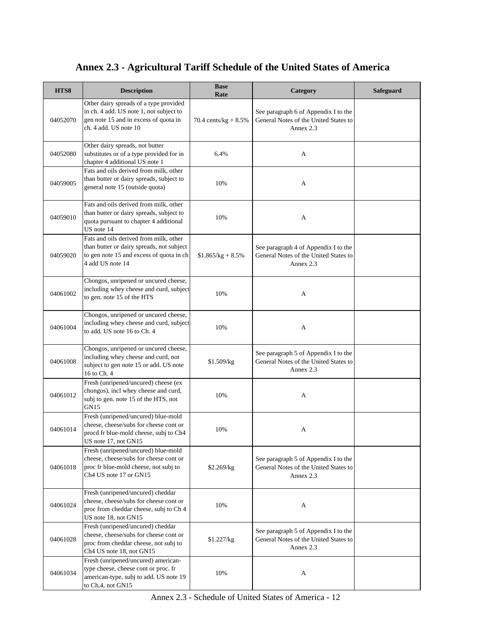| HTS8     | <b>Description</b>                                                                                                                                  | <b>Base</b><br>Rate     | Category                                                                                   | <b>Safeguard</b> |
|----------|-----------------------------------------------------------------------------------------------------------------------------------------------------|-------------------------|--------------------------------------------------------------------------------------------|------------------|
| 04052070 | Other dairy spreads of a type provided<br>in ch. 4 add. US note 1, not subject to<br>gen note 15 and in excess of quota in<br>ch. 4 add. US note 10 | 70.4 cents/ $kg + 8.5%$ | See paragraph 6 of Appendix I to the<br>General Notes of the United States to<br>Annex 2.3 |                  |
| 04052080 | Other dairy spreads, not butter<br>substitutes or of a type provided for in<br>chapter 4 additional US note 1                                       | 6.4%                    | A                                                                                          |                  |
| 04059005 | Fats and oils derived from milk, other<br>than butter or dairy spreads, subject to<br>general note 15 (outside quota)                               | 10%                     | A                                                                                          |                  |
| 04059010 | Fats and oils derived from milk, other<br>than butter or dairy spreads, subject to<br>quota pursuant to chapter 4 additional<br>US note 14          | 10%                     | A                                                                                          |                  |
| 04059020 | Fats and oils derived from milk, other<br>than butter or dairy spreads, not subject<br>to gen note 15 and excess of quota in ch<br>4 add US note 14 | $$1.865/kg + 8.5\%$     | See paragraph 4 of Appendix I to the<br>General Notes of the United States to<br>Annex 2.3 |                  |
| 04061002 | Chongos, unripened or uncured cheese,<br>including whey cheese and curd, subject<br>to gen. note 15 of the HTS                                      | 10%                     | A                                                                                          |                  |
| 04061004 | Chongos, unripened or uncured cheese,<br>including whey cheese and curd, subject<br>to add. US note 16 to Ch. 4                                     | 10%                     | A                                                                                          |                  |
| 04061008 | Chongos, unripened or uncured cheese,<br>including whey cheese and curd, not<br>subject to gen note 15 or add. US note<br>16 to Ch. 4               | \$1.509/kg              | See paragraph 5 of Appendix I to the<br>General Notes of the United States to<br>Annex 2.3 |                  |
| 04061012 | Fresh (unripened/uncured) cheese (ex<br>chongos), incl whey cheese and curd,<br>subj to gen. note 15 of the HTS, not<br>GN15                        | 10%                     | A                                                                                          |                  |
| 04061014 | Fresh (unripened/uncured) blue-mold<br>cheese, cheese/subs for cheese cont or<br>procd fr blue-mold cheese, subj to Ch4<br>US note 17, not GN15     | 10%                     | A                                                                                          |                  |
| 04061018 | Fresh (unripened/uncured) blue-mold<br>cheese, cheese/subs for cheese cont or<br>proc fr blue-mold cheese, not subj to<br>Ch4 US note 17 or GN15    | \$2.269/kg              | See paragraph 5 of Appendix I to the<br>General Notes of the United States to<br>Annex 2.3 |                  |
| 04061024 | Fresh (unripened/uncured) cheddar<br>cheese, cheese/subs for cheese cont or<br>proc from cheddar cheese, subj to Ch 4<br>US note 18, not GN15       | 10%                     | A                                                                                          |                  |
| 04061028 | Fresh (unripened/uncured) cheddar<br>cheese, cheese/subs for cheese cont or<br>proc from cheddar cheese, not subj to<br>Ch4 US note 18, not GN15    | \$1.227/kg              | See paragraph 5 of Appendix I to the<br>General Notes of the United States to<br>Annex 2.3 |                  |
| 04061034 | Fresh (unripened/uncured) american-<br>type cheese, cheese cont or proc. fr<br>american-type, subj to add. US note 19<br>to Ch.4, not GN15          | 10%                     | A                                                                                          |                  |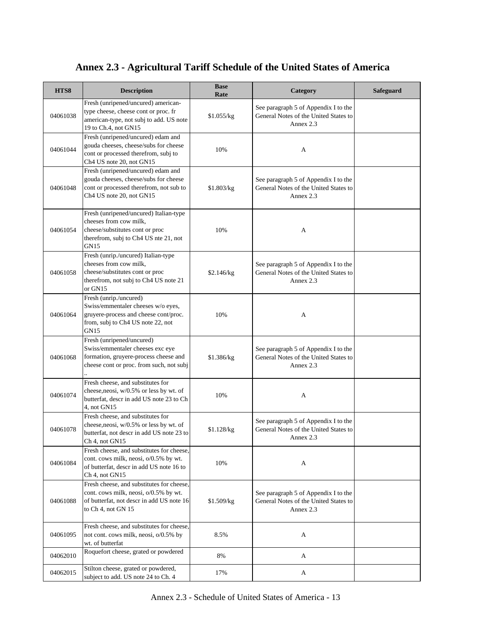| HTS8     | <b>Description</b>                                                                                                                                    | <b>Base</b><br>Rate | Category                                                                                   | <b>Safeguard</b> |
|----------|-------------------------------------------------------------------------------------------------------------------------------------------------------|---------------------|--------------------------------------------------------------------------------------------|------------------|
| 04061038 | Fresh (unripened/uncured) american-<br>type cheese, cheese cont or proc. fr<br>american-type, not subj to add. US note<br>19 to Ch.4, not GN15        | \$1.055/kg          | See paragraph 5 of Appendix I to the<br>General Notes of the United States to<br>Annex 2.3 |                  |
| 04061044 | Fresh (unripened/uncured) edam and<br>gouda cheeses, cheese/subs for cheese<br>cont or processed therefrom, subj to<br>Ch4 US note 20, not GN15       | 10%                 | A                                                                                          |                  |
| 04061048 | Fresh (unripened/uncured) edam and<br>gouda cheeses, cheese/subs for cheese<br>cont or processed therefrom, not sub to<br>Ch4 US note 20, not GN15    | \$1.803/kg          | See paragraph 5 of Appendix I to the<br>General Notes of the United States to<br>Annex 2.3 |                  |
| 04061054 | Fresh (unripened/uncured) Italian-type<br>cheeses from cow milk,<br>cheese/substitutes cont or proc<br>therefrom, subj to Ch4 US nte 21, not<br>GN15  | 10%                 | A                                                                                          |                  |
| 04061058 | Fresh (unrip./uncured) Italian-type<br>cheeses from cow milk,<br>cheese/substitutes cont or proc<br>therefrom, not subj to Ch4 US note 21<br>or GN15  | \$2.146/kg          | See paragraph 5 of Appendix I to the<br>General Notes of the United States to<br>Annex 2.3 |                  |
| 04061064 | Fresh (unrip./uncured)<br>Swiss/emmentaler cheeses w/o eyes,<br>gruyere-process and cheese cont/proc.<br>from, subj to Ch4 US note 22, not<br>GN15    | 10%                 | A                                                                                          |                  |
| 04061068 | Fresh (unripened/uncured)<br>Swiss/emmentaler cheeses exc eye<br>formation, gruyere-process cheese and<br>cheese cont or proc. from such, not subj    | \$1.386/kg          | See paragraph 5 of Appendix I to the<br>General Notes of the United States to<br>Annex 2.3 |                  |
| 04061074 | Fresh cheese, and substitutes for<br>cheese, neosi, w/0.5% or less by wt. of<br>butterfat, descr in add US note 23 to Ch<br>4, not GN15               | 10%                 | A                                                                                          |                  |
| 04061078 | Fresh cheese, and substitutes for<br>cheese, neosi, w/0.5% or less by wt. of<br>butterfat, not descr in add US note 23 to<br>Ch 4, not GN15           | \$1.128/kg          | See paragraph 5 of Appendix I to the<br>General Notes of the United States to<br>Annex 2.3 |                  |
| 04061084 | Fresh cheese, and substitutes for cheese,<br>cont. cows milk, neosi, o/0.5% by wt.<br>of butterfat, descr in add US note 16 to<br>Ch 4, not GN15      | 10%                 | A                                                                                          |                  |
| 04061088 | Fresh cheese, and substitutes for cheese,<br>cont. cows milk, neosi, o/0.5% by wt.<br>of butterfat, not descr in add US note 16<br>to Ch 4, not GN 15 | \$1.509/kg          | See paragraph 5 of Appendix I to the<br>General Notes of the United States to<br>Annex 2.3 |                  |
| 04061095 | Fresh cheese, and substitutes for cheese,<br>not cont. cows milk, neosi, o/0.5% by<br>wt. of butterfat                                                | 8.5%                | A                                                                                          |                  |
| 04062010 | Roquefort cheese, grated or powdered                                                                                                                  | 8%                  | A                                                                                          |                  |
| 04062015 | Stilton cheese, grated or powdered,<br>subject to add. US note 24 to Ch. 4                                                                            | 17%                 | A                                                                                          |                  |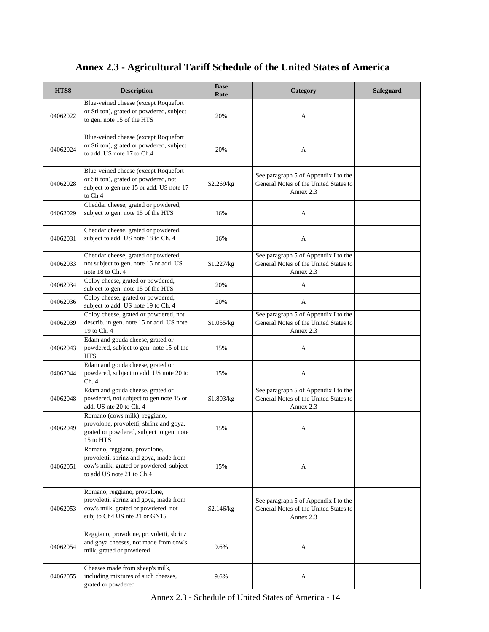#### **HTS8 Description Base Base Rate Rate Rate Rate Rate Rate Rate Rate Rate Rate Rate Rate Rate Rate Rate Rate Rate Rate Rate Rate Rate Rate Rate Rate Rate R** 04062022 Blue-veined cheese (except Roquefort or Stilton), grated or powdered, subject to gen. note 15 of the HTS 20% A 04062024 Blue-veined cheese (except Roquefort or Stilton), grated or powdered, subject to add. US note 17 to Ch.4 20% 04062028 Blue-veined cheese (except Roquefort or Stilton), grated or powdered, not subject to gen nte 15 or add. US note 17 to Ch.4 \$2.269/kg See paragraph 5 of Appendix I to the General Notes of the United States to Annex 2.3 04062029 Cheddar cheese, grated or powdered, subject to gen. note 15 of the HTS 16% 16% A 04062031 Cheddar cheese, grated or powdered, subject to add. US note 18 to Ch. 4 16% 16% A 04062033 Cheddar cheese, grated or powdered, not subject to gen. note 15 or add. US note 18 to Ch. 4 \$1.227/kg See paragraph 5 of Appendix I to the General Notes of the United States to Annex 2.3 04062034 Colby cheese, grated or powdered, subject to gen. note 15 of the HTS 20% A 04062036 Colby cheese, grated or powdered, Londy cheese, grated of powdered,<br>subject to add. US note 19 to Ch. 4 20% 04062039 Colby cheese, grated or powdered, not describ. in gen. note 15 or add. US note 19 to Ch. 4 \$1.055/kg See paragraph 5 of Appendix I to the General Notes of the United States to Annex 2.3 04062043 Edam and gouda cheese, grated or powdered, subject to gen. note 15 of the **HTS** 15% A 04062044 Edam and gouda cheese, grated or powdered, subject to add. US note 20 to Ch. 4 15% A 04062048 Edam and gouda cheese, grated or powdered, not subject to gen note 15 or add. US nte 20 to Ch. 4 \$1.803/kg See paragraph 5 of Appendix I to the General Notes of the United States to Annex 2.3 04062049 Romano (cows milk), reggiano, provolone, provoletti, sbrinz and goya, grated or powdered, subject to gen. note 15 to HTS 15% A 04062051 Romano, reggiano, provolone, provoletti, sbrinz and goya, made from cow's milk, grated or powdered, subject to add US note 21 to Ch.4 15% A 04062053 Romano, reggiano, provolone, provoletti, sbrinz and goya, made from cow's milk, grated or powdered, not subj to Ch4 US nte 21 or GN15 \$2.146/kg See paragraph 5 of Appendix I to the General Notes of the United States to Annex 2.3 04062054 Reggiano, provolone, provoletti, sbrinz and goya cheeses, not made from cow's milk, grated or powdered 9.6% A 04062055 Cheeses made from sheep's milk, including mixtures of such cheeses, 9.6% A

#### **Annex 2.3 - Agricultural Tariff Schedule of the United States of America**

grated or powdered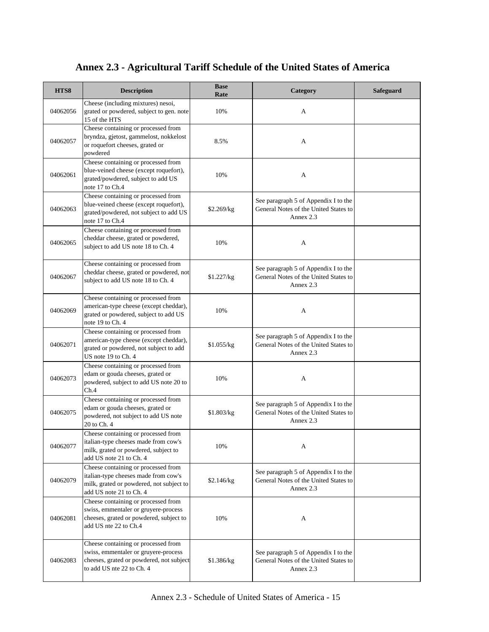| HTS8     | <b>Description</b>                                                                                                                                   | <b>Base</b><br>Rate | Category                                                                                   | <b>Safeguard</b> |
|----------|------------------------------------------------------------------------------------------------------------------------------------------------------|---------------------|--------------------------------------------------------------------------------------------|------------------|
| 04062056 | Cheese (including mixtures) nesoi,<br>grated or powdered, subject to gen. note<br>15 of the HTS                                                      | 10%                 | A                                                                                          |                  |
| 04062057 | Cheese containing or processed from<br>bryndza, gjetost, gammelost, nokkelost<br>or roquefort cheeses, grated or<br>powdered                         | 8.5%                | А                                                                                          |                  |
| 04062061 | Cheese containing or processed from<br>blue-veined cheese (except roquefort),<br>grated/powdered, subject to add US<br>note 17 to Ch.4               | 10%                 | A                                                                                          |                  |
| 04062063 | Cheese containing or processed from<br>blue-veined cheese (except roquefort),<br>grated/powdered, not subject to add US<br>note 17 to Ch.4           | \$2.269/kg          | See paragraph 5 of Appendix I to the<br>General Notes of the United States to<br>Annex 2.3 |                  |
| 04062065 | Cheese containing or processed from<br>cheddar cheese, grated or powdered,<br>subject to add US note 18 to Ch. 4                                     | 10%                 | A                                                                                          |                  |
| 04062067 | Cheese containing or processed from<br>cheddar cheese, grated or powdered, not<br>subject to add US note 18 to Ch. 4                                 | \$1.227/kg          | See paragraph 5 of Appendix I to the<br>General Notes of the United States to<br>Annex 2.3 |                  |
| 04062069 | Cheese containing or processed from<br>american-type cheese (except cheddar),<br>grated or powdered, subject to add US<br>note 19 to Ch. 4           | 10%                 | A                                                                                          |                  |
| 04062071 | Cheese containing or processed from<br>american-type cheese (except cheddar),<br>grated or powdered, not subject to add<br>US note 19 to Ch. 4       | \$1.055/kg          | See paragraph 5 of Appendix I to the<br>General Notes of the United States to<br>Annex 2.3 |                  |
| 04062073 | Cheese containing or processed from<br>edam or gouda cheeses, grated or<br>powdered, subject to add US note 20 to<br>Ch.4                            | 10%                 | A                                                                                          |                  |
| 04062075 | Cheese containing or processed from<br>edam or gouda cheeses, grated or<br>powdered, not subject to add US note<br>20 to Ch. 4                       | \$1.803/kg          | See paragraph 5 of Appendix I to the<br>General Notes of the United States to<br>Annex 2.3 |                  |
| 04062077 | Cheese containing or processed from<br>italian-type cheeses made from cow's<br>milk, grated or powdered, subject to<br>add US note 21 to Ch. 4       | 10%                 | A                                                                                          |                  |
| 04062079 | Cheese containing or processed from<br>italian-type cheeses made from cow's<br>milk, grated or powdered, not subject to<br>add US note 21 to Ch. 4   | \$2.146/kg          | See paragraph 5 of Appendix I to the<br>General Notes of the United States to<br>Annex 2.3 |                  |
| 04062081 | Cheese containing or processed from<br>swiss, emmentaler or gruyere-process<br>cheeses, grated or powdered, subject to<br>add US nte 22 to Ch.4      | 10%                 | A                                                                                          |                  |
| 04062083 | Cheese containing or processed from<br>swiss, emmentaler or gruyere-process<br>cheeses, grated or powdered, not subject<br>to add US nte 22 to Ch. 4 | \$1.386/kg          | See paragraph 5 of Appendix I to the<br>General Notes of the United States to<br>Annex 2.3 |                  |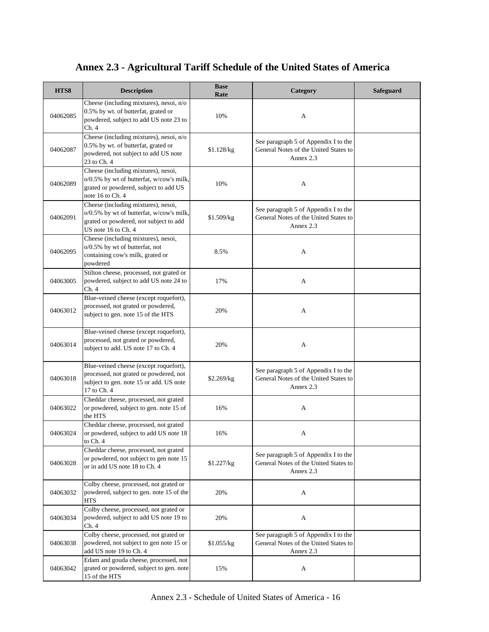| HTS8     | <b>Description</b>                                                                                                                               | <b>Base</b><br>Rate | Category                                                                                   | <b>Safeguard</b> |
|----------|--------------------------------------------------------------------------------------------------------------------------------------------------|---------------------|--------------------------------------------------------------------------------------------|------------------|
| 04062085 | Cheese (including mixtures), nesoi, n/o<br>0.5% by wt. of butterfat, grated or<br>powdered, subject to add US note 23 to<br>Ch. 4                | 10%                 | A                                                                                          |                  |
| 04062087 | Cheese (including mixtures), nesoi, n/o<br>0.5% by wt. of butterfat, grated or<br>powdered, not subject to add US note<br>23 to Ch. 4            | \$1.128/kg          | See paragraph 5 of Appendix I to the<br>General Notes of the United States to<br>Annex 2.3 |                  |
| 04062089 | Cheese (including mixtures), nesoi,<br>o/0.5% by wt of butterfat, w/cow's milk,<br>grated or powdered, subject to add US<br>note 16 to Ch. 4     | 10%                 | A                                                                                          |                  |
| 04062091 | Cheese (including mixtures), nesoi,<br>o/0.5% by wt of butterfat, w/cow's milk,<br>grated or powdered, not subject to add<br>US note 16 to Ch. 4 | \$1.509/kg          | See paragraph 5 of Appendix I to the<br>General Notes of the United States to<br>Annex 2.3 |                  |
| 04062095 | Cheese (including mixtures), nesoi,<br>o/0.5% by wt of butterfat, not<br>containing cow's milk, grated or<br>powdered                            | 8.5%                | A                                                                                          |                  |
| 04063005 | Stilton cheese, processed, not grated or<br>powdered, subject to add US note 24 to<br>Ch.4                                                       | 17%                 | A                                                                                          |                  |
| 04063012 | Blue-veined cheese (except roquefort),<br>processed, not grated or powdered,<br>subject to gen. note 15 of the HTS                               | 20%                 | A                                                                                          |                  |
| 04063014 | Blue-veined cheese (except roquefort),<br>processed, not grated or powdered,<br>subject to add. US note 17 to Ch. 4                              | 20%                 | A                                                                                          |                  |
| 04063018 | Blue-veined cheese (except roquefort),<br>processed, not grated or powdered, not<br>subject to gen. note 15 or add. US note<br>17 to Ch. 4       | \$2.269/kg          | See paragraph 5 of Appendix I to the<br>General Notes of the United States to<br>Annex 2.3 |                  |
| 04063022 | Cheddar cheese, processed, not grated<br>or powdered, subject to gen. note 15 of<br>the HTS                                                      | 16%                 | A                                                                                          |                  |
| 04063024 | Cheddar cheese, processed, not grated<br>or powdered, subject to add US note 18<br>to Ch. 4                                                      | 16%                 | A                                                                                          |                  |
| 04063028 | Cheddar cheese, processed, not grated<br>or powdered, not subject to gen note 15<br>or in add US note 18 to Ch. 4                                | \$1.227/kg          | See paragraph 5 of Appendix I to the<br>General Notes of the United States to<br>Annex 2.3 |                  |
| 04063032 | Colby cheese, processed, not grated or<br>powdered, subject to gen. note 15 of the<br><b>HTS</b>                                                 | 20%                 | A                                                                                          |                  |
| 04063034 | Colby cheese, processed, not grated or<br>powdered, subject to add US note 19 to<br>Ch.4                                                         | 20%                 | A                                                                                          |                  |
| 04063038 | Colby cheese, processed, not grated or<br>powdered, not subject to gen note 15 or<br>add US note 19 to Ch. 4                                     | \$1.055/kg          | See paragraph 5 of Appendix I to the<br>General Notes of the United States to<br>Annex 2.3 |                  |
| 04063042 | Edam and gouda cheese, processed, not<br>grated or powdered, subject to gen. note<br>15 of the HTS                                               | 15%                 | A                                                                                          |                  |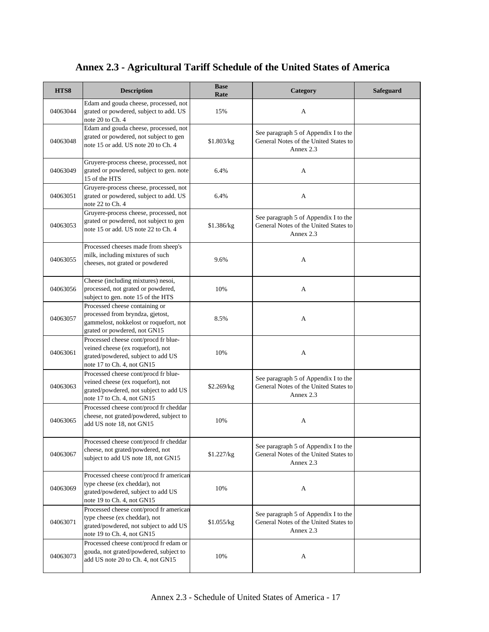| HTS8     | <b>Description</b>                                                                                                                                | <b>Base</b><br>Rate | Category                                                                                   | Safeguard |
|----------|---------------------------------------------------------------------------------------------------------------------------------------------------|---------------------|--------------------------------------------------------------------------------------------|-----------|
| 04063044 | Edam and gouda cheese, processed, not<br>grated or powdered, subject to add. US<br>note 20 to Ch. 4                                               | 15%                 | A                                                                                          |           |
| 04063048 | Edam and gouda cheese, processed, not<br>grated or powdered, not subject to gen<br>note 15 or add. US note 20 to Ch. 4                            | \$1.803/kg          | See paragraph 5 of Appendix I to the<br>General Notes of the United States to<br>Annex 2.3 |           |
| 04063049 | Gruyere-process cheese, processed, not<br>grated or powdered, subject to gen. note<br>15 of the HTS                                               | 6.4%                | A                                                                                          |           |
| 04063051 | Gruyere-process cheese, processed, not<br>grated or powdered, subject to add. US<br>note 22 to Ch. 4                                              | 6.4%                | A                                                                                          |           |
| 04063053 | Gruyere-process cheese, processed, not<br>grated or powdered, not subject to gen<br>note 15 or add. US note 22 to Ch. 4                           | \$1.386/kg          | See paragraph 5 of Appendix I to the<br>General Notes of the United States to<br>Annex 2.3 |           |
| 04063055 | Processed cheeses made from sheep's<br>milk, including mixtures of such<br>cheeses, not grated or powdered                                        | 9.6%                | A                                                                                          |           |
| 04063056 | Cheese (including mixtures) nesoi,<br>processed, not grated or powdered,<br>subject to gen. note 15 of the HTS                                    | 10%                 | A                                                                                          |           |
| 04063057 | Processed cheese containing or<br>processed from bryndza, gjetost,<br>gammelost, nokkelost or roquefort, not<br>grated or powdered, not GN15      | 8.5%                | A                                                                                          |           |
| 04063061 | Processed cheese cont/procd fr blue-<br>veined cheese (ex roquefort), not<br>grated/powdered, subject to add US<br>note 17 to Ch. 4, not GN15     | 10%                 | A                                                                                          |           |
| 04063063 | Processed cheese cont/procd fr blue-<br>veined cheese (ex roquefort), not<br>grated/powdered, not subject to add US<br>note 17 to Ch. 4, not GN15 | \$2.269/kg          | See paragraph 5 of Appendix I to the<br>General Notes of the United States to<br>Annex 2.3 |           |
| 04063065 | Processed cheese cont/procd fr cheddar<br>cheese, not grated/powdered, subject to<br>add US note 18, not GN15                                     | 10%                 | A                                                                                          |           |
| 04063067 | Processed cheese cont/procd fr cheddar<br>cheese, not grated/powdered, not<br>subject to add US note 18, not GN15                                 | \$1.227/kg          | See paragraph 5 of Appendix I to the<br>General Notes of the United States to<br>Annex 2.3 |           |
| 04063069 | Processed cheese cont/procd fr american<br>type cheese (ex cheddar), not<br>grated/powdered, subject to add US<br>note 19 to Ch. 4, not GN15      | 10%                 | A                                                                                          |           |
| 04063071 | Processed cheese cont/procd fr american<br>type cheese (ex cheddar), not<br>grated/powdered, not subject to add US<br>note 19 to Ch. 4, not GN15  | \$1.055/kg          | See paragraph 5 of Appendix I to the<br>General Notes of the United States to<br>Annex 2.3 |           |
| 04063073 | Processed cheese cont/procd fr edam or<br>gouda, not grated/powdered, subject to<br>add US note 20 to Ch. 4, not GN15                             | 10%                 | A                                                                                          |           |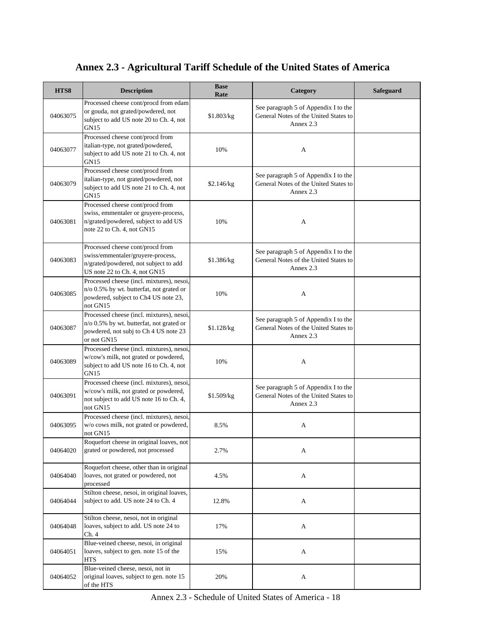| HTS8     | <b>Description</b>                                                                                                                              | <b>Base</b><br>Rate | Category                                                                                   | <b>Safeguard</b> |
|----------|-------------------------------------------------------------------------------------------------------------------------------------------------|---------------------|--------------------------------------------------------------------------------------------|------------------|
| 04063075 | Processed cheese cont/procd from edam<br>or gouda, not grated/powdered, not<br>subject to add US note 20 to Ch. 4, not<br><b>GN15</b>           | \$1.803/kg          | See paragraph 5 of Appendix I to the<br>General Notes of the United States to<br>Annex 2.3 |                  |
| 04063077 | Processed cheese cont/procd from<br>italian-type, not grated/powdered,<br>subject to add US note 21 to Ch. 4, not<br>GN15                       | 10%                 | A                                                                                          |                  |
| 04063079 | Processed cheese cont/procd from<br>italian-type, not grated/powdered, not<br>subject to add US note 21 to Ch. 4, not<br><b>GN15</b>            | \$2.146/kg          | See paragraph 5 of Appendix I to the<br>General Notes of the United States to<br>Annex 2.3 |                  |
| 04063081 | Processed cheese cont/procd from<br>swiss, emmentaler or gruyere-process,<br>n/grated/powdered, subject to add US<br>note 22 to Ch. 4, not GN15 | 10%                 | A                                                                                          |                  |
| 04063083 | Processed cheese cont/procd from<br>swiss/emmentaler/gruyere-process,<br>n/grated/powdered, not subject to add<br>US note 22 to Ch. 4, not GN15 | \$1.386/kg          | See paragraph 5 of Appendix I to the<br>General Notes of the United States to<br>Annex 2.3 |                  |
| 04063085 | Processed cheese (incl. mixtures), nesoi,<br>n/o 0.5% by wt. butterfat, not grated or<br>powdered, subject to Ch4 US note 23,<br>not GN15       | 10%                 | A                                                                                          |                  |
| 04063087 | Processed cheese (incl. mixtures), nesoi,<br>n/o 0.5% by wt. butterfat, not grated or<br>powdered, not subj to Ch 4 US note 23<br>or not GN15   | \$1.128/kg          | See paragraph 5 of Appendix I to the<br>General Notes of the United States to<br>Annex 2.3 |                  |
| 04063089 | Processed cheese (incl. mixtures), nesoi,<br>w/cow's milk, not grated or powdered,<br>subject to add US note 16 to Ch. 4, not<br><b>GN15</b>    | 10%                 | A                                                                                          |                  |
| 04063091 | Processed cheese (incl. mixtures), nesoi,<br>w/cow's milk, not grated or powdered,<br>not subject to add US note 16 to Ch. 4,<br>not GN15       | \$1.509/kg          | See paragraph 5 of Appendix I to the<br>General Notes of the United States to<br>Annex 2.3 |                  |
| 04063095 | Processed cheese (incl. mixtures), nesoi,<br>w/o cows milk, not grated or powdered,<br>not GN15                                                 | 8.5%                | A                                                                                          |                  |
| 04064020 | Roquefort cheese in original loaves, not<br>grated or powdered, not processed                                                                   | 2.7%                | A                                                                                          |                  |
| 04064040 | Roquefort cheese, other than in original<br>loaves, not grated or powdered, not<br>processed                                                    | 4.5%                | A                                                                                          |                  |
| 04064044 | Stilton cheese, nesoi, in original loaves,<br>subject to add. US note 24 to Ch. 4                                                               | 12.8%               | A                                                                                          |                  |
| 04064048 | Stilton cheese, nesoi, not in original<br>loaves, subject to add. US note 24 to<br>Ch.4                                                         | 17%                 | A                                                                                          |                  |
| 04064051 | Blue-veined cheese, nesoi, in original<br>loaves, subject to gen. note 15 of the<br><b>HTS</b>                                                  | 15%                 | A                                                                                          |                  |
| 04064052 | Blue-veined cheese, nesoi, not in<br>original loaves, subject to gen. note 15<br>of the HTS                                                     | 20%                 | A                                                                                          |                  |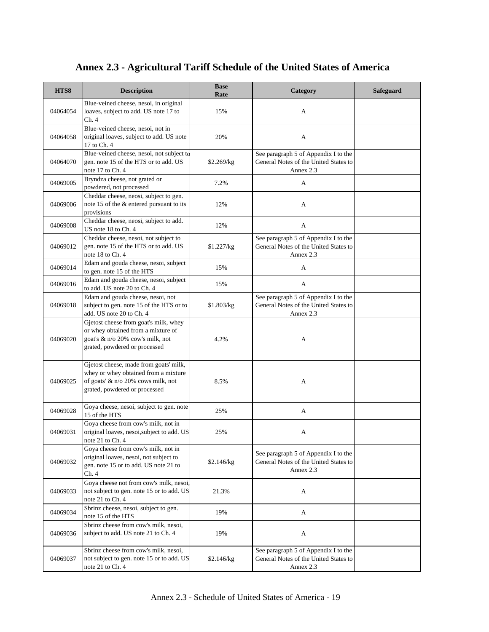| HTS8     | <b>Description</b>                                                                                                                                    | <b>Base</b><br>Rate | Category                                                                                   | <b>Safeguard</b> |
|----------|-------------------------------------------------------------------------------------------------------------------------------------------------------|---------------------|--------------------------------------------------------------------------------------------|------------------|
| 04064054 | Blue-veined cheese, nesoi, in original<br>loaves, subject to add. US note 17 to<br>Ch. 4                                                              | 15%                 | A                                                                                          |                  |
| 04064058 | Blue-veined cheese, nesoi, not in<br>original loaves, subject to add. US note<br>17 to Ch. 4                                                          | 20%                 | A                                                                                          |                  |
| 04064070 | Blue-veined cheese, nesoi, not subject to<br>gen. note 15 of the HTS or to add. US<br>note 17 to Ch. 4                                                | \$2.269/kg          | See paragraph 5 of Appendix I to the<br>General Notes of the United States to<br>Annex 2.3 |                  |
| 04069005 | Bryndza cheese, not grated or<br>powdered, not processed                                                                                              | 7.2%                | A                                                                                          |                  |
| 04069006 | Cheddar cheese, neosi, subject to gen.<br>note 15 of the & entered pursuant to its<br>provisions                                                      | 12%                 | A                                                                                          |                  |
| 04069008 | Cheddar cheese, neosi, subject to add.<br>US note 18 to Ch. 4                                                                                         | 12%                 | A                                                                                          |                  |
| 04069012 | Cheddar cheese, nesoi, not subject to<br>gen. note 15 of the HTS or to add. US<br>note 18 to Ch. 4                                                    | \$1.227/kg          | See paragraph 5 of Appendix I to the<br>General Notes of the United States to<br>Annex 2.3 |                  |
| 04069014 | Edam and gouda cheese, nesoi, subject<br>to gen. note 15 of the HTS                                                                                   | 15%                 | A                                                                                          |                  |
| 04069016 | Edam and gouda cheese, nesoi, subject<br>to add. US note 20 to Ch. 4                                                                                  | 15%                 | A                                                                                          |                  |
| 04069018 | Edam and gouda cheese, nesoi, not<br>subject to gen. note 15 of the HTS or to<br>add. US note 20 to Ch. 4                                             | \$1.803/kg          | See paragraph 5 of Appendix I to the<br>General Notes of the United States to<br>Annex 2.3 |                  |
| 04069020 | Gjetost cheese from goat's milk, whey<br>or whey obtained from a mixture of<br>goat's $\&$ n/o 20% cow's milk, not<br>grated, powdered or processed   | 4.2%                | A                                                                                          |                  |
| 04069025 | Gjetost cheese, made from goats' milk,<br>whey or whey obtained from a mixture<br>of goats' & n/o 20% cows milk, not<br>grated, powdered or processed | 8.5%                | A                                                                                          |                  |
| 04069028 | Goya cheese, nesoi, subject to gen. note<br>15 of the HTS                                                                                             | 25%                 | A                                                                                          |                  |
| 04069031 | Goya cheese from cow's milk, not in<br>original loaves, nesoi, subject to add. US<br>note 21 to Ch. 4                                                 | 25%                 | A                                                                                          |                  |
| 04069032 | Goya cheese from cow's milk, not in<br>original loaves, nesoi, not subject to<br>gen. note 15 or to add. US note 21 to<br>Ch.4                        | \$2.146/kg          | See paragraph 5 of Appendix I to the<br>General Notes of the United States to<br>Annex 2.3 |                  |
| 04069033 | Goya cheese not from cow's milk, nesoi,<br>not subject to gen. note 15 or to add. US<br>note 21 to Ch. 4                                              | 21.3%               | A                                                                                          |                  |
| 04069034 | Sbrinz cheese, nesoi, subject to gen.<br>note 15 of the HTS                                                                                           | 19%                 | A                                                                                          |                  |
| 04069036 | Sbrinz cheese from cow's milk, nesoi,<br>subject to add. US note 21 to Ch. 4                                                                          | 19%                 | A                                                                                          |                  |
| 04069037 | Sbrinz cheese from cow's milk, nesoi,<br>not subject to gen. note 15 or to add. US<br>note 21 to Ch. 4                                                | \$2.146/kg          | See paragraph 5 of Appendix I to the<br>General Notes of the United States to<br>Annex 2.3 |                  |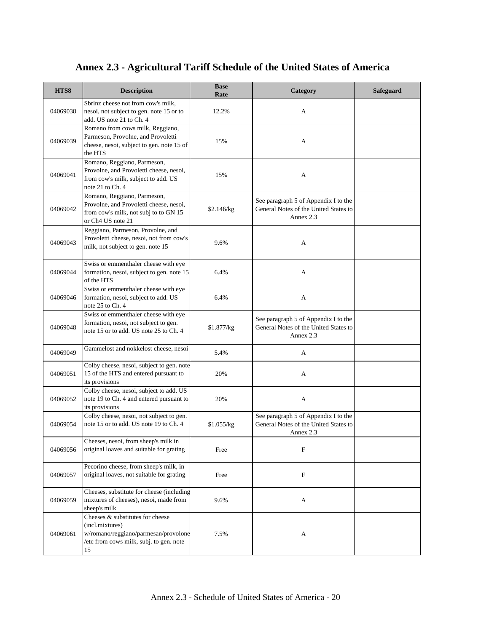| HTS8     | <b>Description</b>                                                                                                                               | <b>Base</b><br>Rate | Category                                                                                   | <b>Safeguard</b> |
|----------|--------------------------------------------------------------------------------------------------------------------------------------------------|---------------------|--------------------------------------------------------------------------------------------|------------------|
| 04069038 | Sbrinz cheese not from cow's milk,<br>nesoi, not subject to gen. note 15 or to<br>add. US note 21 to Ch. 4                                       | 12.2%               | A                                                                                          |                  |
| 04069039 | Romano from cows milk, Reggiano,<br>Parmeson, Provolne, and Provoletti<br>cheese, nesoi, subject to gen. note 15 of<br>the HTS                   | 15%                 | A                                                                                          |                  |
| 04069041 | Romano, Reggiano, Parmeson,<br>Provolne, and Provoletti cheese, nesoi,<br>from cow's milk, subject to add. US<br>note $21$ to $\text{Ch. } 4$    | 15%                 | A                                                                                          |                  |
| 04069042 | Romano, Reggiano, Parmeson,<br>Provolne, and Provoletti cheese, nesoi,<br>from cow's milk, not subj to to GN 15<br>or Ch <sub>4</sub> US note 21 | \$2.146/kg          | See paragraph 5 of Appendix I to the<br>General Notes of the United States to<br>Annex 2.3 |                  |
| 04069043 | Reggiano, Parmeson, Provolne, and<br>Provoletti cheese, nesoi, not from cow's<br>milk, not subject to gen. note 15                               | 9.6%                | A                                                                                          |                  |
| 04069044 | Swiss or emmenthaler cheese with eye<br>formation, nesoi, subject to gen. note 15<br>of the HTS                                                  | 6.4%                | A                                                                                          |                  |
| 04069046 | Swiss or emmenthaler cheese with eye<br>formation, nesoi, subject to add. US<br>note 25 to Ch. 4                                                 | 6.4%                | A                                                                                          |                  |
| 04069048 | Swiss or emmenthaler cheese with eye<br>formation, nesoi, not subject to gen.<br>note 15 or to add. US note 25 to Ch. 4                          | \$1.877/kg          | See paragraph 5 of Appendix I to the<br>General Notes of the United States to<br>Annex 2.3 |                  |
| 04069049 | Gammelost and nokkelost cheese, nesoi                                                                                                            | 5.4%                | A                                                                                          |                  |
| 04069051 | Colby cheese, nesoi, subject to gen. note<br>15 of the HTS and entered pursuant to<br>its provisions                                             | 20%                 | A                                                                                          |                  |
| 04069052 | Colby cheese, nesoi, subject to add. US<br>note 19 to Ch. 4 and entered pursuant to<br>its provisions                                            | 20%                 | A                                                                                          |                  |
| 04069054 | Colby cheese, nesoi, not subject to gen.<br>note 15 or to add. US note 19 to Ch. 4                                                               | \$1.055/kg          | See paragraph 5 of Appendix I to the<br>General Notes of the United States to<br>Annex 2.3 |                  |
| 04069056 | Cheeses, nesoi, from sheep's milk in<br>original loaves and suitable for grating                                                                 | Free                | F                                                                                          |                  |
| 04069057 | Pecorino cheese, from sheep's milk, in<br>original loaves, not suitable for grating                                                              | Free                | F                                                                                          |                  |
| 04069059 | Cheeses, substitute for cheese (including<br>mixtures of cheeses), nesoi, made from<br>sheep's milk                                              | 9.6%                | A                                                                                          |                  |
| 04069061 | Cheeses & substitutes for cheese<br>(incl.mixtures)<br>w/romano/reggiano/parmesan/provolone<br>/etc from cows milk, subj. to gen. note<br>15     | 7.5%                | A                                                                                          |                  |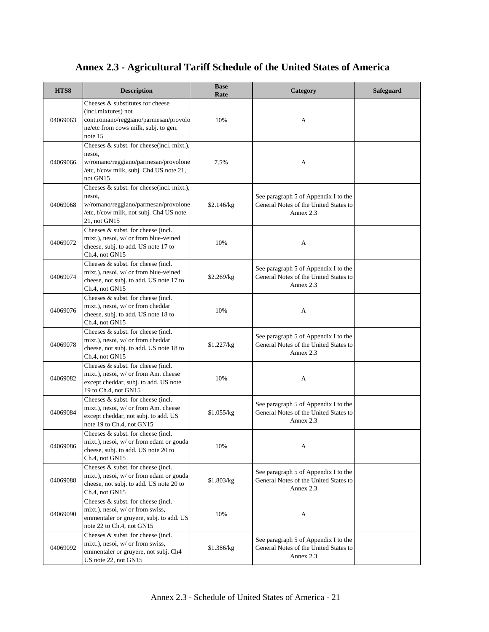| HTS8     | <b>Description</b>                                                                                                                                     | <b>Base</b><br>Rate | Category                                                                                   | <b>Safeguard</b> |
|----------|--------------------------------------------------------------------------------------------------------------------------------------------------------|---------------------|--------------------------------------------------------------------------------------------|------------------|
| 04069063 | Cheeses & substitutes for cheese<br>(incl.mixtures) not<br>cont.romano/reggiano/parmesan/provolo<br>ne/etc from cows milk, subj. to gen.<br>note 15    | 10%                 | A                                                                                          |                  |
| 04069066 | Cheeses & subst. for cheese(incl. mixt.),<br>nesoi,<br>w/romano/reggiano/parmesan/provolone<br>/etc, f/cow milk, subj. Ch4 US note 21,<br>not GN15     | 7.5%                | A                                                                                          |                  |
| 04069068 | Cheeses & subst. for cheese(incl. mixt.),<br>nesoi,<br>w/romano/reggiano/parmesan/provolone<br>/etc, f/cow milk, not subj. Ch4 US note<br>21, not GN15 | \$2.146/kg          | See paragraph 5 of Appendix I to the<br>General Notes of the United States to<br>Annex 2.3 |                  |
| 04069072 | Cheeses & subst. for cheese (incl.<br>mixt.), nesoi, w/ or from blue-veined<br>cheese, subj. to add. US note 17 to<br>Ch.4, not GN15                   | 10%                 | A                                                                                          |                  |
| 04069074 | Cheeses & subst. for cheese (incl.<br>mixt.), nesoi, w/ or from blue-veined<br>cheese, not subj. to add. US note 17 to<br>Ch.4, not GN15               | \$2.269/kg          | See paragraph 5 of Appendix I to the<br>General Notes of the United States to<br>Annex 2.3 |                  |
| 04069076 | Cheeses & subst. for cheese (incl.<br>mixt.), nesoi, w/ or from cheddar<br>cheese, subj. to add. US note 18 to<br>Ch.4, not GN15                       | 10%                 | A                                                                                          |                  |
| 04069078 | Cheeses & subst. for cheese (incl.<br>mixt.), nesoi, w/ or from cheddar<br>cheese, not subj. to add. US note 18 to<br>Ch.4, not GN15                   | \$1.227/kg          | See paragraph 5 of Appendix I to the<br>General Notes of the United States to<br>Annex 2.3 |                  |
| 04069082 | Cheeses & subst. for cheese (incl.<br>mixt.), nesoi, w/ or from Am. cheese<br>except cheddar, subj. to add. US note<br>19 to Ch.4, not GN15            | 10%                 | A                                                                                          |                  |
| 04069084 | Cheeses $&$ subst, for cheese (incl.<br>mixt.), nesoi, w/ or from Am. cheese<br>except cheddar, not subj. to add. US<br>note 19 to Ch.4, not GN15      | \$1.055/kg          | See paragraph 5 of Appendix I to the<br>General Notes of the United States to<br>Annex 2.3 |                  |
| 04069086 | Cheeses $&$ subst, for cheese (incl.<br>mixt.), nesoi, w/ or from edam or gouda<br>cheese, subj. to add. US note 20 to<br>Ch.4, not GN15               | 10%                 | A                                                                                          |                  |
| 04069088 | Cheeses & subst. for cheese (incl.<br>mixt.), nesoi, w/ or from edam or gouda<br>cheese, not subj. to add. US note 20 to<br>Ch.4, not GN15             | \$1.803/kg          | See paragraph 5 of Appendix I to the<br>General Notes of the United States to<br>Annex 2.3 |                  |
| 04069090 | Cheeses & subst, for cheese (incl.<br>mixt.), nesoi, w/ or from swiss,<br>emmentaler or gruyere, subj. to add. US<br>note 22 to Ch.4, not GN15         | 10%                 | A                                                                                          |                  |
| 04069092 | Cheeses & subst. for cheese (incl.<br>mixt.), nesoi, w/ or from swiss,<br>emmentaler or gruyere, not subj. Ch4<br>US note 22, not GN15                 | \$1.386/kg          | See paragraph 5 of Appendix I to the<br>General Notes of the United States to<br>Annex 2.3 |                  |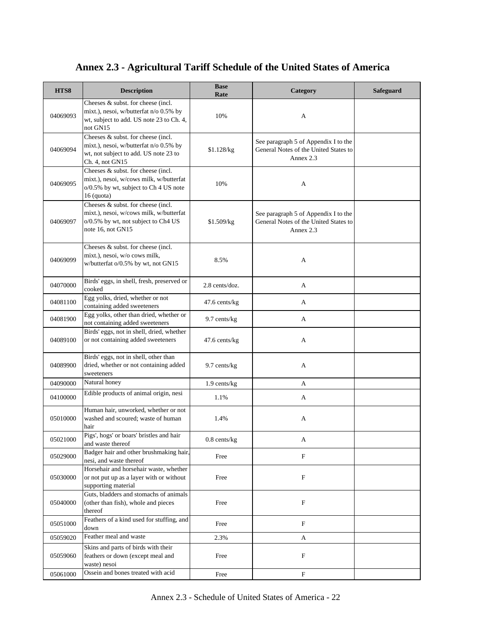#### **HTS8 Description Base Rate Rate Rate Rate Rate Rate Rate Rate Rate Rate Rate Rate Rate Rate Rate Rate Rate Rate Rate Rate Rate Rate Rate Rate Rate R** 04069093 Cheeses & subst. for cheese (incl. mixt.), nesoi, w/butterfat n/o 0.5% by wt, subject to add. US note 23 to Ch. 4, not GN15 10% A 04069094 Cheeses & subst. for cheese (incl. mixt.), nesoi, w/butterfat n/o 0.5% by wt, not subject to add. US note 23 to Ch. 4, not GN15 \$1.128/kg See paragraph 5 of Appendix I to the General Notes of the United States to Annex 2.3 04069095 Cheeses & subst. for cheese (incl. mixt.), nesoi, w/cows milk, w/butterfat o/0.5% by wt, subject to Ch 4 US note 16 (quota) 10% A 04069097 Cheeses & subst. for cheese (incl. mixt.), nesoi, w/cows milk, w/butterfat o/0.5% by wt, not subject to Ch4 US note 16, not GN15 \$1.509/kg See paragraph 5 of Appendix I to the General Notes of the United States to Annex 2.3 04069099 Cheeses & subst. for cheese (incl. mixt.), nesoi, w/o cows milk, mixt.), nesol, w/0 cows mink,  $\frac{8.5\%}{8.5\%}$  A 04070000 Birds' eggs, in shell, fresh, preserved or <br>
cooked 2.8 cents/doz. A 04081100 Egg yolks, dried, whether or not Egg yolks, ariea, whether or not<br>
containing added sweeteners A 04081900 Egg yolks, other than dried, whether or not containing added sweeteners 9.7 cents/kg A 04089100 Birds' eggs, not in shell, dried, whether or not containing added sweeteners 47.6 cents/kg A 04089900 Birds' eggs, not in shell, other than dried, whether or not containing added sweeteners 9.7 cents/kg A  $04090000$  Natural honey  $1.9$  cents/kg A  $04100000$  Edible products of animal origin, nesi  $1.1\%$   $1.1\%$ 05010000 Human hair, unworked, whether or not washed and scoured; waste of human hair 1.4% A <sup>05021000</sup> Pigs', hogs' or boars' bristles and hair and waste thereof and half and waste thereof and waste thereof and  $\frac{0.8 \text{ cents}}{k}$  A <sup>05029000</sup> Badger hair and other brushmaking hair, Badger nair and other brushmaking nair,<br>nesi, and waste thereof Free Free F 05030000 Horsehair and horsehair waste, whether or not put up as a layer with or without supporting material Free F 05040000 Guts, bladders and stomachs of animals (other than fish), whole and pieces thereof Free F 05051000 Feathers of a kind used for stuffing, and Free F  $0.5059020$  Feather meal and waste  $0.5059020$   $A$ 05059060 Skins and parts of birds with their feathers or down (except meal and waste) nesoi Free F 05061000 Ossein and bones treated with acid Free Free F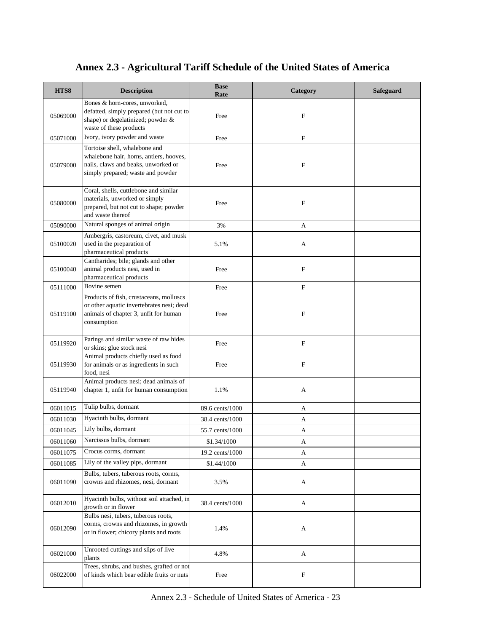| HTS8     | <b>Description</b>                                                                                                                                   | <b>Base</b><br>Rate | Category                  | Safeguard |
|----------|------------------------------------------------------------------------------------------------------------------------------------------------------|---------------------|---------------------------|-----------|
| 05069000 | Bones & horn-cores, unworked,<br>defatted, simply prepared (but not cut to<br>shape) or degelatinized; powder &<br>waste of these products           | Free                | $\mathbf F$               |           |
| 05071000 | Ivory, ivory powder and waste                                                                                                                        | Free                | $\mathbf F$               |           |
| 05079000 | Tortoise shell, whalebone and<br>whalebone hair, horns, antlers, hooves,<br>nails, claws and beaks, unworked or<br>simply prepared; waste and powder | Free                | $\boldsymbol{\mathrm{F}}$ |           |
| 05080000 | Coral, shells, cuttlebone and similar<br>materials, unworked or simply<br>prepared, but not cut to shape; powder<br>and waste thereof                | Free                | $\mathbf F$               |           |
| 05090000 | Natural sponges of animal origin                                                                                                                     | 3%                  | А                         |           |
| 05100020 | Ambergris, castoreum, civet, and musk<br>used in the preparation of<br>pharmaceutical products                                                       | 5.1%                | A                         |           |
| 05100040 | Cantharides; bile; glands and other<br>animal products nesi, used in<br>pharmaceutical products                                                      | Free                | $\boldsymbol{\mathrm{F}}$ |           |
| 05111000 | Bovine semen                                                                                                                                         | Free                | $\mathbf F$               |           |
| 05119100 | Products of fish, crustaceans, molluscs<br>or other aquatic invertebrates nesi; dead<br>animals of chapter 3, unfit for human<br>consumption         | Free                | F                         |           |
| 05119920 | Parings and similar waste of raw hides<br>or skins; glue stock nesi                                                                                  | Free                | $\boldsymbol{\mathrm{F}}$ |           |
| 05119930 | Animal products chiefly used as food<br>for animals or as ingredients in such<br>food, nesi                                                          | Free                | $\mathbf F$               |           |
| 05119940 | Animal products nesi; dead animals of<br>chapter 1, unfit for human consumption                                                                      | 1.1%                | A                         |           |
| 06011015 | Tulip bulbs, dormant                                                                                                                                 | 89.6 cents/1000     | A                         |           |
| 06011030 | Hyacinth bulbs, dormant                                                                                                                              | 38.4 cents/1000     | А                         |           |
| 06011045 | Lily bulbs, dormant                                                                                                                                  | 55.7 cents/1000     | А                         |           |
| 06011060 | Narcissus bulbs, dormant                                                                                                                             | \$1.34/1000         | A                         |           |
| 06011075 | Crocus corms, dormant                                                                                                                                | 19.2 cents/1000     | A                         |           |
| 06011085 | Lily of the valley pips, dormant                                                                                                                     | \$1.44/1000         | A                         |           |
| 06011090 | Bulbs, tubers, tuberous roots, corms,<br>crowns and rhizomes, nesi, dormant                                                                          | 3.5%                | A                         |           |
| 06012010 | Hyacinth bulbs, without soil attached, in<br>growth or in flower                                                                                     | 38.4 cents/1000     | A                         |           |
| 06012090 | Bulbs nesi, tubers, tuberous roots,<br>corms, crowns and rhizomes, in growth<br>or in flower; chicory plants and roots                               | 1.4%                | A                         |           |
| 06021000 | Unrooted cuttings and slips of live<br>plants                                                                                                        | 4.8%                | A                         |           |
| 06022000 | Trees, shrubs, and bushes, grafted or not<br>of kinds which bear edible fruits or nuts                                                               | Free                | F                         |           |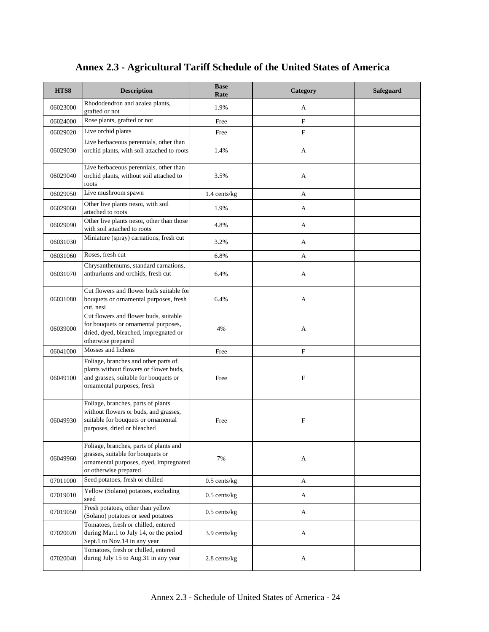| HTS8     | <b>Description</b>                                                                                                                                    | <b>Base</b><br>Rate | Category                  | <b>Safeguard</b> |
|----------|-------------------------------------------------------------------------------------------------------------------------------------------------------|---------------------|---------------------------|------------------|
| 06023000 | Rhododendron and azalea plants,<br>grafted or not                                                                                                     | 1.9%                | A                         |                  |
| 06024000 | Rose plants, grafted or not                                                                                                                           | Free                | $\boldsymbol{\mathrm{F}}$ |                  |
| 06029020 | Live orchid plants                                                                                                                                    | Free                | $\mathbf F$               |                  |
| 06029030 | Live herbaceous perennials, other than<br>orchid plants, with soil attached to roots                                                                  | 1.4%                | А                         |                  |
| 06029040 | Live herbaceous perennials, other than<br>orchid plants, without soil attached to<br>roots                                                            | 3.5%                | A                         |                  |
| 06029050 | Live mushroom spawn                                                                                                                                   | 1.4 cents/kg        | A                         |                  |
| 06029060 | Other live plants nesoi, with soil<br>attached to roots                                                                                               | 1.9%                | A                         |                  |
| 06029090 | Other live plants nesoi, other than those<br>with soil attached to roots                                                                              | 4.8%                | A                         |                  |
| 06031030 | Miniature (spray) carnations, fresh cut                                                                                                               | 3.2%                | A                         |                  |
| 06031060 | Roses, fresh cut                                                                                                                                      | 6.8%                | A                         |                  |
| 06031070 | Chrysanthemums, standard carnations,<br>anthuriums and orchids, fresh cut                                                                             | 6.4%                | A                         |                  |
| 06031080 | Cut flowers and flower buds suitable for<br>bouquets or ornamental purposes, fresh<br>cut, nesi                                                       | 6.4%                | A                         |                  |
| 06039000 | Cut flowers and flower buds, suitable<br>for bouquets or ornamental purposes,<br>dried, dyed, bleached, impregnated or<br>otherwise prepared          | 4%                  | А                         |                  |
| 06041000 | Mosses and lichens                                                                                                                                    | Free                | F                         |                  |
| 06049100 | Foliage, branches and other parts of<br>plants without flowers or flower buds,<br>and grasses, suitable for bouquets or<br>ornamental purposes, fresh | Free                | F                         |                  |
| 06049930 | Foliage, branches, parts of plants<br>without flowers or buds, and grasses,<br>suitable for bouquets or ornamental<br>purposes, dried or bleached     | Free                | $\mathbf F$               |                  |
| 06049960 | Foliage, branches, parts of plants and<br>grasses, suitable for bouquets or<br>ornamental purposes, dyed, impregnated<br>or otherwise prepared        | 7%                  | A                         |                  |
| 07011000 | Seed potatoes, fresh or chilled                                                                                                                       | $0.5$ cents/kg      | A                         |                  |
| 07019010 | Yellow (Solano) potatoes, excluding<br>seed                                                                                                           | $0.5$ cents/kg      | A                         |                  |
| 07019050 | Fresh potatoes, other than yellow<br>(Solano) potatoes or seed potatoes                                                                               | $0.5$ cents/kg      | A                         |                  |
| 07020020 | Tomatoes, fresh or chilled, entered<br>during Mar.1 to July 14, or the period<br>Sept.1 to Nov.14 in any year                                         | 3.9 cents/kg        | A                         |                  |
| 07020040 | Tomatoes, fresh or chilled, entered<br>during July 15 to Aug.31 in any year                                                                           | 2.8 cents/kg        | A                         |                  |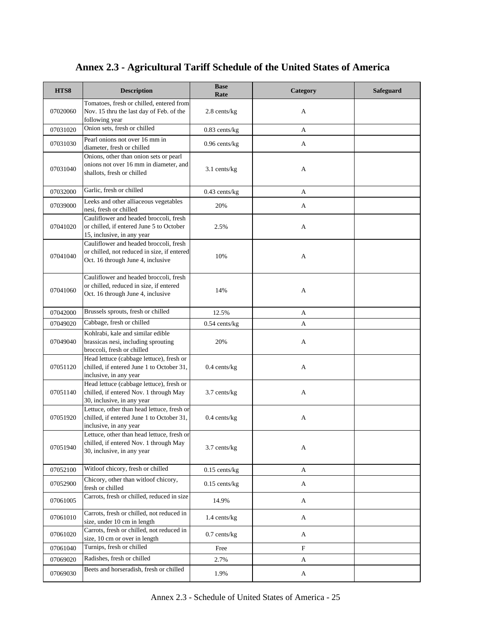| HTS8     | <b>Description</b>                                                                                                         | <b>Base</b><br>Rate | Category                  | <b>Safeguard</b> |
|----------|----------------------------------------------------------------------------------------------------------------------------|---------------------|---------------------------|------------------|
| 07020060 | Tomatoes, fresh or chilled, entered from<br>Nov. 15 thru the last day of Feb. of the                                       | 2.8 cents/kg        | А                         |                  |
|          | following year<br>Onion sets, fresh or chilled                                                                             |                     |                           |                  |
| 07031020 |                                                                                                                            | $0.83$ cents/kg     | A                         |                  |
| 07031030 | Pearl onions not over 16 mm in<br>diameter, fresh or chilled                                                               | $0.96$ cents/ $kg$  | A                         |                  |
| 07031040 | Onions, other than onion sets or pearl<br>onions not over 16 mm in diameter, and<br>shallots, fresh or chilled             | 3.1 cents/kg        | A                         |                  |
| 07032000 | Garlic, fresh or chilled                                                                                                   | $0.43$ cents/kg     | A                         |                  |
| 07039000 | Leeks and other alliaceous vegetables<br>nesi, fresh or chilled                                                            | 20%                 | A                         |                  |
| 07041020 | Cauliflower and headed broccoli, fresh<br>or chilled, if entered June 5 to October<br>15, inclusive, in any year           | 2.5%                | A                         |                  |
| 07041040 | Cauliflower and headed broccoli, fresh<br>or chilled, not reduced in size, if entered<br>Oct. 16 through June 4, inclusive | 10%                 | А                         |                  |
| 07041060 | Cauliflower and headed broccoli, fresh<br>or chilled, reduced in size, if entered<br>Oct. 16 through June 4, inclusive     | 14%                 | А                         |                  |
| 07042000 | Brussels sprouts, fresh or chilled                                                                                         | 12.5%               | A                         |                  |
| 07049020 | Cabbage, fresh or chilled                                                                                                  | $0.54$ cents/kg     | A                         |                  |
| 07049040 | Kohlrabi, kale and similar edible<br>brassicas nesi, including sprouting<br>broccoli, fresh or chilled                     | 20%                 | A                         |                  |
| 07051120 | Head lettuce (cabbage lettuce), fresh or<br>chilled, if entered June 1 to October 31,<br>inclusive, in any year            | $0.4$ cents/kg      | A                         |                  |
| 07051140 | Head lettuce (cabbage lettuce), fresh or<br>chilled, if entered Nov. 1 through May<br>30, inclusive, in any year           | 3.7 cents/kg        | A                         |                  |
| 07051920 | Lettuce, other than head lettuce, fresh or<br>chilled, if entered June 1 to October 31,<br>inclusive, in any year          | $0.4$ cents/kg      | А                         |                  |
| 07051940 | Lettuce, other than head lettuce, fresh or<br>chilled, if entered Nov. 1 through May<br>30, inclusive, in any year         | 3.7 cents/kg        | A                         |                  |
| 07052100 | Witloof chicory, fresh or chilled                                                                                          | $0.15$ cents/kg     | A                         |                  |
| 07052900 | Chicory, other than witloof chicory,<br>fresh or chilled                                                                   | $0.15$ cents/kg     | A                         |                  |
| 07061005 | Carrots, fresh or chilled, reduced in size                                                                                 | 14.9%               | A                         |                  |
| 07061010 | Carrots, fresh or chilled, not reduced in<br>size, under 10 cm in length                                                   | $1.4$ cents/kg      | A                         |                  |
| 07061020 | Carrots, fresh or chilled, not reduced in<br>size, 10 cm or over in length                                                 | $0.7$ cents/kg      | A                         |                  |
| 07061040 | Turnips, fresh or chilled                                                                                                  | Free                | $\boldsymbol{\mathrm{F}}$ |                  |
| 07069020 | Radishes, fresh or chilled                                                                                                 | 2.7%                | A                         |                  |
| 07069030 | Beets and horseradish, fresh or chilled                                                                                    | 1.9%                | A                         |                  |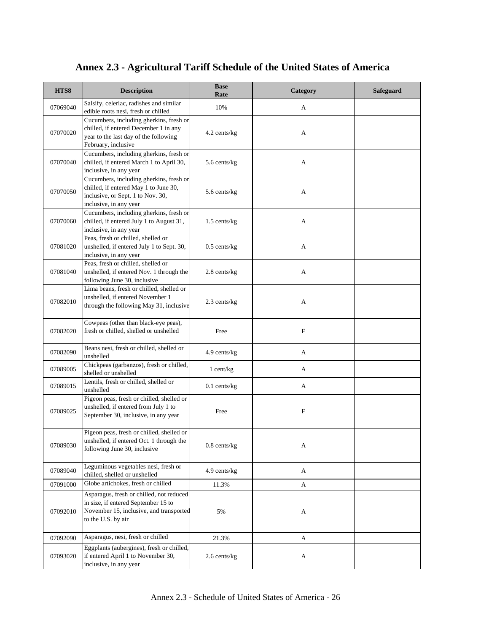| HTS8     | <b>Description</b>                                                                                                                               | <b>Base</b><br>Rate | Category    | <b>Safeguard</b> |
|----------|--------------------------------------------------------------------------------------------------------------------------------------------------|---------------------|-------------|------------------|
| 07069040 | Salsify, celeriac, radishes and similar<br>edible roots nesi, fresh or chilled                                                                   | 10%                 | A           |                  |
| 07070020 | Cucumbers, including gherkins, fresh or<br>chilled, if entered December 1 in any<br>year to the last day of the following<br>February, inclusive | 4.2 cents/kg        | A           |                  |
| 07070040 | Cucumbers, including gherkins, fresh or<br>chilled, if entered March 1 to April 30,<br>inclusive, in any year                                    | 5.6 cents/kg        | А           |                  |
| 07070050 | Cucumbers, including gherkins, fresh or<br>chilled, if entered May 1 to June 30,<br>inclusive, or Sept. 1 to Nov. 30,<br>inclusive, in any year  | 5.6 cents/kg        | А           |                  |
| 07070060 | Cucumbers, including gherkins, fresh or<br>chilled, if entered July 1 to August 31,<br>inclusive, in any year                                    | 1.5 cents/kg        | А           |                  |
| 07081020 | Peas, fresh or chilled, shelled or<br>unshelled, if entered July 1 to Sept. 30,<br>inclusive, in any year                                        | $0.5$ cents/kg      | A           |                  |
| 07081040 | Peas, fresh or chilled, shelled or<br>unshelled, if entered Nov. 1 through the<br>following June 30, inclusive                                   | 2.8 cents/kg        | A           |                  |
| 07082010 | Lima beans, fresh or chilled, shelled or<br>unshelled, if entered November 1<br>through the following May 31, inclusive                          | 2.3 cents/kg        | A           |                  |
| 07082020 | Cowpeas (other than black-eye peas),<br>fresh or chilled, shelled or unshelled                                                                   | Free                | $\mathbf F$ |                  |
| 07082090 | Beans nesi, fresh or chilled, shelled or<br>unshelled                                                                                            | 4.9 cents/kg        | A           |                  |
| 07089005 | Chickpeas (garbanzos), fresh or chilled,<br>shelled or unshelled                                                                                 | $1$ cent/kg         | A           |                  |
| 07089015 | Lentils, fresh or chilled, shelled or<br>unshelled                                                                                               | $0.1$ cents/kg      | A           |                  |
| 07089025 | Pigeon peas, fresh or chilled, shelled or<br>unshelled, if entered from July 1 to<br>September 30, inclusive, in any year                        | Free                | $\mathbf F$ |                  |
| 07089030 | Pigeon peas, fresh or chilled, shelled or<br>unshelled, if entered Oct. 1 through the<br>following June 30, inclusive                            | $0.8$ cents/ $kg$   | A           |                  |
| 07089040 | Leguminous vegetables nesi, fresh or<br>chilled, shelled or unshelled                                                                            | $4.9$ cents/kg      | A           |                  |
| 07091000 | Globe artichokes, fresh or chilled                                                                                                               | 11.3%               | A           |                  |
| 07092010 | Asparagus, fresh or chilled, not reduced<br>in size, if entered September 15 to<br>November 15, inclusive, and transported<br>to the U.S. by air | 5%                  | A           |                  |
| 07092090 | Asparagus, nesi, fresh or chilled                                                                                                                | 21.3%               | A           |                  |
| 07093020 | Eggplants (aubergines), fresh or chilled,<br>if entered April 1 to November 30,<br>inclusive, in any year                                        | 2.6 cents/kg        | A           |                  |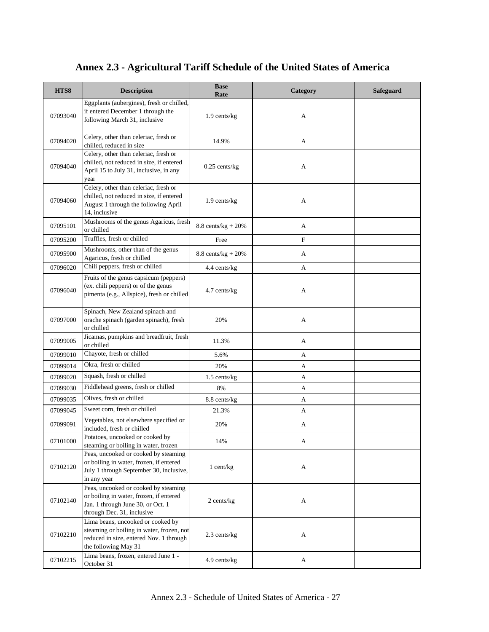| HTS8     | <b>Description</b>                                                                                                                                 | <b>Base</b><br>Rate           | Category    | Safeguard |
|----------|----------------------------------------------------------------------------------------------------------------------------------------------------|-------------------------------|-------------|-----------|
| 07093040 | Eggplants (aubergines), fresh or chilled,<br>if entered December 1 through the<br>following March 31, inclusive                                    | 1.9 cents/kg                  | A           |           |
| 07094020 | Celery, other than celeriac, fresh or<br>chilled, reduced in size                                                                                  | 14.9%                         | А           |           |
| 07094040 | Celery, other than celeriac, fresh or<br>chilled, not reduced in size, if entered<br>April 15 to July 31, inclusive, in any<br>year                | $0.25$ cents/kg               | A           |           |
| 07094060 | Celery, other than celeriac, fresh or<br>chilled, not reduced in size, if entered<br>August 1 through the following April<br>14, inclusive         | 1.9 cents/kg                  | A           |           |
| 07095101 | Mushrooms of the genus Agaricus, fresh<br>or chilled                                                                                               | $8.8 \text{ cents/kg} + 20\%$ | A           |           |
| 07095200 | Truffles, fresh or chilled                                                                                                                         | Free                          | $\mathbf F$ |           |
| 07095900 | Mushrooms, other than of the genus<br>Agaricus, fresh or chilled                                                                                   | $8.8 \text{ cents/kg} + 20\%$ | A           |           |
| 07096020 | Chili peppers, fresh or chilled                                                                                                                    | 4.4 cents/kg                  | A           |           |
| 07096040 | Fruits of the genus capsicum (peppers)<br>(ex. chili peppers) or of the genus<br>pimenta (e.g., Allspice), fresh or chilled                        | 4.7 cents/kg                  | A           |           |
| 07097000 | Spinach, New Zealand spinach and<br>orache spinach (garden spinach), fresh<br>or chilled                                                           | 20%                           | А           |           |
| 07099005 | Jicamas, pumpkins and breadfruit, fresh<br>or chilled                                                                                              | 11.3%                         | A           |           |
| 07099010 | Chayote, fresh or chilled                                                                                                                          | 5.6%                          | A           |           |
| 07099014 | Okra, fresh or chilled                                                                                                                             | 20%                           | A           |           |
| 07099020 | Squash, fresh or chilled                                                                                                                           | 1.5 cents/kg                  | A           |           |
| 07099030 | Fiddlehead greens, fresh or chilled                                                                                                                | 8%                            | A           |           |
| 07099035 | Olives, fresh or chilled                                                                                                                           | 8.8 cents/kg                  | А           |           |
| 07099045 | Sweet corn, fresh or chilled                                                                                                                       | 21.3%                         | A           |           |
| 07099091 | Vegetables, not elsewhere specified or<br>included, fresh or chilled                                                                               | 20%                           | A           |           |
| 07101000 | Potatoes, uncooked or cooked by<br>steaming or boiling in water, frozen                                                                            | 14%                           | A           |           |
| 07102120 | Peas, uncooked or cooked by steaming<br>or boiling in water, frozen, if entered<br>July 1 through September 30, inclusive,<br>in any year          | $1$ cent/kg                   | A           |           |
| 07102140 | Peas, uncooked or cooked by steaming<br>or boiling in water, frozen, if entered<br>Jan. 1 through June 30, or Oct. 1<br>through Dec. 31, inclusive | $2$ cents/ $kg$               | A           |           |
| 07102210 | Lima beans, uncooked or cooked by<br>steaming or boiling in water, frozen, not<br>reduced in size, entered Nov. 1 through<br>the following May 31  | 2.3 cents/kg                  | A           |           |
| 07102215 | Lima beans, frozen, entered June 1 -<br>October 31                                                                                                 | 4.9 cents/kg                  | A           |           |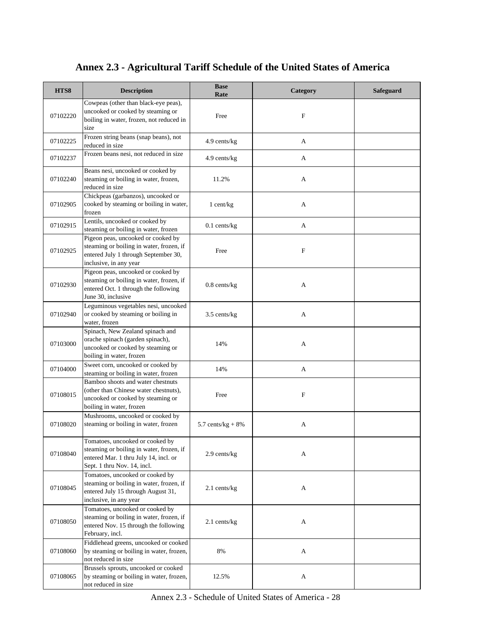| HTS8     | <b>Description</b>                                                                                                                                  | <b>Base</b><br>Rate  | Category    | Safeguard |
|----------|-----------------------------------------------------------------------------------------------------------------------------------------------------|----------------------|-------------|-----------|
| 07102220 | Cowpeas (other than black-eye peas),<br>uncooked or cooked by steaming or<br>boiling in water, frozen, not reduced in<br>size                       | Free                 | $\mathbf F$ |           |
| 07102225 | Frozen string beans (snap beans), not<br>reduced in size                                                                                            | 4.9 cents/kg         | A           |           |
| 07102237 | Frozen beans nesi, not reduced in size                                                                                                              | 4.9 cents/kg         | A           |           |
| 07102240 | Beans nesi, uncooked or cooked by<br>steaming or boiling in water, frozen,<br>reduced in size                                                       | 11.2%                | A           |           |
| 07102905 | Chickpeas (garbanzos), uncooked or<br>cooked by steaming or boiling in water,<br>frozen                                                             | 1 cent/kg            | A           |           |
| 07102915 | Lentils, uncooked or cooked by<br>steaming or boiling in water, frozen                                                                              | $0.1$ cents/kg       | A           |           |
| 07102925 | Pigeon peas, uncooked or cooked by<br>steaming or boiling in water, frozen, if<br>entered July 1 through September 30,<br>inclusive, in any year    | Free                 | $\mathbf F$ |           |
| 07102930 | Pigeon peas, uncooked or cooked by<br>steaming or boiling in water, frozen, if<br>entered Oct. 1 through the following<br>June 30, inclusive        | $0.8$ cents/ $kg$    | A           |           |
| 07102940 | Leguminous vegetables nesi, uncooked<br>or cooked by steaming or boiling in<br>water, frozen                                                        | 3.5 cents/kg         | A           |           |
| 07103000 | Spinach, New Zealand spinach and<br>orache spinach (garden spinach),<br>uncooked or cooked by steaming or<br>boiling in water, frozen               | 14%                  | A           |           |
| 07104000 | Sweet corn, uncooked or cooked by<br>steaming or boiling in water, frozen                                                                           | 14%                  | A           |           |
| 07108015 | Bamboo shoots and water chestnuts<br>(other than Chinese water chestnuts).<br>uncooked or cooked by steaming or<br>boiling in water, frozen         | Free                 | F           |           |
| 07108020 | Mushrooms, uncooked or cooked by<br>steaming or boiling in water, frozen                                                                            | 5.7 cents/ $kg + 8%$ | A           |           |
| 07108040 | Tomatoes, uncooked or cooked by<br>steaming or boiling in water, frozen, if<br>entered Mar. 1 thru July 14, incl. or<br>Sept. 1 thru Nov. 14, incl. | 2.9 cents/kg         | А           |           |
| 07108045 | Tomatoes, uncooked or cooked by<br>steaming or boiling in water, frozen, if<br>entered July 15 through August 31,<br>inclusive, in any year         | $2.1$ cents/kg       | A           |           |
| 07108050 | Tomatoes, uncooked or cooked by<br>steaming or boiling in water, frozen, if<br>entered Nov. 15 through the following<br>February, incl.             | $2.1$ cents/kg       | A           |           |
| 07108060 | Fiddlehead greens, uncooked or cooked<br>by steaming or boiling in water, frozen,<br>not reduced in size                                            | $8\%$                | A           |           |
| 07108065 | Brussels sprouts, uncooked or cooked<br>by steaming or boiling in water, frozen,<br>not reduced in size                                             | 12.5%                | A           |           |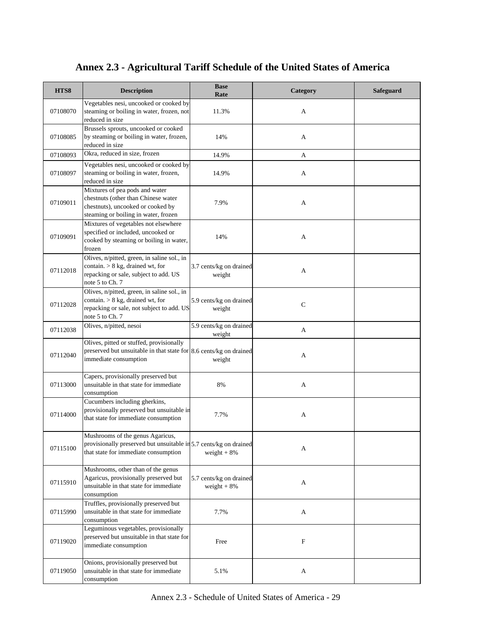| HTS8     | <b>Description</b>                                                                                                                                 | <b>Base</b><br>Rate                     | Category     | <b>Safeguard</b> |
|----------|----------------------------------------------------------------------------------------------------------------------------------------------------|-----------------------------------------|--------------|------------------|
| 07108070 | Vegetables nesi, uncooked or cooked by<br>steaming or boiling in water, frozen, not<br>reduced in size                                             | 11.3%                                   | A            |                  |
| 07108085 | Brussels sprouts, uncooked or cooked<br>by steaming or boiling in water, frozen,<br>reduced in size                                                | 14%                                     | A            |                  |
| 07108093 | Okra, reduced in size, frozen                                                                                                                      | 14.9%                                   | A            |                  |
| 07108097 | Vegetables nesi, uncooked or cooked by<br>steaming or boiling in water, frozen,<br>reduced in size                                                 | 14.9%                                   | A            |                  |
| 07109011 | Mixtures of pea pods and water<br>chestnuts (other than Chinese water<br>chestnuts), uncooked or cooked by<br>steaming or boiling in water, frozen | 7.9%                                    | A            |                  |
| 07109091 | Mixtures of vegetables not elsewhere<br>specified or included, uncooked or<br>cooked by steaming or boiling in water,<br>frozen                    | 14%                                     | A            |                  |
| 07112018 | Olives, n/pitted, green, in saline sol., in<br>contain. $> 8$ kg, drained wt, for<br>repacking or sale, subject to add. US<br>note 5 to Ch. 7      | 3.7 cents/kg on drained<br>weight       | A            |                  |
| 07112028 | Olives, n/pitted, green, in saline sol., in<br>contain. $> 8$ kg, drained wt, for<br>repacking or sale, not subject to add. US<br>note 5 to Ch. 7  | 5.9 cents/kg on drained<br>weight       | $\mathsf{C}$ |                  |
| 07112038 | Olives, n/pitted, nesoi                                                                                                                            | 5.9 cents/kg on drained<br>weight       | A            |                  |
| 07112040 | Olives, pitted or stuffed, provisionally<br>preserved but unsuitable in that state for $8.6$ cents/kg on drained<br>immediate consumption          | weight                                  | A            |                  |
| 07113000 | Capers, provisionally preserved but<br>unsuitable in that state for immediate<br>consumption                                                       | 8%                                      | A            |                  |
| 07114000 | Cucumbers including gherkins,<br>provisionally preserved but unsuitable in<br>that state for immediate consumption                                 | 7.7%                                    | A            |                  |
| 07115100 | Mushrooms of the genus Agaricus,<br>provisionally preserved but unsuitable in 5.7 cents/kg on drained<br>that state for immediate consumption      | weight $+8%$                            | A            |                  |
| 07115910 | Mushrooms, other than of the genus<br>Agaricus, provisionally preserved but<br>unsuitable in that state for immediate<br>consumption               | 5.7 cents/kg on drained<br>weight $+8%$ | A            |                  |
| 07115990 | Truffles, provisionally preserved but<br>unsuitable in that state for immediate<br>consumption                                                     | 7.7%                                    | A            |                  |
| 07119020 | Leguminous vegetables, provisionally<br>preserved but unsuitable in that state for<br>immediate consumption                                        | Free                                    | F            |                  |
| 07119050 | Onions, provisionally preserved but<br>unsuitable in that state for immediate<br>consumption                                                       | 5.1%                                    | A            |                  |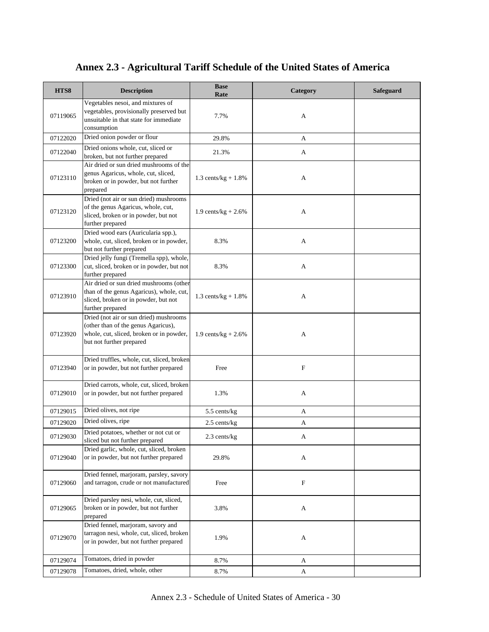| HTS8     | <b>Description</b>                                                                                                                                    | <b>Base</b><br>Rate    | Category    | Safeguard |
|----------|-------------------------------------------------------------------------------------------------------------------------------------------------------|------------------------|-------------|-----------|
| 07119065 | Vegetables nesoi, and mixtures of<br>vegetables, provisionally preserved but<br>unsuitable in that state for immediate<br>consumption                 | 7.7%                   | A           |           |
| 07122020 | Dried onion powder or flour                                                                                                                           | 29.8%                  | A           |           |
| 07122040 | Dried onions whole, cut, sliced or<br>broken, but not further prepared                                                                                | 21.3%                  | A           |           |
| 07123110 | Air dried or sun dried mushrooms of the<br>genus Agaricus, whole, cut, sliced,<br>broken or in powder, but not further<br>prepared                    | 1.3 cents/ $kg + 1.8%$ | A           |           |
| 07123120 | Dried (not air or sun dried) mushrooms<br>of the genus Agaricus, whole, cut,<br>sliced, broken or in powder, but not<br>further prepared              | 1.9 cents/ $kg + 2.6%$ | A           |           |
| 07123200 | Dried wood ears (Auricularia spp.),<br>whole, cut, sliced, broken or in powder,<br>but not further prepared                                           | 8.3%                   | A           |           |
| 07123300 | Dried jelly fungi (Tremella spp), whole,<br>cut, sliced, broken or in powder, but not<br>further prepared                                             | 8.3%                   | A           |           |
| 07123910 | Air dried or sun dried mushrooms (other<br>than of the genus Agaricus), whole, cut,<br>sliced, broken or in powder, but not<br>further prepared       | 1.3 cents/ $kg + 1.8%$ | A           |           |
| 07123920 | Dried (not air or sun dried) mushrooms<br>(other than of the genus Agaricus),<br>whole, cut, sliced, broken or in powder,<br>but not further prepared | 1.9 cents/kg + $2.6\%$ | A           |           |
| 07123940 | Dried truffles, whole, cut, sliced, broken<br>or in powder, but not further prepared                                                                  | Free                   | $\mathbf F$ |           |
| 07129010 | Dried carrots, whole, cut, sliced, broken<br>or in powder, but not further prepared                                                                   | 1.3%                   | A           |           |
| 07129015 | Dried olives, not ripe                                                                                                                                | 5.5 cents/kg           | A           |           |
| 07129020 | Dried olives, ripe                                                                                                                                    | 2.5 cents/kg           | А           |           |
| 07129030 | Dried potatoes, whether or not cut or<br>sliced but not further prepared                                                                              | $2.3$ cents/kg         | A           |           |
| 07129040 | Dried garlic, whole, cut, sliced, broken<br>or in powder, but not further prepared                                                                    | 29.8%                  | A           |           |
| 07129060 | Dried fennel, marjoram, parsley, savory<br>and tarragon, crude or not manufactured                                                                    | Free                   | $\mathbf F$ |           |
| 07129065 | Dried parsley nesi, whole, cut, sliced,<br>broken or in powder, but not further<br>prepared                                                           | 3.8%                   | A           |           |
| 07129070 | Dried fennel, marjoram, savory and<br>tarragon nesi, whole, cut, sliced, broken<br>or in powder, but not further prepared                             | 1.9%                   | A           |           |
| 07129074 | Tomatoes, dried in powder                                                                                                                             | 8.7%                   | A           |           |
| 07129078 | Tomatoes, dried, whole, other                                                                                                                         | 8.7%                   | A           |           |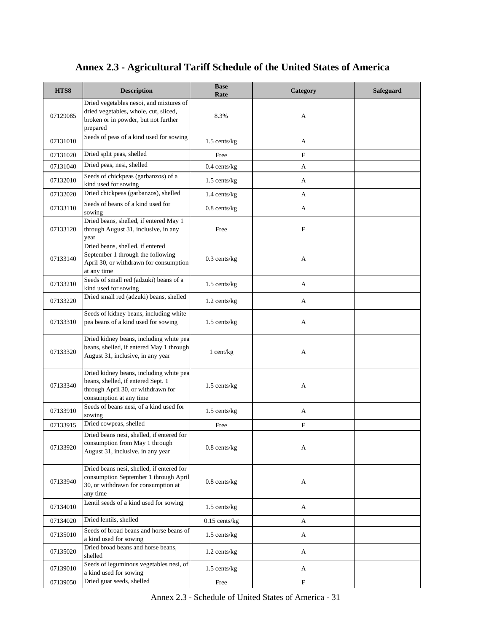| HTS8     | <b>Description</b>                                                                                                                             | <b>Base</b><br>Rate | Category                  | <b>Safeguard</b> |
|----------|------------------------------------------------------------------------------------------------------------------------------------------------|---------------------|---------------------------|------------------|
| 07129085 | Dried vegetables nesoi, and mixtures of<br>dried vegetables, whole, cut, sliced,<br>broken or in powder, but not further<br>prepared           | 8.3%                | A                         |                  |
| 07131010 | Seeds of peas of a kind used for sowing                                                                                                        | $1.5$ cents/kg      | A                         |                  |
| 07131020 | Dried split peas, shelled                                                                                                                      | Free                | $\mathbf F$               |                  |
| 07131040 | Dried peas, nesi, shelled                                                                                                                      | $0.4$ cents/kg      | A                         |                  |
| 07132010 | Seeds of chickpeas (garbanzos) of a<br>kind used for sowing                                                                                    | $1.5$ cents/kg      | A                         |                  |
| 07132020 | Dried chickpeas (garbanzos), shelled                                                                                                           | 1.4 cents/kg        | A                         |                  |
| 07133110 | Seeds of beans of a kind used for<br>sowing                                                                                                    | $0.8$ cents/ $kg$   | A                         |                  |
| 07133120 | Dried beans, shelled, if entered May 1<br>through August 31, inclusive, in any<br>year                                                         | Free                | $\mathbf F$               |                  |
| 07133140 | Dried beans, shelled, if entered<br>September 1 through the following<br>April 30, or withdrawn for consumption<br>at any time                 | $0.3$ cents/kg      | A                         |                  |
| 07133210 | Seeds of small red (adzuki) beans of a<br>kind used for sowing                                                                                 | 1.5 cents/kg        | A                         |                  |
| 07133220 | Dried small red (adzuki) beans, shelled                                                                                                        | 1.2 cents/kg        | A                         |                  |
| 07133310 | Seeds of kidney beans, including white<br>pea beans of a kind used for sowing                                                                  | 1.5 cents/kg        | A                         |                  |
| 07133320 | Dried kidney beans, including white pea<br>beans, shelled, if entered May 1 through<br>August 31, inclusive, in any year                       | 1 cent/kg           | A                         |                  |
| 07133340 | Dried kidney beans, including white pea<br>beans, shelled, if entered Sept. 1<br>through April 30, or withdrawn for<br>consumption at any time | 1.5 cents/kg        | A                         |                  |
| 07133910 | Seeds of beans nesi, of a kind used for<br>sowing                                                                                              | $1.5$ cents/kg      | A                         |                  |
| 07133915 | Dried cowpeas, shelled                                                                                                                         | Free                | $\mathbf F$               |                  |
| 07133920 | Dried beans nesi, shelled, if entered for<br>consumption from May 1 through<br>August 31, inclusive, in any year                               | $0.8$ cents/ $kg$   | A                         |                  |
| 07133940 | Dried beans nesi, shelled, if entered for<br>consumption September 1 through April<br>30, or withdrawn for consumption at<br>any time          | $0.8$ cents/ $kg$   | A                         |                  |
| 07134010 | Lentil seeds of a kind used for sowing                                                                                                         | $1.5$ cents/kg      | A                         |                  |
| 07134020 | Dried lentils, shelled                                                                                                                         | $0.15$ cents/kg     | A                         |                  |
| 07135010 | Seeds of broad beans and horse beans of<br>a kind used for sowing                                                                              | 1.5 cents/kg        | A                         |                  |
| 07135020 | Dried broad beans and horse beans,<br>shelled                                                                                                  | 1.2 cents/kg        | A                         |                  |
| 07139010 | Seeds of leguminous vegetables nesi, of<br>a kind used for sowing                                                                              | $1.5$ cents/kg      | A                         |                  |
| 07139050 | Dried guar seeds, shelled                                                                                                                      | Free                | $\boldsymbol{\mathrm{F}}$ |                  |

Annex 2.3 - Schedule of United States of America - 31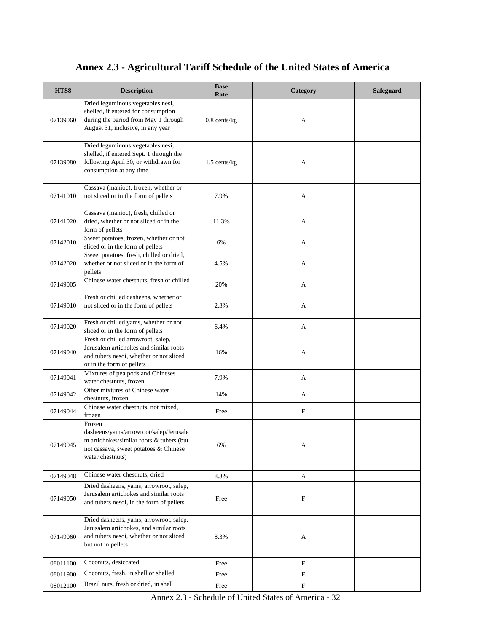| HTS8     | <b>Description</b>                                                                                                                                        | <b>Base</b><br>Rate | Category                  | <b>Safeguard</b> |
|----------|-----------------------------------------------------------------------------------------------------------------------------------------------------------|---------------------|---------------------------|------------------|
| 07139060 | Dried leguminous vegetables nesi,<br>shelled, if entered for consumption<br>during the period from May 1 through<br>August 31, inclusive, in any year     | $0.8$ cents/kg      | A                         |                  |
| 07139080 | Dried leguminous vegetables nesi,<br>shelled, if entered Sept. 1 through the<br>following April 30, or withdrawn for<br>consumption at any time           | $1.5$ cents/kg      | A                         |                  |
| 07141010 | Cassava (manioc), frozen, whether or<br>not sliced or in the form of pellets                                                                              | 7.9%                | A                         |                  |
| 07141020 | Cassava (manioc), fresh, chilled or<br>dried, whether or not sliced or in the<br>form of pellets                                                          | 11.3%               | A                         |                  |
| 07142010 | Sweet potatoes, frozen, whether or not<br>sliced or in the form of pellets                                                                                | 6%                  | A                         |                  |
| 07142020 | Sweet potatoes, fresh, chilled or dried,<br>whether or not sliced or in the form of<br>pellets                                                            | 4.5%                | A                         |                  |
| 07149005 | Chinese water chestnuts, fresh or chilled                                                                                                                 | 20%                 | A                         |                  |
| 07149010 | Fresh or chilled dasheens, whether or<br>not sliced or in the form of pellets                                                                             | 2.3%                | A                         |                  |
| 07149020 | Fresh or chilled yams, whether or not<br>sliced or in the form of pellets                                                                                 | 6.4%                | A                         |                  |
| 07149040 | Fresh or chilled arrowroot, salep,<br>Jerusalem artichokes and similar roots<br>and tubers nesoi, whether or not sliced<br>or in the form of pellets      | 16%                 | A                         |                  |
| 07149041 | Mixtures of pea pods and Chineses<br>water chestnuts, frozen                                                                                              | 7.9%                | A                         |                  |
| 07149042 | Other mixtures of Chinese water<br>chestnuts, frozen                                                                                                      | 14%                 | A                         |                  |
| 07149044 | Chinese water chestnuts, not mixed,<br>frozen                                                                                                             | Free                | $\boldsymbol{\mathrm{F}}$ |                  |
| 07149045 | Frozen<br>dasheens/yams/arrowroot/salep/Jerusale<br>m artichokes/similar roots & tubers (but<br>not cassava, sweet potatoes & Chinese<br>water chestnuts) | 6%                  | A                         |                  |
| 07149048 | Chinese water chestnuts, dried                                                                                                                            | 8.3%                | A                         |                  |
| 07149050 | Dried dasheens, yams, arrowroot, salep,<br>Jerusalem artichokes and similar roots<br>and tubers nesoi, in the form of pellets                             | Free                | F                         |                  |
| 07149060 | Dried dasheens, yams, arrowroot, salep,<br>Jerusalem artichokes, and similar roots<br>and tubers nesoi, whether or not sliced<br>but not in pellets       | 8.3%                | A                         |                  |
| 08011100 | Coconuts, desiccated                                                                                                                                      | Free                | $\mathbf F$               |                  |
| 08011900 | Coconuts, fresh, in shell or shelled<br>Brazil nuts, fresh or dried, in shell                                                                             | Free                | $\mathbf F$               |                  |
| 08012100 |                                                                                                                                                           | Free                | F                         |                  |

Annex 2.3 - Schedule of United States of America - 32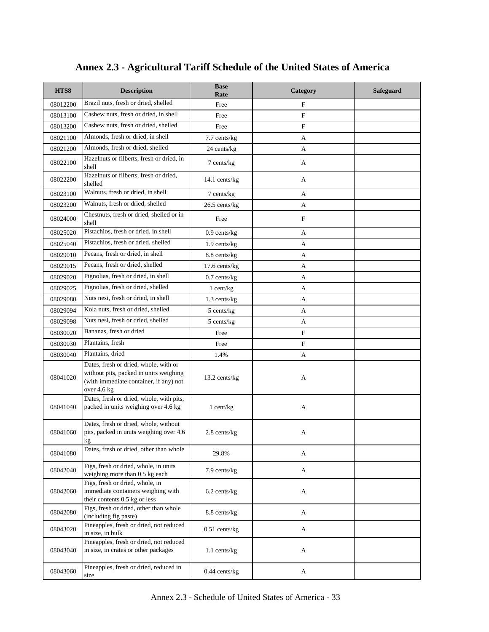| HTS8     | <b>Description</b>                                                                                                                       | <b>Base</b><br>Rate | Category     | Safeguard |
|----------|------------------------------------------------------------------------------------------------------------------------------------------|---------------------|--------------|-----------|
| 08012200 | Brazil nuts, fresh or dried, shelled                                                                                                     | Free                | $\mathbf{F}$ |           |
| 08013100 | Cashew nuts, fresh or dried, in shell                                                                                                    | Free                | F            |           |
| 08013200 | Cashew nuts, fresh or dried, shelled                                                                                                     | Free                | $\mathbf F$  |           |
| 08021100 | Almonds, fresh or dried, in shell                                                                                                        | 7.7 cents/kg        | A            |           |
| 08021200 | Almonds, fresh or dried, shelled                                                                                                         | 24 cents/kg         | A            |           |
| 08022100 | Hazelnuts or filberts, fresh or dried, in<br>shell                                                                                       | 7 cents/kg          | A            |           |
| 08022200 | Hazelnuts or filberts, fresh or dried,<br>shelled                                                                                        | 14.1 cents/kg       | A            |           |
| 08023100 | Walnuts, fresh or dried, in shell                                                                                                        | 7 cents/kg          | A            |           |
| 08023200 | Walnuts, fresh or dried, shelled                                                                                                         | 26.5 cents/kg       | A            |           |
| 08024000 | Chestnuts, fresh or dried, shelled or in<br>shell                                                                                        | Free                | F            |           |
| 08025020 | Pistachios, fresh or dried, in shell                                                                                                     | $0.9$ cents/kg      | A            |           |
| 08025040 | Pistachios, fresh or dried, shelled                                                                                                      | 1.9 cents/kg        | A            |           |
| 08029010 | Pecans, fresh or dried, in shell                                                                                                         | 8.8 cents/kg        | A            |           |
| 08029015 | Pecans, fresh or dried, shelled                                                                                                          | $17.6$ cents/ $kg$  | A            |           |
| 08029020 | Pignolias, fresh or dried, in shell                                                                                                      | $0.7$ cents/kg      | A            |           |
| 08029025 | Pignolias, fresh or dried, shelled                                                                                                       | $1$ cent/kg         | A            |           |
| 08029080 | Nuts nesi, fresh or dried, in shell                                                                                                      | $1.3$ cents/kg      | A            |           |
| 08029094 | Kola nuts, fresh or dried, shelled                                                                                                       | 5 cents/kg          | A            |           |
| 08029098 | Nuts nesi, fresh or dried, shelled                                                                                                       | 5 cents/kg          | A            |           |
| 08030020 | Bananas, fresh or dried                                                                                                                  | Free                | $\mathbf F$  |           |
| 08030030 | Plantains, fresh                                                                                                                         | Free                | $\mathbf{F}$ |           |
| 08030040 | Plantains, dried                                                                                                                         | 1.4%                | A            |           |
| 08041020 | Dates, fresh or dried, whole, with or<br>without pits, packed in units weighing<br>(with immediate container, if any) not<br>over 4.6 kg | 13.2 cents/kg       | A            |           |
| 08041040 | Dates, fresh or dried, whole, with pits,<br>packed in units weighing over 4.6 kg                                                         | 1 cent/kg           | A            |           |
| 08041060 | Dates, fresh or dried, whole, without<br>pits, packed in units weighing over 4.6<br>ĸg                                                   | 2.8 cents/kg        | A            |           |
| 08041080 | Dates, fresh or dried, other than whole                                                                                                  | 29.8%               | A            |           |
| 08042040 | Figs, fresh or dried, whole, in units<br>weighing more than 0.5 kg each                                                                  | 7.9 cents/kg        | A            |           |
| 08042060 | Figs, fresh or dried, whole, in<br>immediate containers weighing with<br>their contents 0.5 kg or less                                   | 6.2 cents/kg        | A            |           |
| 08042080 | Figs, fresh or dried, other than whole<br>(including fig paste)                                                                          | 8.8 cents/kg        | A            |           |
| 08043020 | Pineapples, fresh or dried, not reduced<br>in size, in bulk                                                                              | $0.51$ cents/kg     | A            |           |
| 08043040 | Pineapples, fresh or dried, not reduced<br>in size, in crates or other packages                                                          | $1.1$ cents/kg      | A            |           |
| 08043060 | Pineapples, fresh or dried, reduced in<br>size                                                                                           | $0.44$ cents/kg     | A            |           |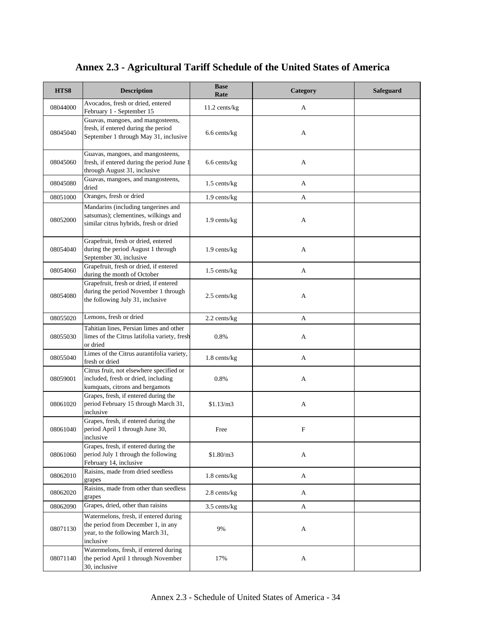| HTS8     | <b>Description</b>                                                                                                           | <b>Base</b><br>Rate | Category    | <b>Safeguard</b> |
|----------|------------------------------------------------------------------------------------------------------------------------------|---------------------|-------------|------------------|
| 08044000 | Avocados, fresh or dried, entered<br>February 1 - September 15                                                               | 11.2 cents/kg       | A           |                  |
| 08045040 | Guavas, mangoes, and mangosteens,<br>fresh, if entered during the period<br>September 1 through May 31, inclusive            | 6.6 cents/kg        | А           |                  |
| 08045060 | Guavas, mangoes, and mangosteens,<br>fresh, if entered during the period June 1<br>through August 31, inclusive              | 6.6 cents/kg        | А           |                  |
| 08045080 | Guavas, mangoes, and mangosteens,<br>dried                                                                                   | 1.5 cents/kg        | A           |                  |
| 08051000 | Oranges, fresh or dried                                                                                                      | $1.9$ cents/kg      | A           |                  |
| 08052000 | Mandarins (including tangerines and<br>satsumas); clementines, wilkings and<br>similar citrus hybrids, fresh or dried        | $1.9$ cents/kg      | A           |                  |
| 08054040 | Grapefruit, fresh or dried, entered<br>during the period August 1 through<br>September 30, inclusive                         | 1.9 cents/kg        | A           |                  |
| 08054060 | Grapefruit, fresh or dried, if entered<br>during the month of October                                                        | 1.5 cents/kg        | A           |                  |
| 08054080 | Grapefruit, fresh or dried, if entered<br>during the period November 1 through<br>the following July 31, inclusive           | 2.5 cents/kg        | A           |                  |
| 08055020 | Lemons, fresh or dried                                                                                                       | 2.2 cents/kg        | A           |                  |
| 08055030 | Tahitian lines, Persian limes and other<br>limes of the Citrus latifolia variety, fresh<br>or dried                          | 0.8%                | A           |                  |
| 08055040 | Limes of the Citrus aurantifolia variety,<br>fresh or dried                                                                  | 1.8 cents/kg        | A           |                  |
| 08059001 | Citrus fruit, not elsewhere specified or<br>included, fresh or dried, including<br>kumquats, citrons and bergamots           | 0.8%                | A           |                  |
| 08061020 | Grapes, fresh, if entered during the<br>period February 15 through March 31,<br>inclusive                                    | \$1.13/m3           | A           |                  |
| 08061040 | Grapes, fresh, if entered during the<br>period April 1 through June 30,<br>inclusive                                         | Free                | $\mathbf F$ |                  |
| 08061060 | Grapes, fresh, if entered during the<br>period July 1 through the following<br>February 14, inclusive                        | \$1.80/m3           | A           |                  |
| 08062010 | Raisins, made from dried seedless<br>grapes                                                                                  | $1.8$ cents/kg      | A           |                  |
| 08062020 | Raisins, made from other than seedless<br>grapes                                                                             | $2.8$ cents/kg      | A           |                  |
| 08062090 | Grapes, dried, other than raisins                                                                                            | 3.5 cents/kg        | A           |                  |
| 08071130 | Watermelons, fresh, if entered during<br>the period from December 1, in any<br>year, to the following March 31,<br>inclusive | 9%                  | A           |                  |
| 08071140 | Watermelons, fresh, if entered during<br>the period April 1 through November<br>30, inclusive                                | 17%                 | A           |                  |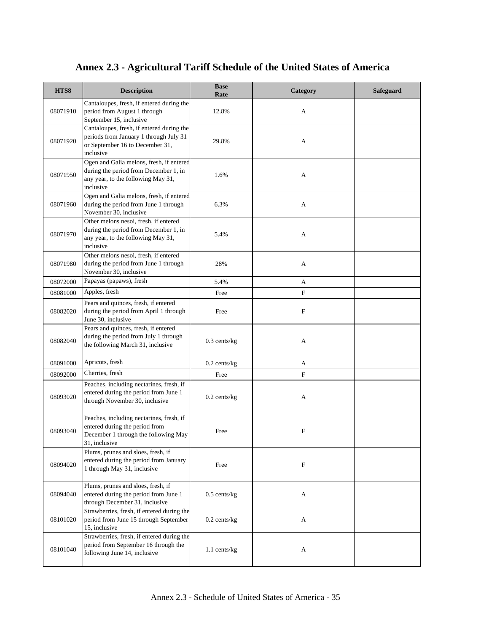| HTS8     | <b>Description</b>                                                                                                                   | <b>Base</b><br>Rate | Category    | Safeguard |
|----------|--------------------------------------------------------------------------------------------------------------------------------------|---------------------|-------------|-----------|
| 08071910 | Cantaloupes, fresh, if entered during the<br>period from August 1 through<br>September 15, inclusive                                 | 12.8%               | A           |           |
| 08071920 | Cantaloupes, fresh, if entered during the<br>periods from January 1 through July 31<br>or September 16 to December 31,<br>inclusive  | 29.8%               | A           |           |
| 08071950 | Ogen and Galia melons, fresh, if entered<br>during the period from December 1, in<br>any year, to the following May 31,<br>inclusive | 1.6%                | A           |           |
| 08071960 | Ogen and Galia melons, fresh, if entered<br>during the period from June 1 through<br>November 30, inclusive                          | 6.3%                | A           |           |
| 08071970 | Other melons nesoi, fresh, if entered<br>during the period from December 1, in<br>any year, to the following May 31,<br>inclusive    | 5.4%                | А           |           |
| 08071980 | Other melons nesoi, fresh, if entered<br>during the period from June 1 through<br>November 30, inclusive                             | 28%                 | A           |           |
| 08072000 | Papayas (papaws), fresh                                                                                                              | 5.4%                | A           |           |
| 08081000 | Apples, fresh                                                                                                                        | Free                | F           |           |
| 08082020 | Pears and quinces, fresh, if entered<br>during the period from April 1 through<br>June 30, inclusive                                 | Free                | F           |           |
| 08082040 | Pears and quinces, fresh, if entered<br>during the period from July 1 through<br>the following March 31, inclusive                   | $0.3$ cents/kg      | А           |           |
| 08091000 | Apricots, fresh                                                                                                                      | $0.2$ cents/kg $\,$ | A           |           |
| 08092000 | Cherries, fresh                                                                                                                      | Free                | F           |           |
| 08093020 | Peaches, including nectarines, fresh, if<br>entered during the period from June 1<br>through November 30, inclusive                  | $0.2$ cents/kg      | А           |           |
| 08093040 | Peaches, including nectarines, fresh, if<br>entered during the period from<br>December 1 through the following May<br>31, inclusive  | Free                | $\mathbf F$ |           |
| 08094020 | Plums, prunes and sloes, fresh, if<br>entered during the period from January<br>1 through May 31, inclusive                          | Free                | F           |           |
| 08094040 | Plums, prunes and sloes, fresh, if<br>entered during the period from June 1<br>through December 31, inclusive                        | $0.5$ cents/kg      | A           |           |
| 08101020 | Strawberries, fresh, if entered during the<br>period from June 15 through September<br>15, inclusive                                 | $0.2$ cents/kg      | A           |           |
| 08101040 | Strawberries, fresh, if entered during the<br>period from September 16 through the<br>following June 14, inclusive                   | 1.1 cents/kg        | A           |           |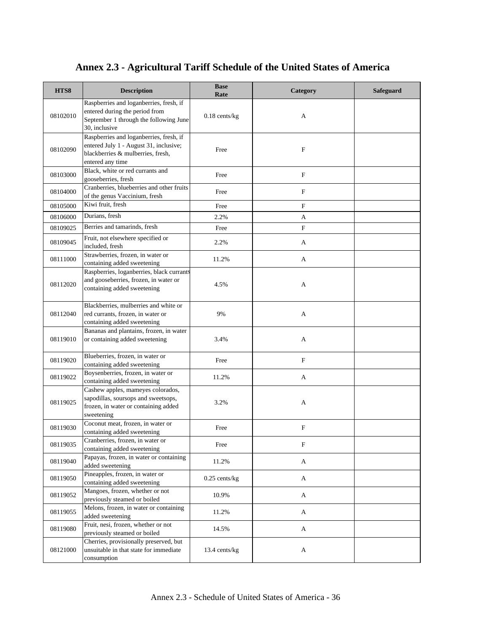| HTS8     | <b>Description</b>                                                                                                                         | <b>Base</b><br>Rate | Category                  | Safeguard |
|----------|--------------------------------------------------------------------------------------------------------------------------------------------|---------------------|---------------------------|-----------|
| 08102010 | Raspberries and loganberries, fresh, if<br>entered during the period from<br>September 1 through the following June<br>30, inclusive       | $0.18$ cents/kg     | A                         |           |
| 08102090 | Raspberries and loganberries, fresh, if<br>entered July 1 - August 31, inclusive;<br>blackberries & mulberries, fresh,<br>entered any time | Free                | F                         |           |
| 08103000 | Black, white or red currants and<br>gooseberries, fresh                                                                                    | Free                | F                         |           |
| 08104000 | Cranberries, blueberries and other fruits<br>of the genus Vaccinium, fresh                                                                 | Free                | F                         |           |
| 08105000 | Kiwi fruit, fresh                                                                                                                          | Free                | $\boldsymbol{\mathrm{F}}$ |           |
| 08106000 | Durians, fresh                                                                                                                             | 2.2%                | A                         |           |
| 08109025 | Berries and tamarinds, fresh                                                                                                               | Free                | F                         |           |
| 08109045 | Fruit, not elsewhere specified or<br>included, fresh                                                                                       | 2.2%                | A                         |           |
| 08111000 | Strawberries, frozen, in water or<br>containing added sweetening                                                                           | 11.2%               | A                         |           |
| 08112020 | Raspberries, loganberries, black currants<br>and gooseberries, frozen, in water or<br>containing added sweetening                          | 4.5%                | А                         |           |
| 08112040 | Blackberries, mulberries and white or<br>red currants, frozen, in water or<br>containing added sweetening                                  | 9%                  | A                         |           |
| 08119010 | Bananas and plantains, frozen, in water<br>or containing added sweetening                                                                  | 3.4%                | А                         |           |
| 08119020 | Blueberries, frozen, in water or<br>containing added sweetening                                                                            | Free                | F                         |           |
| 08119022 | Boysenberries, frozen, in water or<br>containing added sweetening                                                                          | 11.2%               | A                         |           |
| 08119025 | Cashew apples, mameyes colorados,<br>sapodillas, soursops and sweetsops,<br>frozen, in water or containing added<br>sweetening             | 3.2%                | A                         |           |
| 08119030 | Coconut meat, frozen, in water or<br>containing added sweetening                                                                           | Free                | F                         |           |
| 08119035 | Cranberries, frozen, in water or<br>containing added sweetening                                                                            | Free                | F                         |           |
| 08119040 | Papayas, frozen, in water or containing<br>added sweetening                                                                                | 11.2%               | A                         |           |
| 08119050 | Pineapples, frozen, in water or<br>containing added sweetening                                                                             | $0.25$ cents/kg     | A                         |           |
| 08119052 | Mangoes, frozen, whether or not<br>previously steamed or boiled                                                                            | 10.9%               | A                         |           |
| 08119055 | Melons, frozen, in water or containing<br>added sweetening                                                                                 | 11.2%               | A                         |           |
| 08119080 | Fruit, nesi, frozen, whether or not<br>previously steamed or boiled                                                                        | 14.5%               | A                         |           |
| 08121000 | Cherries, provisionally preserved, but<br>unsuitable in that state for immediate<br>consumption                                            | 13.4 cents/kg       | A                         |           |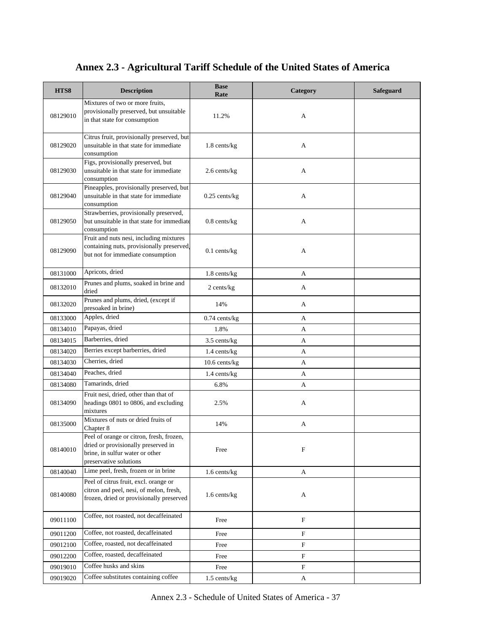| HTS8     | <b>Description</b>                                                                                                                           | <b>Base</b><br>Rate | Category                  | <b>Safeguard</b> |
|----------|----------------------------------------------------------------------------------------------------------------------------------------------|---------------------|---------------------------|------------------|
| 08129010 | Mixtures of two or more fruits,<br>provisionally preserved, but unsuitable<br>in that state for consumption                                  | 11.2%               | A                         |                  |
| 08129020 | Citrus fruit, provisionally preserved, but<br>unsuitable in that state for immediate<br>consumption                                          | $1.8$ cents/kg      | A                         |                  |
| 08129030 | Figs, provisionally preserved, but<br>unsuitable in that state for immediate<br>consumption                                                  | 2.6 cents/kg        | A                         |                  |
| 08129040 | Pineapples, provisionally preserved, but<br>unsuitable in that state for immediate<br>consumption                                            | $0.25$ cents/kg     | A                         |                  |
| 08129050 | Strawberries, provisionally preserved,<br>but unsuitable in that state for immediate<br>consumption                                          | $0.8$ cents/kg      | A                         |                  |
| 08129090 | Fruit and nuts nesi, including mixtures<br>containing nuts, provisionally preserved,<br>but not for immediate consumption                    | $0.1$ cents/kg      | A                         |                  |
| 08131000 | Apricots, dried                                                                                                                              | $1.8$ cents/kg      | A                         |                  |
| 08132010 | Prunes and plums, soaked in brine and<br>dried                                                                                               | $2$ cents/ $kg$     | A                         |                  |
| 08132020 | Prunes and plums, dried, (except if<br>presoaked in brine)                                                                                   | 14%                 | A                         |                  |
| 08133000 | Apples, dried                                                                                                                                | $0.74$ cents/kg     | А                         |                  |
| 08134010 | Papayas, dried                                                                                                                               | 1.8%                | A                         |                  |
| 08134015 | Barberries, dried                                                                                                                            | 3.5 cents/kg        | A                         |                  |
| 08134020 | Berries except barberries, dried                                                                                                             | 1.4 cents/kg        | A                         |                  |
| 08134030 | Cherries, dried                                                                                                                              | 10.6 cents/kg       | A                         |                  |
| 08134040 | Peaches, dried                                                                                                                               | $1.4$ cents/kg      | A                         |                  |
| 08134080 | Tamarinds, dried                                                                                                                             | 6.8%                | A                         |                  |
| 08134090 | Fruit nesi, dried, other than that of<br>headings 0801 to 0806, and excluding<br>mixtures                                                    | 2.5%                | A                         |                  |
| 08135000 | Mixtures of nuts or dried fruits of<br>Chapter 8                                                                                             | 14%                 | A                         |                  |
| 08140010 | Peel of orange or citron, fresh, frozen,<br>dried or provisionally preserved in<br>brine, in sulfur water or other<br>preservative solutions | Free                | F                         |                  |
| 08140040 | Lime peel, fresh, frozen or in brine                                                                                                         | $1.6$ cents/kg      | A                         |                  |
| 08140080 | Peel of citrus fruit, excl. orange or<br>citron and peel, nesi, of melon, fresh,<br>frozen, dried or provisionally preserved                 | $1.6$ cents/kg      | A                         |                  |
| 09011100 | Coffee, not roasted, not decaffeinated                                                                                                       | Free                | $\boldsymbol{\mathrm{F}}$ |                  |
| 09011200 | Coffee, not roasted, decaffeinated                                                                                                           | Free                | F                         |                  |
| 09012100 | Coffee, roasted, not decaffeinated                                                                                                           | Free                | F                         |                  |
| 09012200 | Coffee, roasted, decaffeinated                                                                                                               | Free                | F                         |                  |
| 09019010 | Coffee husks and skins                                                                                                                       | Free                | F                         |                  |
| 09019020 | Coffee substitutes containing coffee                                                                                                         | 1.5 cents/kg        | A                         |                  |

Annex 2.3 - Schedule of United States of America - 37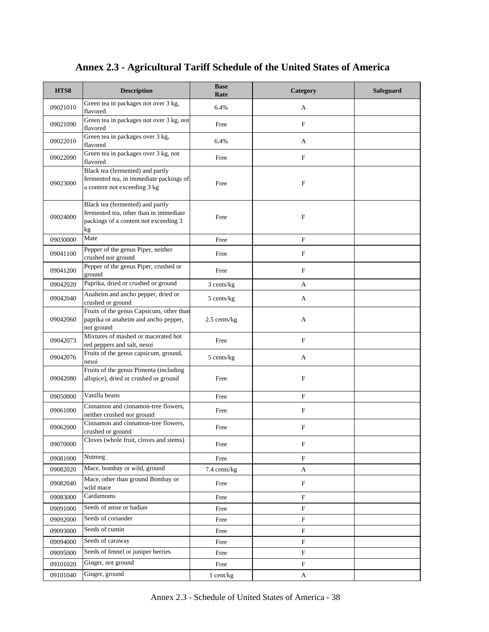| HTS8     | <b>Description</b>                                                                                                        | <b>Base</b><br>Rate | Category                  | <b>Safeguard</b> |
|----------|---------------------------------------------------------------------------------------------------------------------------|---------------------|---------------------------|------------------|
| 09021010 | Green tea in packages not over 3 kg,<br>flavored                                                                          | 6.4%                | A                         |                  |
| 09021090 | Green tea in packages not over 3 kg, not<br>flavored                                                                      | Free                | $\mathbf F$               |                  |
| 09022010 | Green tea in packages over 3 kg,<br>flavored                                                                              | 6.4%                | A                         |                  |
| 09022090 | Green tea in packages over 3 kg, not<br>flavored                                                                          | Free                | $\mathbf F$               |                  |
| 09023000 | Black tea (fermented) and partly<br>fermented tea, in immediate packings of<br>a content not exceeding 3 kg               | Free                | F                         |                  |
| 09024000 | Black tea (fermented) and partly<br>fermented tea, other than in immediate<br>packings of a content not exceeding 3<br>kg | Free                | F                         |                  |
| 09030000 | Mate                                                                                                                      | Free                | $\mathbf F$               |                  |
| 09041100 | Pepper of the genus Piper, neither<br>crushed nor ground                                                                  | Free                | $\mathbf F$               |                  |
| 09041200 | Pepper of the genus Piper, crushed or<br>ground                                                                           | Free                | $\mathbf F$               |                  |
| 09042020 | Paprika, dried or crushed or ground                                                                                       | 3 cents/kg          | A                         |                  |
| 09042040 | Anaheim and ancho pepper, dried or<br>crushed or ground                                                                   | 5 cents/kg          | A                         |                  |
| 09042060 | Fruits of the genus Capsicum, other than<br>paprika or anaheim and ancho pepper,<br>not ground                            | 2.5 cents/kg        | A                         |                  |
| 09042073 | Mixtures of mashed or macerated hot<br>red peppers and salt, nesoi                                                        | Free                | $\mathbf F$               |                  |
| 09042076 | Fruits of the genus capsicum, ground,<br>nesoi                                                                            | 5 cents/kg          | A                         |                  |
| 09042080 | Fruits of the genus Pimenta (including<br>allspice), dried or crushed or ground                                           | Free                | $\mathbf{F}$              |                  |
| 09050000 | Vanilla beans                                                                                                             | Free                | F                         |                  |
| 09061000 | Cinnamon and cinnamon-tree flowers,<br>neither crushed nor ground                                                         | Free                | $\mathbf F$               |                  |
| 09062000 | Cinnamon and cinnamon-tree flowers,<br>crushed or ground                                                                  | Free                | $\boldsymbol{\mathrm{F}}$ |                  |
| 09070000 | Cloves (whole fruit, cloves and stems)                                                                                    | Free                | F                         |                  |
| 09081000 | Nutmeg                                                                                                                    | Free                | $\rm F$                   |                  |
| 09082020 | Mace, bombay or wild, ground                                                                                              | 7.4 cents/kg        | $\boldsymbol{\mathsf{A}}$ |                  |
| 09082040 | Mace, other than ground Bombay or<br>wild mace                                                                            | Free                | $\mathbf F$               |                  |
| 09083000 | Cardamoms                                                                                                                 | Free                | $\mathbf F$               |                  |
| 09091000 | Seeds of anise or badian                                                                                                  | Free                | $\mathbf F$               |                  |
| 09092000 | Seeds of coriander                                                                                                        | Free                | $\mathbf F$               |                  |
| 09093000 | Seeds of cumin                                                                                                            | Free                | $\mathbf F$               |                  |
| 09094000 | Seeds of caraway                                                                                                          | Free                | $\mathbf F$               |                  |
| 09095000 | Seeds of fennel or juniper berries                                                                                        | Free                | $\mathbf F$               |                  |
| 09101020 | Ginger, not ground                                                                                                        | Free                | $\mathbf F$               |                  |
| 09101040 | Ginger, ground                                                                                                            | $1$ cent/kg         | $\mathbf A$               |                  |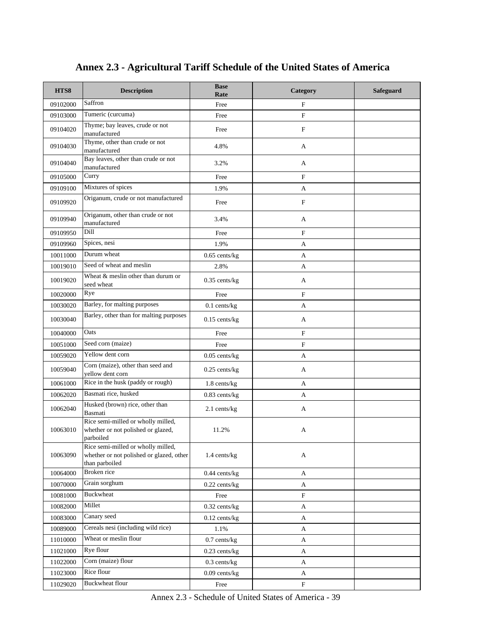| HTS8     | <b>Description</b>                                                                               | <b>Base</b><br>Rate | Category     | <b>Safeguard</b> |
|----------|--------------------------------------------------------------------------------------------------|---------------------|--------------|------------------|
| 09102000 | Saffron                                                                                          | Free                | $\mathbf{F}$ |                  |
| 09103000 | Tumeric (curcuma)                                                                                | Free                | $\mathbf F$  |                  |
| 09104020 | Thyme; bay leaves, crude or not<br>manufactured                                                  | Free                | $\mathbf F$  |                  |
| 09104030 | Thyme, other than crude or not<br>manufactured                                                   | 4.8%                | A            |                  |
| 09104040 | Bay leaves, other than crude or not<br>manufactured                                              | 3.2%                | A            |                  |
| 09105000 | Curry                                                                                            | Free                | $\mathbf F$  |                  |
| 09109100 | Mixtures of spices                                                                               | 1.9%                | A            |                  |
| 09109920 | Origanum, crude or not manufactured                                                              | Free                | $\mathbf F$  |                  |
| 09109940 | Origanum, other than crude or not<br>manufactured                                                | 3.4%                | A            |                  |
| 09109950 | Dill                                                                                             | Free                | $\mathbf F$  |                  |
| 09109960 | Spices, nesi                                                                                     | 1.9%                | A            |                  |
| 10011000 | Durum wheat                                                                                      | $0.65$ cents/kg     | A            |                  |
| 10019010 | Seed of wheat and meslin                                                                         | 2.8%                | A            |                  |
| 10019020 | Wheat & meslin other than durum or<br>seed wheat                                                 | $0.35$ cents/kg     | A            |                  |
| 10020000 | Rye                                                                                              | Free                | $\mathbf F$  |                  |
| 10030020 | Barley, for malting purposes                                                                     | $0.1$ cents/kg      | A            |                  |
| 10030040 | Barley, other than for malting purposes                                                          | $0.15$ cents/kg     | A            |                  |
| 10040000 | Oats                                                                                             | Free                | $\mathbf F$  |                  |
| 10051000 | Seed corn (maize)                                                                                | Free                | $\mathbf F$  |                  |
| 10059020 | Yellow dent corn                                                                                 | $0.05$ cents/kg     | A            |                  |
| 10059040 | Corn (maize), other than seed and<br>yellow dent corn                                            | $0.25$ cents/kg     | A            |                  |
| 10061000 | Rice in the husk (paddy or rough)                                                                | 1.8 cents/kg        | A            |                  |
| 10062020 | Basmati rice, husked                                                                             | $0.83$ cents/kg     | A            |                  |
| 10062040 | Husked (brown) rice, other than<br>Basmati                                                       | 2.1 cents/kg        | A            |                  |
| 10063010 | Rice semi-milled or wholly milled,<br>whether or not polished or glazed,<br>parboiled            | 11.2%               | А            |                  |
| 10063090 | Rice semi-milled or wholly milled,<br>whether or not polished or glazed, other<br>than parboiled | 1.4 cents/kg        | A            |                  |
| 10064000 | Broken rice                                                                                      | $0.44$ cents/kg     | A            |                  |
| 10070000 | Grain sorghum                                                                                    | $0.22$ cents/kg     | $\mathbf{A}$ |                  |
| 10081000 | <b>Buckwheat</b>                                                                                 | Free                | F            |                  |
| 10082000 | Millet                                                                                           | $0.32$ cents/kg     | A            |                  |
| 10083000 | Canary seed                                                                                      | $0.12$ cents/kg     | A            |                  |
| 10089000 | Cereals nesi (including wild rice)                                                               | 1.1%                | $\mathbf{A}$ |                  |
| 11010000 | Wheat or meslin flour                                                                            | $0.7$ cents/kg      | A            |                  |
| 11021000 | Rye flour                                                                                        | $0.23$ cents/kg     | $\mathbf{A}$ |                  |
| 11022000 | Corn (maize) flour                                                                               | $0.3$ cents/kg      | A            |                  |
| 11023000 | Rice flour                                                                                       | $0.09$ cents/kg     | A            |                  |
| 11029020 | <b>Buckwheat flour</b>                                                                           | Free                | $\mathbf F$  |                  |

Annex 2.3 - Schedule of United States of America - 39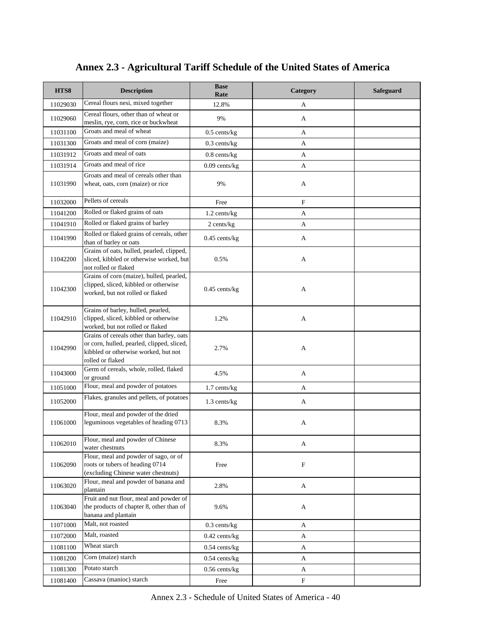| HTS8     | <b>Description</b>                                                                                                                                  | <b>Base</b><br>Rate | Category                  | Safeguard |
|----------|-----------------------------------------------------------------------------------------------------------------------------------------------------|---------------------|---------------------------|-----------|
| 11029030 | Cereal flours nesi, mixed together                                                                                                                  | 12.8%               | A                         |           |
| 11029060 | Cereal flours, other than of wheat or<br>meslin, rye, corn, rice or buckwheat                                                                       | 9%                  | A                         |           |
| 11031100 | Groats and meal of wheat                                                                                                                            | $0.5$ cents/kg      | A                         |           |
| 11031300 | Groats and meal of corn (maize)                                                                                                                     | $0.3$ cents/kg      | A                         |           |
| 11031912 | Groats and meal of oats                                                                                                                             | $0.8$ cents/ $kg$   | A                         |           |
| 11031914 | Groats and meal of rice                                                                                                                             | $0.09$ cents/kg     | A                         |           |
| 11031990 | Groats and meal of cereals other than<br>wheat, oats, corn (maize) or rice                                                                          | 9%                  | A                         |           |
| 11032000 | Pellets of cereals                                                                                                                                  | Free                | $\mathbf F$               |           |
| 11041200 | Rolled or flaked grains of oats                                                                                                                     | 1.2 cents/kg        | A                         |           |
| 11041910 | Rolled or flaked grains of barley                                                                                                                   | 2 cents/kg          | A                         |           |
| 11041990 | Rolled or flaked grains of cereals, other<br>than of barley or oats                                                                                 | $0.45$ cents/kg     | A                         |           |
| 11042200 | Grains of oats, hulled, pearled, clipped,<br>sliced, kibbled or otherwise worked, but<br>not rolled or flaked                                       | 0.5%                | A                         |           |
| 11042300 | Grains of corn (maize), hulled, pearled,<br>clipped, sliced, kibbled or otherwise<br>worked, but not rolled or flaked                               | $0.45$ cents/kg     | A                         |           |
| 11042910 | Grains of barley, hulled, pearled,<br>clipped, sliced, kibbled or otherwise<br>worked, but not rolled or flaked                                     | 1.2%                | A                         |           |
| 11042990 | Grains of cereals other than barley, oats<br>or corn, hulled, pearled, clipped, sliced,<br>kibbled or otherwise worked, but not<br>rolled or flaked | 2.7%                | A                         |           |
| 11043000 | Germ of cereals, whole, rolled, flaked<br>or ground                                                                                                 | 4.5%                | A                         |           |
| 11051000 | Flour, meal and powder of potatoes                                                                                                                  | 1.7 cents/kg        | A                         |           |
| 11052000 | Flakes, granules and pellets, of potatoes                                                                                                           | 1.3 cents/kg        | A                         |           |
| 11061000 | Flour, meal and powder of the dried<br>leguminous vegetables of heading 0713                                                                        | 8.3%                | A                         |           |
| 11062010 | Flour, meal and powder of Chinese<br>water chestnuts                                                                                                | 8.3%                | A                         |           |
| 11062090 | Flour, meal and powder of sago, or of<br>roots or tubers of heading 0714<br>(excluding Chinese water chestnuts)                                     | Free                | $\mathbf F$               |           |
| 11063020 | Flour, meal and powder of banana and<br>plantain                                                                                                    | 2.8%                | A                         |           |
| 11063040 | Fruit and nut flour, meal and powder of<br>the products of chapter 8, other than of<br>banana and plantain                                          | 9.6%                | A                         |           |
| 11071000 | Malt, not roasted                                                                                                                                   | $0.3$ cents/kg      | A                         |           |
| 11072000 | Malt, roasted                                                                                                                                       | $0.42$ cents/kg     | A                         |           |
| 11081100 | Wheat starch                                                                                                                                        | $0.54$ cents/kg     | A                         |           |
| 11081200 | Corn (maize) starch                                                                                                                                 | $0.54$ cents/kg     | A                         |           |
| 11081300 | Potato starch                                                                                                                                       | $0.56$ cents/kg     | A                         |           |
| 11081400 | Cassava (manioc) starch                                                                                                                             | Free                | $\boldsymbol{\mathrm{F}}$ |           |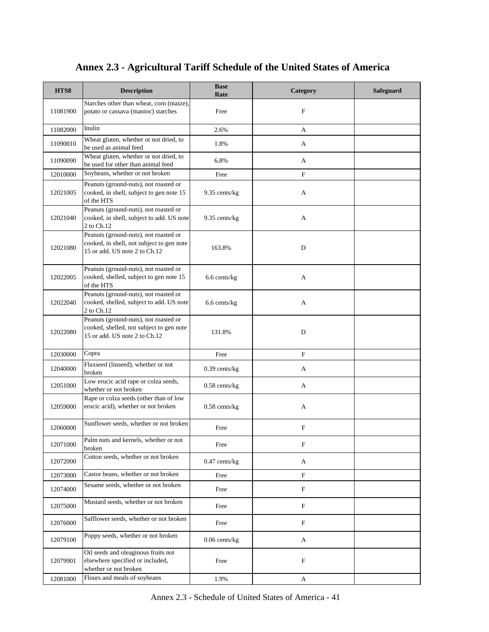| HTS8     | <b>Description</b>                                                                                                  | <b>Base</b><br>Rate | Category                  | <b>Safeguard</b> |
|----------|---------------------------------------------------------------------------------------------------------------------|---------------------|---------------------------|------------------|
| 11081900 | Starches other than wheat, corn (maize),<br>potato or cassava (manioc) starches                                     | Free                | F                         |                  |
| 11082000 | Inulin                                                                                                              | 2.6%                | A                         |                  |
| 11090010 | Wheat gluten, whether or not dried, to<br>be used as animal feed                                                    | 1.8%                | A                         |                  |
| 11090090 | Wheat gluten, whether or not dried, to<br>be used for other than animal feed                                        | 6.8%                | A                         |                  |
| 12010000 | Soybeans, whether or not broken                                                                                     | Free                | $\boldsymbol{\mathrm{F}}$ |                  |
| 12021005 | Peanuts (ground-nuts), not roasted or<br>cooked, in shell, subject to gen note 15<br>of the HTS                     | 9.35 cents/kg       | A                         |                  |
| 12021040 | Peanuts (ground-nuts), not roasted or<br>cooked, in shell, subject to add. US note<br>2 to Ch.12                    | 9.35 cents/kg       | A                         |                  |
| 12021080 | Peanuts (ground-nuts), not roasted or<br>cooked, in shell, not subject to gen note<br>15 or add. US note 2 to Ch.12 | 163.8%              | D                         |                  |
| 12022005 | Peanuts (ground-nuts), not roasted or<br>cooked, shelled, subject to gen note 15<br>of the HTS                      | 6.6 cents/kg        | A                         |                  |
| 12022040 | Peanuts (ground-nuts), not roasted or<br>cooked, shelled, subject to add. US note<br>2 to Ch.12                     | 6.6 cents/kg        | A                         |                  |
| 12022080 | Peanuts (ground-nuts), not roasted or<br>cooked, shelled, not subject to gen note<br>15 or add. US note 2 to Ch.12  | 131.8%              | D                         |                  |
| 12030000 | Copra                                                                                                               | Free                | $\mathbf F$               |                  |
| 12040000 | Flaxseed (linseed), whether or not<br>broken                                                                        | 0.39 cents/kg       | A                         |                  |
| 12051000 | Low erucic acid rape or colza seeds,<br>whether or not broken                                                       | $0.58$ cents/kg     | A                         |                  |
| 12059000 | Rape or colza seeds (other than of low<br>erucic acid), whether or not broken                                       | $0.58$ cents/kg     | A                         |                  |
| 12060000 | Sunflower seeds, whether or not broken                                                                              | Free                | $\mathbf F$               |                  |
| 12071000 | Palm nuts and kernels, whether or not<br>broken                                                                     | Free                | F                         |                  |
| 12072000 | Cotton seeds, whether or not broken                                                                                 | $0.47$ cents/kg     | A                         |                  |
| 12073000 | Castor beans, whether or not broken                                                                                 | Free                | $\boldsymbol{\mathrm{F}}$ |                  |
| 12074000 | Sesame seeds, whether or not broken                                                                                 | Free                | $\boldsymbol{\mathrm{F}}$ |                  |
| 12075000 | Mustard seeds, whether or not broken                                                                                | Free                | $\boldsymbol{\mathrm{F}}$ |                  |
| 12076000 | Safflower seeds, whether or not broken                                                                              | Free                | $\boldsymbol{\mathrm{F}}$ |                  |
| 12079100 | Poppy seeds, whether or not broken                                                                                  | $0.06$ cents/kg     | A                         |                  |
| 12079901 | Oil seeds and oleaginous fruits not<br>elsewhere specified or included,<br>whether or not broken                    | Free                | F                         |                  |
| 12081000 | Flours and meals of soybeans                                                                                        | 1.9%                | $\mathbf{A}$              |                  |

Annex 2.3 - Schedule of United States of America - 41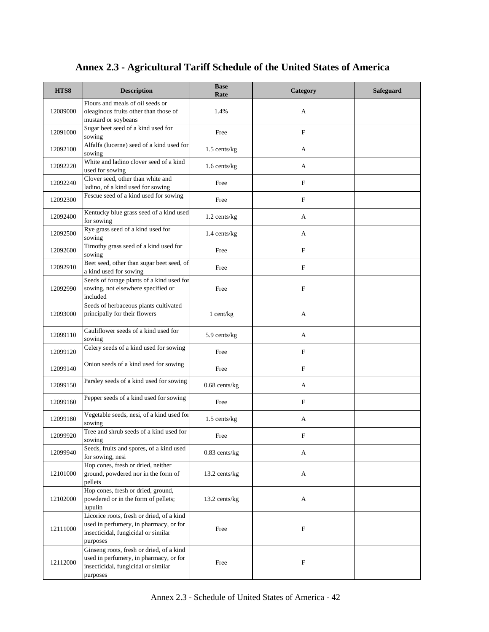| HTS8     | <b>Description</b>                                                                                                                     | <b>Base</b><br>Rate | Category                  | <b>Safeguard</b> |
|----------|----------------------------------------------------------------------------------------------------------------------------------------|---------------------|---------------------------|------------------|
| 12089000 | Flours and meals of oil seeds or<br>oleaginous fruits other than those of<br>mustard or soybeans                                       | 1.4%                | A                         |                  |
| 12091000 | Sugar beet seed of a kind used for<br>sowing                                                                                           | Free                | $\mathbf F$               |                  |
| 12092100 | Alfalfa (lucerne) seed of a kind used for<br>sowing                                                                                    | 1.5 cents/kg        | A                         |                  |
| 12092220 | White and ladino clover seed of a kind<br>used for sowing                                                                              | 1.6 cents/kg        | A                         |                  |
| 12092240 | Clover seed, other than white and<br>ladino, of a kind used for sowing                                                                 | Free                | $\mathbf F$               |                  |
| 12092300 | Fescue seed of a kind used for sowing                                                                                                  | Free                | $\mathbf F$               |                  |
| 12092400 | Kentucky blue grass seed of a kind used<br>for sowing                                                                                  | 1.2 cents/kg        | A                         |                  |
| 12092500 | Rye grass seed of a kind used for<br>sowing                                                                                            | 1.4 cents/kg        | A                         |                  |
| 12092600 | Timothy grass seed of a kind used for<br>sowing                                                                                        | Free                | $\mathbf F$               |                  |
| 12092910 | Beet seed, other than sugar beet seed, of<br>a kind used for sowing                                                                    | Free                | $\mathbf F$               |                  |
| 12092990 | Seeds of forage plants of a kind used for<br>sowing, not elsewhere specified or<br>included                                            | Free                | $\mathbf{F}$              |                  |
| 12093000 | Seeds of herbaceous plants cultivated<br>principally for their flowers                                                                 | 1 cent/kg           | A                         |                  |
| 12099110 | Cauliflower seeds of a kind used for<br>sowing                                                                                         | 5.9 cents/kg        | A                         |                  |
| 12099120 | Celery seeds of a kind used for sowing                                                                                                 | Free                | F                         |                  |
| 12099140 | Onion seeds of a kind used for sowing                                                                                                  | Free                | $\mathbf F$               |                  |
| 12099150 | Parsley seeds of a kind used for sowing                                                                                                | $0.68$ cents/kg     | A                         |                  |
| 12099160 | Pepper seeds of a kind used for sowing                                                                                                 | Free                | F                         |                  |
| 12099180 | Vegetable seeds, nesi, of a kind used for<br>sowing                                                                                    | $1.5$ cents/kg      | A                         |                  |
| 12099920 | Tree and shrub seeds of a kind used for<br>sowing                                                                                      | Free                | $\mathbf{F}$              |                  |
| 12099940 | Seeds, fruits and spores, of a kind used<br>for sowing, nesi                                                                           | $0.83$ cents/kg     | A                         |                  |
| 12101000 | Hop cones, fresh or dried, neither<br>ground, powdered nor in the form of<br>pellets                                                   | 13.2 cents/kg       | A                         |                  |
| 12102000 | Hop cones, fresh or dried, ground,<br>powdered or in the form of pellets;<br>lupulin                                                   | 13.2 cents/kg       | A                         |                  |
| 12111000 | Licorice roots, fresh or dried, of a kind<br>used in perfumery, in pharmacy, or for<br>insecticidal, fungicidal or similar<br>purposes | Free                | $\boldsymbol{\mathrm{F}}$ |                  |
| 12112000 | Ginseng roots, fresh or dried, of a kind<br>used in perfumery, in pharmacy, or for<br>insecticidal, fungicidal or similar<br>purposes  | Free                | F                         |                  |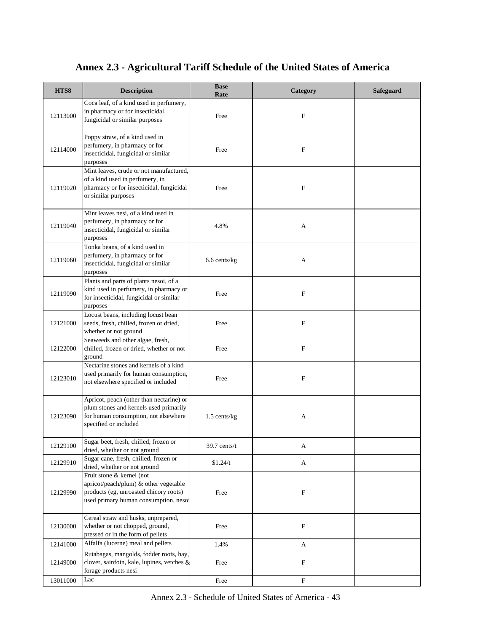| HTS8     | <b>Description</b>                                                                                                                                    | <b>Base</b><br>Rate | Category                  | <b>Safeguard</b> |
|----------|-------------------------------------------------------------------------------------------------------------------------------------------------------|---------------------|---------------------------|------------------|
| 12113000 | Coca leaf, of a kind used in perfumery,<br>in pharmacy or for insecticidal,<br>fungicidal or similar purposes                                         | Free                | F                         |                  |
| 12114000 | Poppy straw, of a kind used in<br>perfumery, in pharmacy or for<br>insecticidal, fungicidal or similar<br>purposes                                    | Free                | F                         |                  |
| 12119020 | Mint leaves, crude or not manufactured,<br>of a kind used in perfumery, in<br>pharmacy or for insecticidal, fungicidal<br>or similar purposes         | Free                | F                         |                  |
| 12119040 | Mint leaves nesi, of a kind used in<br>perfumery, in pharmacy or for<br>insecticidal, fungicidal or similar<br>purposes                               | 4.8%                | A                         |                  |
| 12119060 | Tonka beans, of a kind used in<br>perfumery, in pharmacy or for<br>insecticidal, fungicidal or similar<br>purposes                                    | 6.6 cents/kg        | A                         |                  |
| 12119090 | Plants and parts of plants nesoi, of a<br>kind used in perfumery, in pharmacy or<br>for insecticidal, fungicidal or similar<br>purposes               | Free                | $\mathbf F$               |                  |
| 12121000 | Locust beans, including locust bean<br>seeds, fresh, chilled, frozen or dried,<br>whether or not ground                                               | Free                | $\mathbf F$               |                  |
| 12122000 | Seaweeds and other algae, fresh,<br>chilled, frozen or dried, whether or not<br>ground                                                                | Free                | $\mathbf F$               |                  |
| 12123010 | Nectarine stones and kernels of a kind<br>used primarily for human consumption,<br>not elsewhere specified or included                                | Free                | $\mathbf F$               |                  |
| 12123090 | Apricot, peach (other than nectarine) or<br>plum stones and kernels used primarily<br>for human consumption, not elsewhere<br>specified or included   | $1.5$ cents/kg      | A                         |                  |
| 12129100 | Sugar beet, fresh, chilled, frozen or<br>dried, whether or not ground                                                                                 | 39.7 cents/t        | A                         |                  |
| 12129910 | Sugar cane, fresh, chilled, frozen or<br>dried, whether or not ground                                                                                 | \$1.24/t            | A                         |                  |
| 12129990 | Fruit stone & kernel (not<br>apricot/peach/plum) & other vegetable<br>products (eg, unroasted chicory roots)<br>used primary human consumption, nesoi | Free                | $\mathbf F$               |                  |
| 12130000 | Cereal straw and husks, unprepared,<br>whether or not chopped, ground,<br>pressed or in the form of pellets                                           | Free                | F                         |                  |
| 12141000 | Alfalfa (lucerne) meal and pellets                                                                                                                    | 1.4%                | A                         |                  |
| 12149000 | Rutabagas, mangolds, fodder roots, hay,<br>clover, sainfoin, kale, lupines, vetches &<br>forage products nesi                                         | Free                | F                         |                  |
| 13011000 | Lac                                                                                                                                                   | Free                | $\boldsymbol{\mathrm{F}}$ |                  |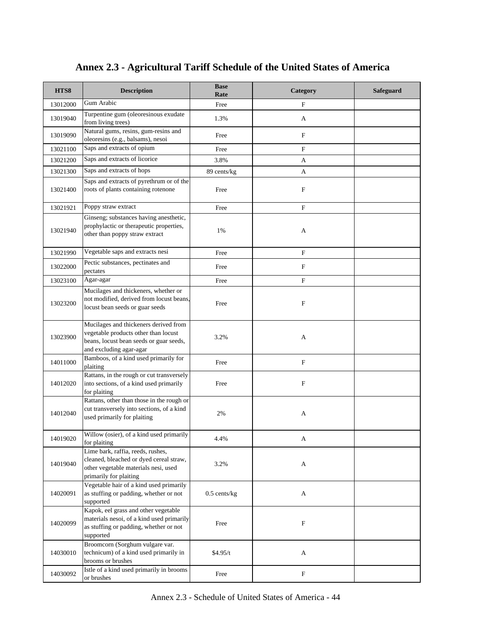| HTS8     | <b>Description</b>                                                                                                                                  | <b>Base</b><br>Rate | Category                  | Safeguard |
|----------|-----------------------------------------------------------------------------------------------------------------------------------------------------|---------------------|---------------------------|-----------|
| 13012000 | Gum Arabic                                                                                                                                          | Free                | $\mathbf F$               |           |
| 13019040 | Turpentine gum (oleoresinous exudate<br>from living trees)                                                                                          | 1.3%                | A                         |           |
| 13019090 | Natural gums, resins, gum-resins and<br>oleoresins (e.g., balsams), nesoi                                                                           | Free                | $\mathbf F$               |           |
| 13021100 | Saps and extracts of opium                                                                                                                          | Free                | $\mathbf F$               |           |
| 13021200 | Saps and extracts of licorice                                                                                                                       | 3.8%                | A                         |           |
| 13021300 | Saps and extracts of hops                                                                                                                           | 89 cents/kg         | A                         |           |
| 13021400 | Saps and extracts of pyrethrum or of the<br>roots of plants containing rotenone                                                                     | Free                | F                         |           |
| 13021921 | Poppy straw extract                                                                                                                                 | Free                | F                         |           |
| 13021940 | Ginseng; substances having anesthetic,<br>prophylactic or therapeutic properties,<br>other than poppy straw extract                                 | 1%                  | A                         |           |
| 13021990 | Vegetable saps and extracts nesi                                                                                                                    | Free                | $\mathbf F$               |           |
| 13022000 | Pectic substances, pectinates and<br>pectates                                                                                                       | Free                | $\mathbf F$               |           |
| 13023100 | Agar-agar                                                                                                                                           | Free                | F                         |           |
| 13023200 | Mucilages and thickeners, whether or<br>not modified, derived from locust beans,<br>locust bean seeds or guar seeds                                 | Free                | F                         |           |
| 13023900 | Mucilages and thickeners derived from<br>vegetable products other than locust<br>beans, locust bean seeds or guar seeds,<br>and excluding agar-agar | 3.2%                | A                         |           |
| 14011000 | Bamboos, of a kind used primarily for<br>plaiting                                                                                                   | Free                | $\mathbf F$               |           |
| 14012020 | Rattans, in the rough or cut transversely<br>into sections, of a kind used primarily<br>for plaiting                                                | Free                | F                         |           |
| 14012040 | Rattans, other than those in the rough or<br>cut transversely into sections, of a kind<br>used primarily for plaiting                               | 2%                  | A                         |           |
| 14019020 | Willow (osier), of a kind used primarily<br>for plaiting                                                                                            | 4.4%                | А                         |           |
| 14019040 | Lime bark, raffia, reeds, rushes,<br>cleaned, bleached or dyed cereal straw,<br>other vegetable materials nesi, used<br>primarily for plaiting      | 3.2%                | A                         |           |
| 14020091 | Vegetable hair of a kind used primarily<br>as stuffing or padding, whether or not<br>supported                                                      | $0.5$ cents/kg      | A                         |           |
| 14020099 | Kapok, eel grass and other vegetable<br>materials nesoi, of a kind used primarily<br>as stuffing or padding, whether or not<br>supported            | Free                | $\boldsymbol{\mathrm{F}}$ |           |
| 14030010 | Broomcorn (Sorghum vulgare var.<br>technicum) of a kind used primarily in<br>brooms or brushes                                                      | \$4.95/t            | A                         |           |
| 14030092 | Istle of a kind used primarily in brooms<br>or brushes                                                                                              | Free                | $\boldsymbol{\mathrm{F}}$ |           |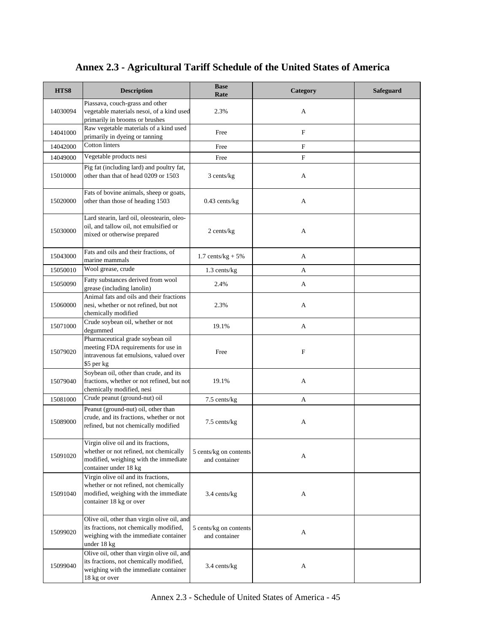| HTS8     | <b>Description</b>                                                                                                                                | <b>Base</b><br>Rate                     | Category    | <b>Safeguard</b> |
|----------|---------------------------------------------------------------------------------------------------------------------------------------------------|-----------------------------------------|-------------|------------------|
| 14030094 | Piassava, couch-grass and other<br>vegetable materials nesoi, of a kind used<br>primarily in brooms or brushes                                    | 2.3%                                    | A           |                  |
| 14041000 | Raw vegetable materials of a kind used<br>primarily in dyeing or tanning                                                                          | Free                                    | $\mathbf F$ |                  |
| 14042000 | <b>Cotton linters</b>                                                                                                                             | Free                                    | F           |                  |
| 14049000 | Vegetable products nesi                                                                                                                           | Free                                    | F           |                  |
| 15010000 | Pig fat (including lard) and poultry fat,<br>other than that of head 0209 or 1503                                                                 | 3 cents/kg                              | A           |                  |
| 15020000 | Fats of bovine animals, sheep or goats,<br>other than those of heading 1503                                                                       | $0.43$ cents/kg                         | A           |                  |
| 15030000 | Lard stearin, lard oil, oleostearin, oleo-<br>oil, and tallow oil, not emulsified or<br>mixed or otherwise prepared                               | 2 cents/kg                              | A           |                  |
| 15043000 | Fats and oils and their fractions, of<br>marine mammals                                                                                           | $1.7 \text{ cents/kg} + 5\%$            | A           |                  |
| 15050010 | Wool grease, crude                                                                                                                                | $1.3$ cents/ $kg$                       | A           |                  |
| 15050090 | Fatty substances derived from wool<br>grease (including lanolin)                                                                                  | 2.4%                                    | A           |                  |
| 15060000 | Animal fats and oils and their fractions<br>nesi, whether or not refined, but not<br>chemically modified                                          | 2.3%                                    | A           |                  |
| 15071000 | Crude soybean oil, whether or not<br>degummed                                                                                                     | 19.1%                                   | A           |                  |
| 15079020 | Pharmaceutical grade soybean oil<br>meeting FDA requirements for use in<br>intravenous fat emulsions, valued over<br>\$5 per kg                   | Free                                    | F           |                  |
| 15079040 | Soybean oil, other than crude, and its<br>fractions, whether or not refined, but not<br>chemically modified, nesi                                 | 19.1%                                   | A           |                  |
| 15081000 | Crude peanut (ground-nut) oil                                                                                                                     | 7.5 cents/kg                            | A           |                  |
| 15089000 | Peanut (ground-nut) oil, other than<br>crude, and its fractions, whether or not<br>refined, but not chemically modified                           | 7.5 cents/kg                            | A           |                  |
| 15091020 | Virgin olive oil and its fractions,<br>whether or not refined, not chemically<br>modified, weighing with the immediate<br>container under 18 kg   | 5 cents/kg on contents<br>and container | A           |                  |
| 15091040 | Virgin olive oil and its fractions,<br>whether or not refined, not chemically<br>modified, weighing with the immediate<br>container 18 kg or over | 3.4 cents/kg                            | A           |                  |
| 15099020 | Olive oil, other than virgin olive oil, and<br>its fractions, not chemically modified,<br>weighing with the immediate container<br>under 18 kg    | 5 cents/kg on contents<br>and container | A           |                  |
| 15099040 | Olive oil, other than virgin olive oil, and<br>its fractions, not chemically modified,<br>weighing with the immediate container<br>18 kg or over  | 3.4 cents/kg                            | A           |                  |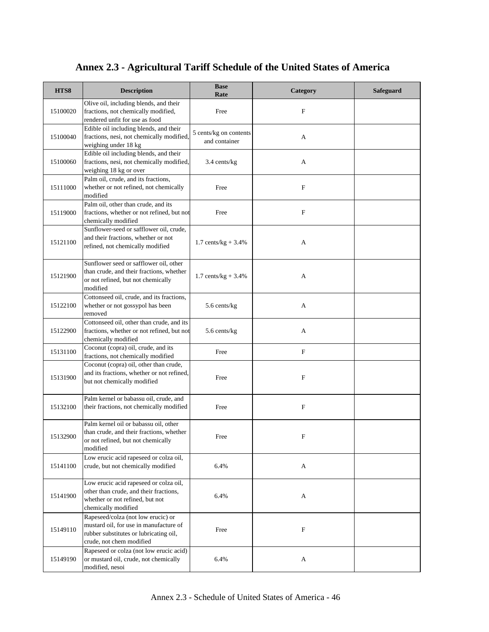| HTS8     | <b>Description</b>                                                                                                                                 | <b>Base</b><br>Rate                     | Category                  | <b>Safeguard</b> |
|----------|----------------------------------------------------------------------------------------------------------------------------------------------------|-----------------------------------------|---------------------------|------------------|
| 15100020 | Olive oil, including blends, and their<br>fractions, not chemically modified,<br>rendered unfit for use as food                                    | Free                                    | F                         |                  |
| 15100040 | Edible oil including blends, and their<br>fractions, nesi, not chemically modified<br>weighing under 18 kg                                         | 5 cents/kg on contents<br>and container | A                         |                  |
| 15100060 | Edible oil including blends, and their<br>fractions, nesi, not chemically modified,<br>weighing 18 kg or over                                      | 3.4 cents/kg                            | A                         |                  |
| 15111000 | Palm oil, crude, and its fractions,<br>whether or not refined, not chemically<br>modified                                                          | Free                                    | F                         |                  |
| 15119000 | Palm oil, other than crude, and its<br>fractions, whether or not refined, but not<br>chemically modified                                           | Free                                    | F                         |                  |
| 15121100 | Sunflower-seed or safflower oil, crude,<br>and their fractions, whether or not<br>refined, not chemically modified                                 | 1.7 cents/kg + $3.4\%$                  | A                         |                  |
| 15121900 | Sunflower seed or safflower oil, other<br>than crude, and their fractions, whether<br>or not refined, but not chemically<br>modified               | $1.7 \text{ cents/kg} + 3.4\%$          | A                         |                  |
| 15122100 | Cottonseed oil, crude, and its fractions,<br>whether or not gossypol has been<br>removed                                                           | 5.6 cents/kg                            | A                         |                  |
| 15122900 | Cottonseed oil, other than crude, and its<br>fractions, whether or not refined, but not<br>chemically modified                                     | 5.6 cents/kg                            | A                         |                  |
| 15131100 | Coconut (copra) oil, crude, and its<br>fractions, not chemically modified                                                                          | Free                                    | F                         |                  |
| 15131900 | Coconut (copra) oil, other than crude,<br>and its fractions, whether or not refined,<br>but not chemically modified                                | Free                                    | F                         |                  |
| 15132100 | Palm kernel or babassu oil, crude, and<br>their fractions, not chemically modified                                                                 | Free                                    | $\boldsymbol{\mathrm{F}}$ |                  |
| 15132900 | Palm kernel oil or babassu oil, other<br>than crude, and their fractions, whether<br>or not refined, but not chemically<br>modified                | Free                                    | F                         |                  |
| 15141100 | Low erucic acid rapeseed or colza oil,<br>crude, but not chemically modified                                                                       | 6.4%                                    | A                         |                  |
| 15141900 | Low erucic acid rapeseed or colza oil,<br>other than crude, and their fractions,<br>whether or not refined, but not<br>chemically modified         | 6.4%                                    | A                         |                  |
| 15149110 | Rapeseed/colza (not low erucic) or<br>mustard oil, for use in manufacture of<br>rubber substitutes or lubricating oil,<br>crude, not chem modified | Free                                    | $\mathbf F$               |                  |
| 15149190 | Rapeseed or colza (not low erucic acid)<br>or mustard oil, crude, not chemically<br>modified, nesoi                                                | 6.4%                                    | A                         |                  |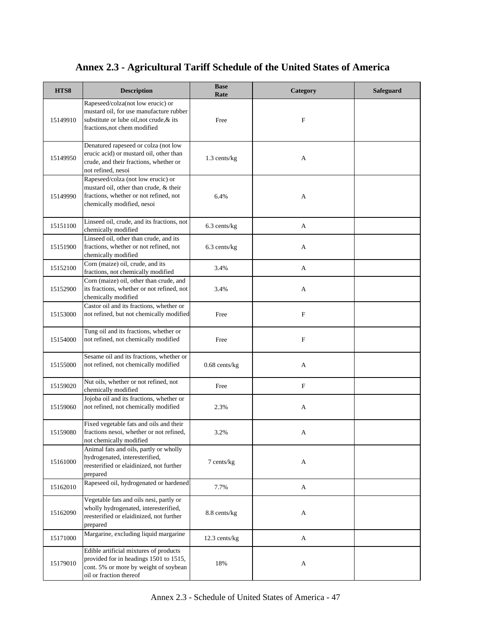| HTS8     | <b>Description</b>                                                                                                                                       | <b>Base</b><br>Rate | Category    | Safeguard |
|----------|----------------------------------------------------------------------------------------------------------------------------------------------------------|---------------------|-------------|-----------|
| 15149910 | Rapeseed/colza(not low erucic) or<br>mustard oil, for use manufacture rubber<br>substitute or lube oil, not crude, & its<br>fractions, not chem modified | Free                | F           |           |
| 15149950 | Denatured rapeseed or colza (not low<br>erucic acid) or mustard oil, other than<br>crude, and their fractions, whether or<br>not refined, nesoi          | 1.3 cents/kg        | А           |           |
| 15149990 | Rapeseed/colza (not low erucic) or<br>mustard oil, other than crude, & their<br>fractions, whether or not refined, not<br>chemically modified, nesoi     | 6.4%                | А           |           |
| 15151100 | Linseed oil, crude, and its fractions, not<br>chemically modified                                                                                        | 6.3 cents/kg        | A           |           |
| 15151900 | Linseed oil, other than crude, and its<br>fractions, whether or not refined, not<br>chemically modified                                                  | 6.3 cents/kg        | А           |           |
| 15152100 | Corn (maize) oil, crude, and its<br>fractions, not chemically modified                                                                                   | 3.4%                | A           |           |
| 15152900 | Corn (maize) oil, other than crude, and<br>its fractions, whether or not refined, not<br>chemically modified                                             | 3.4%                | A           |           |
| 15153000 | Castor oil and its fractions, whether or<br>not refined, but not chemically modified                                                                     | Free                | $\mathbf F$ |           |
| 15154000 | Tung oil and its fractions, whether or<br>not refined, not chemically modified                                                                           | Free                | $\mathbf F$ |           |
| 15155000 | Sesame oil and its fractions, whether or<br>not refined, not chemically modified                                                                         | $0.68$ cents/kg     | А           |           |
| 15159020 | Nut oils, whether or not refined, not<br>chemically modified                                                                                             | Free                | F           |           |
| 15159060 | Jojoba oil and its fractions, whether or<br>not refined, not chemically modified                                                                         | 2.3%                | А           |           |
| 15159080 | Fixed vegetable fats and oils and their<br>fractions nesoi, whether or not refined,<br>not chemically modified                                           | 3.2%                | А           |           |
| 15161000 | Animal fats and oils, partly or wholly<br>hydrogenated, interesterified,<br>reesterified or elaidinized, not further<br>prepared                         | 7 cents/kg          | A           |           |
| 15162010 | Rapeseed oil, hydrogenated or hardened                                                                                                                   | 7.7%                | A           |           |
| 15162090 | Vegetable fats and oils nesi, partly or<br>wholly hydrogenated, interesterified,<br>reesterified or elaidinized, not further<br>prepared                 | 8.8 cents/kg        | A           |           |
| 15171000 | Margarine, excluding liquid margarine                                                                                                                    | 12.3 cents/kg       | A           |           |
| 15179010 | Edible artificial mixtures of products<br>provided for in headings 1501 to 1515,<br>cont. 5% or more by weight of soybean<br>oil or fraction thereof     | 18%                 | A           |           |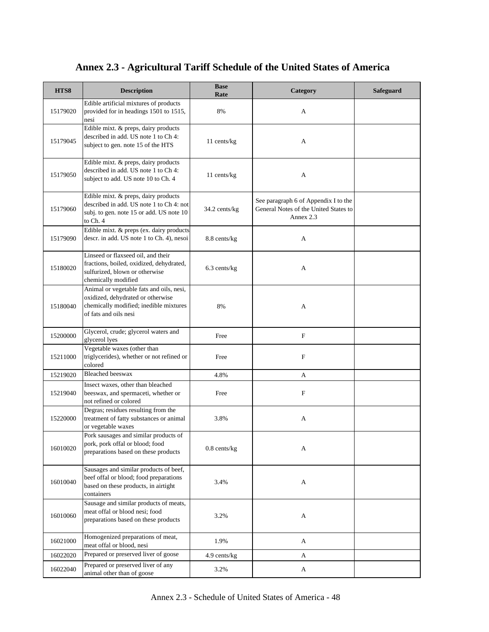| HTS8     | <b>Description</b>                                                                                                                               | <b>Base</b><br>Rate | Category                                                                                   | <b>Safeguard</b> |
|----------|--------------------------------------------------------------------------------------------------------------------------------------------------|---------------------|--------------------------------------------------------------------------------------------|------------------|
| 15179020 | Edible artificial mixtures of products<br>provided for in headings 1501 to 1515,<br>nesi                                                         | 8%                  | A                                                                                          |                  |
| 15179045 | Edible mixt. & preps, dairy products<br>described in add. US note 1 to Ch 4:<br>subject to gen. note 15 of the HTS                               | 11 cents/kg         | A                                                                                          |                  |
| 15179050 | Edible mixt. & preps, dairy products<br>described in add. US note 1 to Ch 4:<br>subject to add. US note 10 to Ch. 4                              | 11 cents/kg         | A                                                                                          |                  |
| 15179060 | Edible mixt. & preps, dairy products<br>described in add. US note 1 to Ch 4: not<br>subj. to gen. note 15 or add. US note 10<br>to Ch. 4         | 34.2 cents/kg       | See paragraph 6 of Appendix I to the<br>General Notes of the United States to<br>Annex 2.3 |                  |
| 15179090 | Edible mixt. & preps (ex. dairy products<br>descr. in add. US note 1 to Ch. 4), nesoi                                                            | 8.8 cents/kg        | A                                                                                          |                  |
| 15180020 | Linseed or flaxseed oil, and their<br>fractions, boiled, oxidized, dehydrated,<br>sulfurized, blown or otherwise<br>chemically modified          | 6.3 cents/kg        | A                                                                                          |                  |
| 15180040 | Animal or vegetable fats and oils, nesi,<br>oxidized, dehydrated or otherwise<br>chemically modified; inedible mixtures<br>of fats and oils nesi | 8%                  | A                                                                                          |                  |
| 15200000 | Glycerol, crude; glycerol waters and<br>glycerol lyes                                                                                            | Free                | $\boldsymbol{\mathrm{F}}$                                                                  |                  |
| 15211000 | Vegetable waxes (other than<br>triglycerides), whether or not refined or<br>colored                                                              | Free                | F                                                                                          |                  |
| 15219020 | <b>Bleached beeswax</b>                                                                                                                          | 4.8%                | A                                                                                          |                  |
| 15219040 | Insect waxes, other than bleached<br>beeswax, and spermaceti, whether or<br>not refined or colored                                               | Free                | $\boldsymbol{\mathrm{F}}$                                                                  |                  |
| 15220000 | Degras; residues resulting from the<br>treatment of fatty substances or animal<br>or vegetable waxes                                             | 3.8%                | A                                                                                          |                  |
| 16010020 | Pork sausages and similar products of<br>pork, pork offal or blood; food<br>preparations based on these products                                 | $0.8$ cents/ $kg$   | A                                                                                          |                  |
| 16010040 | Sausages and similar products of beef,<br>beef offal or blood; food preparations<br>based on these products, in airtight<br>containers           | 3.4%                | A                                                                                          |                  |
| 16010060 | Sausage and similar products of meats,<br>meat offal or blood nesi; food<br>preparations based on these products                                 | 3.2%                | A                                                                                          |                  |
| 16021000 | Homogenized preparations of meat,<br>meat offal or blood, nesi                                                                                   | 1.9%                | A                                                                                          |                  |
| 16022020 | Prepared or preserved liver of goose                                                                                                             | 4.9 cents/kg        | A                                                                                          |                  |
| 16022040 | Prepared or preserved liver of any<br>animal other than of goose                                                                                 | 3.2%                | A                                                                                          |                  |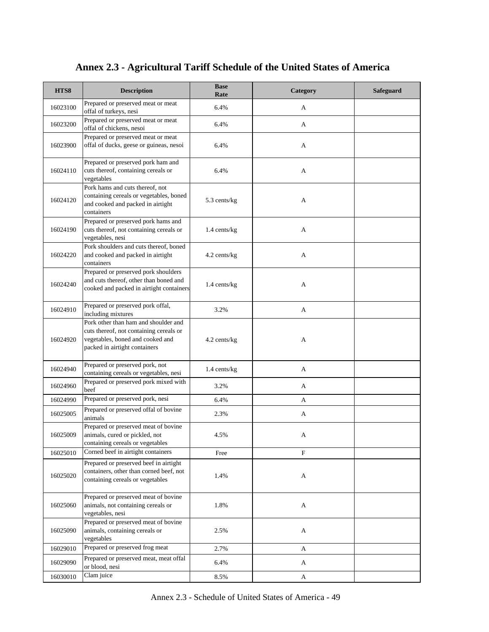| HTS8     | <b>Description</b>                                                                                                                                   | <b>Base</b><br>Rate | Category    | Safeguard |
|----------|------------------------------------------------------------------------------------------------------------------------------------------------------|---------------------|-------------|-----------|
| 16023100 | Prepared or preserved meat or meat<br>offal of turkeys, nesi                                                                                         | 6.4%                | A           |           |
| 16023200 | Prepared or preserved meat or meat<br>offal of chickens, nesoi                                                                                       | 6.4%                | A           |           |
| 16023900 | Prepared or preserved meat or meat<br>offal of ducks, geese or guineas, nesoi                                                                        | 6.4%                | A           |           |
| 16024110 | Prepared or preserved pork ham and<br>cuts thereof, containing cereals or<br>vegetables                                                              | 6.4%                | A           |           |
| 16024120 | Pork hams and cuts thereof, not<br>containing cereals or vegetables, boned<br>and cooked and packed in airtight<br>containers                        | 5.3 cents/kg        | A           |           |
| 16024190 | Prepared or preserved pork hams and<br>cuts thereof, not containing cereals or<br>vegetables, nesi                                                   | 1.4 cents/kg        | A           |           |
| 16024220 | Pork shoulders and cuts thereof, boned<br>and cooked and packed in airtight<br>containers                                                            | 4.2 cents/kg        | A           |           |
| 16024240 | Prepared or preserved pork shoulders<br>and cuts thereof, other than boned and<br>cooked and packed in airtight containers                           | 1.4 cents/kg        | A           |           |
| 16024910 | Prepared or preserved pork offal,<br>including mixtures                                                                                              | 3.2%                | A           |           |
| 16024920 | Pork other than ham and shoulder and<br>cuts thereof, not containing cereals or<br>vegetables, boned and cooked and<br>packed in airtight containers | 4.2 cents/kg        | A           |           |
| 16024940 | Prepared or preserved pork, not<br>containing cereals or vegetables, nesi                                                                            | $1.4$ cents/kg      | A           |           |
| 16024960 | Prepared or preserved pork mixed with<br>beef                                                                                                        | 3.2%                | A           |           |
| 16024990 | Prepared or preserved pork, nesi                                                                                                                     | 6.4%                | A           |           |
| 16025005 | Prepared or preserved offal of bovine<br>animals                                                                                                     | 2.3%                | A           |           |
| 16025009 | Prepared or preserved meat of bovine<br>animals, cured or pickled, not<br>containing cereals or vegetables                                           | 4.5%                | A           |           |
| 16025010 | Corned beef in airtight containers                                                                                                                   | Free                | $\mathbf F$ |           |
| 16025020 | Prepared or preserved beef in airtight<br>containers, other than corned beef, not<br>containing cereals or vegetables                                | 1.4%                | A           |           |
| 16025060 | Prepared or preserved meat of bovine<br>animals, not containing cereals or<br>vegetables, nesi                                                       | 1.8%                | A           |           |
| 16025090 | Prepared or preserved meat of bovine<br>animals, containing cereals or<br>vegetables                                                                 | 2.5%                | A           |           |
| 16029010 | Prepared or preserved frog meat                                                                                                                      | 2.7%                | A           |           |
| 16029090 | Prepared or preserved meat, meat offal<br>or blood, nesi                                                                                             | 6.4%                | A           |           |
| 16030010 | Clam juice                                                                                                                                           | 8.5%                | A           |           |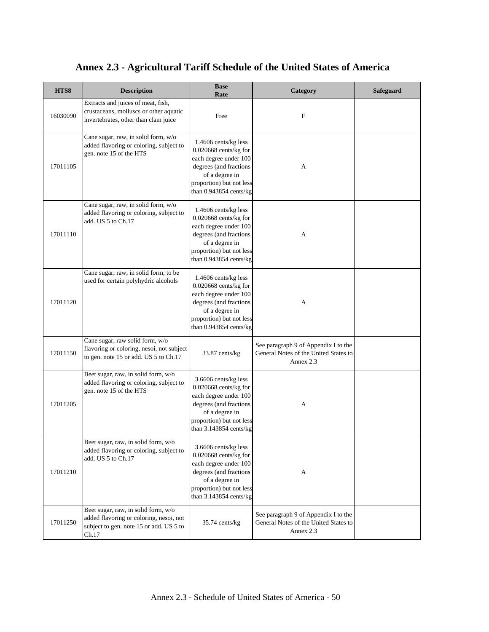| HTS8     | <b>Description</b>                                                                                                                 | <b>Base</b><br>Rate                                                                                                                                                        | Category                                                                                   | Safeguard |
|----------|------------------------------------------------------------------------------------------------------------------------------------|----------------------------------------------------------------------------------------------------------------------------------------------------------------------------|--------------------------------------------------------------------------------------------|-----------|
| 16030090 | Extracts and juices of meat, fish,<br>crustaceans, molluscs or other aquatic<br>invertebrates, other than clam juice               | Free                                                                                                                                                                       | $\mathbf F$                                                                                |           |
| 17011105 | Cane sugar, raw, in solid form, w/o<br>added flavoring or coloring, subject to<br>gen. note 15 of the HTS                          | 1.4606 cents/kg less<br>0.020668 cents/kg for<br>each degree under 100<br>degrees (and fractions<br>of a degree in<br>proportion) but not less<br>than 0.943854 cents/kg   | А                                                                                          |           |
| 17011110 | Cane sugar, raw, in solid form, w/o<br>added flavoring or coloring, subject to<br>add. US 5 to Ch.17                               | 1.4606 cents/kg less<br>$0.020668$ cents/kg for<br>each degree under 100<br>degrees (and fractions<br>of a degree in<br>proportion) but not less<br>than 0.943854 cents/kg | А                                                                                          |           |
| 17011120 | Cane sugar, raw, in solid form, to be<br>used for certain polyhydric alcohols                                                      | 1.4606 cents/kg less<br>0.020668 cents/kg for<br>each degree under 100<br>degrees (and fractions<br>of a degree in<br>proportion) but not less<br>than $0.943854$ cents/kg | A                                                                                          |           |
| 17011150 | Cane sugar, raw solid form, w/o<br>flavoring or coloring, nesoi, not subject<br>to gen. note 15 or add. US 5 to Ch.17              | 33.87 cents/kg                                                                                                                                                             | See paragraph 9 of Appendix I to the<br>General Notes of the United States to<br>Annex 2.3 |           |
| 17011205 | Beet sugar, raw, in solid form, w/o<br>added flavoring or coloring, subject to<br>gen. note 15 of the HTS                          | 3.6606 cents/kg less<br>0.020668 cents/kg for<br>each degree under 100<br>degrees (and fractions<br>of a degree in<br>proportion) but not less<br>than 3.143854 cents/kg   | A                                                                                          |           |
| 17011210 | Beet sugar, raw, in solid form, w/o<br>added flavoring or coloring, subject to<br>add. US 5 to Ch.17                               | 3.6606 cents/kg less<br>$0.020668$ cents/kg for<br>each degree under 100<br>degrees (and fractions<br>of a degree in<br>proportion) but not less<br>than 3.143854 cents/kg | A                                                                                          |           |
| 17011250 | Beet sugar, raw, in solid form, w/o<br>added flavoring or coloring, nesoi, not<br>subject to gen. note 15 or add. US 5 to<br>Ch.17 | 35.74 cents/kg                                                                                                                                                             | See paragraph 9 of Appendix I to the<br>General Notes of the United States to<br>Annex 2.3 |           |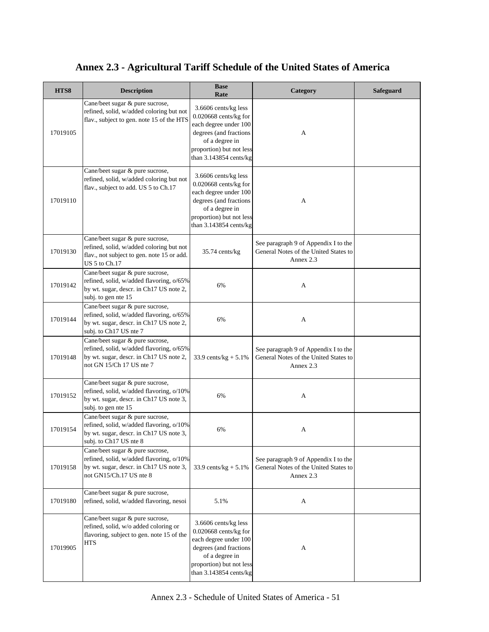| HTS8     | <b>Description</b>                                                                                                                                 | <b>Base</b><br>Rate                                                                                                                                                        | Category                                                                                   | Safeguard |
|----------|----------------------------------------------------------------------------------------------------------------------------------------------------|----------------------------------------------------------------------------------------------------------------------------------------------------------------------------|--------------------------------------------------------------------------------------------|-----------|
| 17019105 | Cane/beet sugar & pure sucrose,<br>refined, solid, w/added coloring but not<br>flav., subject to gen. note 15 of the HTS                           | 3.6606 cents/kg less<br>$0.020668$ cents/kg for<br>each degree under 100<br>degrees (and fractions<br>of a degree in<br>proportion) but not less<br>than 3.143854 cents/kg | A                                                                                          |           |
| 17019110 | Cane/beet sugar & pure sucrose,<br>refined, solid, w/added coloring but not<br>flav., subject to add. US 5 to Ch.17                                | 3.6606 cents/kg less<br>0.020668 cents/kg for<br>each degree under 100<br>degrees (and fractions<br>of a degree in<br>proportion) but not less<br>than 3.143854 cents/kg   | A                                                                                          |           |
| 17019130 | Cane/beet sugar & pure sucrose,<br>refined, solid, w/added coloring but not<br>flav., not subject to gen. note 15 or add.<br>US 5 to Ch.17         | 35.74 cents/kg                                                                                                                                                             | See paragraph 9 of Appendix I to the<br>General Notes of the United States to<br>Annex 2.3 |           |
| 17019142 | Cane/beet sugar & pure sucrose,<br>refined, solid, w/added flavoring, o/65%<br>by wt. sugar, descr. in Ch17 US note 2,<br>subj. to gen nte 15      | 6%                                                                                                                                                                         | A                                                                                          |           |
| 17019144 | Cane/beet sugar & pure sucrose,<br>refined, solid, w/added flavoring, o/65%<br>by wt. sugar, descr. in Ch17 US note 2,<br>subj. to Ch17 US nte 7   | 6%                                                                                                                                                                         | A                                                                                          |           |
| 17019148 | Cane/beet sugar & pure sucrose,<br>refined, solid, w/added flavoring, o/65%<br>by wt. sugar, descr. in Ch17 US note 2,<br>not GN 15/Ch 17 US nte 7 | 33.9 cents/ $kg + 5.1%$                                                                                                                                                    | See paragraph 9 of Appendix I to the<br>General Notes of the United States to<br>Annex 2.3 |           |
| 17019152 | Cane/beet sugar & pure sucrose,<br>refined, solid, w/added flavoring, o/10%<br>by wt. sugar, descr. in Ch17 US note 3,<br>subj. to gen nte 15      | 6%                                                                                                                                                                         | A                                                                                          |           |
| 17019154 | Cane/beet sugar & pure sucrose,<br>refined, solid, w/added flavoring, o/10%<br>by wt. sugar, descr. in Ch17 US note 3,<br>subj. to Ch17 US nte 8   | 6%                                                                                                                                                                         | A                                                                                          |           |
| 17019158 | Cane/beet sugar & pure sucrose,<br>refined, solid, w/added flavoring, o/10%<br>by wt. sugar, descr. in Ch17 US note 3,<br>not GN15/Ch.17 US nte 8  | 33.9 cents/kg + $5.1\%$                                                                                                                                                    | See paragraph 9 of Appendix I to the<br>General Notes of the United States to<br>Annex 2.3 |           |
| 17019180 | Cane/beet sugar & pure sucrose,<br>refined, solid, w/added flavoring, nesoi                                                                        | 5.1%                                                                                                                                                                       | A                                                                                          |           |
| 17019905 | Cane/beet sugar & pure sucrose,<br>refined, solid, w/o added coloring or<br>flavoring, subject to gen. note 15 of the<br><b>HTS</b>                | 3.6606 cents/kg less<br>$0.020668$ cents/kg for<br>each degree under 100<br>degrees (and fractions<br>of a degree in<br>proportion) but not less<br>than 3.143854 cents/kg | A                                                                                          |           |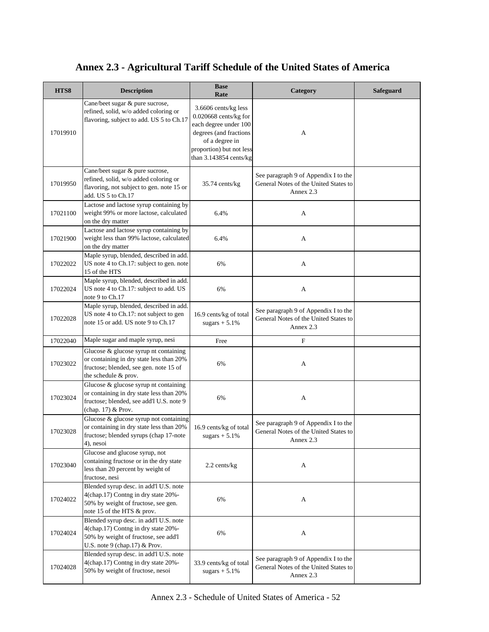| HTS8     | <b>Description</b>                                                                                                                                     | <b>Base</b><br>Rate                                                                                                                                                        | Category                                                                                   | <b>Safeguard</b> |
|----------|--------------------------------------------------------------------------------------------------------------------------------------------------------|----------------------------------------------------------------------------------------------------------------------------------------------------------------------------|--------------------------------------------------------------------------------------------|------------------|
| 17019910 | Cane/beet sugar & pure sucrose,<br>refined, solid, w/o added coloring or<br>flavoring, subject to add. US 5 to Ch.17                                   | 3.6606 cents/kg less<br>$0.020668$ cents/kg for<br>each degree under 100<br>degrees (and fractions<br>of a degree in<br>proportion) but not less<br>than 3.143854 cents/kg | A                                                                                          |                  |
| 17019950 | Cane/beet sugar & pure sucrose,<br>refined, solid, w/o added coloring or<br>flavoring, not subject to gen. note 15 or<br>add. US 5 to Ch.17            | 35.74 cents/kg                                                                                                                                                             | See paragraph 9 of Appendix I to the<br>General Notes of the United States to<br>Annex 2.3 |                  |
| 17021100 | Lactose and lactose syrup containing by<br>weight 99% or more lactose, calculated<br>on the dry matter                                                 | 6.4%                                                                                                                                                                       | A                                                                                          |                  |
| 17021900 | Lactose and lactose syrup containing by<br>weight less than 99% lactose, calculated<br>on the dry matter                                               | 6.4%                                                                                                                                                                       | A                                                                                          |                  |
| 17022022 | Maple syrup, blended, described in add.<br>US note 4 to Ch.17: subject to gen. note<br>15 of the HTS                                                   | 6%                                                                                                                                                                         | A                                                                                          |                  |
| 17022024 | Maple syrup, blended, described in add.<br>US note 4 to Ch.17: subject to add. US<br>note 9 to Ch.17                                                   | 6%                                                                                                                                                                         | A                                                                                          |                  |
| 17022028 | Maple syrup, blended, described in add.<br>US note 4 to Ch.17: not subject to gen<br>note 15 or add. US note 9 to Ch.17                                | 16.9 cents/kg of total<br>sugars $+ 5.1\%$                                                                                                                                 | See paragraph 9 of Appendix I to the<br>General Notes of the United States to<br>Annex 2.3 |                  |
| 17022040 | Maple sugar and maple syrup, nesi                                                                                                                      | Free                                                                                                                                                                       | F                                                                                          |                  |
| 17023022 | Glucose & glucose syrup nt containing<br>or containing in dry state less than 20%<br>fructose; blended, see gen. note 15 of<br>the schedule & prov.    | 6%                                                                                                                                                                         | A                                                                                          |                  |
| 17023024 | Glucose & glucose syrup nt containing<br>or containing in dry state less than 20%<br>fructose; blended, see add'l U.S. note 9<br>(chap. 17) & Prov.    | 6%                                                                                                                                                                         | A                                                                                          |                  |
| 17023028 | Glucose & glucose syrup not containing<br>or containing in dry state less than 20%<br>fructose; blended syrups (chap 17-note<br>4), nesoi              | 16.9 cents/kg of total<br>sugars $+ 5.1%$                                                                                                                                  | See paragraph 9 of Appendix I to the<br>General Notes of the United States to<br>Annex 2.3 |                  |
| 17023040 | Glucose and glucose syrup, not<br>containing fructose or in the dry state<br>less than 20 percent by weight of<br>fructose, nesi                       | 2.2 cents/kg                                                                                                                                                               | A                                                                                          |                  |
| 17024022 | Blended syrup desc. in add'l U.S. note<br>4(chap.17) Contng in dry state 20%-<br>50% by weight of fructose, see gen.<br>note 15 of the HTS & prov.     | 6%                                                                                                                                                                         | A                                                                                          |                  |
| 17024024 | Blended syrup desc. in add'l U.S. note<br>4(chap.17) Contng in dry state 20%-<br>50% by weight of fructose, see add'l<br>U.S. note 9 (chap.17) & Prov. | 6%                                                                                                                                                                         | A                                                                                          |                  |
| 17024028 | Blended syrup desc. in add'l U.S. note<br>4(chap.17) Contng in dry state 20%-<br>50% by weight of fructose, nesoi                                      | 33.9 cents/kg of total<br>sugars $+ 5.1\%$                                                                                                                                 | See paragraph 9 of Appendix I to the<br>General Notes of the United States to<br>Annex 2.3 |                  |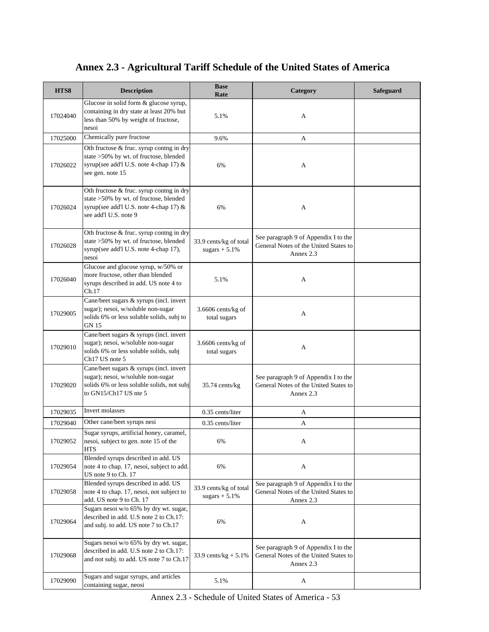| HTS8     | <b>Description</b>                                                                                                                                    | <b>Base</b><br>Rate                        | Category                                                                                   | <b>Safeguard</b> |
|----------|-------------------------------------------------------------------------------------------------------------------------------------------------------|--------------------------------------------|--------------------------------------------------------------------------------------------|------------------|
| 17024040 | Glucose in solid form & glucose syrup,<br>containing in dry state at least 20% but<br>less than 50% by weight of fructose,<br>nesoi                   | 5.1%                                       | A                                                                                          |                  |
| 17025000 | Chemically pure fructose                                                                                                                              | 9.6%                                       | А                                                                                          |                  |
| 17026022 | Oth fructose & fruc. syrup contng in dry<br>state >50% by wt. of fructose, blended<br>syrup(see add'l U.S. note 4-chap 17) &<br>see gen. note 15      | 6%                                         | A                                                                                          |                  |
| 17026024 | Oth fructose & fruc. syrup contng in dry<br>state >50% by wt. of fructose, blended<br>syrup(see add'l U.S. note 4-chap 17) &<br>see add'l U.S. note 9 | 6%                                         | A                                                                                          |                  |
| 17026028 | Oth fructose & fruc. syrup contng in dry<br>state >50% by wt. of fructose, blended<br>syrup(see add'l U.S. note 4-chap 17),<br>nesoi                  | 33.9 cents/kg of total<br>sugars $+ 5.1\%$ | See paragraph 9 of Appendix I to the<br>General Notes of the United States to<br>Annex 2.3 |                  |
| 17026040 | Glucose and glucose syrup, w/50% or<br>more fructose, other than blended<br>syrups described in add. US note 4 to<br>Ch.17                            | 5.1%                                       | A                                                                                          |                  |
| 17029005 | Cane/beet sugars & syrups (incl. invert<br>sugar); nesoi, w/soluble non-sugar<br>solids 6% or less soluble solids, subj to<br>GN 15                   | 3.6606 cents/kg of<br>total sugars         | А                                                                                          |                  |
| 17029010 | Cane/beet sugars & syrups (incl. invert<br>sugar); nesoi, w/soluble non-sugar<br>solids 6% or less soluble solids, subj<br>Ch17 US note 5             | 3.6606 cents/kg of<br>total sugars         | A                                                                                          |                  |
| 17029020 | Cane/beet sugars & syrups (incl. invert<br>sugar); nesoi, w/soluble non-sugar<br>solids 6% or less soluble solids, not subj<br>to GN15/Ch17 US nte 5  | $35.74$ cents/kg                           | See paragraph 9 of Appendix I to the<br>General Notes of the United States to<br>Annex 2.3 |                  |
| 17029035 | Invert molasses                                                                                                                                       | 0.35 cents/liter                           | А                                                                                          |                  |
| 17029040 | Other cane/beet syrups nesi                                                                                                                           | 0.35 cents/liter                           | А                                                                                          |                  |
| 17029052 | Sugar syrups, artificial honey, caramel,<br>nesoi, subject to gen. note 15 of the<br><b>HTS</b>                                                       | 6%                                         | A                                                                                          |                  |
| 17029054 | Blended syrups described in add. US<br>note 4 to chap. 17, nesoi, subject to add.<br>US note 9 to Ch. 17                                              | 6%                                         | A                                                                                          |                  |
| 17029058 | Blended syrups described in add. US<br>note 4 to chap. 17, nesoi, not subject to<br>add. US note 9 to Ch. 17                                          | 33.9 cents/kg of total<br>sugars $+ 5.1\%$ | See paragraph 9 of Appendix I to the<br>General Notes of the United States to<br>Annex 2.3 |                  |
| 17029064 | Sugars nesoi w/o 65% by dry wt. sugar,<br>described in add. U.S note 2 to Ch.17:<br>and subj. to add. US note 7 to Ch.17                              | 6%                                         | A                                                                                          |                  |
| 17029068 | Sugars nesoi w/o 65% by dry wt. sugar,<br>described in add. U.S note 2 to Ch.17:<br>and not subj. to add. US note 7 to Ch.17                          | 33.9 cents/ $kg + 5.1\%$                   | See paragraph 9 of Appendix I to the<br>General Notes of the United States to<br>Annex 2.3 |                  |
| 17029090 | Sugars and sugar syrups, and articles<br>containing sugar, neosi                                                                                      | 5.1%                                       | A                                                                                          |                  |

Annex 2.3 - Schedule of United States of America - 53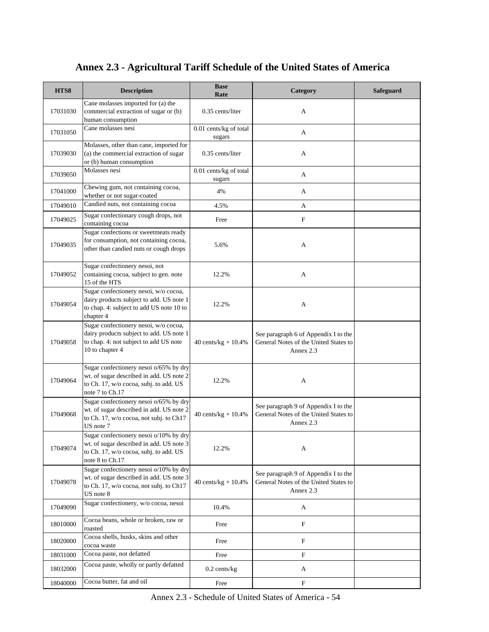| HTS8     | <b>Description</b>                                                                                                                              | <b>Base</b><br>Rate              | Category                                                                                   | <b>Safeguard</b> |
|----------|-------------------------------------------------------------------------------------------------------------------------------------------------|----------------------------------|--------------------------------------------------------------------------------------------|------------------|
| 17031030 | Cane molasses imported for (a) the<br>commercial extraction of sugar or (b)<br>human consumption                                                | 0.35 cents/liter                 | A                                                                                          |                  |
| 17031050 | Cane molasses nesi                                                                                                                              | 0.01 cents/kg of total<br>sugars | A                                                                                          |                  |
| 17039030 | Molasses, other than cane, imported for<br>(a) the commercial extraction of sugar<br>or (b) human consumption                                   | 0.35 cents/liter                 | A                                                                                          |                  |
| 17039050 | Molasses nesi                                                                                                                                   | 0.01 cents/kg of total<br>sugars | A                                                                                          |                  |
| 17041000 | Chewing gum, not containing cocoa,<br>whether or not sugar-coated                                                                               | 4%                               | А                                                                                          |                  |
| 17049010 | Candied nuts, not containing cocoa                                                                                                              | 4.5%                             | A                                                                                          |                  |
| 17049025 | Sugar confectionary cough drops, not<br>containing cocoa                                                                                        | Free                             | $\mathbf F$                                                                                |                  |
| 17049035 | Sugar confections or sweetmeats ready<br>for consumption, not containing cocoa,<br>other than candied nuts or cough drops                       | 5.6%                             | А                                                                                          |                  |
| 17049052 | Sugar confectionery nesoi, not<br>containing cocoa, subject to gen. note<br>15 of the HTS                                                       | 12.2%                            | A                                                                                          |                  |
| 17049054 | Sugar confectionery nesoi, w/o cocoa,<br>dairy products subject to add. US note 1<br>to chap. 4: subject to add US note 10 to<br>chapter 4      | 12.2%                            | А                                                                                          |                  |
| 17049058 | Sugar confectionery nesoi, w/o cocoa,<br>dairy products subject to add. US note 1<br>to chap. 4: not subject to add US note<br>10 to chapter 4  | 40 cents/ $kg + 10.4%$           | See paragraph 6 of Appendix I to the<br>General Notes of the United States to<br>Annex 2.3 |                  |
| 17049064 | Sugar confectionery nesoi o/65% by dry<br>wt. of sugar described in add. US note 2<br>to Ch. 17, w/o cocoa, subj. to add. US<br>note 7 to Ch.17 | 12.2%                            | А                                                                                          |                  |
| 17049068 | Sugar confectionery nesoi o/65% by dry<br>wt. of sugar described in add. US note 2<br>to Ch. 17, w/o cocoa, not subj. to Ch17<br>US note 7      | 40 cents/ $kg + 10.4%$           | See paragraph 9 of Appendix I to the<br>General Notes of the United States to<br>Annex 2.3 |                  |
| 17049074 | Sugar confectionery nesoi o/10% by dry<br>wt. of sugar described in add. US note 3<br>to Ch. 17, w/o cocoa, subj. to add. US<br>note 8 to Ch.17 | 12.2%                            | A                                                                                          |                  |
| 17049078 | Sugar confectionery nesoi o/10% by dry<br>wt. of sugar described in add. US note 3<br>to Ch. 17, w/o cocoa, not subj. to Ch17<br>US note 8      | 40 cents/ $kg + 10.4%$           | See paragraph 9 of Appendix I to the<br>General Notes of the United States to<br>Annex 2.3 |                  |
| 17049090 | Sugar confectionery, w/o cocoa, nesoi                                                                                                           | 10.4%                            | A                                                                                          |                  |
| 18010000 | Cocoa beans, whole or broken, raw or<br>roasted                                                                                                 | Free                             | F                                                                                          |                  |
| 18020000 | Cocoa shells, husks, skins and other<br>cocoa waste                                                                                             | Free                             | F                                                                                          |                  |
| 18031000 | Cocoa paste, not defatted                                                                                                                       | Free                             | $\mathbf F$                                                                                |                  |
| 18032000 | Cocoa paste, wholly or partly defatted                                                                                                          | $0.2$ cents/kg                   | A                                                                                          |                  |
| 18040000 | Cocoa butter, fat and oil                                                                                                                       | Free                             | $\boldsymbol{\mathrm{F}}$                                                                  |                  |

Annex 2.3 - Schedule of United States of America - 54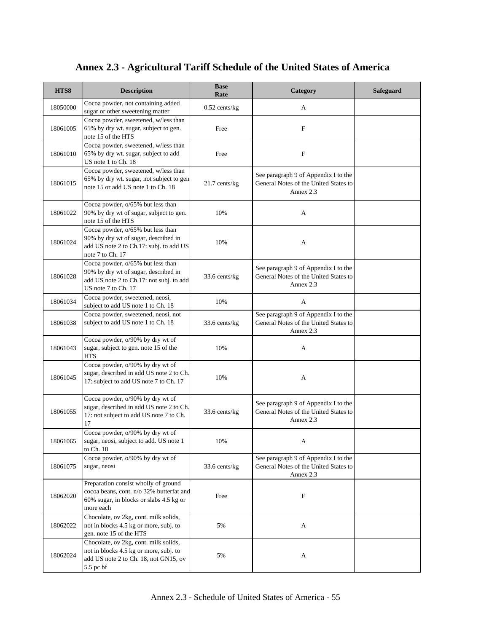| HTS8     | <b>Description</b>                                                                                                                           | <b>Base</b><br>Rate | Category                                                                                   | <b>Safeguard</b> |
|----------|----------------------------------------------------------------------------------------------------------------------------------------------|---------------------|--------------------------------------------------------------------------------------------|------------------|
| 18050000 | Cocoa powder, not containing added<br>sugar or other sweetening matter                                                                       | $0.52$ cents/kg     | A                                                                                          |                  |
| 18061005 | Cocoa powder, sweetened, w/less than<br>65% by dry wt. sugar, subject to gen.<br>note 15 of the HTS                                          | Free                | F                                                                                          |                  |
| 18061010 | Cocoa powder, sweetened, w/less than<br>65% by dry wt. sugar, subject to add<br>US note 1 to Ch. 18                                          | Free                | $\boldsymbol{\mathrm{F}}$                                                                  |                  |
| 18061015 | Cocoa powder, sweetened, w/less than<br>65% by dry wt. sugar, not subject to gen<br>note 15 or add US note 1 to Ch. 18                       | $21.7$ cents/kg     | See paragraph 9 of Appendix I to the<br>General Notes of the United States to<br>Annex 2.3 |                  |
| 18061022 | Cocoa powder, o/65% but less than<br>90% by dry wt of sugar, subject to gen.<br>note 15 of the HTS                                           | 10%                 | A                                                                                          |                  |
| 18061024 | Cocoa powder, o/65% but less than<br>90% by dry wt of sugar, described in<br>add US note 2 to Ch.17: subj. to add US<br>note 7 to Ch. 17     | 10%                 | A                                                                                          |                  |
| 18061028 | Cocoa powder, o/65% but less than<br>90% by dry wt of sugar, described in<br>add US note 2 to Ch.17: not subj. to add<br>US note 7 to Ch. 17 | 33.6 cents/kg       | See paragraph 9 of Appendix I to the<br>General Notes of the United States to<br>Annex 2.3 |                  |
| 18061034 | Cocoa powder, sweetened, neosi,<br>subject to add US note 1 to Ch. 18                                                                        | 10%                 | A                                                                                          |                  |
| 18061038 | Cocoa powder, sweetened, neosi, not<br>subject to add US note 1 to Ch. 18                                                                    | 33.6 cents/kg       | See paragraph 9 of Appendix I to the<br>General Notes of the United States to<br>Annex 2.3 |                  |
| 18061043 | Cocoa powder, o/90% by dry wt of<br>sugar, subject to gen. note 15 of the<br><b>HTS</b>                                                      | 10%                 | A                                                                                          |                  |
| 18061045 | Cocoa powder, o/90% by dry wt of<br>sugar, described in add US note 2 to Ch.<br>17: subject to add US note 7 to Ch. 17                       | 10%                 | A                                                                                          |                  |
| 18061055 | Cocoa powder, o/90% by dry wt of<br>sugar, described in add US note 2 to Ch.<br>17: not subject to add US note 7 to Ch.<br>17                | 33.6 cents/kg       | See paragraph 9 of Appendix I to the<br>General Notes of the United States to<br>Annex 2.3 |                  |
| 18061065 | Cocoa powder, o/90% by dry wt of<br>sugar, neosi, subject to add. US note 1<br>to Ch. 18                                                     | 10%                 | A                                                                                          |                  |
| 18061075 | Cocoa powder, o/90% by dry wt of<br>sugar, neosi                                                                                             | 33.6 cents/kg       | See paragraph 9 of Appendix I to the<br>General Notes of the United States to<br>Annex 2.3 |                  |
| 18062020 | Preparation consist wholly of ground<br>cocoa beans, cont. n/o 32% butterfat and<br>60% sugar, in blocks or slabs 4.5 kg or<br>more each     | Free                | F                                                                                          |                  |
| 18062022 | Chocolate, ov 2kg, cont. milk solids,<br>not in blocks 4.5 kg or more, subj. to<br>gen. note 15 of the HTS                                   | 5%                  | A                                                                                          |                  |
| 18062024 | Chocolate, ov 2kg, cont. milk solids,<br>not in blocks 4.5 kg or more, subj. to<br>add US note 2 to Ch. 18, not GN15, ov<br>5.5 pc bf        | 5%                  | A                                                                                          |                  |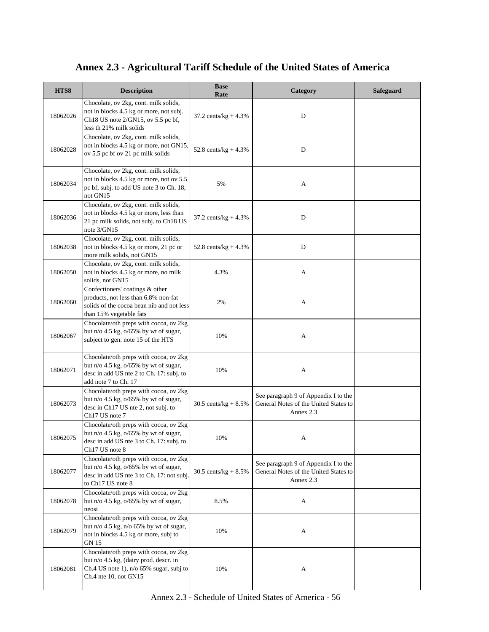| HTS8     | <b>Description</b>                                                                                                                                                 | <b>Base</b><br>Rate     | Category                                                                                   | <b>Safeguard</b> |
|----------|--------------------------------------------------------------------------------------------------------------------------------------------------------------------|-------------------------|--------------------------------------------------------------------------------------------|------------------|
| 18062026 | Chocolate, ov 2kg, cont. milk solids,<br>not in blocks 4.5 kg or more, not subj.<br>Ch18 US note 2/GN15, ov 5.5 pc bf,<br>less th 21% milk solids                  | 37.2 cents/ $kg + 4.3%$ | D                                                                                          |                  |
| 18062028 | Chocolate, ov 2kg, cont. milk solids,<br>not in blocks 4.5 kg or more, not GN15,<br>ov 5.5 pc bf ov 21 pc milk solids                                              | 52.8 cents/ $kg + 4.3%$ | D                                                                                          |                  |
| 18062034 | Chocolate, ov 2kg, cont. milk solids,<br>not in blocks 4.5 kg or more, not ov 5.5<br>pc bf, subj. to add US note 3 to Ch. 18,<br>not GN15                          | 5%                      | A                                                                                          |                  |
| 18062036 | Chocolate, ov 2kg, cont. milk solids,<br>not in blocks 4.5 kg or more, less than<br>21 pc milk solids, not subj. to Ch18 US<br>note 3/GN15                         | 37.2 cents/ $kg + 4.3%$ | D                                                                                          |                  |
| 18062038 | Chocolate, ov 2kg, cont. milk solids,<br>not in blocks 4.5 kg or more, 21 pc or<br>more milk solids, not GN15                                                      | 52.8 cents/kg + $4.3\%$ | D                                                                                          |                  |
| 18062050 | Chocolate, ov 2kg, cont. milk solids,<br>not in blocks 4.5 kg or more, no milk<br>solids, not GN15                                                                 | 4.3%                    | A                                                                                          |                  |
| 18062060 | Confectioners' coatings & other<br>products, not less than 6.8% non-fat<br>solids of the cocoa bean nib and not less<br>than 15% vegetable fats                    | 2%                      | A                                                                                          |                  |
| 18062067 | Chocolate/oth preps with cocoa, ov 2kg<br>but $n/\sigma$ 4.5 kg, $\sigma$ /65% by wt of sugar,<br>subject to gen. note 15 of the HTS                               | 10%                     | A                                                                                          |                  |
| 18062071 | Chocolate/oth preps with cocoa, ov 2kg<br>but $n/\sigma$ 4.5 kg, $\sigma$ /65% by wt of sugar,<br>desc in add US nte 2 to Ch. 17: subj. to<br>add note 7 to Ch. 17 | 10%                     | A                                                                                          |                  |
| 18062073 | Chocolate/oth preps with cocoa, ov 2kg<br>but $n/o$ 4.5 kg, $o/65\%$ by wt of sugar,<br>desc in Ch17 US nte 2, not subj. to<br>Ch17 US note 7                      | 30.5 cents/ $kg + 8.5%$ | See paragraph 9 of Appendix I to the<br>General Notes of the United States to<br>Annex 2.3 |                  |
| 18062075 | Chocolate/oth preps with cocoa, ov 2kg<br>but $n/\sigma$ 4.5 kg, $\sigma$ /65% by wt of sugar,<br>desc in add US nte 3 to Ch. 17: subj. to<br>Ch17 US note 8       | 10%                     | А                                                                                          |                  |
| 18062077 | Chocolate/oth preps with cocoa, ov 2kg<br>but $n/o$ 4.5 kg, $o/65\%$ by wt of sugar,<br>desc in add US nte 3 to Ch. 17: not subj.<br>to Ch17 US note 8             | 30.5 cents/kg + $8.5\%$ | See paragraph 9 of Appendix I to the<br>General Notes of the United States to<br>Annex 2.3 |                  |
| 18062078 | Chocolate/oth preps with cocoa, ov 2kg<br>but n/o 4.5 kg, o/65% by wt of sugar,<br>neosi                                                                           | 8.5%                    | A                                                                                          |                  |
| 18062079 | Chocolate/oth preps with cocoa, ov 2kg<br>but n/o 4.5 kg, n/o 65% by wt of sugar,<br>not in blocks 4.5 kg or more, subj to<br>GN 15                                | 10%                     | A                                                                                          |                  |
| 18062081 | Chocolate/oth preps with cocoa, ov 2kg<br>but n/o 4.5 kg, (dairy prod. descr. in<br>Ch.4 US note 1), n/o 65% sugar, subj to<br>Ch.4 nte 10, not GN15               | 10%                     | A                                                                                          |                  |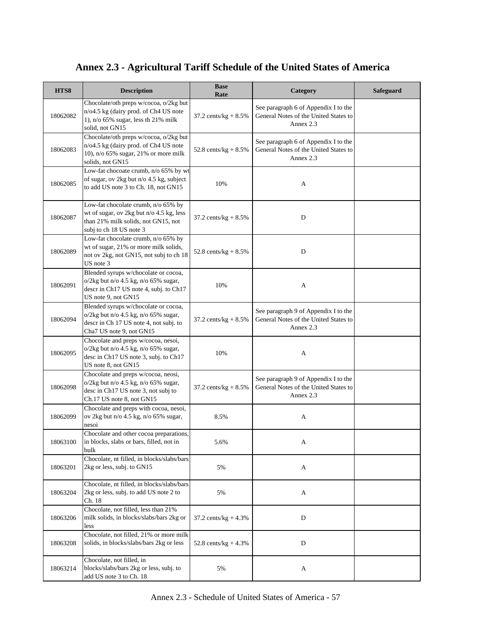| HTS8     | <b>Description</b>                                                                                                                                   | <b>Base</b><br>Rate     | Category                                                                                   | Safeguard |
|----------|------------------------------------------------------------------------------------------------------------------------------------------------------|-------------------------|--------------------------------------------------------------------------------------------|-----------|
| 18062082 | Chocolate/oth preps w/cocoa, o/2kg but<br>n/o4.5 kg (dairy prod. of Ch4 US note<br>1), $n/o 65% sugar, less th 21% milk$<br>solid, not GN15          | 37.2 cents/kg + $8.5\%$ | See paragraph 6 of Appendix I to the<br>General Notes of the United States to<br>Annex 2.3 |           |
| 18062083 | Chocolate/oth preps w/cocoa, o/2kg but<br>n/o4.5 kg (dairy prod. of Ch4 US note<br>10), n/o 65% sugar, 21% or more milk<br>solids, not GN15          | 52.8 cents/ $kg + 8.5%$ | See paragraph 6 of Appendix I to the<br>General Notes of the United States to<br>Annex 2.3 |           |
| 18062085 | Low-fat chocoate crumb, n/o 65% by wt<br>of sugar, ov 2kg but n/o 4.5 kg, subject<br>to add US note 3 to Ch. 18, not GN15                            | 10%                     | A                                                                                          |           |
| 18062087 | Low-fat chocolate crumb, n/o 65% by<br>wt of sugar, ov 2kg but n/o 4.5 kg, less<br>than 21% milk solids, not GN15, not<br>subj to ch 18 US note 3    | 37.2 cents/kg + $8.5\%$ | D                                                                                          |           |
| 18062089 | Low-fat chocolate crumb, n/o 65% by<br>wt of sugar, 21% or more milk solids,<br>not ov 2kg, not GN15, not subj to ch 18<br>US note 3                 | 52.8 cents/ $kg + 8.5%$ | D                                                                                          |           |
| 18062091 | Blended syrups w/chocolate or cocoa,<br>$o/2kg$ but n/o 4.5 kg, n/o 65% sugar,<br>descr in Ch17 US note 4, subj. to Ch17<br>US note 9, not GN15      | 10%                     | A                                                                                          |           |
| 18062094 | Blended syrups w/chocolate or cocoa,<br>$o/2kg$ but n/o 4.5 kg, n/o 65% sugar,<br>descr in Ch 17 US note 4, not subj. to<br>Cha7 US note 9, not GN15 | 37.2 cents/kg + $8.5\%$ | See paragraph 9 of Appendix I to the<br>General Notes of the United States to<br>Annex 2.3 |           |
| 18062095 | Chocolate and preps w/cocoa, nesoi,<br>$o/2kg$ but n/o 4.5 kg, n/o 65% sugar,<br>desc in Ch17 US note 3, subj. to Ch17<br>US note 8, not GN15        | 10%                     | A                                                                                          |           |
| 18062098 | Chocolate and preps w/cocoa, neosi,<br>$o/2kg$ but n/o 4.5 kg, n/o 65% sugar,<br>desc in Ch17 US note 3, not subj to<br>Ch.17 US note 8, not GN15    | 37.2 cents/ $kg + 8.5%$ | See paragraph 9 of Appendix I to the<br>General Notes of the United States to<br>Annex 2.3 |           |
| 18062099 | Chocolate and preps with cocoa, nesoi,<br>ov 2kg but $n/0$ 4.5 kg, $n/0$ 65% sugar,<br>nesoi                                                         | 8.5%                    | A                                                                                          |           |
| 18063100 | Chocolate and other cocoa preparations,<br>in blocks, slabs or bars, filled, not in<br>bulk                                                          | 5.6%                    | A                                                                                          |           |
| 18063201 | Chocolate, nt filled, in blocks/slabs/bars<br>2kg or less, subj. to GN15                                                                             | 5%                      | A                                                                                          |           |
| 18063204 | Chocolate, nt filled, in blocks/slabs/bars<br>2kg or less, subj. to add US note 2 to<br>Ch. 18                                                       | 5%                      | A                                                                                          |           |
| 18063206 | Chocolate, not filled, less than 21%<br>milk solids, in blocks/slabs/bars 2kg or<br>less                                                             | 37.2 cents/ $kg + 4.3%$ | ${\bf D}$                                                                                  |           |
| 18063208 | Chocolate, not filled, 21% or more milk<br>solids, in blocks/slabs/bars 2kg or less                                                                  | 52.8 cents/ $kg + 4.3%$ | D                                                                                          |           |
| 18063214 | Chocolate, not filled, in<br>blocks/slabs/bars 2kg or less, subj. to<br>add US note 3 to Ch. 18                                                      | 5%                      | A                                                                                          |           |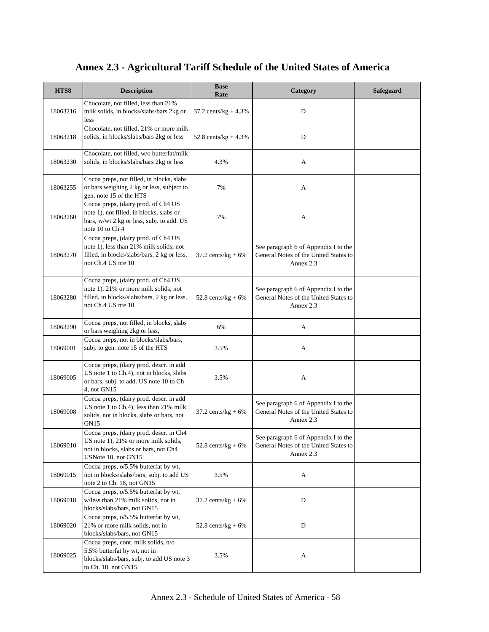| HTS8     | <b>Description</b>                                                                                                                                  | <b>Base</b><br>Rate           | Category                                                                                   | <b>Safeguard</b> |
|----------|-----------------------------------------------------------------------------------------------------------------------------------------------------|-------------------------------|--------------------------------------------------------------------------------------------|------------------|
| 18063216 | Chocolate, not filled, less than 21%<br>milk solids, in blocks/slabs/bars 2kg or<br>less                                                            | 37.2 cents/kg + $4.3\%$       | D                                                                                          |                  |
| 18063218 | Chocolate, not filled, 21% or more milk<br>solids, in blocks/slabs/bars 2kg or less                                                                 | 52.8 cents/ $kg + 4.3%$       | D                                                                                          |                  |
| 18063230 | Chocolate, not filled, w/o butterfat/milk<br>solids, in blocks/slabs/bars 2kg or less                                                               | 4.3%                          | A                                                                                          |                  |
| 18063255 | Cocoa preps, not filled, in blocks, slabs<br>or bars weighing 2 kg or less, subject to<br>gen. note 15 of the HTS                                   | 7%                            | A                                                                                          |                  |
| 18063260 | Cocoa preps, (dairy prod. of Ch4 US<br>note 1), not filled, in blocks, slabs or<br>bars, w/wt 2 kg or less, subj. to add. US<br>note 10 to Ch 4     | 7%                            | A                                                                                          |                  |
| 18063270 | Cocoa preps, (dairy prod. of Ch4 US<br>note 1), less than 21% milk solids, not<br>filled, in blocks/slabs/bars, 2 kg or less,<br>not Ch.4 US nte 10 | $37.2$ cents/kg + 6%          | See paragraph 6 of Appendix I to the<br>General Notes of the United States to<br>Annex 2.3 |                  |
| 18063280 | Cocoa preps, (dairy prod. of Ch4 US<br>note 1), 21% or more milk solids, not<br>filled, in blocks/slabs/bars, 2 kg or less,<br>not Ch.4 US nte 10   | 52.8 cents/kg + $6\%$         | See paragraph 6 of Appendix I to the<br>General Notes of the United States to<br>Annex 2.3 |                  |
| 18063290 | Cocoa preps, not filled, in blocks, slabs<br>or bars weighing 2kg or less,                                                                          | 6%                            | A                                                                                          |                  |
| 18069001 | Cocoa preps, not in blocks/slabs/bars,<br>subj. to gen. note 15 of the HTS                                                                          | 3.5%                          | А                                                                                          |                  |
| 18069005 | Cocoa preps, (dairy prod. descr. in add<br>US note 1 to Ch.4), not in blocks, slabs<br>or bars, subj. to add. US note 10 to Ch<br>4, not GN15       | 3.5%                          | А                                                                                          |                  |
| 18069008 | Cocoa preps, (dairy prod. descr. in add<br>US note 1 to Ch.4), less than 21% milk<br>solids, not in blocks, slabs or bars, not<br>GN15              | $37.2 \text{ cents/kg} + 6\%$ | See paragraph 6 of Appendix I to the<br>General Notes of the United States to<br>Annex 2.3 |                  |
| 18069010 | Cocoa preps, (dairy prod. descr. in Ch4<br>US note 1), 21% or more milk solids,<br>not in blocks, slabs or bars, not Ch4<br>USNote 10, not GN15     | 52.8 cents/kg + $6\%$         | See paragraph 6 of Appendix I to the<br>General Notes of the United States to<br>Annex 2.3 |                  |
| 18069015 | Cocoa preps, o/5.5% butterfat by wt,<br>not in blocks/slabs/bars, subj. to add US<br>note 2 to Ch. 18, not GN15                                     | 3.5%                          | A                                                                                          |                  |
| 18069018 | Cocoa preps, o/5.5% butterfat by wt,<br>w/less than 21% milk solids, not in<br>blocks/slabs/bars, not GN15                                          | $37.2$ cents/kg + 6%          | $\mathbf D$                                                                                |                  |
| 18069020 | Cocoa preps, o/5.5% butterfat by wt,<br>21% or more milk solids, not in<br>blocks/slabs/bars, not GN15                                              | 52.8 cents/kg + $6\%$         | D                                                                                          |                  |
| 18069025 | Cocoa preps, cont. milk solids, n/o<br>5.5% butterfat by wt, not in<br>blocks/slabs/bars, subj. to add US note 3<br>to Ch. 18, not GN15             | 3.5%                          | A                                                                                          |                  |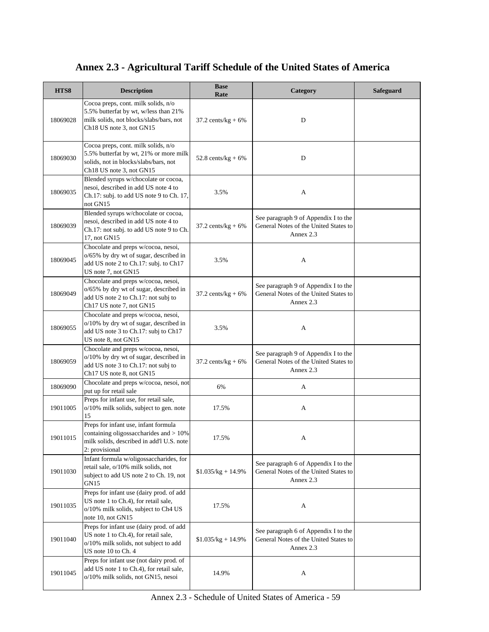| HTS8     | <b>Description</b>                                                                                                                                                          | <b>Base</b><br>Rate   | Category                                                                                   | <b>Safeguard</b> |
|----------|-----------------------------------------------------------------------------------------------------------------------------------------------------------------------------|-----------------------|--------------------------------------------------------------------------------------------|------------------|
| 18069028 | Cocoa preps, cont. milk solids, n/o<br>5.5% butterfat by wt, w/less than 21%<br>milk solids, not blocks/slabs/bars, not<br>Ch <sub>18</sub> US note 3, not GN <sub>15</sub> | $37.2$ cents/kg + 6%  | D                                                                                          |                  |
| 18069030 | Cocoa preps, cont. milk solids, n/o<br>5.5% butterfat by wt, 21% or more milk<br>solids, not in blocks/slabs/bars, not<br>Ch <sub>18</sub> US note 3, not GN <sub>15</sub>  | 52.8 cents/ $kg + 6%$ | D                                                                                          |                  |
| 18069035 | Blended syrups w/chocolate or cocoa,<br>nesoi, described in add US note 4 to<br>Ch.17: subj. to add US note 9 to Ch. 17,<br>not GN15                                        | 3.5%                  | A                                                                                          |                  |
| 18069039 | Blended syrups w/chocolate or cocoa,<br>nesoi, described in add US note 4 to<br>Ch.17: not subj. to add US note 9 to Ch.<br>17, not GN15                                    | $37.2$ cents/kg + 6%  | See paragraph 9 of Appendix I to the<br>General Notes of the United States to<br>Annex 2.3 |                  |
| 18069045 | Chocolate and preps w/cocoa, nesoi,<br>o/65% by dry wt of sugar, described in<br>add US note 2 to Ch.17: subj. to Ch17<br>US note 7, not GN15                               | 3.5%                  | A                                                                                          |                  |
| 18069049 | Chocolate and preps w/cocoa, nesoi,<br>o/65% by dry wt of sugar, described in<br>add US note 2 to Ch.17: not subj to<br>Ch17 US note 7, not GN15                            | $37.2$ cents/kg + 6%  | See paragraph 9 of Appendix I to the<br>General Notes of the United States to<br>Annex 2.3 |                  |
| 18069055 | Chocolate and preps w/cocoa, nesoi,<br>o/10% by dry wt of sugar, described in<br>add US note 3 to Ch.17: subj to Ch17<br>US note 8, not GN15                                | 3.5%                  | A                                                                                          |                  |
| 18069059 | Chocolate and preps w/cocoa, nesoi,<br>o/10% by dry wt of sugar, described in<br>add US note 3 to Ch.17: not subj to<br>Ch17 US note 8, not GN15                            | $37.2$ cents/kg + 6%  | See paragraph 9 of Appendix I to the<br>General Notes of the United States to<br>Annex 2.3 |                  |
| 18069090 | Chocolate and preps w/cocoa, nesoi, not<br>put up for retail sale                                                                                                           | 6%                    | A                                                                                          |                  |
| 19011005 | Preps for infant use, for retail sale,<br>o/10% milk solids, subject to gen. note<br>15                                                                                     | 17.5%                 | A                                                                                          |                  |
| 19011015 | Preps for infant use, infant formula<br>containing oligossaccharides and > 10%<br>milk solids, described in add'l U.S. note<br>2: provisional                               | 17.5%                 | A                                                                                          |                  |
| 19011030 | Infant formula w/oligossaccharides, for<br>retail sale, o/10% milk solids, not<br>subject to add US note 2 to Ch. 19, not<br>GN <sub>15</sub>                               | $$1.035/kg + 14.9%$   | See paragraph 6 of Appendix I to the<br>General Notes of the United States to<br>Annex 2.3 |                  |
| 19011035 | Preps for infant use (dairy prod. of add<br>US note 1 to Ch.4), for retail sale,<br>o/10% milk solids, subject to Ch4 US<br>note 10, not GN15                               | 17.5%                 | A                                                                                          |                  |
| 19011040 | Preps for infant use (dairy prod. of add<br>US note 1 to Ch.4), for retail sale,<br>o/10% milk solids, not subject to add<br>US note 10 to Ch. 4                            | $$1.035/kg + 14.9\%$  | See paragraph 6 of Appendix I to the<br>General Notes of the United States to<br>Annex 2.3 |                  |
| 19011045 | Preps for infant use (not dairy prod. of<br>add US note 1 to Ch.4), for retail sale,<br>o/10% milk solids, not GN15, nesoi                                                  | 14.9%                 | A                                                                                          |                  |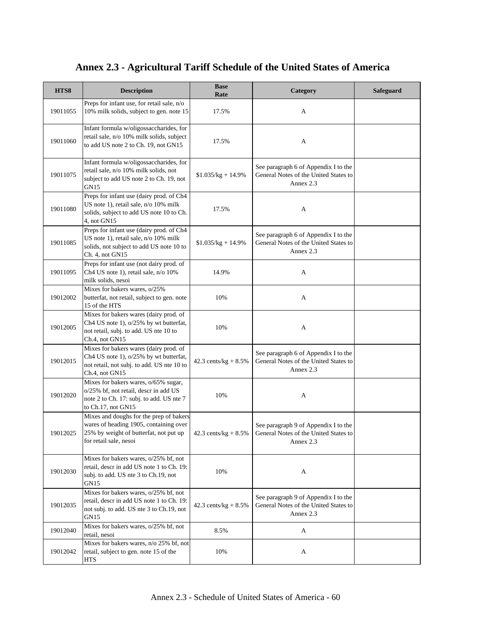#### **HTS8 Description Base Rate Category Safeguard** 19011055 Preps for infant use, for retail sale, n/o 10% milk solids, subject to gen. note 15 17.5% A 19011060 Infant formula w/oligossaccharides, for retail sale, n/o 10% milk solids, subject to add US note 2 to Ch. 19, not GN15  $17.5\%$  A 19011075 Infant formula w/oligossaccharides, for retail sale, n/o 10% milk solids, not subject to add US note 2 to Ch. 19, not GN15  $$1.035/kg + 14.9%$ See paragraph 6 of Appendix I to the General Notes of the United States to Annex 2.3 19011080 Preps for infant use (dairy prod. of Ch4 US note 1), retail sale, n/o 10% milk solids, subject to add US note 10 to Ch. 4, not GN15 17.5% A 19011085 Preps for infant use (dairy prod. of Ch4 US note 1), retail sale, n/o 10% milk solids, not subject to add US note 10 to Ch. 4, not GN15 \$1.035/kg + 14.9% See paragraph 6 of Appendix I to the General Notes of the United States to Annex 2.3 19011095 Preps for infant use (not dairy prod. of Ch4 US note 1), retail sale, n/o 10% milk solids, nesoi 14.9% A 19012002 Mixes for bakers wares, o/25% butterfat, not retail, subject to gen. note 15 of the HTS 10% A 19012005 Mixes for bakers wares (dairy prod. of Ch4 US note 1), o/25% by wt butterfat, not retail, subj. to add. US nte 10 to Ch.4, not GN15 10% A 19012015 Mixes for bakers wares (dairy prod. of Ch4 US note 1), o/25% by wt butterfat, not retail, not subj. to add. US nte 10 to Ch.4, not GN15 42.3 cents/ $kg + 8.5%$ See paragraph 6 of Appendix I to the General Notes of the United States to Annex 2.3 19012020 Mixes for bakers wares, o/65% sugar, o/25% bf, not retail, descr in add US note 2 to Ch. 17: subj. to add. US nte 7 to Ch.17, not GN15 10% A 19012025 Mixes and doughs for the prep of bakers wares of heading 1905, containing over 25% by weight of butterfat, not put up for retail sale, nesoi 42.3 cents/kg + 8.5% See paragraph 9 of Appendix I to the General Notes of the United States to Annex 2.3 19012030 Mixes for bakers wares, o/25% bf, not retail, descr in add US note 1 to Ch. 19: subj. to add. US nte 3 to Ch.19, not GN15 10% A 19012035 Mixes for bakers wares, o/25% bf, not retail, descr in add US note 1 to Ch. 19: not subj. to add. US nte 3 to Ch.19, not GN15 42.3 cents/kg + 8.5% See paragraph 9 of Appendix I to the General Notes of the United States to Annex 2.3 19012040 Mixes for bakers wares, o/25% bf, not<br>retail, nesoi retail, nesoi  $8.5\%$  A retail, nesoi 19012042 Mixes for bakers wares, n/o 25% bf, not retail, subject to gen. note 15 of the **HTS** 10% A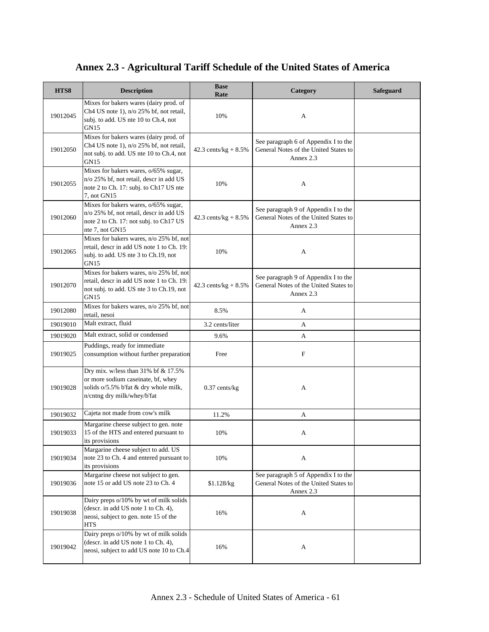| HTS8     | <b>Description</b>                                                                                                                                | <b>Base</b><br>Rate     | Category                                                                                   | Safeguard |
|----------|---------------------------------------------------------------------------------------------------------------------------------------------------|-------------------------|--------------------------------------------------------------------------------------------|-----------|
| 19012045 | Mixes for bakers wares (dairy prod. of<br>Ch4 US note 1), n/o 25% bf, not retail,<br>subj. to add. US nte 10 to Ch.4, not<br><b>GN15</b>          | 10%                     | A                                                                                          |           |
| 19012050 | Mixes for bakers wares (dairy prod. of<br>Ch4 US note 1), n/o 25% bf, not retail,<br>not subj. to add. US nte 10 to Ch.4, not<br>GN <sub>15</sub> | 42.3 cents/ $kg + 8.5%$ | See paragraph 6 of Appendix I to the<br>General Notes of the United States to<br>Annex 2.3 |           |
| 19012055 | Mixes for bakers wares, o/65% sugar,<br>n/o 25% bf, not retail, descr in add US<br>note 2 to Ch. 17: subj. to Ch17 US nte<br>7. not GN15          | 10%                     | A                                                                                          |           |
| 19012060 | Mixes for bakers wares, o/65% sugar,<br>n/o 25% bf, not retail, descr in add US<br>note 2 to Ch. 17: not subj. to Ch17 US<br>nte 7, not GN15      | 42.3 cents/ $kg + 8.5%$ | See paragraph 9 of Appendix I to the<br>General Notes of the United States to<br>Annex 2.3 |           |
| 19012065 | Mixes for bakers wares, n/o 25% bf, not<br>retail, descr in add US note 1 to Ch. 19:<br>subj. to add. US nte 3 to Ch.19, not<br>GN15              | 10%                     | A                                                                                          |           |
| 19012070 | Mixes for bakers wares, n/o 25% bf, not<br>retail, descr in add US note 1 to Ch. 19:<br>not subj. to add. US nte 3 to Ch.19, not<br><b>GN15</b>   | 42.3 cents/ $kg + 8.5%$ | See paragraph 9 of Appendix I to the<br>General Notes of the United States to<br>Annex 2.3 |           |
| 19012080 | Mixes for bakers wares, n/o 25% bf, not<br>retail, nesoi                                                                                          | 8.5%                    | A                                                                                          |           |
| 19019010 | Malt extract, fluid                                                                                                                               | 3.2 cents/liter         | A                                                                                          |           |
| 19019020 | Malt extract, solid or condensed                                                                                                                  | 9.6%                    | A                                                                                          |           |
| 19019025 | Puddings, ready for immediate<br>consumption without further preparation                                                                          | Free                    | $\boldsymbol{\mathrm{F}}$                                                                  |           |
| 19019028 | Dry mix. w/less than 31% bf & 17.5%<br>or more sodium caseinate, bf, whey<br>solids o/5.5% b'fat & dry whole milk,<br>n/cntng dry milk/whey/b'fat | $0.37$ cents/kg         | A                                                                                          |           |
| 19019032 | Cajeta not made from cow's milk                                                                                                                   | 11.2%                   | A                                                                                          |           |
| 19019033 | Margarine cheese subject to gen. note<br>15 of the HTS and entered pursuant to<br>its provisions                                                  | 10%                     | A                                                                                          |           |
| 19019034 | Margarine cheese subject to add. US<br>note 23 to Ch. 4 and entered pursuant to<br>its provisions                                                 | 10%                     | A                                                                                          |           |
| 19019036 | Margarine cheese not subject to gen.<br>note 15 or add US note 23 to Ch. 4                                                                        | \$1.128/kg              | See paragraph 5 of Appendix I to the<br>General Notes of the United States to<br>Annex 2.3 |           |
| 19019038 | Dairy preps o/10% by wt of milk solids<br>(descr. in add US note 1 to Ch. 4),<br>neosi, subject to gen. note 15 of the<br><b>HTS</b>              | 16%                     | A                                                                                          |           |
| 19019042 | Dairy preps o/10% by wt of milk solids<br>(descr. in add US note 1 to Ch. 4),<br>neosi, subject to add US note 10 to Ch.4                         | 16%                     | A                                                                                          |           |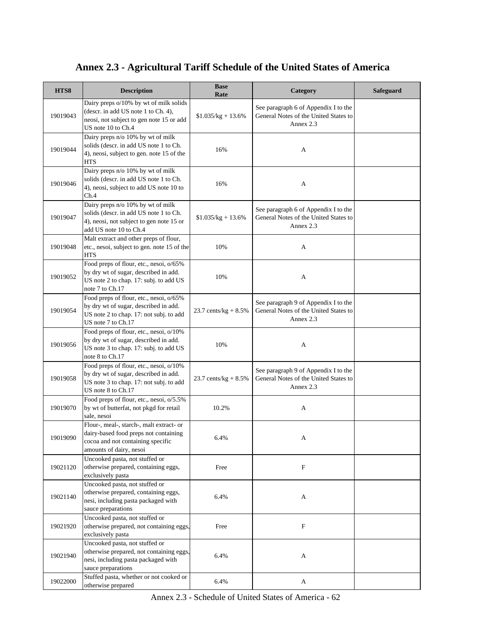| HTS8     | <b>Description</b>                                                                                                                                | <b>Base</b><br>Rate     | Category                                                                                   | <b>Safeguard</b> |
|----------|---------------------------------------------------------------------------------------------------------------------------------------------------|-------------------------|--------------------------------------------------------------------------------------------|------------------|
| 19019043 | Dairy preps o/10% by wt of milk solids<br>(descr. in add US note 1 to Ch. 4),<br>neosi, not subject to gen note 15 or add<br>US note 10 to Ch.4   | $$1.035/kg + 13.6\%$    | See paragraph 6 of Appendix I to the<br>General Notes of the United States to<br>Annex 2.3 |                  |
| 19019044 | Dairy preps n/o 10% by wt of milk<br>solids (descr. in add US note 1 to Ch.<br>4), neosi, subject to gen. note 15 of the<br><b>HTS</b>            | 16%                     | A                                                                                          |                  |
| 19019046 | Dairy preps n/o 10% by wt of milk<br>solids (descr. in add US note 1 to Ch.<br>4), neosi, subject to add US note 10 to<br>Ch.4                    | 16%                     | A                                                                                          |                  |
| 19019047 | Dairy preps n/o 10% by wt of milk<br>solids (descr. in add US note 1 to Ch.<br>4), neosi, not subject to gen note 15 or<br>add US note 10 to Ch.4 | $$1.035/kg + 13.6\%$    | See paragraph 6 of Appendix I to the<br>General Notes of the United States to<br>Annex 2.3 |                  |
| 19019048 | Malt extract and other preps of flour,<br>etc., nesoi, subject to gen. note 15 of the<br><b>HTS</b>                                               | 10%                     | A                                                                                          |                  |
| 19019052 | Food preps of flour, etc., nesoi, o/65%<br>by dry wt of sugar, described in add.<br>US note 2 to chap. 17: subj. to add US<br>note 7 to Ch.17     | 10%                     | A                                                                                          |                  |
| 19019054 | Food preps of flour, etc., nesoi, o/65%<br>by dry wt of sugar, described in add.<br>US note 2 to chap. 17: not subj. to add<br>US note 7 to Ch.17 | 23.7 cents/kg + $8.5\%$ | See paragraph 9 of Appendix I to the<br>General Notes of the United States to<br>Annex 2.3 |                  |
| 19019056 | Food preps of flour, etc., nesoi, o/10%<br>by dry wt of sugar, described in add.<br>US note 3 to chap. 17: subj. to add US<br>note 8 to Ch.17     | 10%                     | A                                                                                          |                  |
| 19019058 | Food preps of flour, etc., nesoi, o/10%<br>by dry wt of sugar, described in add.<br>US note 3 to chap. 17: not subj. to add<br>US note 8 to Ch.17 | 23.7 cents/kg + $8.5\%$ | See paragraph 9 of Appendix I to the<br>General Notes of the United States to<br>Annex 2.3 |                  |
| 19019070 | Food preps of flour, etc., nesoi, o/5.5%<br>by wt of butterfat, not pkgd for retail<br>sale, nesoi                                                | 10.2%                   | A                                                                                          |                  |
| 19019090 | Flour-, meal-, starch-, malt extract- or<br>dairy-based food preps not containing<br>cocoa and not containing specific<br>amounts of dairy, nesoi | 6.4%                    | A                                                                                          |                  |
| 19021120 | Uncooked pasta, not stuffed or<br>otherwise prepared, containing eggs,<br>exclusively pasta                                                       | Free                    | $\mathbf F$                                                                                |                  |
| 19021140 | Uncooked pasta, not stuffed or<br>otherwise prepared, containing eggs,<br>nesi, including pasta packaged with<br>sauce preparations               | 6.4%                    | A                                                                                          |                  |
| 19021920 | Uncooked pasta, not stuffed or<br>otherwise prepared, not containing eggs,<br>exclusively pasta                                                   | Free                    | $\mathbf F$                                                                                |                  |
| 19021940 | Uncooked pasta, not stuffed or<br>otherwise prepared, not containing eggs,<br>nesi, including pasta packaged with<br>sauce preparations           | 6.4%                    | A                                                                                          |                  |
| 19022000 | Stuffed pasta, whether or not cooked or<br>otherwise prepared                                                                                     | 6.4%                    | A<br>Annex 2.3 - Schedule of United States of America - 62                                 |                  |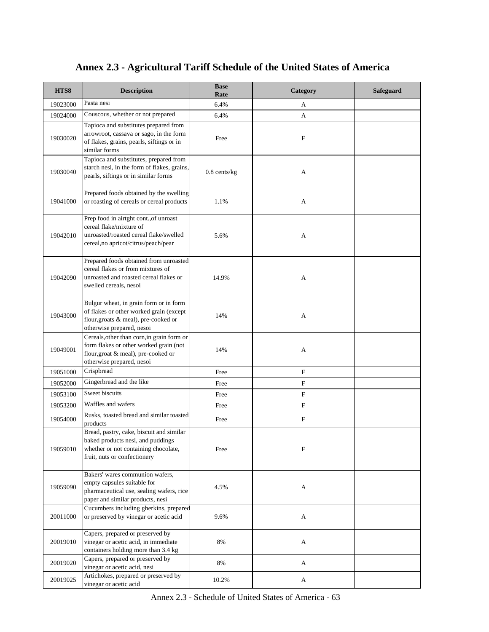| HTS8     | <b>Description</b>                                                                                                                                       | <b>Base</b><br>Rate | Category                  | Safeguard |
|----------|----------------------------------------------------------------------------------------------------------------------------------------------------------|---------------------|---------------------------|-----------|
| 19023000 | Pasta nesi                                                                                                                                               | 6.4%                | A                         |           |
| 19024000 | Couscous, whether or not prepared                                                                                                                        | 6.4%                | A                         |           |
| 19030020 | Tapioca and substitutes prepared from<br>arrowroot, cassava or sago, in the form<br>of flakes, grains, pearls, siftings or in<br>similar forms           | Free                | F                         |           |
| 19030040 | Tapioca and substitutes, prepared from<br>starch nesi, in the form of flakes, grains,<br>pearls, siftings or in similar forms                            | $0.8$ cents/ $kg$   | A                         |           |
| 19041000 | Prepared foods obtained by the swelling<br>or roasting of cereals or cereal products                                                                     | 1.1%                | A                         |           |
| 19042010 | Prep food in airtght cont., of unroast<br>cereal flake/mixture of<br>unroasted/roasted cereal flake/swelled<br>cereal, no apricot/citrus/peach/pear      | 5.6%                | A                         |           |
| 19042090 | Prepared foods obtained from unroasted<br>cereal flakes or from mixtures of<br>unroasted and roasted cereal flakes or<br>swelled cereals, nesoi          | 14.9%               | A                         |           |
| 19043000 | Bulgur wheat, in grain form or in form<br>of flakes or other worked grain (except<br>flour, groats & meal), pre-cooked or<br>otherwise prepared, nesoi   | 14%                 | A                         |           |
| 19049001 | Cereals, other than corn, in grain form or<br>form flakes or other worked grain (not<br>flour, groat & meal), pre-cooked or<br>otherwise prepared, nesoi | 14%                 | A                         |           |
| 19051000 | Crispbread                                                                                                                                               | Free                | $\boldsymbol{\mathrm{F}}$ |           |
| 19052000 | Gingerbread and the like                                                                                                                                 | Free                | $\mathbf F$               |           |
| 19053100 | Sweet biscuits                                                                                                                                           | Free                | F                         |           |
| 19053200 | Waffles and wafers                                                                                                                                       | Free                | $\boldsymbol{\mathrm{F}}$ |           |
| 19054000 | Rusks, toasted bread and similar toasted<br>products                                                                                                     | Free                | F                         |           |
| 19059010 | Bread, pastry, cake, biscuit and similar<br>baked products nesi, and puddings<br>whether or not containing chocolate,<br>fruit, nuts or confectionery    | Free                | $\mathbf F$               |           |
| 19059090 | Bakers' wares communion wafers,<br>empty capsules suitable for<br>pharmaceutical use, sealing wafers, rice<br>paper and similar products, nesi           | 4.5%                | A                         |           |
| 20011000 | Cucumbers including gherkins, prepared<br>or preserved by vinegar or acetic acid                                                                         | 9.6%                | A                         |           |
| 20019010 | Capers, prepared or preserved by<br>vinegar or acetic acid, in immediate<br>containers holding more than 3.4 kg                                          | $8\%$               | A                         |           |
| 20019020 | Capers, prepared or preserved by<br>vinegar or acetic acid, nesi                                                                                         | $8\%$               | A                         |           |
| 20019025 | Artichokes, prepared or preserved by<br>vinegar or acetic acid                                                                                           | 10.2%               | A                         |           |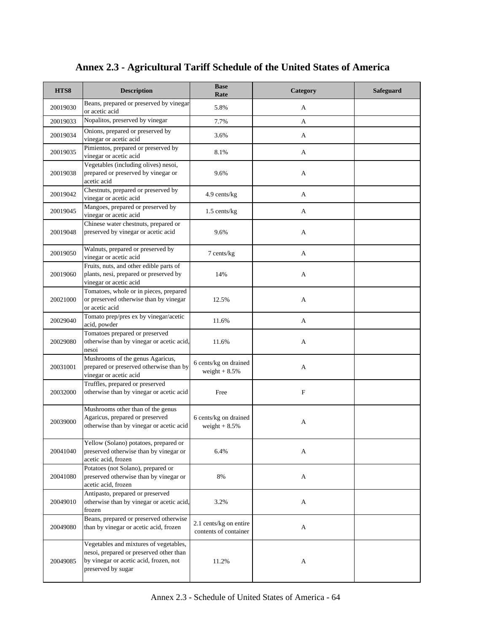| HTS8     | <b>Description</b>                                                                                                                                | <b>Base</b><br>Rate                             | Category    | <b>Safeguard</b> |
|----------|---------------------------------------------------------------------------------------------------------------------------------------------------|-------------------------------------------------|-------------|------------------|
| 20019030 | Beans, prepared or preserved by vinegar<br>or acetic acid                                                                                         | 5.8%                                            | A           |                  |
| 20019033 | Nopalitos, preserved by vinegar                                                                                                                   | 7.7%                                            | A           |                  |
| 20019034 | Onions, prepared or preserved by<br>vinegar or acetic acid                                                                                        | 3.6%                                            | A           |                  |
| 20019035 | Pimientos, prepared or preserved by<br>vinegar or acetic acid                                                                                     | 8.1%                                            | A           |                  |
| 20019038 | Vegetables (including olives) nesoi,<br>prepared or preserved by vinegar or<br>acetic acid                                                        | 9.6%                                            | А           |                  |
| 20019042 | Chestnuts, prepared or preserved by<br>vinegar or acetic acid                                                                                     | 4.9 cents/kg                                    | A           |                  |
| 20019045 | Mangoes, prepared or preserved by<br>vinegar or acetic acid                                                                                       | $1.5$ cents/kg                                  | A           |                  |
| 20019048 | Chinese water chestnuts, prepared or<br>preserved by vinegar or acetic acid                                                                       | 9.6%                                            | A           |                  |
| 20019050 | Walnuts, prepared or preserved by<br>vinegar or acetic acid                                                                                       | 7 cents/kg                                      | A           |                  |
| 20019060 | Fruits, nuts, and other edible parts of<br>plants, nesi, prepared or preserved by<br>vinegar or acetic acid                                       | 14%                                             | A           |                  |
| 20021000 | Tomatoes, whole or in pieces, prepared<br>or preserved otherwise than by vinegar<br>or acetic acid                                                | 12.5%                                           | A           |                  |
| 20029040 | Tomato prep/pres ex by vinegar/acetic<br>acid, powder                                                                                             | 11.6%                                           | A           |                  |
| 20029080 | Tomatoes prepared or preserved<br>otherwise than by vinegar or acetic acid,<br>nesoi                                                              | 11.6%                                           | А           |                  |
| 20031001 | Mushrooms of the genus Agaricus,<br>prepared or preserved otherwise than by<br>vinegar or acetic acid                                             | 6 cents/kg on drained<br>weight $+8.5%$         | A           |                  |
| 20032000 | Truffles, prepared or preserved<br>otherwise than by vinegar or acetic acid                                                                       | Free                                            | $\mathbf F$ |                  |
| 20039000 | Mushrooms other than of the genus<br>Agaricus, prepared or preserved<br>otherwise than by vinegar or acetic acid                                  | 6 cents/kg on drained<br>weight $+8.5%$         | A           |                  |
| 20041040 | Yellow (Solano) potatoes, prepared or<br>preserved otherwise than by vinegar or<br>acetic acid, frozen                                            | 6.4%                                            | А           |                  |
| 20041080 | Potatoes (not Solano), prepared or<br>preserved otherwise than by vinegar or<br>acetic acid, frozen                                               | 8%                                              | A           |                  |
| 20049010 | Antipasto, prepared or preserved<br>otherwise than by vinegar or acetic acid,<br>frozen                                                           | 3.2%                                            | A           |                  |
| 20049080 | Beans, prepared or preserved otherwise<br>than by vinegar or acetic acid, frozen                                                                  | 2.1 cents/kg on entire<br>contents of container | A           |                  |
| 20049085 | Vegetables and mixtures of vegetables,<br>nesoi, prepared or preserved other than<br>by vinegar or acetic acid, frozen, not<br>preserved by sugar | 11.2%                                           | A           |                  |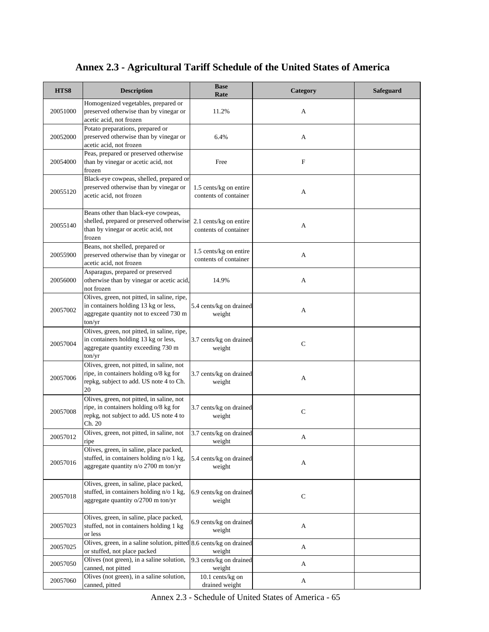| HTS8     | <b>Description</b>                                                                                                                       | <b>Base</b><br>Rate                             | Category    | Safeguard |
|----------|------------------------------------------------------------------------------------------------------------------------------------------|-------------------------------------------------|-------------|-----------|
| 20051000 | Homogenized vegetables, prepared or<br>preserved otherwise than by vinegar or<br>acetic acid, not frozen                                 | 11.2%                                           | A           |           |
| 20052000 | Potato preparations, prepared or<br>preserved otherwise than by vinegar or<br>acetic acid, not frozen                                    | 6.4%                                            | A           |           |
| 20054000 | Peas, prepared or preserved otherwise<br>than by vinegar or acetic acid, not<br>frozen                                                   | Free                                            | $\mathbf F$ |           |
| 20055120 | Black-eye cowpeas, shelled, prepared or<br>preserved otherwise than by vinegar or<br>acetic acid, not frozen                             | 1.5 cents/kg on entire<br>contents of container | A           |           |
| 20055140 | Beans other than black-eye cowpeas,<br>shelled, prepared or preserved otherwise<br>than by vinegar or acetic acid, not<br>frozen         | 2.1 cents/kg on entire<br>contents of container | A           |           |
| 20055900 | Beans, not shelled, prepared or<br>preserved otherwise than by vinegar or<br>acetic acid, not frozen                                     | 1.5 cents/kg on entire<br>contents of container | A           |           |
| 20056000 | Asparagus, prepared or preserved<br>otherwise than by vinegar or acetic acid,<br>not frozen                                              | 14.9%                                           | A           |           |
| 20057002 | Olives, green, not pitted, in saline, ripe,<br>in containers holding 13 kg or less,<br>aggregate quantity not to exceed 730 m<br>ton/yr  | 5.4 cents/kg on drained<br>weight               | A           |           |
| 20057004 | Olives, green, not pitted, in saline, ripe,<br>in containers holding 13 kg or less,<br>aggregate quantity exceeding 730 m<br>ton/yr      | 3.7 cents/kg on drained<br>weight               | $\mathbf C$ |           |
| 20057006 | Olives, green, not pitted, in saline, not<br>ripe, in containers holding o/8 kg for<br>repkg, subject to add. US note 4 to Ch.<br>20     | 3.7 cents/kg on drained<br>weight               | A           |           |
| 20057008 | Olives, green, not pitted, in saline, not<br>ripe, in containers holding o/8 kg for<br>repkg, not subject to add. US note 4 to<br>Ch. 20 | 3.7 cents/kg on drained<br>weight               | $\mathbf C$ |           |
| 20057012 | Olives, green, not pitted, in saline, not<br>ripe                                                                                        | 3.7 cents/kg on drained<br>weight               | A           |           |
| 20057016 | Olives, green, in saline, place packed,<br>stuffed, in containers holding n/o 1 kg,<br>aggregate quantity n/o 2700 m ton/yr              | 5.4 cents/kg on drained<br>weight               | A           |           |
| 20057018 | Olives, green, in saline, place packed,<br>stuffed, in containers holding n/o 1 kg,<br>aggregate quantity o/2700 m ton/yr                | 6.9 cents/kg on drained<br>weight               | $\mathbf C$ |           |
| 20057023 | Olives, green, in saline, place packed,<br>stuffed, not in containers holding 1 kg<br>or less                                            | 6.9 cents/kg on drained<br>weight               | A           |           |
| 20057025 | Olives, green, in a saline solution, pitted 8.6 cents/kg on drained<br>or stuffed, not place packed                                      | weight                                          | A           |           |
| 20057050 | Olives (not green), in a saline solution,<br>canned, not pitted                                                                          | 9.3 cents/kg on drained<br>weight               | A           |           |
| 20057060 | Olives (not green), in a saline solution,<br>canned, pitted                                                                              | $10.1$ cents/kg on<br>drained weight            | A           |           |

Annex 2.3 - Schedule of United States of America - 65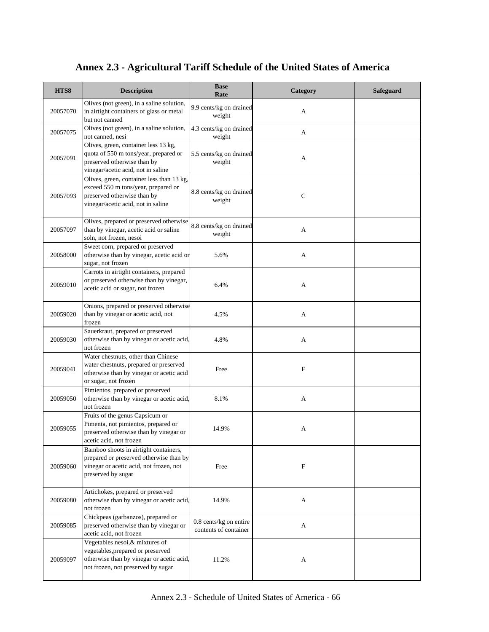| HTS8     | <b>Description</b>                                                                                                                                      | <b>Base</b><br>Rate                             | Category     | <b>Safeguard</b> |
|----------|---------------------------------------------------------------------------------------------------------------------------------------------------------|-------------------------------------------------|--------------|------------------|
| 20057070 | Olives (not green), in a saline solution,<br>in airtight containers of glass or metal<br>but not canned                                                 | 9.9 cents/kg on drained<br>weight               | A            |                  |
| 20057075 | Olives (not green), in a saline solution,<br>not canned, nesi                                                                                           | 4.3 cents/kg on drained<br>weight               | А            |                  |
| 20057091 | Olives, green, container less 13 kg,<br>quota of 550 m tons/year, prepared or<br>preserved otherwise than by<br>vinegar/acetic acid, not in saline      | 5.5 cents/kg on drained<br>weight               | A            |                  |
| 20057093 | Olives, green, container less than 13 kg,<br>exceed 550 m tons/year, prepared or<br>preserved otherwise than by<br>vinegar/acetic acid, not in saline   | 8.8 cents/kg on drained<br>weight               | $\mathsf{C}$ |                  |
| 20057097 | Olives, prepared or preserved otherwise<br>than by vinegar, acetic acid or saline<br>soln, not frozen, nesoi                                            | 8.8 cents/kg on drained<br>weight               | A            |                  |
| 20058000 | Sweet corn, prepared or preserved<br>otherwise than by vinegar, acetic acid or<br>sugar, not frozen                                                     | 5.6%                                            | A            |                  |
| 20059010 | Carrots in airtight containers, prepared<br>or preserved otherwise than by vinegar,<br>acetic acid or sugar, not frozen                                 | 6.4%                                            | А            |                  |
| 20059020 | Onions, prepared or preserved otherwise<br>than by vinegar or acetic acid, not<br>frozen                                                                | 4.5%                                            | A            |                  |
| 20059030 | Sauerkraut, prepared or preserved<br>otherwise than by vinegar or acetic acid,<br>not frozen                                                            | 4.8%                                            | А            |                  |
| 20059041 | Water chestnuts, other than Chinese<br>water chestnuts, prepared or preserved<br>otherwise than by vinegar or acetic acid<br>or sugar, not frozen       | Free                                            | F            |                  |
| 20059050 | Pimientos, prepared or preserved<br>otherwise than by vinegar or acetic acid,<br>not frozen                                                             | 8.1%                                            | А            |                  |
| 20059055 | Fruits of the genus Capsicum or<br>Pimenta, not pimientos, prepared or<br>preserved otherwise than by vinegar or<br>acetic acid, not frozen             | 14.9%                                           | А            |                  |
| 20059060 | Bamboo shoots in airtight containers,<br>prepared or preserved otherwise than by<br>vinegar or acetic acid, not frozen, not<br>preserved by sugar       | Free                                            | F            |                  |
| 20059080 | Artichokes, prepared or preserved<br>otherwise than by vinegar or acetic acid,<br>not frozen                                                            | 14.9%                                           | A            |                  |
| 20059085 | Chickpeas (garbanzos), prepared or<br>preserved otherwise than by vinegar or<br>acetic acid, not frozen                                                 | 0.8 cents/kg on entire<br>contents of container | A            |                  |
| 20059097 | Vegetables nesoi, & mixtures of<br>vegetables, prepared or preserved<br>otherwise than by vinegar or acetic acid,<br>not frozen, not preserved by sugar | 11.2%                                           | A            |                  |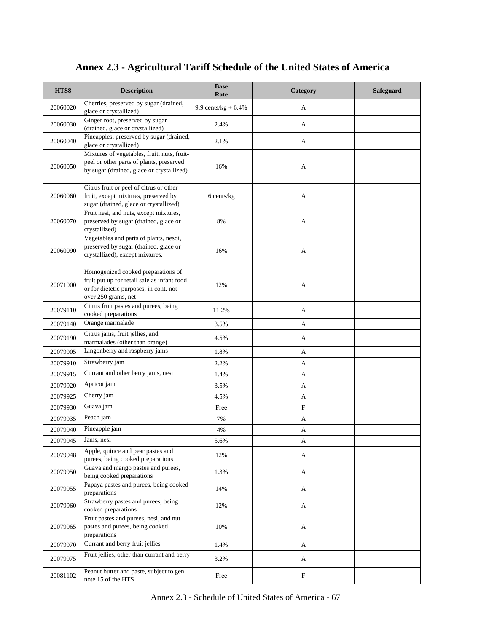| HTS8     | <b>Description</b>                                                                                                                                 | <b>Base</b><br>Rate    | Category | <b>Safeguard</b> |
|----------|----------------------------------------------------------------------------------------------------------------------------------------------------|------------------------|----------|------------------|
| 20060020 | Cherries, preserved by sugar (drained,<br>glace or crystallized)                                                                                   | 9.9 cents/ $kg + 6.4%$ | A        |                  |
| 20060030 | Ginger root, preserved by sugar<br>(drained, glace or crystallized)                                                                                | 2.4%                   | A        |                  |
| 20060040 | Pineapples, preserved by sugar (drained,<br>glace or crystallized)                                                                                 | 2.1%                   | A        |                  |
| 20060050 | Mixtures of vegetables, fruit, nuts, fruit-<br>peel or other parts of plants, preserved<br>by sugar (drained, glace or crystallized)               | 16%                    | А        |                  |
| 20060060 | Citrus fruit or peel of citrus or other<br>fruit, except mixtures, preserved by<br>sugar (drained, glace or crystallized)                          | 6 cents/kg             | A        |                  |
| 20060070 | Fruit nesi, and nuts, except mixtures,<br>preserved by sugar (drained, glace or<br>crystallized)                                                   | 8%                     | А        |                  |
| 20060090 | Vegetables and parts of plants, nesoi,<br>preserved by sugar (drained, glace or<br>crystallized), except mixtures,                                 | 16%                    | А        |                  |
| 20071000 | Homogenized cooked preparations of<br>fruit put up for retail sale as infant food<br>or for dietetic purposes, in cont. not<br>over 250 grams, net | 12%                    | А        |                  |
| 20079110 | Citrus fruit pastes and purees, being<br>cooked preparations                                                                                       | 11.2%                  | A        |                  |
| 20079140 | Orange marmalade                                                                                                                                   | 3.5%                   | A        |                  |
| 20079190 | Citrus jams, fruit jellies, and<br>marmalades (other than orange)                                                                                  | 4.5%                   | A        |                  |
| 20079905 | Lingonberry and raspberry jams                                                                                                                     | 1.8%                   | A        |                  |
| 20079910 | Strawberry jam                                                                                                                                     | 2.2%                   | A        |                  |
| 20079915 | Currant and other berry jams, nesi                                                                                                                 | 1.4%                   | A        |                  |
| 20079920 | Apricot jam                                                                                                                                        | 3.5%                   | A        |                  |
| 20079925 | Cherry jam                                                                                                                                         | 4.5%                   | A        |                  |
| 20079930 | Guava jam                                                                                                                                          | Free                   | F        |                  |
| 20079935 | Peach jam                                                                                                                                          | 7%                     | A        |                  |
| 20079940 | Pineapple jam                                                                                                                                      | 4%                     | А        |                  |
| 20079945 | Jams, nesi                                                                                                                                         | 5.6%                   | A        |                  |
| 20079948 | Apple, quince and pear pastes and<br>purees, being cooked preparations                                                                             | 12%                    | A        |                  |
| 20079950 | Guava and mango pastes and purees,<br>being cooked preparations                                                                                    | 1.3%                   | A        |                  |
| 20079955 | Papaya pastes and purees, being cooked<br>preparations                                                                                             | 14%                    | A        |                  |
| 20079960 | Strawberry pastes and purees, being<br>cooked preparations                                                                                         | 12%                    | A        |                  |
| 20079965 | Fruit pastes and purees, nesi, and nut<br>pastes and purees, being cooked<br>preparations                                                          | 10%                    | A        |                  |
| 20079970 | Currant and berry fruit jellies                                                                                                                    | 1.4%                   | A        |                  |
| 20079975 | Fruit jellies, other than currant and berry                                                                                                        | 3.2%                   | A        |                  |
| 20081102 | Peanut butter and paste, subject to gen.<br>note 15 of the HTS                                                                                     | Free                   | F        |                  |

Annex 2.3 - Schedule of United States of America - 67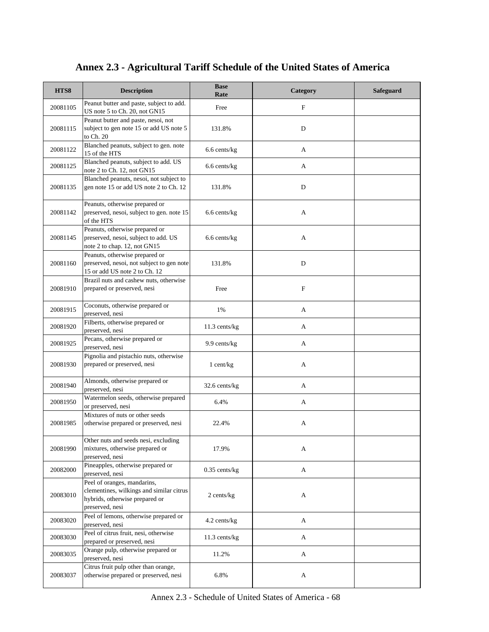| HTS8     | <b>Description</b>                                                                                                           | <b>Base</b><br>Rate | Category    | Safeguard |
|----------|------------------------------------------------------------------------------------------------------------------------------|---------------------|-------------|-----------|
| 20081105 | Peanut butter and paste, subject to add.<br>US note 5 to Ch. 20, not GN15                                                    | Free                | F           |           |
| 20081115 | Peanut butter and paste, nesoi, not<br>subject to gen note 15 or add US note 5<br>to Ch. 20                                  | 131.8%              | D           |           |
| 20081122 | Blanched peanuts, subject to gen. note<br>15 of the HTS                                                                      | 6.6 cents/kg        | A           |           |
| 20081125 | Blanched peanuts, subject to add. US<br>note 2 to Ch. 12, not GN15                                                           | 6.6 cents/kg        | A           |           |
| 20081135 | Blanched peanuts, nesoi, not subject to<br>gen note 15 or add US note 2 to Ch. 12                                            | 131.8%              | D           |           |
| 20081142 | Peanuts, otherwise prepared or<br>preserved, nesoi, subject to gen. note 15<br>of the HTS                                    | 6.6 cents/kg        | A           |           |
| 20081145 | Peanuts, otherwise prepared or<br>preserved, nesoi, subject to add. US<br>note 2 to chap. 12, not GN15                       | 6.6 cents/kg        | А           |           |
| 20081160 | Peanuts, otherwise prepared or<br>preserved, nesoi, not subject to gen note<br>15 or add US note 2 to Ch. 12                 | 131.8%              | $\mathbf D$ |           |
| 20081910 | Brazil nuts and cashew nuts, otherwise<br>prepared or preserved, nesi                                                        | Free                | $\mathbf F$ |           |
| 20081915 | Coconuts, otherwise prepared or<br>preserved, nesi                                                                           | 1%                  | A           |           |
| 20081920 | Filberts, otherwise prepared or<br>preserved, nesi                                                                           | 11.3 cents/kg       | A           |           |
| 20081925 | Pecans, otherwise prepared or<br>preserved, nesi                                                                             | 9.9 cents/kg        | A           |           |
| 20081930 | Pignolia and pistachio nuts, otherwise<br>prepared or preserved, nesi                                                        | $1$ cent/kg         | A           |           |
| 20081940 | Almonds, otherwise prepared or<br>preserved, nesi                                                                            | 32.6 cents/kg       | A           |           |
| 20081950 | Watermelon seeds, otherwise prepared<br>or preserved, nesi                                                                   | 6.4%                | A           |           |
| 20081985 | Mixtures of nuts or other seeds<br>otherwise prepared or preserved, nesi                                                     | 22.4%               | А           |           |
| 20081990 | Other nuts and seeds nesi, excluding<br>mixtures, otherwise prepared or<br>preserved, nesi                                   | 17.9%               | A           |           |
| 20082000 | Pineapples, otherwise prepared or<br>preserved, nesi                                                                         | $0.35$ cents/kg     | A           |           |
| 20083010 | Peel of oranges, mandarins,<br>clementines, wilkings and similar citrus<br>hybrids, otherwise prepared or<br>preserved, nesi | 2 cents/kg          | A           |           |
| 20083020 | Peel of lemons, otherwise prepared or<br>preserved, nesi                                                                     | 4.2 cents/kg        | A           |           |
| 20083030 | Peel of citrus fruit, nesi, otherwise<br>prepared or preserved, nesi                                                         | $11.3$ cents/kg     | A           |           |
| 20083035 | Orange pulp, otherwise prepared or<br>preserved, nesi                                                                        | 11.2%               | A           |           |
| 20083037 | Citrus fruit pulp other than orange,<br>otherwise prepared or preserved, nesi                                                | 6.8%                | A           |           |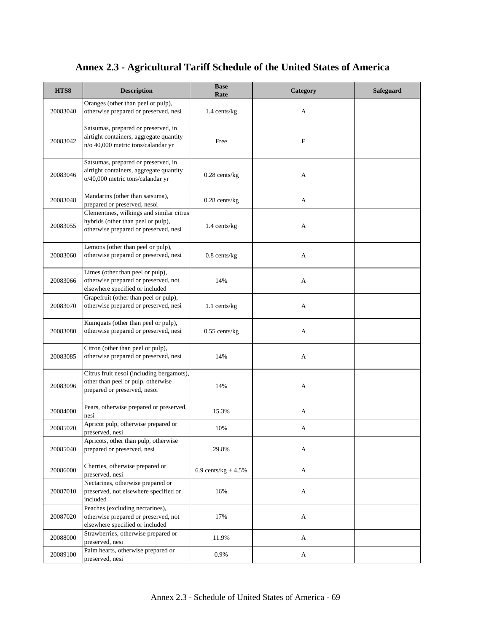| HTS8     | <b>Description</b>                                                                                                      | <b>Base</b><br>Rate    | Category | Safeguard |
|----------|-------------------------------------------------------------------------------------------------------------------------|------------------------|----------|-----------|
| 20083040 | Oranges (other than peel or pulp),<br>otherwise prepared or preserved, nesi                                             | 1.4 cents/kg           | A        |           |
| 20083042 | Satsumas, prepared or preserved, in<br>airtight containers, aggregate quantity<br>n/o 40,000 metric tons/calandar yr    | Free                   | F        |           |
| 20083046 | Satsumas, prepared or preserved, in<br>airtight containers, aggregate quantity<br>o/40,000 metric tons/calandar yr      | $0.28$ cents/kg        | A        |           |
| 20083048 | Mandarins (other than satsuma),<br>prepared or preserved, nesoi                                                         | $0.28$ cents/kg        | A        |           |
| 20083055 | Clementines, wilkings and similar citrus<br>hybrids (other than peel or pulp),<br>otherwise prepared or preserved, nesi | 1.4 cents/kg           | A        |           |
| 20083060 | Lemons (other than peel or pulp),<br>otherwise prepared or preserved, nesi                                              | $0.8$ cents/ $kg$      | A        |           |
| 20083066 | Limes (other than peel or pulp),<br>otherwise prepared or preserved, not<br>elsewhere specified or included             | 14%                    | A        |           |
| 20083070 | Grapefruit (other than peel or pulp),<br>otherwise prepared or preserved, nesi                                          | $1.1$ cents/kg         | A        |           |
| 20083080 | Kumquats (other than peel or pulp),<br>otherwise prepared or preserved, nesi                                            | $0.55$ cents/kg        | A        |           |
| 20083085 | Citron (other than peel or pulp),<br>otherwise prepared or preserved, nesi                                              | 14%                    | A        |           |
| 20083096 | Citrus fruit nesoi (including bergamots),<br>other than peel or pulp, otherwise<br>prepared or preserved, nesoi         | 14%                    | A        |           |
| 20084000 | Pears, otherwise prepared or preserved,<br>nesi                                                                         | 15.3%                  | A        |           |
| 20085020 | Apricot pulp, otherwise prepared or<br>preserved, nesi                                                                  | 10%                    | A        |           |
| 20085040 | Apricots, other than pulp, otherwise<br>prepared or preserved, nesi                                                     | 29.8%                  | A        |           |
| 20086000 | Cherries, otherwise prepared or<br>preserved, nesi                                                                      | 6.9 cents/ $kg + 4.5%$ | A        |           |
| 20087010 | Nectarines, otherwise prepared or<br>preserved, not elsewhere specified or<br>included                                  | 16%                    | A        |           |
| 20087020 | Peaches (excluding nectarines),<br>otherwise prepared or preserved, not<br>elsewhere specified or included              | 17%                    | A        |           |
| 20088000 | Strawberries, otherwise prepared or<br>preserved, nesi                                                                  | 11.9%                  | A        |           |
| 20089100 | Palm hearts, otherwise prepared or<br>preserved, nesi                                                                   | 0.9%                   | A        |           |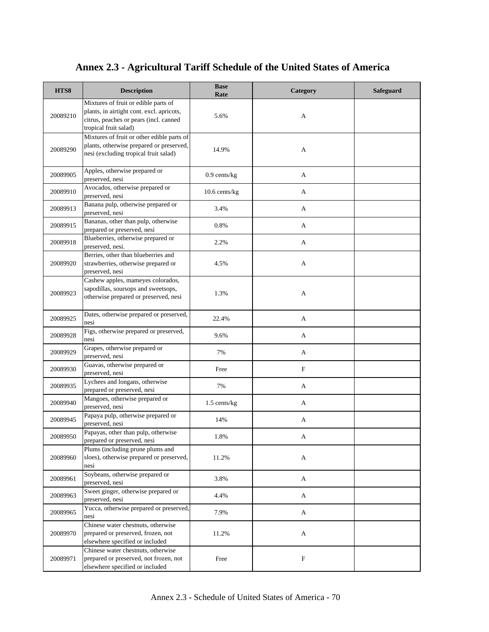| HTS8     | <b>Description</b>                                                                                                                                   | <b>Base</b><br>Rate | Category     | <b>Safeguard</b> |
|----------|------------------------------------------------------------------------------------------------------------------------------------------------------|---------------------|--------------|------------------|
| 20089210 | Mixtures of fruit or edible parts of<br>plants, in airtight cont. excl. apricots,<br>citrus, peaches or pears (incl. canned<br>tropical fruit salad) | 5.6%                | A            |                  |
| 20089290 | Mixtures of fruit or other edible parts of<br>plants, otherwise prepared or preserved,<br>nesi (excluding tropical fruit salad)                      | 14.9%               | A            |                  |
| 20089905 | Apples, otherwise prepared or<br>preserved, nesi                                                                                                     | $0.9$ cents/kg      | A            |                  |
| 20089910 | Avocados, otherwise prepared or<br>preserved, nesi                                                                                                   | 10.6 cents/kg       | A            |                  |
| 20089913 | Banana pulp, otherwise prepared or<br>preserved, nesi                                                                                                | 3.4%                | A            |                  |
| 20089915 | Bananas, other than pulp, otherwise<br>prepared or preserved, nesi                                                                                   | 0.8%                | A            |                  |
| 20089918 | Blueberries, otherwise prepared or<br>preserved, nesi.                                                                                               | 2.2%                | A            |                  |
| 20089920 | Berries, other than blueberries and<br>strawberries, otherwise prepared or<br>preserved, nesi                                                        | 4.5%                | A            |                  |
| 20089923 | Cashew apples, mameyes colorados,<br>sapodillas, soursops and sweetsops,<br>otherwise prepared or preserved, nesi                                    | 1.3%                | A            |                  |
| 20089925 | Dates, otherwise prepared or preserved,<br>nesi                                                                                                      | 22.4%               | A            |                  |
| 20089928 | Figs, otherwise prepared or preserved,<br>nesi                                                                                                       | 9.6%                | A            |                  |
| 20089929 | Grapes, otherwise prepared or<br>preserved, nesi                                                                                                     | 7%                  | A            |                  |
| 20089930 | Guavas, otherwise prepared or<br>preserved, nesi                                                                                                     | Free                | $\mathbf{F}$ |                  |
| 20089935 | Lychees and longans, otherwise<br>prepared or preserved, nesi                                                                                        | 7%                  | A            |                  |
| 20089940 | Mangoes, otherwise prepared or<br>preserved, nesi                                                                                                    | $1.5$ cents/kg      | A            |                  |
| 20089945 | Papaya pulp, otherwise prepared or<br>preserved, nesi                                                                                                | 14%                 | A            |                  |
| 20089950 | Papayas, other than pulp, otherwise<br>prepared or preserved, nesi                                                                                   | 1.8%                | A            |                  |
| 20089960 | Plums (including prune plums and<br>sloes), otherwise prepared or preserved,<br>nesi                                                                 | 11.2%               | A            |                  |
| 20089961 | Soybeans, otherwise prepared or<br>preserved, nesi                                                                                                   | 3.8%                | $\mathbf{A}$ |                  |
| 20089963 | Sweet ginger, otherwise prepared or<br>preserved, nesi                                                                                               | 4.4%                | A            |                  |
| 20089965 | Yucca, otherwise prepared or preserved,<br>nesi                                                                                                      | 7.9%                | A            |                  |
| 20089970 | Chinese water chestnuts, otherwise<br>prepared or preserved, frozen, not<br>elsewhere specified or included                                          | 11.2%               | A            |                  |
| 20089971 | Chinese water chestnuts, otherwise<br>prepared or preserved, not frozen, not<br>elsewhere specified or included                                      | Free                | $\mathbf F$  |                  |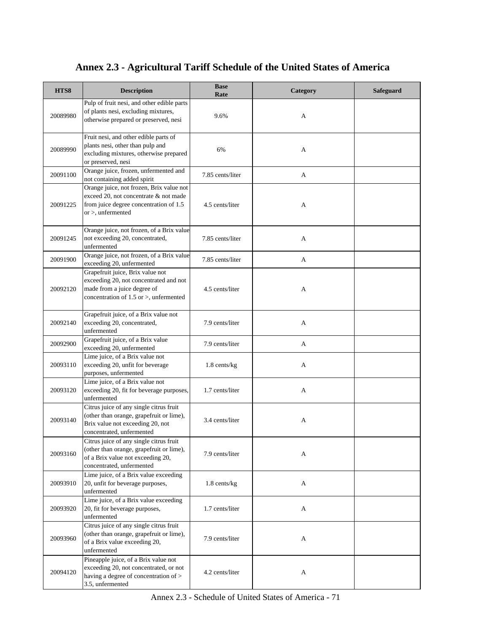| HTS8     | <b>Description</b>                                                                                                                                       | <b>Base</b><br>Rate | Category | <b>Safeguard</b> |
|----------|----------------------------------------------------------------------------------------------------------------------------------------------------------|---------------------|----------|------------------|
| 20089980 | Pulp of fruit nesi, and other edible parts<br>of plants nesi, excluding mixtures,<br>otherwise prepared or preserved, nesi                               | 9.6%                | A        |                  |
| 20089990 | Fruit nesi, and other edible parts of<br>plants nesi, other than pulp and<br>excluding mixtures, otherwise prepared<br>or preserved, nesi                | 6%                  | A        |                  |
| 20091100 | Orange juice, frozen, unfermented and<br>not containing added spirit                                                                                     | 7.85 cents/liter    | A        |                  |
| 20091225 | Orange juice, not frozen, Brix value not<br>exceed 20, not concentrate & not made<br>from juice degree concentration of 1.5<br>$or$ >, unfermented       | 4.5 cents/liter     | A        |                  |
| 20091245 | Orange juice, not frozen, of a Brix value<br>not exceeding 20, concentrated,<br>unfermented                                                              | 7.85 cents/liter    | A        |                  |
| 20091900 | Orange juice, not frozen, of a Brix value<br>exceeding 20, unfermented                                                                                   | 7.85 cents/liter    | A        |                  |
| 20092120 | Grapefruit juice, Brix value not<br>exceeding 20, not concentrated and not<br>made from a juice degree of<br>concentration of $1.5$ or $>$ , unfermented | 4.5 cents/liter     | A        |                  |
| 20092140 | Grapefruit juice, of a Brix value not<br>exceeding 20, concentrated,<br>unfermented                                                                      | 7.9 cents/liter     | A        |                  |
| 20092900 | Grapefruit juice, of a Brix value<br>exceeding 20, unfermented                                                                                           | 7.9 cents/liter     | A        |                  |
| 20093110 | Lime juice, of a Brix value not<br>exceeding 20, unfit for beverage<br>purposes, unfermented                                                             | $1.8$ cents/kg      | A        |                  |
| 20093120 | Lime juice, of a Brix value not<br>exceeding 20, fit for beverage purposes,<br>unfermented                                                               | 1.7 cents/liter     | A        |                  |
| 20093140 | Citrus juice of any single citrus fruit<br>(other than orange, grapefruit or lime),<br>Brix value not exceeding 20, not<br>concentrated, unfermented     | 3.4 cents/liter     | A        |                  |
| 20093160 | Citrus juice of any single citrus fruit<br>(other than orange, grapefruit or lime),<br>of a Brix value not exceeding 20,<br>concentrated, unfermented    | 7.9 cents/liter     | A        |                  |
| 20093910 | Lime juice, of a Brix value exceeding<br>20, unfit for beverage purposes,<br>unfermented                                                                 | $1.8$ cents/kg      | A        |                  |
| 20093920 | Lime juice, of a Brix value exceeding<br>20, fit for beverage purposes,<br>unfermented                                                                   | 1.7 cents/liter     | A        |                  |
| 20093960 | Citrus juice of any single citrus fruit<br>(other than orange, grapefruit or lime),<br>of a Brix value exceeding 20,<br>unfermented                      | 7.9 cents/liter     | A        |                  |
| 20094120 | Pineapple juice, of a Brix value not<br>exceeding 20, not concentrated, or not<br>having a degree of concentration of ><br>3.5, unfermented              | 4.2 cents/liter     | A        |                  |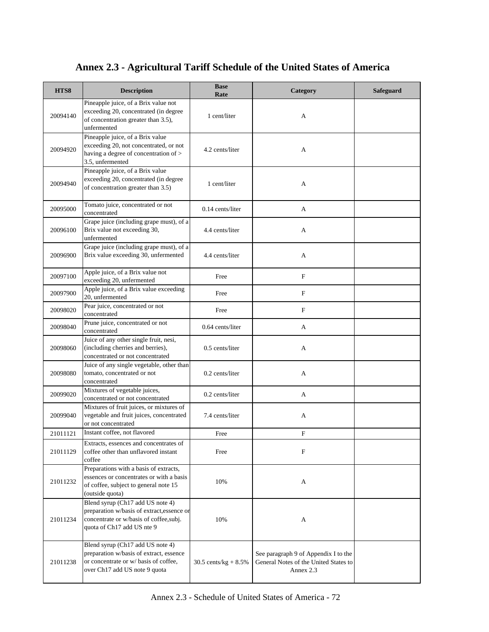| HTS8     | <b>Description</b>                                                                                                                                     | <b>Base</b><br>Rate     | Category                                                                                   | <b>Safeguard</b> |
|----------|--------------------------------------------------------------------------------------------------------------------------------------------------------|-------------------------|--------------------------------------------------------------------------------------------|------------------|
| 20094140 | Pineapple juice, of a Brix value not<br>exceeding 20, concentrated (in degree<br>of concentration greater than 3.5),<br>unfermented                    | 1 cent/liter            | A                                                                                          |                  |
| 20094920 | Pineapple juice, of a Brix value<br>exceeding 20, not concentrated, or not<br>having a degree of concentration of ><br>3.5, unfermented                | 4.2 cents/liter         | A                                                                                          |                  |
| 20094940 | Pineapple juice, of a Brix value<br>exceeding 20, concentrated (in degree<br>of concentration greater than 3.5)                                        | 1 cent/liter            | A                                                                                          |                  |
| 20095000 | Tomato juice, concentrated or not<br>concentrated                                                                                                      | $0.14$ cents/liter      | A                                                                                          |                  |
| 20096100 | Grape juice (including grape must), of a<br>Brix value not exceeding 30,<br>unfermented                                                                | 4.4 cents/liter         | A                                                                                          |                  |
| 20096900 | Grape juice (including grape must), of a<br>Brix value exceeding 30, unfermented                                                                       | 4.4 cents/liter         | A                                                                                          |                  |
| 20097100 | Apple juice, of a Brix value not<br>exceeding 20, unfermented                                                                                          | Free                    | $\mathbf F$                                                                                |                  |
| 20097900 | Apple juice, of a Brix value exceeding<br>20, unfermented                                                                                              | Free                    | F                                                                                          |                  |
| 20098020 | Pear juice, concentrated or not<br>concentrated                                                                                                        | Free                    | $\mathbf F$                                                                                |                  |
| 20098040 | Prune juice, concentrated or not<br>concentrated                                                                                                       | $0.64$ cents/liter      | A                                                                                          |                  |
| 20098060 | Juice of any other single fruit, nesi,<br>(including cherries and berries),<br>concentrated or not concentrated                                        | 0.5 cents/liter         | A                                                                                          |                  |
| 20098080 | Juice of any single vegetable, other than<br>tomato, concentrated or not<br>concentrated                                                               | $0.2$ cents/liter       | A                                                                                          |                  |
| 20099020 | Mixtures of vegetable juices,<br>concentrated or not concentrated                                                                                      | $0.2$ cents/liter       | A                                                                                          |                  |
| 20099040 | Mixtures of fruit juices, or mixtures of<br>vegetable and fruit juices, concentrated<br>or not concentrated                                            | 7.4 cents/liter         | A                                                                                          |                  |
| 21011121 | Instant coffee, not flavored                                                                                                                           | Free                    | $\mathbf F$                                                                                |                  |
| 21011129 | Extracts, essences and concentrates of<br>coffee other than unflavored instant<br>coffee                                                               | Free                    | F                                                                                          |                  |
| 21011232 | Preparations with a basis of extracts,<br>essences or concentrates or with a basis<br>of coffee, subject to general note 15<br>(outside quota)         | 10%                     | A                                                                                          |                  |
| 21011234 | Blend syrup (Ch17 add US note 4)<br>preparation w/basis of extract, essence or<br>concentrate or w/basis of coffee,subj.<br>quota of Ch17 add US nte 9 | 10%                     | A                                                                                          |                  |
| 21011238 | Blend syrup (Ch17 add US note 4)<br>preparation w/basis of extract, essence<br>or concentrate or w/ basis of coffee,<br>over Ch17 add US note 9 quota  | 30.5 cents/kg + $8.5\%$ | See paragraph 9 of Appendix I to the<br>General Notes of the United States to<br>Annex 2.3 |                  |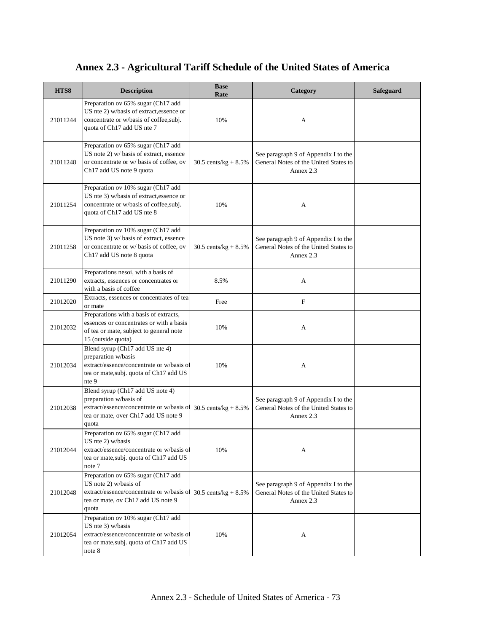| HTS8     | <b>Description</b>                                                                                                                                        | <b>Base</b><br>Rate       | Category                                                                                   | Safeguard |
|----------|-----------------------------------------------------------------------------------------------------------------------------------------------------------|---------------------------|--------------------------------------------------------------------------------------------|-----------|
| 21011244 | Preparation ov 65% sugar (Ch17 add<br>US nte 2) w/basis of extract, essence or<br>concentrate or w/basis of coffee,subj.<br>quota of Ch17 add US nte 7    | 10%                       | A                                                                                          |           |
| 21011248 | Preparation ov 65% sugar (Ch17 add<br>US note 2) w/ basis of extract, essence<br>or concentrate or w/ basis of coffee, ov<br>Ch17 add US note 9 quota     | 30.5 cents/ $kg + 8.5%$   | See paragraph 9 of Appendix I to the<br>General Notes of the United States to<br>Annex 2.3 |           |
| 21011254 | Preparation ov 10% sugar (Ch17 add<br>US nte 3) w/basis of extract, essence or<br>concentrate or w/basis of coffee, subj.<br>quota of Ch17 add US nte 8   | 10%                       | A                                                                                          |           |
| 21011258 | Preparation ov 10% sugar (Ch17 add<br>US note 3) w/ basis of extract, essence<br>or concentrate or w/ basis of coffee, ov<br>Ch17 add US note 8 quota     | 30.5 cents/ $kg + 8.5%$   | See paragraph 9 of Appendix I to the<br>General Notes of the United States to<br>Annex 2.3 |           |
| 21011290 | Preparations nesoi, with a basis of<br>extracts, essences or concentrates or<br>with a basis of coffee                                                    | 8.5%                      | A                                                                                          |           |
| 21012020 | Extracts, essences or concentrates of tea<br>or mate                                                                                                      | Free                      | F                                                                                          |           |
| 21012032 | Preparations with a basis of extracts,<br>essences or concentrates or with a basis<br>of tea or mate, subject to general note<br>15 (outside quota)       | 10%                       | A                                                                                          |           |
| 21012034 | Blend syrup (Ch17 add US nte 4)<br>preparation w/basis<br>extract/essence/concentrate or w/basis of<br>tea or mate, subj. quota of Ch17 add US<br>nte 9   | 10%                       | A                                                                                          |           |
| 21012038 | Blend syrup (Ch17 add US note 4)<br>preparation w/basis of<br>extract/essence/concentrate or w/basis of<br>tea or mate, over Ch17 add US note 9<br>quota  | $30.5$ cents/kg + $8.5\%$ | See paragraph 9 of Appendix I to the<br>General Notes of the United States to<br>Annex 2.3 |           |
| 21012044 | Preparation ov 65% sugar (Ch17 add<br>US nte 2) w/basis<br>extract/essence/concentrate or w/basis of<br>tea or mate, subj. quota of Ch17 add US<br>note 7 | 10%                       | А                                                                                          |           |
| 21012048 | Preparation ov 65% sugar (Ch17 add<br>US note 2) w/basis of<br>extract/essence/concentrate or w/basis of<br>tea or mate, ov Ch17 add US note 9<br>quota   | 30.5 cents/ $kg + 8.5%$   | See paragraph 9 of Appendix I to the<br>General Notes of the United States to<br>Annex 2.3 |           |
| 21012054 | Preparation ov 10% sugar (Ch17 add<br>US nte 3) w/basis<br>extract/essence/concentrate or w/basis of<br>tea or mate, subj. quota of Ch17 add US<br>note 8 | 10%                       | A                                                                                          |           |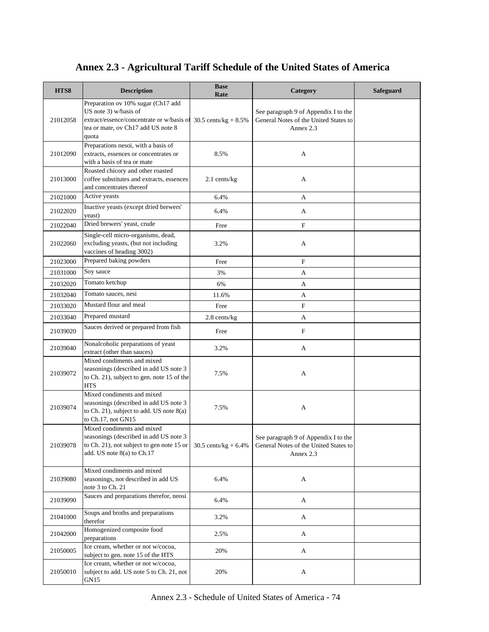| HTS8     | <b>Description</b>                                                                                                                                      | <b>Base</b><br>Rate     | Category                                                                                   | <b>Safeguard</b> |
|----------|---------------------------------------------------------------------------------------------------------------------------------------------------------|-------------------------|--------------------------------------------------------------------------------------------|------------------|
| 21012058 | Preparation ov 10% sugar (Ch17 add<br>US note 3) w/basis of<br>extract/essence/concentrate or w/basis of<br>tea or mate, ov Ch17 add US note 8<br>quota | 30.5 cents/kg + $8.5\%$ | See paragraph 9 of Appendix I to the<br>General Notes of the United States to<br>Annex 2.3 |                  |
| 21012090 | Preparations nesoi, with a basis of<br>extracts, essences or concentrates or<br>with a basis of tea or mate                                             | 8.5%                    | A                                                                                          |                  |
| 21013000 | Roasted chicory and other roasted<br>coffee substitutes and extracts, essences<br>and concentrates thereof                                              | 2.1 cents/kg            | A                                                                                          |                  |
| 21021000 | Active yeasts                                                                                                                                           | 6.4%                    | A                                                                                          |                  |
| 21022020 | Inactive yeasts (except dried brewers'<br>yeast)                                                                                                        | 6.4%                    | A                                                                                          |                  |
| 21022040 | Dried brewers' yeast, crude                                                                                                                             | Free                    | $\mathbf F$                                                                                |                  |
| 21022060 | Single-cell micro-organisms, dead,<br>excluding yeasts, (but not including<br>vaccines of heading 3002)                                                 | 3.2%                    | A                                                                                          |                  |
| 21023000 | Prepared baking powders                                                                                                                                 | Free                    | F                                                                                          |                  |
| 21031000 | Soy sauce                                                                                                                                               | 3%                      | A                                                                                          |                  |
| 21032020 | Tomato ketchup                                                                                                                                          | 6%                      | A                                                                                          |                  |
| 21032040 | Tomato sauces, nesi                                                                                                                                     | 11.6%                   | A                                                                                          |                  |
| 21033020 | Mustard flour and meal                                                                                                                                  | Free                    | $\mathbf F$                                                                                |                  |
| 21033040 | Prepared mustard                                                                                                                                        | 2.8 cents/kg            | A                                                                                          |                  |
| 21039020 | Sauces derived or prepared from fish                                                                                                                    | Free                    | F                                                                                          |                  |
| 21039040 | Nonalcoholic preparations of yeast<br>extract (other than sauces)                                                                                       | 3.2%                    | A                                                                                          |                  |
| 21039072 | Mixed condiments and mixed<br>seasonings (described in add US note 3<br>to Ch. 21), subject to gen. note 15 of the<br><b>HTS</b>                        | 7.5%                    | A                                                                                          |                  |
| 21039074 | Mixed condiments and mixed<br>seasonings (described in add US note 3<br>to Ch. 21), subject to add. US note 8(a)<br>to $Ch.17$ , not $GN15$             | 7.5%                    | A                                                                                          |                  |
| 21039078 | Mixed condiments and mixed<br>seasonings (described in add US note 3<br>to Ch. 21), not subject to gen note 15 or<br>add. US note 8(a) to Ch.17         | 30.5 cents/kg + $6.4\%$ | See paragraph 9 of Appendix I to the<br>General Notes of the United States to<br>Annex 2.3 |                  |
| 21039080 | Mixed condiments and mixed<br>seasonings, not described in add US<br>note 3 to Ch. 21                                                                   | 6.4%                    | A                                                                                          |                  |
| 21039090 | Sauces and preparations therefor, neosi                                                                                                                 | 6.4%                    | A                                                                                          |                  |
| 21041000 | Soups and broths and preparations<br>therefor                                                                                                           | 3.2%                    | A                                                                                          |                  |
| 21042000 | Homogenized composite food<br>preparations                                                                                                              | 2.5%                    | A                                                                                          |                  |
| 21050005 | Ice cream, whether or not w/cocoa,<br>subject to gen. note 15 of the HTS                                                                                | 20%                     | A                                                                                          |                  |
| 21050010 | Ice cream, whether or not w/cocoa,<br>subject to add. US note 5 to Ch. 21, not<br>GN15                                                                  | 20%                     | A                                                                                          |                  |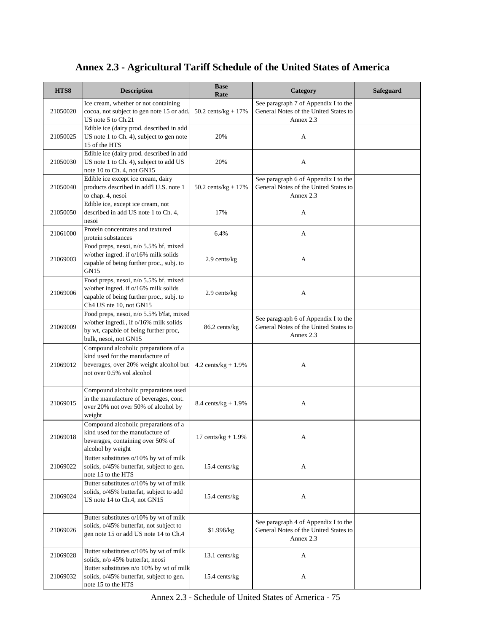| HTS8     | <b>Description</b>                                                                                                                                   | <b>Base</b><br>Rate            | Category                                                                                   | <b>Safeguard</b> |
|----------|------------------------------------------------------------------------------------------------------------------------------------------------------|--------------------------------|--------------------------------------------------------------------------------------------|------------------|
| 21050020 | Ice cream, whether or not containing<br>cocoa, not subject to gen note 15 or add.<br>US note 5 to Ch.21                                              | $50.2 \text{ cents/kg} + 17\%$ | See paragraph 7 of Appendix I to the<br>General Notes of the United States to<br>Annex 2.3 |                  |
| 21050025 | Edible ice (dairy prod. described in add<br>US note 1 to Ch. 4), subject to gen note<br>15 of the HTS                                                | 20%                            | A                                                                                          |                  |
| 21050030 | Edible ice (dairy prod. described in add<br>US note 1 to Ch. 4), subject to add US<br>note 10 to Ch. 4, not GN15                                     | 20%                            | A                                                                                          |                  |
| 21050040 | Edible ice except ice cream, dairy<br>products described in add'l U.S. note 1<br>to chap. 4, nesoi                                                   | 50.2 cents/ $kg + 17%$         | See paragraph 6 of Appendix I to the<br>General Notes of the United States to<br>Annex 2.3 |                  |
| 21050050 | Edible ice, except ice cream, not<br>described in add US note 1 to Ch. 4,<br>nesoi                                                                   | 17%                            | A                                                                                          |                  |
| 21061000 | Protein concentrates and textured<br>protein substances                                                                                              | 6.4%                           | A                                                                                          |                  |
| 21069003 | Food preps, nesoi, n/o 5.5% bf, mixed<br>w/other ingred. if o/16% milk solids<br>capable of being further proc., subj. to<br><b>GN15</b>             | 2.9 cents/kg                   | A                                                                                          |                  |
| 21069006 | Food preps, nesoi, n/o 5.5% bf, mixed<br>w/other ingred. if o/16% milk solids<br>capable of being further proc., subj. to<br>Ch4 US nte 10, not GN15 | 2.9 cents/kg                   | A                                                                                          |                  |
| 21069009 | Food preps, nesoi, n/o 5.5% b'fat, mixed<br>w/other ingredi., if o/16% milk solids<br>by wt, capable of being further proc,<br>bulk, nesoi, not GN15 | 86.2 cents/kg                  | See paragraph 6 of Appendix I to the<br>General Notes of the United States to<br>Annex 2.3 |                  |
| 21069012 | Compound alcoholic preparations of a<br>kind used for the manufacture of<br>beverages, over 20% weight alcohol but<br>not over 0.5% vol alcohol      | $4.2 \text{ cents/kg} + 1.9\%$ | A                                                                                          |                  |
| 21069015 | Compound alcoholic preparations used<br>in the manufacture of beverages, cont.<br>over 20% not over 50% of alcohol by<br>weight                      | 8.4 cents/ $kg + 1.9%$         | A                                                                                          |                  |
| 21069018 | Compound alcoholic preparations of a<br>kind used for the manufacture of<br>beverages, containing over 50% of<br>alcohol by weight                   | $17 \text{ cents/kg} + 1.9\%$  | A                                                                                          |                  |
| 21069022 | Butter substitutes o/10% by wt of milk<br>solids, o/45% butterfat, subject to gen.<br>note 15 to the HTS                                             | 15.4 cents/kg                  | A                                                                                          |                  |
| 21069024 | Butter substitutes o/10% by wt of milk<br>solids, o/45% butterfat, subject to add<br>US note 14 to Ch.4, not GN15                                    | 15.4 cents/kg                  | A                                                                                          |                  |
| 21069026 | Butter substitutes o/10% by wt of milk<br>solids, o/45% butterfat, not subject to<br>gen note 15 or add US note 14 to Ch.4                           | \$1.996/kg                     | See paragraph 4 of Appendix I to the<br>General Notes of the United States to<br>Annex 2.3 |                  |
| 21069028 | Butter substitutes o/10% by wt of milk<br>solids, n/o 45% butterfat, neosi                                                                           | 13.1 cents/kg                  | A                                                                                          |                  |
| 21069032 | Butter substitutes n/o 10% by wt of milk<br>solids, o/45% butterfat, subject to gen.<br>note 15 to the HTS                                           | 15.4 cents/kg                  | A                                                                                          |                  |

Annex 2.3 - Schedule of United States of America - 75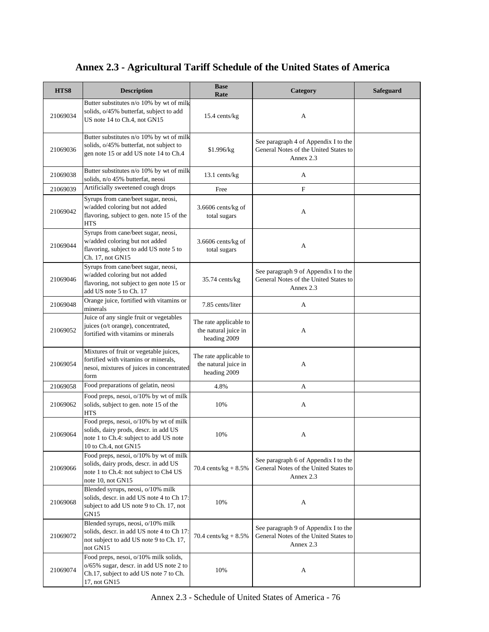| HTS8     | <b>Description</b>                                                                                                                                | <b>Base</b><br>Rate                                            | Category                                                                                   | <b>Safeguard</b> |
|----------|---------------------------------------------------------------------------------------------------------------------------------------------------|----------------------------------------------------------------|--------------------------------------------------------------------------------------------|------------------|
| 21069034 | Butter substitutes n/o 10% by wt of milk<br>solids, o/45% butterfat, subject to add<br>US note 14 to Ch.4, not GN15                               | 15.4 cents/kg                                                  | A                                                                                          |                  |
| 21069036 | Butter substitutes n/o 10% by wt of milk<br>solids, o/45% butterfat, not subject to<br>gen note 15 or add US note 14 to Ch.4                      | \$1.996/kg                                                     | See paragraph 4 of Appendix I to the<br>General Notes of the United States to<br>Annex 2.3 |                  |
| 21069038 | Butter substitutes n/o 10% by wt of milk<br>solids, n/o 45% butterfat, neosi                                                                      | 13.1 cents/kg                                                  | A                                                                                          |                  |
| 21069039 | Artificially sweetened cough drops                                                                                                                | Free                                                           | $\mathbf F$                                                                                |                  |
| 21069042 | Syrups from cane/beet sugar, neosi,<br>w/added coloring but not added<br>flavoring, subject to gen. note 15 of the<br><b>HTS</b>                  | 3.6606 cents/kg of<br>total sugars                             | A                                                                                          |                  |
| 21069044 | Syrups from cane/beet sugar, neosi,<br>w/added coloring but not added<br>flavoring, subject to add US note 5 to<br>Ch. 17, not GN15               | 3.6606 cents/kg of<br>total sugars                             | A                                                                                          |                  |
| 21069046 | Syrups from cane/beet sugar, neosi,<br>w/added coloring but not added<br>flavoring, not subject to gen note 15 or<br>add US note 5 to Ch. 17      | $35.74$ cents/kg                                               | See paragraph 9 of Appendix I to the<br>General Notes of the United States to<br>Annex 2.3 |                  |
| 21069048 | Orange juice, fortified with vitamins or<br>minerals                                                                                              | 7.85 cents/liter                                               | A                                                                                          |                  |
| 21069052 | Juice of any single fruit or vegetables<br>juices (o/t orange), concentrated,<br>fortified with vitamins or minerals                              | The rate applicable to<br>the natural juice in<br>heading 2009 | A                                                                                          |                  |
| 21069054 | Mixtures of fruit or vegetable juices,<br>fortified with vitamins or minerals,<br>nesoi, mixtures of juices in concentrated<br>form               | The rate applicable to<br>the natural juice in<br>heading 2009 | A                                                                                          |                  |
| 21069058 | Food preparations of gelatin, neosi                                                                                                               | 4.8%                                                           | A                                                                                          |                  |
| 21069062 | Food preps, nesoi, o/10% by wt of milk<br>solids, subject to gen. note 15 of the<br><b>HTS</b>                                                    | 10%                                                            | A                                                                                          |                  |
| 21069064 | Food preps, nesoi, o/10% by wt of milk<br>solids, dairy prods, descr. in add US<br>note 1 to Ch.4: subject to add US note<br>10 to Ch.4, not GN15 | 10%                                                            | А                                                                                          |                  |
| 21069066 | Food preps, nesoi, o/10% by wt of milk<br>solids, dairy prods, descr. in add US<br>note 1 to Ch.4: not subject to Ch4 US<br>note 10, not GN15     | 70.4 cents/kg + $8.5\%$                                        | See paragraph 6 of Appendix I to the<br>General Notes of the United States to<br>Annex 2.3 |                  |
| 21069068 | Blended syrups, neosi, o/10% milk<br>solids, descr. in add US note 4 to Ch 17:<br>subject to add US note 9 to Ch. 17, not<br>GN <sub>15</sub>     | 10%                                                            | A                                                                                          |                  |
| 21069072 | Blended syrups, neosi, o/10% milk<br>solids, descr. in add US note 4 to Ch 17:<br>not subject to add US note 9 to Ch. 17,<br>not GN15             | 70.4 cents/kg + $8.5\%$                                        | See paragraph 9 of Appendix I to the<br>General Notes of the United States to<br>Annex 2.3 |                  |
| 21069074 | Food preps, nesoi, o/10% milk solids,<br>o/65% sugar, descr. in add US note 2 to<br>Ch.17, subject to add US note 7 to Ch.<br>17, not GN15        | 10%                                                            | A                                                                                          |                  |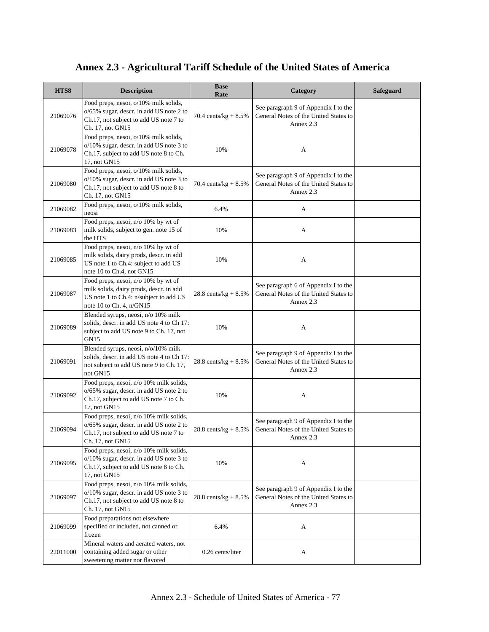| HTS8     | <b>Description</b>                                                                                                                                   | <b>Base</b><br>Rate             | Category                                                                                   | <b>Safeguard</b> |
|----------|------------------------------------------------------------------------------------------------------------------------------------------------------|---------------------------------|--------------------------------------------------------------------------------------------|------------------|
| 21069076 | Food preps, nesoi, o/10% milk solids,<br>o/65% sugar, descr. in add US note 2 to<br>Ch.17, not subject to add US note 7 to<br>Ch. 17, not GN15       | 70.4 cents/ $kg + 8.5%$         | See paragraph 9 of Appendix I to the<br>General Notes of the United States to<br>Annex 2.3 |                  |
| 21069078 | Food preps, nesoi, o/10% milk solids,<br>o/10% sugar, descr. in add US note 3 to<br>Ch.17, subject to add US note 8 to Ch.<br>17, not GN15           | 10%                             | A                                                                                          |                  |
| 21069080 | Food preps, nesoi, o/10% milk solids,<br>o/10% sugar, descr. in add US note 3 to<br>Ch.17, not subject to add US note 8 to<br>Ch. 17, not GN15       | 70.4 cents/kg + $8.5\%$         | See paragraph 9 of Appendix I to the<br>General Notes of the United States to<br>Annex 2.3 |                  |
| 21069082 | Food preps, nesoi, o/10% milk solids,<br>neosi                                                                                                       | 6.4%                            | A                                                                                          |                  |
| 21069083 | Food preps, nesoi, n/o 10% by wt of<br>milk solids, subject to gen. note 15 of<br>the HTS                                                            | 10%                             | A                                                                                          |                  |
| 21069085 | Food preps, nesoi, n/o 10% by wt of<br>milk solids, dairy prods, descr. in add<br>US note 1 to Ch.4: subject to add US<br>note 10 to Ch.4, not GN15  | 10%                             | A                                                                                          |                  |
| 21069087 | Food preps, nesoi, n/o 10% by wt of<br>milk solids, dairy prods, descr. in add<br>US note 1 to Ch.4: n/subject to add US<br>note 10 to Ch. 4, n/GN15 | $28.8 \text{ cents/kg} + 8.5\%$ | See paragraph 6 of Appendix I to the<br>General Notes of the United States to<br>Annex 2.3 |                  |
| 21069089 | Blended syrups, neosi, n/o 10% milk<br>solids, descr. in add US note 4 to Ch 17:<br>subject to add US note 9 to Ch. 17, not<br><b>GN15</b>           | 10%                             | A                                                                                          |                  |
| 21069091 | Blended syrups, neosi, n/o/10% milk<br>solids, descr. in add US note 4 to Ch 17:<br>not subject to add US note 9 to Ch. 17,<br>not GN15              | $28.8 \text{ cents/kg} + 8.5\%$ | See paragraph 9 of Appendix I to the<br>General Notes of the United States to<br>Annex 2.3 |                  |
| 21069092 | Food preps, nesoi, n/o 10% milk solids,<br>o/65% sugar, descr. in add US note 2 to<br>Ch.17, subject to add US note 7 to Ch.<br>17, not GN15         | 10%                             | A                                                                                          |                  |
| 21069094 | Food preps, nesoi, n/o 10% milk solids,<br>o/65% sugar, descr. in add US note 2 to<br>Ch.17, not subject to add US note 7 to<br>Ch. 17, not GN15     | 28.8 cents/kg + $8.5\%$         | See paragraph 9 of Appendix I to the<br>General Notes of the United States to<br>Annex 2.3 |                  |
| 21069095 | Food preps, nesoi, n/o 10% milk solids,<br>o/10% sugar, descr. in add US note 3 to<br>Ch.17, subject to add US note 8 to Ch.<br>17, not GN15         | 10%                             | A                                                                                          |                  |
| 21069097 | Food preps, nesoi, n/o 10% milk solids,<br>o/10% sugar, descr. in add US note 3 to<br>Ch.17, not subject to add US note 8 to<br>Ch. 17, not GN15     | 28.8 cents/kg + $8.5\%$         | See paragraph 9 of Appendix I to the<br>General Notes of the United States to<br>Annex 2.3 |                  |
| 21069099 | Food preparations not elsewhere<br>specified or included, not canned or<br>frozen                                                                    | 6.4%                            | A                                                                                          |                  |
| 22011000 | Mineral waters and aerated waters, not<br>containing added sugar or other<br>sweetening matter nor flavored                                          | 0.26 cents/liter                | A                                                                                          |                  |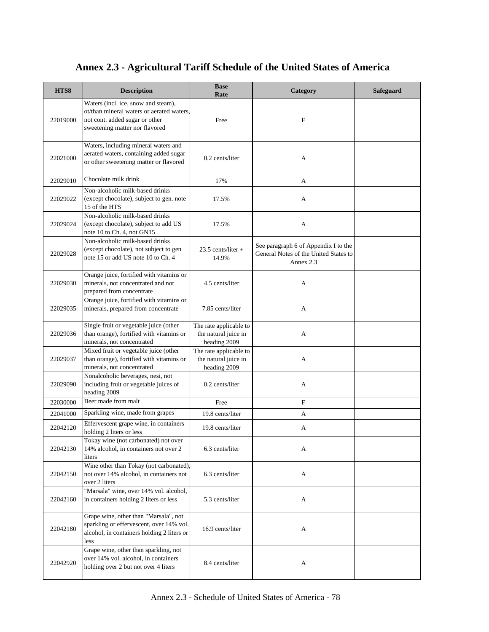| HTS8     | <b>Description</b>                                                                                                                                   | <b>Base</b><br>Rate                                            | Category                                                                                   | <b>Safeguard</b> |
|----------|------------------------------------------------------------------------------------------------------------------------------------------------------|----------------------------------------------------------------|--------------------------------------------------------------------------------------------|------------------|
| 22019000 | Waters (incl. ice, snow and steam),<br>ot/than mineral waters or aerated waters.<br>not cont. added sugar or other<br>sweetening matter nor flavored | Free                                                           | $\mathbf{F}$                                                                               |                  |
| 22021000 | Waters, including mineral waters and<br>aerated waters, containing added sugar<br>or other sweetening matter or flavored                             | 0.2 cents/liter                                                | A                                                                                          |                  |
| 22029010 | Chocolate milk drink                                                                                                                                 | 17%                                                            | A                                                                                          |                  |
| 22029022 | Non-alcoholic milk-based drinks<br>(except chocolate), subject to gen. note<br>15 of the HTS                                                         | 17.5%                                                          | A                                                                                          |                  |
| 22029024 | Non-alcoholic milk-based drinks<br>(except chocolate), subject to add US<br>note 10 to Ch. 4, not GN15                                               | 17.5%                                                          | A                                                                                          |                  |
| 22029028 | Non-alcoholic milk-based drinks<br>(except chocolate), not subject to gen<br>note 15 or add US note 10 to Ch. 4                                      | $23.5$ cents/liter +<br>14.9%                                  | See paragraph 6 of Appendix I to the<br>General Notes of the United States to<br>Annex 2.3 |                  |
| 22029030 | Orange juice, fortified with vitamins or<br>minerals, not concentrated and not<br>prepared from concentrate                                          | 4.5 cents/liter                                                | A                                                                                          |                  |
| 22029035 | Orange juice, fortified with vitamins or<br>minerals, prepared from concentrate                                                                      | 7.85 cents/liter                                               | A                                                                                          |                  |
| 22029036 | Single fruit or vegetable juice (other<br>than orange), fortified with vitamins or<br>minerals, not concentrated                                     | The rate applicable to<br>the natural juice in<br>heading 2009 | A                                                                                          |                  |
| 22029037 | Mixed fruit or vegetable juice (other<br>than orange), fortified with vitamins or<br>minerals, not concentrated                                      | The rate applicable to<br>the natural juice in<br>heading 2009 | A                                                                                          |                  |
| 22029090 | Nonalcoholic beverages, nesi, not<br>including fruit or vegetable juices of<br>heading 2009                                                          | 0.2 cents/liter                                                | A                                                                                          |                  |
| 22030000 | Beer made from malt                                                                                                                                  | Free                                                           | $\mathbf F$                                                                                |                  |
| 22041000 | Sparkling wine, made from grapes                                                                                                                     | 19.8 cents/liter                                               | A                                                                                          |                  |
| 22042120 | Effervescent grape wine, in containers<br>holding 2 liters or less                                                                                   | 19.8 cents/liter                                               | A                                                                                          |                  |
| 22042130 | Tokay wine (not carbonated) not over<br>14% alcohol, in containers not over 2<br>liters                                                              | 6.3 cents/liter                                                | A                                                                                          |                  |
| 22042150 | Wine other than Tokay (not carbonated)<br>not over 14% alcohol, in containers not<br>over 2 liters                                                   | 6.3 cents/liter                                                | A                                                                                          |                  |
| 22042160 | "Marsala" wine, over 14% vol. alcohol,<br>in containers holding 2 liters or less                                                                     | 5.3 cents/liter                                                | A                                                                                          |                  |
| 22042180 | Grape wine, other than "Marsala", not<br>sparkling or effervescent, over 14% vol.<br>alcohol, in containers holding 2 liters or<br>less              | 16.9 cents/liter                                               | A                                                                                          |                  |
| 22042920 | Grape wine, other than sparkling, not<br>over 14% vol. alcohol, in containers<br>holding over 2 but not over 4 liters                                | 8.4 cents/liter                                                | A                                                                                          |                  |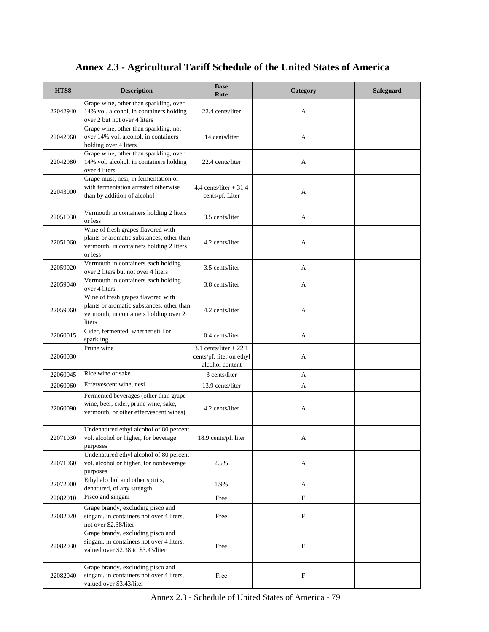| HTS8     | <b>Description</b>                                                                                                                     | <b>Base</b><br>Rate                                                    | Category                  | <b>Safeguard</b> |
|----------|----------------------------------------------------------------------------------------------------------------------------------------|------------------------------------------------------------------------|---------------------------|------------------|
| 22042940 | Grape wine, other than sparkling, over<br>14% vol. alcohol, in containers holding<br>over 2 but not over 4 liters                      | 22.4 cents/liter                                                       | A                         |                  |
| 22042960 | Grape wine, other than sparkling, not<br>over 14% vol. alcohol, in containers<br>holding over 4 liters                                 | 14 cents/liter                                                         | A                         |                  |
| 22042980 | Grape wine, other than sparkling, over<br>14% vol. alcohol, in containers holding<br>over 4 liters                                     | 22.4 cents/liter                                                       | A                         |                  |
| 22043000 | Grape must, nesi, in fermentation or<br>with fermentation arrested otherwise<br>than by addition of alcohol                            | $4.4$ cents/liter $+31.4$<br>cents/pf. Liter                           | A                         |                  |
| 22051030 | Vermouth in containers holding 2 liters<br>or less                                                                                     | 3.5 cents/liter                                                        | A                         |                  |
| 22051060 | Wine of fresh grapes flavored with<br>plants or aromatic substances, other than<br>vermouth, in containers holding 2 liters<br>or less | 4.2 cents/liter                                                        | A                         |                  |
| 22059020 | Vermouth in containers each holding<br>over 2 liters but not over 4 liters                                                             | 3.5 cents/liter                                                        | A                         |                  |
| 22059040 | Vermouth in containers each holding<br>over 4 liters                                                                                   | 3.8 cents/liter                                                        | A                         |                  |
| 22059060 | Wine of fresh grapes flavored with<br>plants or aromatic substances, other than<br>vermouth, in containers holding over 2<br>liters    | 4.2 cents/liter                                                        | A                         |                  |
| 22060015 | Cider, fermented, whether still or<br>sparkling                                                                                        | 0.4 cents/liter                                                        | A                         |                  |
| 22060030 | Prune wine                                                                                                                             | 3.1 cents/liter $+22.1$<br>cents/pf. liter on ethyl<br>alcohol content | A                         |                  |
| 22060045 | Rice wine or sake                                                                                                                      | 3 cents/liter                                                          | A                         |                  |
| 22060060 | Effervescent wine, nesi                                                                                                                | 13.9 cents/liter                                                       | A                         |                  |
| 22060090 | Fermented beverages (other than grape<br>wine, beer, cider, prune wine, sake,<br>vermouth, or other effervescent wines)                | 4.2 cents/liter                                                        | A                         |                  |
| 22071030 | Undenatured ethyl alcohol of 80 percent<br>vol. alcohol or higher, for beverage<br>purposes                                            | 18.9 cents/pf. liter                                                   | А                         |                  |
| 22071060 | Undenatured ethyl alcohol of 80 percent<br>vol. alcohol or higher, for nonbeverage<br>purposes                                         | 2.5%                                                                   | A                         |                  |
| 22072000 | Ethyl alcohol and other spirits,<br>denatured, of any strength                                                                         | 1.9%                                                                   | A                         |                  |
| 22082010 | Pisco and singani                                                                                                                      | Free                                                                   | F                         |                  |
| 22082020 | Grape brandy, excluding pisco and<br>singani, in containers not over 4 liters,<br>not over \$2.38/liter                                | Free                                                                   | $\mathbf F$               |                  |
| 22082030 | Grape brandy, excluding pisco and<br>singani, in containers not over 4 liters,<br>valued over \$2.38 to \$3.43/liter                   | Free                                                                   | F                         |                  |
| 22082040 | Grape brandy, excluding pisco and<br>singani, in containers not over 4 liters,<br>valued over \$3.43/liter                             | Free                                                                   | $\boldsymbol{\mathrm{F}}$ |                  |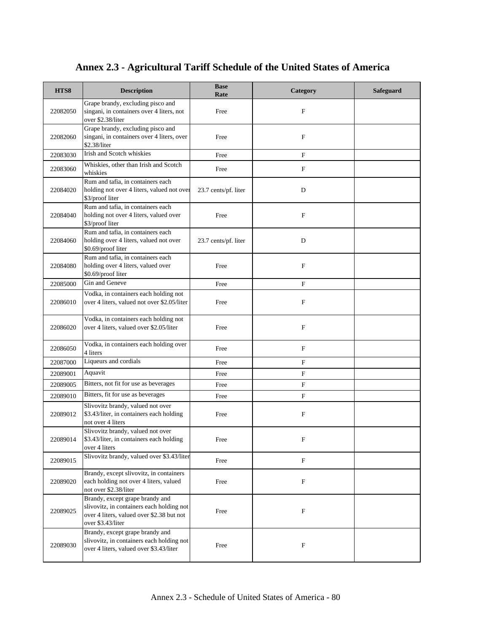| HTS8     | <b>Description</b>                                                                                                                             | <b>Base</b><br>Rate  | Category                  | <b>Safeguard</b> |
|----------|------------------------------------------------------------------------------------------------------------------------------------------------|----------------------|---------------------------|------------------|
| 22082050 | Grape brandy, excluding pisco and<br>singani, in containers over 4 liters, not<br>over \$2.38/liter                                            | Free                 | F                         |                  |
| 22082060 | Grape brandy, excluding pisco and<br>singani, in containers over 4 liters, over<br>\$2.38/liter                                                | Free                 | F                         |                  |
| 22083030 | Irish and Scotch whiskies                                                                                                                      | Free                 | F                         |                  |
| 22083060 | Whiskies, other than Irish and Scotch<br>whiskies                                                                                              | Free                 | F                         |                  |
| 22084020 | Rum and tafia, in containers each<br>holding not over 4 liters, valued not over<br>\$3/proof liter                                             | 23.7 cents/pf. liter | D                         |                  |
| 22084040 | Rum and tafia, in containers each<br>holding not over 4 liters, valued over<br>\$3/proof liter                                                 | Free                 | F                         |                  |
| 22084060 | Rum and tafia, in containers each<br>holding over 4 liters, valued not over<br>\$0.69/proof liter                                              | 23.7 cents/pf. liter | D                         |                  |
| 22084080 | Rum and tafia, in containers each<br>holding over 4 liters, valued over<br>\$0.69/proof liter                                                  | Free                 | F                         |                  |
| 22085000 | Gin and Geneve                                                                                                                                 | Free                 | F                         |                  |
| 22086010 | Vodka, in containers each holding not<br>over 4 liters, valued not over \$2.05/liter                                                           | Free                 | $\boldsymbol{\mathrm{F}}$ |                  |
| 22086020 | Vodka, in containers each holding not<br>over 4 liters, valued over \$2.05/liter                                                               | Free                 | F                         |                  |
| 22086050 | Vodka, in containers each holding over<br>4 liters                                                                                             | Free                 | $\mathbf F$               |                  |
| 22087000 | Liqueurs and cordials                                                                                                                          | Free                 | F                         |                  |
| 22089001 | Aquavit                                                                                                                                        | Free                 | F                         |                  |
| 22089005 | Bitters, not fit for use as beverages                                                                                                          | Free                 | F                         |                  |
| 22089010 | Bitters, fit for use as beverages                                                                                                              | Free                 | F                         |                  |
| 22089012 | Slivovitz brandy, valued not over<br>\$3.43/liter, in containers each holding<br>not over 4 liters                                             | Free                 | F                         |                  |
| 22089014 | Slivovitz brandy, valued not over<br>\$3.43/liter, in containers each holding<br>over 4 liters                                                 | Free                 | F                         |                  |
| 22089015 | Slivovitz brandy, valued over \$3.43/liter                                                                                                     | Free                 | $\mathbf F$               |                  |
| 22089020 | Brandy, except slivovitz, in containers<br>each holding not over 4 liters, valued<br>not over \$2.38/liter                                     | Free                 | F                         |                  |
| 22089025 | Brandy, except grape brandy and<br>slivovitz, in containers each holding not<br>over 4 liters, valued over \$2.38 but not<br>over \$3.43/liter | Free                 | $\boldsymbol{\mathrm{F}}$ |                  |
| 22089030 | Brandy, except grape brandy and<br>slivovitz, in containers each holding not<br>over 4 liters, valued over \$3.43/liter                        | Free                 | $\mathbf F$               |                  |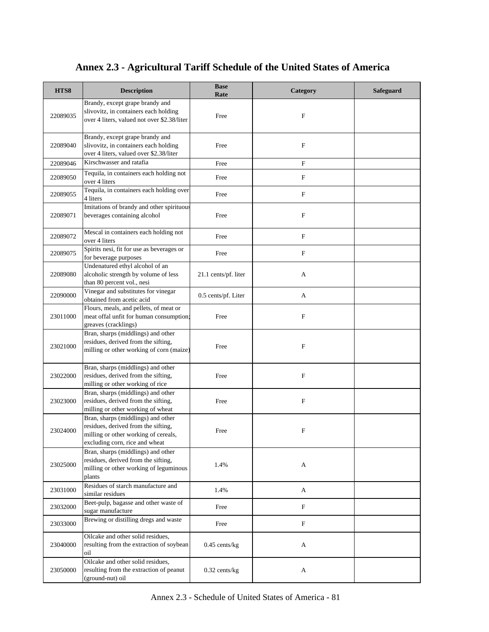| HTS8     | <b>Description</b>                                                                                                                                  | <b>Base</b><br>Rate  | Category                  | Safeguard |
|----------|-----------------------------------------------------------------------------------------------------------------------------------------------------|----------------------|---------------------------|-----------|
| 22089035 | Brandy, except grape brandy and<br>slivovitz, in containers each holding<br>over 4 liters, valued not over \$2.38/liter                             | Free                 | F                         |           |
| 22089040 | Brandy, except grape brandy and<br>slivovitz, in containers each holding<br>over 4 liters, valued over \$2.38/liter                                 | Free                 | F                         |           |
| 22089046 | Kirschwasser and ratafia                                                                                                                            | Free                 | F                         |           |
| 22089050 | Tequila, in containers each holding not<br>over 4 liters                                                                                            | Free                 | F                         |           |
| 22089055 | Tequila, in containers each holding over<br>4 liters                                                                                                | Free                 | $\mathbf F$               |           |
| 22089071 | Imitations of brandy and other spirituous<br>beverages containing alcohol                                                                           | Free                 | F                         |           |
| 22089072 | Mescal in containers each holding not<br>over 4 liters                                                                                              | Free                 | $\mathbf F$               |           |
| 22089075 | Spirits nesi, fit for use as beverages or<br>for beverage purposes                                                                                  | Free                 | $\mathbf F$               |           |
| 22089080 | Undenatured ethyl alcohol of an<br>alcoholic strength by volume of less<br>than 80 percent vol., nesi                                               | 21.1 cents/pf. liter | A                         |           |
| 22090000 | Vinegar and substitutes for vinegar<br>obtained from acetic acid                                                                                    | 0.5 cents/pf. Liter  | A                         |           |
| 23011000 | Flours, meals, and pellets, of meat or<br>meat offal unfit for human consumption;<br>greaves (cracklings)                                           | Free                 | F                         |           |
| 23021000 | Bran, sharps (middlings) and other<br>residues, derived from the sifting,<br>milling or other working of corn (maize)                               | Free                 | F                         |           |
| 23022000 | Bran, sharps (middlings) and other<br>residues, derived from the sifting,<br>milling or other working of rice                                       | Free                 | $\boldsymbol{\mathrm{F}}$ |           |
| 23023000 | Bran, sharps (middlings) and other<br>residues, derived from the sifting,<br>milling or other working of wheat                                      | Free                 | F                         |           |
| 23024000 | Bran, sharps (middlings) and other<br>residues, derived from the sifting,<br>milling or other working of cereals,<br>excluding corn, rice and wheat | Free                 | F                         |           |
| 23025000 | Bran, sharps (middlings) and other<br>residues, derived from the sifting,<br>milling or other working of leguminous<br>plants                       | 1.4%                 | A                         |           |
| 23031000 | Residues of starch manufacture and<br>similar residues                                                                                              | 1.4%                 | A                         |           |
| 23032000 | Beet-pulp, bagasse and other waste of<br>sugar manufacture                                                                                          | Free                 | F                         |           |
| 23033000 | Brewing or distilling dregs and waste                                                                                                               | Free                 | $\mathbf F$               |           |
| 23040000 | Oilcake and other solid residues,<br>resulting from the extraction of soybean<br>oil                                                                | $0.45$ cents/kg      | A                         |           |
| 23050000 | Oilcake and other solid residues,<br>resulting from the extraction of peanut<br>(ground-nut) oil                                                    | $0.32$ cents/kg      | A                         |           |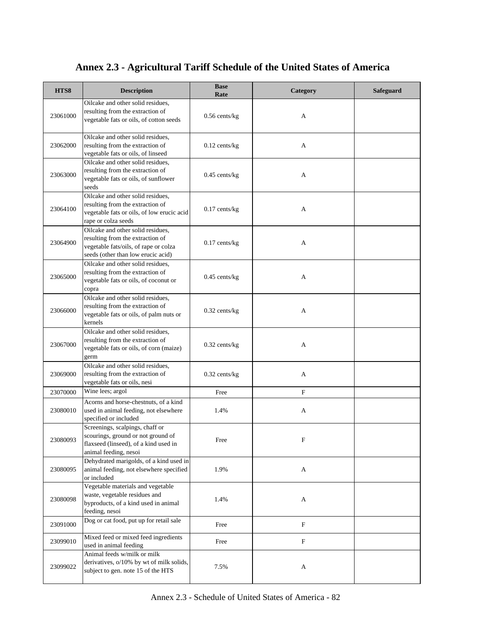| HTS8     | <b>Description</b>                                                                                                                                   | <b>Base</b><br>Rate | Category                  | <b>Safeguard</b> |
|----------|------------------------------------------------------------------------------------------------------------------------------------------------------|---------------------|---------------------------|------------------|
| 23061000 | Oilcake and other solid residues.<br>resulting from the extraction of<br>vegetable fats or oils, of cotton seeds                                     | $0.56$ cents/kg     | A                         |                  |
| 23062000 | Oilcake and other solid residues,<br>resulting from the extraction of<br>vegetable fats or oils, of linseed                                          | $0.12$ cents/kg     | A                         |                  |
| 23063000 | Oilcake and other solid residues,<br>resulting from the extraction of<br>vegetable fats or oils, of sunflower<br>seeds                               | $0.45$ cents/kg     | A                         |                  |
| 23064100 | Oilcake and other solid residues,<br>resulting from the extraction of<br>vegetable fats or oils, of low erucic acid<br>rape or colza seeds           | $0.17$ cents/kg     | A                         |                  |
| 23064900 | Oilcake and other solid residues,<br>resulting from the extraction of<br>vegetable fats/oils, of rape or colza<br>seeds (other than low erucic acid) | $0.17$ cents/kg     | A                         |                  |
| 23065000 | Oilcake and other solid residues,<br>resulting from the extraction of<br>vegetable fats or oils, of coconut or<br>copra                              | $0.45$ cents/kg     | A                         |                  |
| 23066000 | Oilcake and other solid residues,<br>resulting from the extraction of<br>vegetable fats or oils, of palm nuts or<br>kernels                          | $0.32$ cents/kg     | A                         |                  |
| 23067000 | Oilcake and other solid residues,<br>resulting from the extraction of<br>vegetable fats or oils, of corn (maize)<br>germ                             | $0.32$ cents/kg     | A                         |                  |
| 23069000 | Oilcake and other solid residues,<br>resulting from the extraction of<br>vegetable fats or oils, nesi                                                | $0.32$ cents/kg     | A                         |                  |
| 23070000 | Wine lees; argol                                                                                                                                     | Free                | F                         |                  |
| 23080010 | Acorns and horse-chestnuts, of a kind<br>used in animal feeding, not elsewhere<br>specified or included                                              | 1.4%                | A                         |                  |
| 23080093 | Screenings, scalpings, chaff or<br>scourings, ground or not ground of<br>flaxseed (linseed), of a kind used in<br>animal feeding, nesoi              | Free                |                           |                  |
| 23080095 | Dehydrated marigolds, of a kind used in<br>animal feeding, not elsewhere specified<br>or included                                                    | 1.9%                | A                         |                  |
| 23080098 | Vegetable materials and vegetable<br>waste, vegetable residues and<br>byproducts, of a kind used in animal<br>feeding, nesoi                         | 1.4%                | A                         |                  |
| 23091000 | Dog or cat food, put up for retail sale                                                                                                              | Free                | $\boldsymbol{\mathrm{F}}$ |                  |
| 23099010 | Mixed feed or mixed feed ingredients<br>used in animal feeding                                                                                       | Free                | $\mathbf F$               |                  |
| 23099022 | Animal feeds w/milk or milk<br>derivatives, o/10% by wt of milk solids,<br>subject to gen. note 15 of the HTS                                        | 7.5%                | A                         |                  |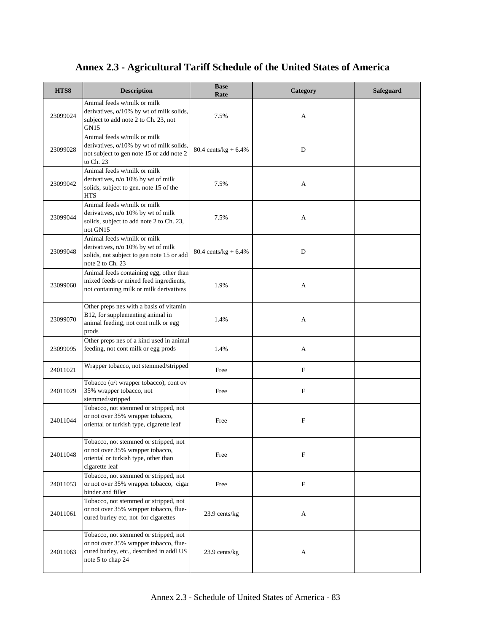| HTS8     | <b>Description</b>                                                                                                                               | <b>Base</b><br>Rate             | Category    | <b>Safeguard</b> |
|----------|--------------------------------------------------------------------------------------------------------------------------------------------------|---------------------------------|-------------|------------------|
| 23099024 | Animal feeds w/milk or milk<br>derivatives, o/10% by wt of milk solids,<br>subject to add note 2 to Ch. 23, not<br>GN15                          | 7.5%                            | A           |                  |
| 23099028 | Animal feeds w/milk or milk<br>derivatives, o/10% by wt of milk solids,<br>not subject to gen note 15 or add note 2<br>to Ch. 23                 | $80.4 \text{ cents/kg} + 6.4\%$ | D           |                  |
| 23099042 | Animal feeds w/milk or milk<br>derivatives, n/o 10% by wt of milk<br>solids, subject to gen. note 15 of the<br><b>HTS</b>                        | 7.5%                            | A           |                  |
| 23099044 | Animal feeds w/milk or milk<br>derivatives, n/o 10% by wt of milk<br>solids, subject to add note 2 to Ch. 23,<br>not GN15                        | 7.5%                            | A           |                  |
| 23099048 | Animal feeds w/milk or milk<br>derivatives, n/o 10% by wt of milk<br>solids, not subject to gen note 15 or add<br>note 2 to Ch. 23               | $80.4 \text{ cents/kg} + 6.4\%$ | D           |                  |
| 23099060 | Animal feeds containing egg, other than<br>mixed feeds or mixed feed ingredients,<br>not containing milk or milk derivatives                     | 1.9%                            | A           |                  |
| 23099070 | Other preps nes with a basis of vitamin<br>B12, for supplementing animal in<br>animal feeding, not cont milk or egg<br>prods                     | 1.4%                            | A           |                  |
| 23099095 | Other preps nes of a kind used in animal<br>feeding, not cont milk or egg prods                                                                  | 1.4%                            | A           |                  |
| 24011021 | Wrapper tobacco, not stemmed/stripped                                                                                                            | Free                            | F           |                  |
| 24011029 | Tobacco (o/t wrapper tobacco), cont ov<br>35% wrapper tobacco, not<br>stemmed/stripped                                                           | Free                            | $\mathbf F$ |                  |
| 24011044 | Tobacco, not stemmed or stripped, not<br>or not over 35% wrapper tobacco,<br>oriental or turkish type, cigarette leaf                            | Free                            | $\mathbf F$ |                  |
| 24011048 | Tobacco, not stemmed or stripped, not<br>or not over 35% wrapper tobacco,<br>oriental or turkish type, other than<br>cigarette leaf              | Free                            | F           |                  |
| 24011053 | Tobacco, not stemmed or stripped, not<br>or not over 35% wrapper tobacco, cigar<br>binder and filler                                             | Free                            | F           |                  |
| 24011061 | Tobacco, not stemmed or stripped, not<br>or not over 35% wrapper tobacco, flue-<br>cured burley etc, not for cigarettes                          | 23.9 cents/kg                   | A           |                  |
| 24011063 | Tobacco, not stemmed or stripped, not<br>or not over 35% wrapper tobacco, flue-<br>cured burley, etc., described in addl US<br>note 5 to chap 24 | 23.9 cents/kg                   | A           |                  |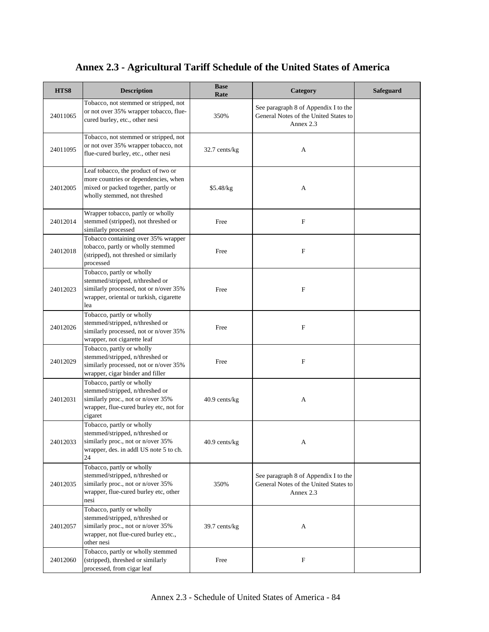| HTS8     | <b>Description</b>                                                                                                                                       | <b>Base</b><br>Rate | Category                                                                                   | Safeguard |
|----------|----------------------------------------------------------------------------------------------------------------------------------------------------------|---------------------|--------------------------------------------------------------------------------------------|-----------|
| 24011065 | Tobacco, not stemmed or stripped, not<br>or not over 35% wrapper tobacco, flue-<br>cured burley, etc., other nesi                                        | 350%                | See paragraph 8 of Appendix I to the<br>General Notes of the United States to<br>Annex 2.3 |           |
| 24011095 | Tobacco, not stemmed or stripped, not<br>or not over 35% wrapper tobacco, not<br>flue-cured burley, etc., other nesi                                     | 32.7 cents/kg       | A                                                                                          |           |
| 24012005 | Leaf tobacco, the product of two or<br>more countries or dependencies, when<br>mixed or packed together, partly or<br>wholly stemmed, not threshed       | \$5.48/kg           | A                                                                                          |           |
| 24012014 | Wrapper tobacco, partly or wholly<br>stemmed (stripped), not threshed or<br>similarly processed                                                          | Free                | ${\bf F}$                                                                                  |           |
| 24012018 | Tobacco containing over 35% wrapper<br>tobacco, partly or wholly stemmed<br>(stripped), not threshed or similarly<br>processed                           | Free                | F                                                                                          |           |
| 24012023 | Tobacco, partly or wholly<br>stemmed/stripped, n/threshed or<br>similarly processed, not or n/over 35%<br>wrapper, oriental or turkish, cigarette<br>lea | Free                | F                                                                                          |           |
| 24012026 | Tobacco, partly or wholly<br>stemmed/stripped, n/threshed or<br>similarly processed, not or n/over 35%<br>wrapper, not cigarette leaf                    | Free                | F                                                                                          |           |
| 24012029 | Tobacco, partly or wholly<br>stemmed/stripped, n/threshed or<br>similarly processed, not or n/over 35%<br>wrapper, cigar binder and filler               | Free                | ${\bf F}$                                                                                  |           |
| 24012031 | Tobacco, partly or wholly<br>stemmed/stripped, n/threshed or<br>similarly proc., not or n/over 35%<br>wrapper, flue-cured burley etc, not for<br>cigaret | 40.9 cents/kg       | A                                                                                          |           |
| 24012033 | Tobacco, partly or wholly<br>stemmed/stripped, n/threshed or<br>similarly proc., not or n/over 35%<br>wrapper, des. in addl US note 5 to ch.<br>24       | 40.9 cents/kg       | A                                                                                          |           |
| 24012035 | Tobacco, partly or wholly<br>stemmed/stripped, n/threshed or<br>similarly proc., not or n/over 35%<br>wrapper, flue-cured burley etc, other<br>nesi      | 350%                | See paragraph 8 of Appendix I to the<br>General Notes of the United States to<br>Annex 2.3 |           |
| 24012057 | Tobacco, partly or wholly<br>stemmed/stripped, n/threshed or<br>similarly proc., not or n/over 35%<br>wrapper, not flue-cured burley etc.,<br>other nesi | 39.7 cents/kg       | A                                                                                          |           |
| 24012060 | Tobacco, partly or wholly stemmed<br>(stripped), threshed or similarly<br>processed, from cigar leaf                                                     | Free                | $\mathbf F$                                                                                |           |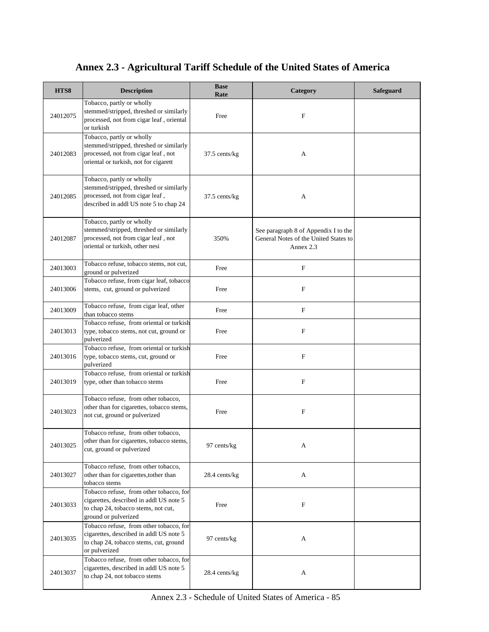| HTS8     | <b>Description</b>                                                                                                                                   | <b>Base</b><br>Rate | Category                                                                                   | <b>Safeguard</b> |
|----------|------------------------------------------------------------------------------------------------------------------------------------------------------|---------------------|--------------------------------------------------------------------------------------------|------------------|
| 24012075 | Tobacco, partly or wholly<br>stemmed/stripped, threshed or similarly<br>processed, not from cigar leaf, oriental<br>or turkish                       | Free                | F                                                                                          |                  |
| 24012083 | Tobacco, partly or wholly<br>stemmed/stripped, threshed or similarly<br>processed, not from cigar leaf, not<br>oriental or turkish, not for cigarett | 37.5 cents/kg       | A                                                                                          |                  |
| 24012085 | Tobacco, partly or wholly<br>stemmed/stripped, threshed or similarly<br>processed, not from cigar leaf,<br>described in addl US note 5 to chap 24    | 37.5 cents/kg       | А                                                                                          |                  |
| 24012087 | Tobacco, partly or wholly<br>stemmed/stripped, threshed or similarly<br>processed, not from cigar leaf, not<br>oriental or turkish, other nesi       | 350%                | See paragraph 8 of Appendix I to the<br>General Notes of the United States to<br>Annex 2.3 |                  |
| 24013003 | Tobacco refuse, tobacco stems, not cut,<br>ground or pulverized                                                                                      | Free                | F                                                                                          |                  |
| 24013006 | Tobacco refuse, from cigar leaf, tobacco<br>stems, cut, ground or pulverized                                                                         | Free                | F                                                                                          |                  |
| 24013009 | Tobacco refuse, from cigar leaf, other<br>than tobacco stems                                                                                         | Free                | $\mathbf F$                                                                                |                  |
| 24013013 | Tobacco refuse, from oriental or turkish<br>type, tobacco stems, not cut, ground or<br>pulverized                                                    | Free                | F                                                                                          |                  |
| 24013016 | Tobacco refuse, from oriental or turkish<br>type, tobacco stems, cut, ground or<br>pulverized                                                        | Free                | F                                                                                          |                  |
| 24013019 | Tobacco refuse, from oriental or turkish<br>type, other than tobacco stems                                                                           | Free                | $\mathbf F$                                                                                |                  |
| 24013023 | Tobacco refuse, from other tobacco,<br>other than for cigarettes, tobacco stems,<br>not cut, ground or pulverized                                    | Free                | F                                                                                          |                  |
| 24013025 | Tobacco refuse, from other tobacco,<br>other than for cigarettes, tobacco stems,<br>cut, ground or pulverized                                        | 97 cents/kg         | A                                                                                          |                  |
| 24013027 | Tobacco refuse, from other tobacco,<br>other than for cigarettes, to ther than<br>tobacco stems                                                      | 28.4 cents/kg       | A                                                                                          |                  |
| 24013033 | Tobacco refuse, from other tobacco, for<br>cigarettes, described in addl US note 5<br>to chap 24, tobacco stems, not cut,<br>ground or pulverized    | Free                | F                                                                                          |                  |
| 24013035 | Tobacco refuse, from other tobacco, for<br>cigarettes, described in addl US note 5<br>to chap 24, tobacco stems, cut, ground<br>or pulverized        | 97 cents/kg         | A                                                                                          |                  |
| 24013037 | Tobacco refuse, from other tobacco, for<br>cigarettes, described in addl US note 5<br>to chap 24, not tobacco stems                                  | 28.4 cents/kg       | A                                                                                          |                  |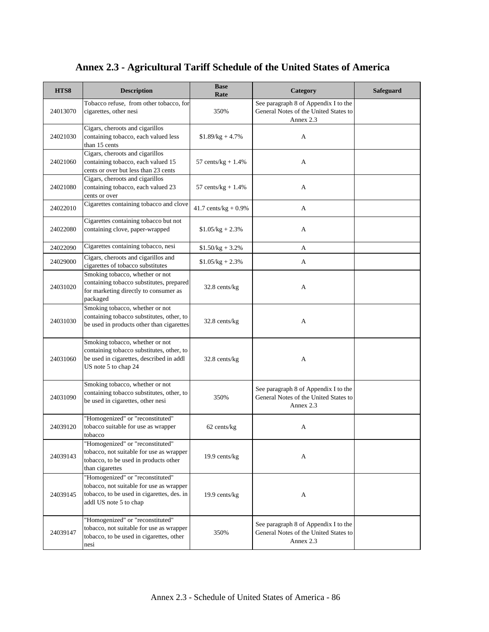| HTS8     | <b>Description</b>                                                                                                                                   | <b>Base</b><br>Rate     | Category                                                                                   | Safeguard |
|----------|------------------------------------------------------------------------------------------------------------------------------------------------------|-------------------------|--------------------------------------------------------------------------------------------|-----------|
| 24013070 | Tobacco refuse, from other tobacco, for<br>cigarettes, other nesi                                                                                    | 350%                    | See paragraph 8 of Appendix I to the<br>General Notes of the United States to<br>Annex 2.3 |           |
| 24021030 | Cigars, cheroots and cigarillos<br>containing tobacco, each valued less<br>than 15 cents                                                             | $$1.89/kg + 4.7\%$      | A                                                                                          |           |
| 24021060 | Cigars, cheroots and cigarillos<br>containing tobacco, each valued 15<br>cents or over but less than 23 cents                                        | 57 cents/ $kg + 1.4%$   | А                                                                                          |           |
| 24021080 | Cigars, cheroots and cigarillos<br>containing tobacco, each valued 23<br>cents or over                                                               | 57 cents/ $kg + 1.4%$   | A                                                                                          |           |
| 24022010 | Cigarettes containing tobacco and clove                                                                                                              | 41.7 cents/ $kg + 0.9%$ | A                                                                                          |           |
| 24022080 | Cigarettes containing tobacco but not<br>containing clove, paper-wrapped                                                                             | $$1.05/kg + 2.3\%$      | A                                                                                          |           |
| 24022090 | Cigarettes containing tobacco, nesi                                                                                                                  | $$1.50/kg + 3.2\%$      | A                                                                                          |           |
| 24029000 | Cigars, cheroots and cigarillos and<br>cigarettes of tobacco substitutes                                                                             | $$1.05/kg + 2.3\%$      | A                                                                                          |           |
| 24031020 | Smoking tobacco, whether or not<br>containing tobacco substitutes, prepared<br>for marketing directly to consumer as<br>packaged                     | 32.8 cents/kg           | A                                                                                          |           |
| 24031030 | Smoking tobacco, whether or not<br>containing tobacco substitutes, other, to<br>be used in products other than cigarettes                            | 32.8 cents/kg           | A                                                                                          |           |
| 24031060 | Smoking tobacco, whether or not<br>containing tobacco substitutes, other, to<br>be used in cigarettes, described in addl<br>US note 5 to chap 24     | 32.8 cents/kg           | A                                                                                          |           |
| 24031090 | Smoking tobacco, whether or not<br>containing tobacco substitutes, other, to<br>be used in cigarettes, other nesi                                    | 350%                    | See paragraph 8 of Appendix I to the<br>General Notes of the United States to<br>Annex 2.3 |           |
| 24039120 | "Homogenized" or "reconstituted"<br>tobacco suitable for use as wrapper<br>tobacco                                                                   | 62 cents/kg             | А                                                                                          |           |
| 24039143 | "Homogenized" or "reconstituted"<br>tobacco, not suitable for use as wrapper<br>tobacco, to be used in products other<br>than cigarettes             | 19.9 cents/kg           | A                                                                                          |           |
| 24039145 | "Homogenized" or "reconstituted"<br>tobacco, not suitable for use as wrapper<br>tobacco, to be used in cigarettes, des. in<br>addl US note 5 to chap | 19.9 cents/kg           | A                                                                                          |           |
| 24039147 | "Homogenized" or "reconstituted"<br>tobacco, not suitable for use as wrapper<br>tobacco, to be used in cigarettes, other<br>nesi                     | 350%                    | See paragraph 8 of Appendix I to the<br>General Notes of the United States to<br>Annex 2.3 |           |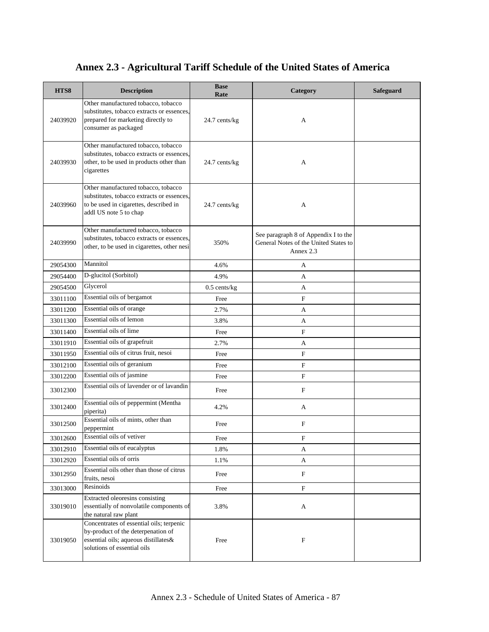| HTS8     | <b>Description</b>                                                                                                                                    | <b>Base</b><br>Rate | Category                                                                                   | Safeguard |
|----------|-------------------------------------------------------------------------------------------------------------------------------------------------------|---------------------|--------------------------------------------------------------------------------------------|-----------|
| 24039920 | Other manufactured tobacco, tobacco<br>substitutes, tobacco extracts or essences.<br>prepared for marketing directly to<br>consumer as packaged       | 24.7 cents/kg       | A                                                                                          |           |
| 24039930 | Other manufactured tobacco, tobacco<br>substitutes, tobacco extracts or essences,<br>other, to be used in products other than<br>cigarettes           | 24.7 cents/kg       | A                                                                                          |           |
| 24039960 | Other manufactured tobacco, tobacco<br>substitutes, tobacco extracts or essences.<br>to be used in cigarettes, described in<br>addl US note 5 to chap | 24.7 cents/kg       | A                                                                                          |           |
| 24039990 | Other manufactured tobacco, tobacco<br>substitutes, tobacco extracts or essences,<br>other, to be used in cigarettes, other nesi                      | 350%                | See paragraph 8 of Appendix I to the<br>General Notes of the United States to<br>Annex 2.3 |           |
| 29054300 | Mannitol                                                                                                                                              | 4.6%                | A                                                                                          |           |
| 29054400 | D-glucitol (Sorbitol)                                                                                                                                 | 4.9%                | A                                                                                          |           |
| 29054500 | Glycerol                                                                                                                                              | $0.5$ cents/kg      | A                                                                                          |           |
| 33011100 | Essential oils of bergamot                                                                                                                            | Free                | F                                                                                          |           |
| 33011200 | Essential oils of orange                                                                                                                              | 2.7%                | A                                                                                          |           |
| 33011300 | Essential oils of lemon                                                                                                                               | 3.8%                | A                                                                                          |           |
| 33011400 | Essential oils of lime                                                                                                                                | Free                | $\mathbf F$                                                                                |           |
| 33011910 | Essential oils of grapefruit                                                                                                                          | 2.7%                | A                                                                                          |           |
| 33011950 | Essential oils of citrus fruit, nesoi                                                                                                                 | Free                | $\mathbf F$                                                                                |           |
| 33012100 | Essential oils of geranium                                                                                                                            | Free                | $\boldsymbol{\mathrm{F}}$                                                                  |           |
| 33012200 | Essential oils of jasmine                                                                                                                             | Free                | $\mathbf F$                                                                                |           |
| 33012300 | Essential oils of lavender or of lavandin                                                                                                             | Free                | $\boldsymbol{\mathrm{F}}$                                                                  |           |
| 33012400 | Essential oils of peppermint (Mentha<br>piperita)                                                                                                     | 4.2%                | A                                                                                          |           |
| 33012500 | Essential oils of mints, other than<br>peppermint                                                                                                     | Free                | $\boldsymbol{\mathrm{F}}$                                                                  |           |
| 33012600 | Essential oils of vetiver                                                                                                                             | Free                | F                                                                                          |           |
| 33012910 | Essential oils of eucalyptus                                                                                                                          | 1.8%                | A                                                                                          |           |
| 33012920 | Essential oils of orris                                                                                                                               | 1.1%                | A                                                                                          |           |
| 33012950 | Essential oils other than those of citrus<br>fruits, nesoi                                                                                            | Free                | ${\bf F}$                                                                                  |           |
| 33013000 | Resinoids                                                                                                                                             | Free                | $\boldsymbol{\mathrm{F}}$                                                                  |           |
| 33019010 | Extracted oleoresins consisting<br>essentially of nonvolatile components of<br>the natural raw plant                                                  | 3.8%                | A                                                                                          |           |
| 33019050 | Concentrates of essential oils; terpenic<br>by-product of the deterpenation of<br>essential oils; aqueous distillates&<br>solutions of essential oils | Free                | $\boldsymbol{\mathrm{F}}$                                                                  |           |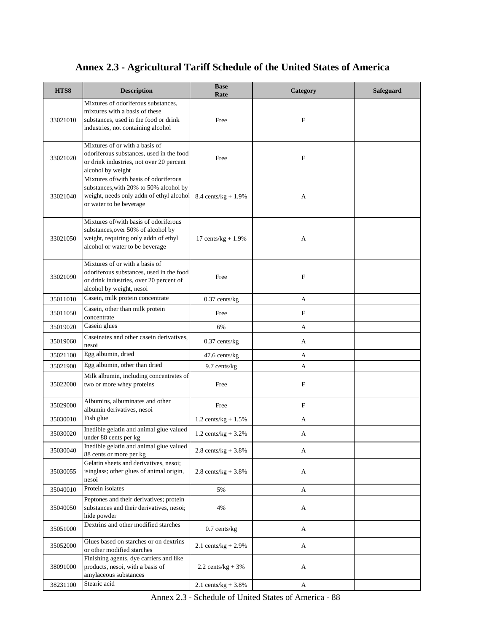| Annex 2.3 - Agricultural Tariff Schedule of the United States of America |
|--------------------------------------------------------------------------|
|--------------------------------------------------------------------------|

| HTS8     | <b>Description</b>                                                                                                                                     | <b>Base</b><br>Rate            | Category    | <b>Safeguard</b> |
|----------|--------------------------------------------------------------------------------------------------------------------------------------------------------|--------------------------------|-------------|------------------|
| 33021010 | Mixtures of odoriferous substances,<br>mixtures with a basis of these<br>substances, used in the food or drink<br>industries, not containing alcohol   | Free                           | F           |                  |
| 33021020 | Mixtures of or with a basis of<br>odoriferous substances, used in the food<br>or drink industries, not over 20 percent<br>alcohol by weight            | Free                           | $\mathbf F$ |                  |
| 33021040 | Mixtures of/with basis of odoriferous<br>substances, with 20% to 50% alcohol by<br>weight, needs only addn of ethyl alcohol<br>or water to be beverage | 8.4 cents/ $kg + 1.9%$         | A           |                  |
| 33021050 | Mixtures of/with basis of odoriferous<br>substances, over 50% of alcohol by<br>weight, requiring only addn of ethyl<br>alcohol or water to be beverage | 17 cents/ $kg + 1.9%$          | A           |                  |
| 33021090 | Mixtures of or with a basis of<br>odoriferous substances, used in the food<br>or drink industries, over 20 percent of<br>alcohol by weight, nesoi      | Free                           | $\mathbf F$ |                  |
| 35011010 | Casein, milk protein concentrate                                                                                                                       | $0.37$ cents/kg                | A           |                  |
| 35011050 | Casein, other than milk protein<br>concentrate                                                                                                         | Free                           | $\mathbf F$ |                  |
| 35019020 | Casein glues                                                                                                                                           | 6%                             | А           |                  |
| 35019060 | Caseinates and other casein derivatives,<br>nesoi                                                                                                      | $0.37$ cents/kg                | A           |                  |
| 35021100 | Egg albumin, dried                                                                                                                                     | 47.6 cents/kg                  | A           |                  |
| 35021900 | Egg albumin, other than dried                                                                                                                          | 9.7 cents/kg                   | А           |                  |
| 35022000 | Milk albumin, including concentrates of<br>two or more whey proteins                                                                                   | Free                           | ${\bf F}$   |                  |
| 35029000 | Albumins, albuminates and other<br>albumin derivatives, nesoi                                                                                          | Free                           | $\mathbf F$ |                  |
| 35030010 | Fish glue                                                                                                                                              | $1.2 \text{ cents/kg} + 1.5\%$ | А           |                  |
| 35030020 | Inedible gelatin and animal glue valued<br>under 88 cents per kg                                                                                       | 1.2 cents/kg + $3.2\%$         | A           |                  |
| 35030040 | Inedible gelatin and animal glue valued<br>88 cents or more per kg                                                                                     | 2.8 cents/ $kg + 3.8%$         | A           |                  |
| 35030055 | Gelatin sheets and derivatives, nesoi;<br>isinglass; other glues of animal origin,<br>nesoi                                                            | 2.8 cents/ $kg + 3.8%$         | A           |                  |
| 35040010 | Protein isolates                                                                                                                                       | 5%                             | A           |                  |
| 35040050 | Peptones and their derivatives; protein<br>substances and their derivatives, nesoi;<br>hide powder                                                     | 4%                             | A           |                  |
| 35051000 | Dextrins and other modified starches                                                                                                                   | $0.7$ cents/kg                 | A           |                  |
| 35052000 | Glues based on starches or on dextrins<br>or other modified starches                                                                                   | 2.1 cents/ $kg + 2.9%$         | A           |                  |
| 38091000 | Finishing agents, dye carriers and like<br>products, nesoi, with a basis of<br>amylaceous substances                                                   | $2.2 \text{ cents/kg} + 3\%$   | A           |                  |
| 38231100 | Stearic acid                                                                                                                                           | 2.1 cents/kg + $3.8\%$         | A           |                  |

Annex 2.3 - Schedule of United States of America - 88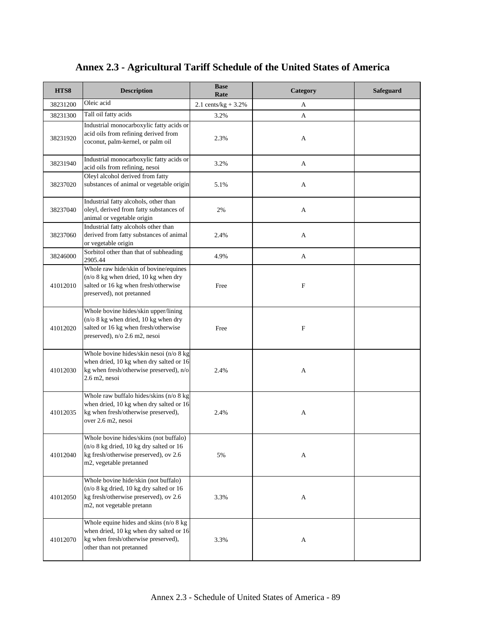| HTS8     | <b>Description</b>                                                                                                                                            | <b>Base</b><br>Rate    | Category                  | Safeguard |
|----------|---------------------------------------------------------------------------------------------------------------------------------------------------------------|------------------------|---------------------------|-----------|
| 38231200 | Oleic acid                                                                                                                                                    | 2.1 cents/kg + $3.2\%$ | А                         |           |
| 38231300 | Tall oil fatty acids                                                                                                                                          | 3.2%                   | A                         |           |
| 38231920 | Industrial monocarboxylic fatty acids or<br>acid oils from refining derived from<br>coconut, palm-kernel, or palm oil                                         | 2.3%                   | A                         |           |
| 38231940 | Industrial monocarboxylic fatty acids or<br>acid oils from refining, nesoi                                                                                    | 3.2%                   | A                         |           |
| 38237020 | Oleyl alcohol derived from fatty<br>substances of animal or vegetable origin                                                                                  | 5.1%                   | A                         |           |
| 38237040 | Industrial fatty alcohols, other than<br>oleyl, derived from fatty substances of<br>animal or vegetable origin                                                | 2%                     | А                         |           |
| 38237060 | Industrial fatty alcohols other than<br>derived from fatty substances of animal<br>or vegetable origin                                                        | 2.4%                   | A                         |           |
| 38246000 | Sorbitol other than that of subheading<br>2905.44                                                                                                             | 4.9%                   | A                         |           |
| 41012010 | Whole raw hide/skin of bovine/equines<br>$(n/\sigma)$ 8 kg when dried, 10 kg when dry<br>salted or 16 kg when fresh/otherwise<br>preserved), not pretanned    | Free                   | $\boldsymbol{\mathrm{F}}$ |           |
| 41012020 | Whole bovine hides/skin upper/lining<br>$(n/\sigma)$ 8 kg when dried, 10 kg when dry<br>salted or 16 kg when fresh/otherwise<br>preserved), n/o 2.6 m2, nesoi | Free                   | F                         |           |
| 41012030 | Whole bovine hides/skin nesoi (n/o 8 kg<br>when dried, 10 kg when dry salted or 16<br>kg when fresh/otherwise preserved), n/o<br>2.6 m2, nesoi                | 2.4%                   | A                         |           |
| 41012035 | Whole raw buffalo hides/skins (n/o 8 kg<br>when dried, 10 kg when dry salted or 16<br>kg when fresh/otherwise preserved),<br>over 2.6 m2, nesoi               | 2.4%                   | A                         |           |
| 41012040 | Whole bovine hides/skins (not buffalo)<br>(n/o 8 kg dried, 10 kg dry salted or 16<br>kg fresh/otherwise preserved), ov 2.6<br>m2, vegetable pretanned         | 5%                     | A                         |           |
| 41012050 | Whole bovine hide/skin (not buffalo)<br>(n/o 8 kg dried, 10 kg dry salted or 16<br>kg fresh/otherwise preserved), ov 2.6<br>m2, not vegetable pretann         | 3.3%                   | A                         |           |
| 41012070 | Whole equine hides and skins (n/o 8 kg<br>when dried, 10 kg when dry salted or 16<br>kg when fresh/otherwise preserved),<br>other than not pretanned          | 3.3%                   | A                         |           |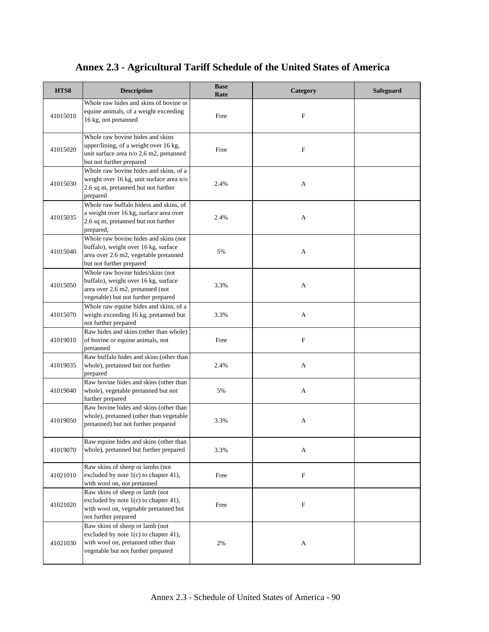| HTS8     | <b>Description</b>                                                                                                                                   | <b>Base</b><br>Rate | Category    | <b>Safeguard</b> |
|----------|------------------------------------------------------------------------------------------------------------------------------------------------------|---------------------|-------------|------------------|
| 41015010 | Whole raw hides and skins of bovine or<br>equine animals, of a weight exceeding<br>16 kg, not pretanned                                              | Free                | F           |                  |
| 41015020 | Whole raw bovine hides and skins<br>upper/lining, of a weight over 16 kg,<br>unit surface area n/o 2.6 m2, pretanned<br>but not further prepared     | Free                | $\mathbf F$ |                  |
| 41015030 | Whole raw bovine hides and skins, of a<br>weight over 16 kg, unit surface area n/o<br>2.6 sq m, pretanned but not further<br>prepared                | 2.4%                | A           |                  |
| 41015035 | Whole raw buffalo hidess and skins, of<br>a weight over 16 kg, surface area over<br>2.6 sq m, pretanned but not further<br>prepared,                 | 2.4%                | A           |                  |
| 41015040 | Whole raw bovine hides and skins (not<br>buffalo), weight over 16 kg, surface<br>area over 2.6 m2, vegetable pretanned<br>but not further prepared   | 5%                  | A           |                  |
| 41015050 | Whole raw bovine hides/skins (not<br>buffalo), weight over 16 kg, surface<br>area over 2.6 m2, pretanned (not<br>vegetable) but not further prepared | 3.3%                | A           |                  |
| 41015070 | Whole raw equine hides and skins, of a<br>weight exceeding 16 kg, pretanned but<br>not further prepared                                              | 3.3%                | A           |                  |
| 41019010 | Raw hides and skins (other than whole)<br>of bovine or equine animals, not<br>pretanned                                                              | Free                | $\mathbf F$ |                  |
| 41019035 | Raw buffalo hides and skins (other than<br>whole), pretanned but not further<br>prepared                                                             | 2.4%                | A           |                  |
| 41019040 | Raw bovine hides and skins (other than<br>whole), vegetable pretanned but not<br>further prepared                                                    | 5%                  | A           |                  |
| 41019050 | Raw bovine hides and skins (other than<br>whole), pretanned (other than vegetable<br>pretanned) but not further prepared                             | 3.3%                | A           |                  |
| 41019070 | Raw equine hides and skins (other than<br>whole), pretanned but further prepared                                                                     | 3.3%                | A           |                  |
| 41021010 | Raw skins of sheep or lambs (not<br>excluded by note 1(c) to chapter 41),<br>with wool on, not pretanned                                             | Free                | F           |                  |
| 41021020 | Raw skins of sheep or lamb (not<br>excluded by note 1(c) to chapter 41),<br>with wool on, vegetable pretanned but<br>not further prepared            | Free                | F           |                  |
| 41021030 | Raw skins of sheep or lamb (not<br>excluded by note 1(c) to chapter 41),<br>with wool on, pretanned other than<br>vegetable but not further prepared | 2%                  | A           |                  |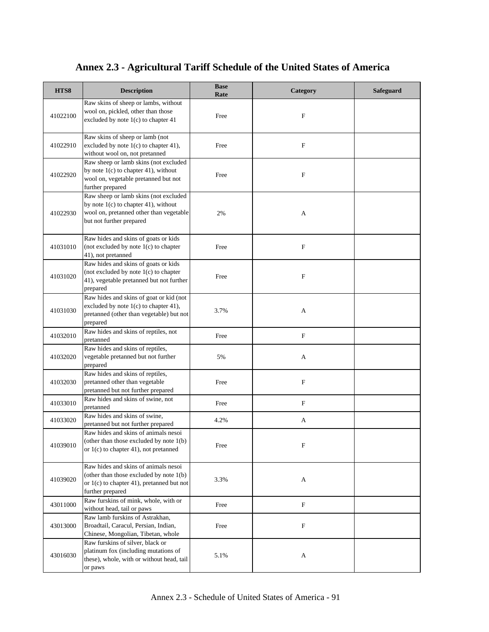| HTS8     | <b>Description</b>                                                                                                                                     | <b>Base</b><br>Rate | Category                  | <b>Safeguard</b> |
|----------|--------------------------------------------------------------------------------------------------------------------------------------------------------|---------------------|---------------------------|------------------|
| 41022100 | Raw skins of sheep or lambs, without<br>wool on, pickled, other than those<br>excluded by note 1(c) to chapter 41                                      | Free                | F                         |                  |
| 41022910 | Raw skins of sheep or lamb (not<br>excluded by note 1(c) to chapter 41),<br>without wool on, not pretanned                                             | Free                | $\mathbf F$               |                  |
| 41022920 | Raw sheep or lamb skins (not excluded<br>by note $1(c)$ to chapter 41), without<br>wool on, vegetable pretanned but not<br>further prepared            | Free                | ${\bf F}$                 |                  |
| 41022930 | Raw sheep or lamb skins (not excluded<br>by note $1(c)$ to chapter 41), without<br>wool on, pretanned other than vegetable<br>but not further prepared | 2%                  | A                         |                  |
| 41031010 | Raw hides and skins of goats or kids<br>(not excluded by note 1(c) to chapter<br>41), not pretanned                                                    | Free                | ${\bf F}$                 |                  |
| 41031020 | Raw hides and skins of goats or kids<br>(not excluded by note 1(c) to chapter<br>41), vegetable pretanned but not further<br>prepared                  | Free                | $\mathbf F$               |                  |
| 41031030 | Raw hides and skins of goat or kid (not<br>excluded by note 1(c) to chapter 41),<br>pretanned (other than vegetable) but not<br>prepared               | 3.7%                | A                         |                  |
| 41032010 | Raw hides and skins of reptiles, not<br>pretanned                                                                                                      | Free                | $\boldsymbol{\mathrm{F}}$ |                  |
| 41032020 | Raw hides and skins of reptiles,<br>vegetable pretanned but not further<br>prepared                                                                    | 5%                  | A                         |                  |
| 41032030 | Raw hides and skins of reptiles,<br>pretanned other than vegetable<br>pretanned but not further prepared                                               | Free                | $\mathbf{F}$              |                  |
| 41033010 | Raw hides and skins of swine, not<br>pretanned                                                                                                         | Free                | F                         |                  |
| 41033020 | Raw hides and skins of swine,<br>pretanned but not further prepared                                                                                    | 4.2%                | A                         |                  |
| 41039010 | Raw hides and skins of animals nesoi<br>(other than those excluded by note $1(b)$ )<br>or $1(c)$ to chapter 41), not pretanned                         | Free                | F                         |                  |
| 41039020 | Raw hides and skins of animals nesoi<br>(other than those excluded by note 1(b)<br>or $1(c)$ to chapter 41), pretanned but not<br>further prepared     | 3.3%                | A                         |                  |
| 43011000 | Raw furskins of mink, whole, with or<br>without head, tail or paws                                                                                     | Free                | F                         |                  |
| 43013000 | Raw lamb furskins of Astrakhan,<br>Broadtail, Caracul, Persian, Indian,<br>Chinese, Mongolian, Tibetan, whole                                          | Free                | $\mathbf{F}$              |                  |
| 43016030 | Raw furskins of silver, black or<br>platinum fox (including mutations of<br>these), whole, with or without head, tail<br>or paws                       | 5.1%                | A                         |                  |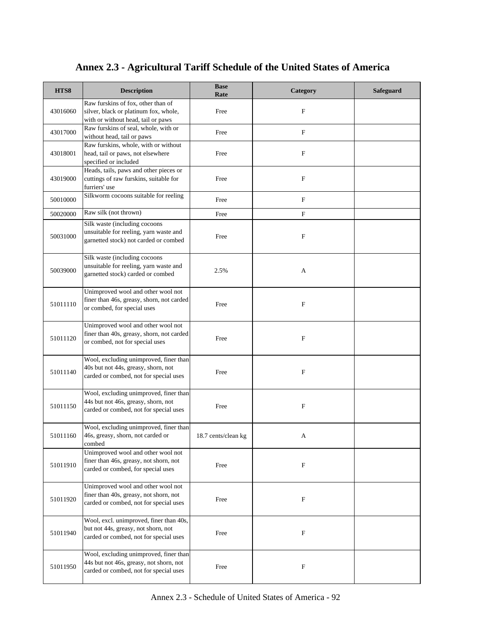| HTS8     | <b>Description</b>                                                                                                          | <b>Base</b><br>Rate | Category     | Safeguard |
|----------|-----------------------------------------------------------------------------------------------------------------------------|---------------------|--------------|-----------|
| 43016060 | Raw furskins of fox, other than of<br>silver, black or platinum fox, whole,<br>with or without head, tail or paws           | Free                | F            |           |
| 43017000 | Raw furskins of seal, whole, with or<br>without head, tail or paws                                                          | Free                | $\mathbf F$  |           |
| 43018001 | Raw furskins, whole, with or without<br>head, tail or paws, not elsewhere<br>specified or included                          | Free                | $\mathbf{F}$ |           |
| 43019000 | Heads, tails, paws and other pieces or<br>cuttings of raw furskins, suitable for<br>furriers' use                           | Free                | F            |           |
| 50010000 | Silkworm cocoons suitable for reeling                                                                                       | Free                | F            |           |
| 50020000 | Raw silk (not thrown)                                                                                                       | Free                | F            |           |
| 50031000 | Silk waste (including cocoons<br>unsuitable for reeling, yarn waste and<br>garnetted stock) not carded or combed            | Free                | F            |           |
| 50039000 | Silk waste (including cocoons<br>unsuitable for reeling, yarn waste and<br>garnetted stock) carded or combed                | 2.5%                | A            |           |
| 51011110 | Unimproved wool and other wool not<br>finer than 46s, greasy, shorn, not carded<br>or combed, for special uses              | Free                | F            |           |
| 51011120 | Unimproved wool and other wool not<br>finer than 40s, greasy, shorn, not carded<br>or combed, not for special uses          | Free                | F            |           |
| 51011140 | Wool, excluding unimproved, finer than<br>40s but not 44s, greasy, shorn, not<br>carded or combed, not for special uses     | Free                | F            |           |
| 51011150 | Wool, excluding unimproved, finer than<br>44s but not 46s, greasy, shorn, not<br>carded or combed, not for special uses     | Free                | F            |           |
| 51011160 | Wool, excluding unimproved, finer than<br>46s, greasy, shorn, not carded or<br>combed                                       | 18.7 cents/clean kg | A            |           |
| 51011910 | Unimproved wool and other wool not<br>finer than 46s, greasy, not shorn, not<br>carded or combed, for special uses          | Free                | F            |           |
| 51011920 | Unimproved wool and other wool not<br>finer than 40s, greasy, not shorn, not<br>carded or combed, not for special uses      | Free                | F            |           |
| 51011940 | Wool, excl. unimproved, finer than 40s,<br>but not 44s, greasy, not shorn, not<br>carded or combed, not for special uses    | Free                | F            |           |
| 51011950 | Wool, excluding unimproved, finer than<br>44s but not 46s, greasy, not shorn, not<br>carded or combed, not for special uses | Free                | F            |           |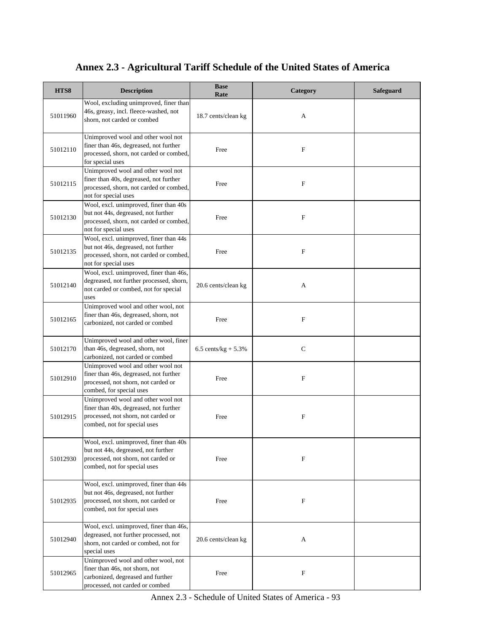| HTS8     | <b>Description</b>                                                                                                                                   | <b>Base</b><br>Rate    | Category    | <b>Safeguard</b> |
|----------|------------------------------------------------------------------------------------------------------------------------------------------------------|------------------------|-------------|------------------|
| 51011960 | Wool, excluding unimproved, finer than<br>46s, greasy, incl. fleece-washed, not<br>shorn, not carded or combed                                       | 18.7 cents/clean kg    | A           |                  |
| 51012110 | Unimproved wool and other wool not<br>finer than 46s, degreased, not further<br>processed, shorn, not carded or combed,<br>for special uses          | Free                   | F           |                  |
| 51012115 | Unimproved wool and other wool not<br>finer than 40s, degreased, not further<br>processed, shorn, not carded or combed,<br>not for special uses      | Free                   | F           |                  |
| 51012130 | Wool, excl. unimproved, finer than 40s<br>but not 44s, degreased, not further<br>processed, shorn, not carded or combed,<br>not for special uses     | Free                   | F           |                  |
| 51012135 | Wool, excl. unimproved, finer than 44s<br>but not 46s, degreased, not further<br>processed, shorn, not carded or combed,<br>not for special uses     | Free                   | $\mathbf F$ |                  |
| 51012140 | Wool, excl. unimproved, finer than 46s,<br>degreased, not further processed, shorn,<br>not carded or combed, not for special<br>uses                 | 20.6 cents/clean kg    | A           |                  |
| 51012165 | Unimproved wool and other wool, not<br>finer than 46s, degreased, shorn, not<br>carbonized, not carded or combed                                     | Free                   | $\mathbf F$ |                  |
| 51012170 | Unimproved wool and other wool, finer<br>than 46s, degreased, shorn, not<br>carbonized, not carded or combed                                         | 6.5 cents/kg + $5.3\%$ | $\mathbf C$ |                  |
| 51012910 | Unimproved wool and other wool not<br>finer than 46s, degreased, not further<br>processed, not shorn, not carded or<br>combed, for special uses      | Free                   | F           |                  |
| 51012915 | Unimproved wool and other wool not<br>finer than 40s, degreased, not further<br>processed, not shorn, not carded or<br>combed, not for special uses  | Free                   | F           |                  |
| 51012930 | Wool, excl. unimproved, finer than 40s<br>but not 44s, degreased, not further<br>processed, not shorn, not carded or<br>combed, not for special uses | Free                   | $\mathbf F$ |                  |
| 51012935 | Wool, excl. unimproved, finer than 44s<br>but not 46s, degreased, not further<br>processed, not shorn, not carded or<br>combed, not for special uses | Free                   | F           |                  |
| 51012940 | Wool, excl. unimproved, finer than 46s,<br>degreased, not further processed, not<br>shorn, not carded or combed, not for<br>special uses             | 20.6 cents/clean kg    | A           |                  |
| 51012965 | Unimproved wool and other wool, not<br>finer than 46s, not shorn, not<br>carbonized, degreased and further<br>processed, not carded or combed        | Free                   | $\mathbf F$ |                  |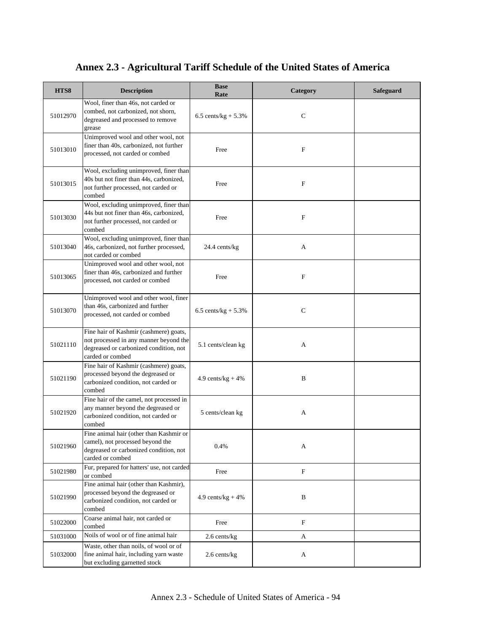| HTS8     | <b>Description</b>                                                                                                                             | <b>Base</b><br>Rate    | Category    | <b>Safeguard</b> |
|----------|------------------------------------------------------------------------------------------------------------------------------------------------|------------------------|-------------|------------------|
| 51012970 | Wool, finer than 46s, not carded or<br>combed, not carbonized, not shorn,<br>degreased and processed to remove<br>grease                       | 6.5 cents/kg + $5.3\%$ | C           |                  |
| 51013010 | Unimproved wool and other wool, not<br>finer than 40s, carbonized, not further<br>processed, not carded or combed                              | Free                   | F           |                  |
| 51013015 | Wool, excluding unimproved, finer than<br>40s but not finer than 44s, carbonized,<br>not further processed, not carded or<br>combed            | Free                   | F           |                  |
| 51013030 | Wool, excluding unimproved, finer than<br>44s but not finer than 46s, carbonized,<br>not further processed, not carded or<br>combed            | Free                   | F           |                  |
| 51013040 | Wool, excluding unimproved, finer than<br>46s, carbonized, not further processed,<br>not carded or combed                                      | 24.4 cents/kg          | А           |                  |
| 51013065 | Unimproved wool and other wool, not<br>finer than 46s, carbonized and further<br>processed, not carded or combed                               | Free                   | $\mathbf F$ |                  |
| 51013070 | Unimproved wool and other wool, finer<br>than 46s, carbonized and further<br>processed, not carded or combed                                   | 6.5 cents/ $kg + 5.3%$ | C           |                  |
| 51021110 | Fine hair of Kashmir (cashmere) goats,<br>not processed in any manner beyond the<br>degreased or carbonized condition, not<br>carded or combed | 5.1 cents/clean kg     | A           |                  |
| 51021190 | Fine hair of Kashmir (cashmere) goats,<br>processed beyond the degreased or<br>carbonized condition, not carded or<br>combed                   | 4.9 cents/ $kg + 4%$   | B           |                  |
| 51021920 | Fine hair of the camel, not processed in<br>any manner beyond the degreased or<br>carbonized condition, not carded or<br>combed                | 5 cents/clean kg       | A           |                  |
| 51021960 | Fine animal hair (other than Kashmir or<br>camel), not processed beyond the<br>degreased or carbonized condition, not<br>carded or combed      | 0.4%                   | А           |                  |
| 51021980 | Fur, prepared for hatters' use, not carded<br>or combed                                                                                        | Free                   | F           |                  |
| 51021990 | Fine animal hair (other than Kashmir),<br>processed beyond the degreased or<br>carbonized condition, not carded or<br>combed                   | 4.9 cents/ $kg + 4%$   | B           |                  |
| 51022000 | Coarse animal hair, not carded or<br>combed                                                                                                    | Free                   | F           |                  |
| 51031000 | Noils of wool or of fine animal hair                                                                                                           | 2.6 cents/kg           | A           |                  |
| 51032000 | Waste, other than noils, of wool or of<br>fine animal hair, including yarn waste<br>but excluding garnetted stock                              | 2.6 cents/kg           | A           |                  |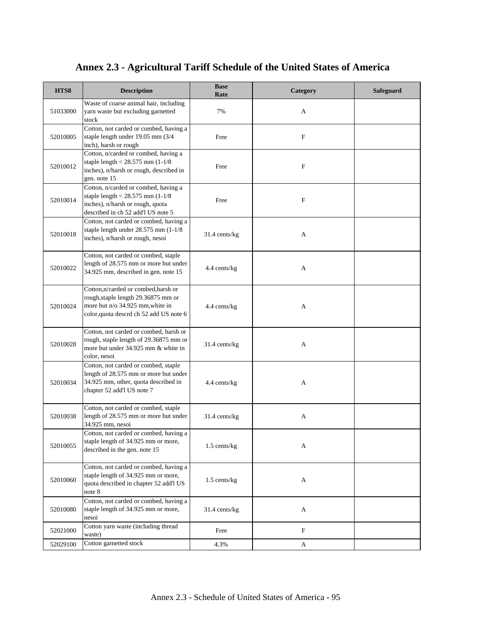| HTS8     | <b>Description</b>                                                                                                                                       | <b>Base</b><br>Rate | Category    | <b>Safeguard</b> |
|----------|----------------------------------------------------------------------------------------------------------------------------------------------------------|---------------------|-------------|------------------|
| 51033000 | Waste of coarse animal hair, including<br>yarn waste but excluding garnetted<br>stock                                                                    | 7%                  | A           |                  |
| 52010005 | Cotton, not carded or combed, having a<br>staple length under 19.05 mm (3/4<br>inch), harsh or rough                                                     | Free                | F           |                  |
| 52010012 | Cotton, n/carded or combed, having a<br>staple length $<$ 28.575 mm (1-1/8<br>inches), n/harsh or rough, described in<br>gen. note 15                    | Free                | $\mathbf F$ |                  |
| 52010014 | Cotton, n/carded or combed, having a<br>staple length $<$ 28.575 mm (1-1/8)<br>inches), n/harsh or rough, quota<br>described in ch 52 add'l US note 5    | Free                | $\mathbf F$ |                  |
| 52010018 | Cotton, not carded or combed, having a<br>staple length under 28.575 mm (1-1/8)<br>inches), n/harsh or rough, nesoi                                      | 31.4 cents/kg       | A           |                  |
| 52010022 | Cotton, not carded or combed, staple<br>length of 28.575 mm or more but under<br>34.925 mm, described in gen. note 15                                    | 4.4 cents/kg        | A           |                  |
| 52010024 | Cotton,n/carded or combed,harsh or<br>rough, staple length 29.36875 mm or<br>more but n/o 34.925 mm, white in<br>color, quota descrd ch 52 add US note 6 | 4.4 cents/kg        | A           |                  |
| 52010028 | Cotton, not carded or combed, harsh or<br>rough, staple length of 29.36875 mm or<br>more but under 34.925 mm & white in<br>color, nesoi                  | 31.4 cents/kg       | A           |                  |
| 52010034 | Cotton, not carded or combed, staple<br>length of 28.575 mm or more but under<br>34.925 mm, other, quota described in<br>chapter 52 add'l US note 7      | 4.4 cents/kg        | A           |                  |
| 52010038 | Cotton, not carded or combed, staple<br>length of 28.575 mm or more but under<br>34.925 mm, nesoi                                                        | 31.4 cents/kg       | A           |                  |
| 52010055 | Cotton, not carded or combed, having a<br>staple length of 34.925 mm or more,<br>described in the gen. note 15                                           | 1.5 cents/kg        | A           |                  |
| 52010060 | Cotton, not carded or combed, having a<br>staple length of 34.925 mm or more,<br>quota described in chapter 52 add'l US<br>note 8                        | 1.5 cents/kg        | A           |                  |
| 52010080 | Cotton, not carded or combed, having a<br>staple length of 34.925 mm or more,<br>nesoi                                                                   | 31.4 cents/kg       | A           |                  |
| 52021000 | Cotton yarn waste (including thread<br>waste)                                                                                                            | Free                | F           |                  |
| 52029100 | Cotton garnetted stock                                                                                                                                   | 4.3%                | A           |                  |